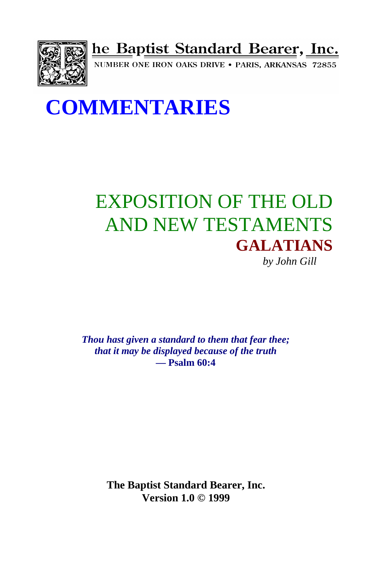he Baptist Standard Bearer, Inc.



NUMBER ONE IRON OAKS DRIVE . PARIS, ARKANSAS 72855

# **COMMENTARIES**

### EXPOSITION OF THE OLD AND NEW TESTAMENTS **GALATIANS** *by John Gill*

*Thou hast given a standard to them that fear thee; that it may be displayed because of the truth* **— Psalm 60:4**

> **The Baptist Standard Bearer, Inc. Version 1.0 © 1999**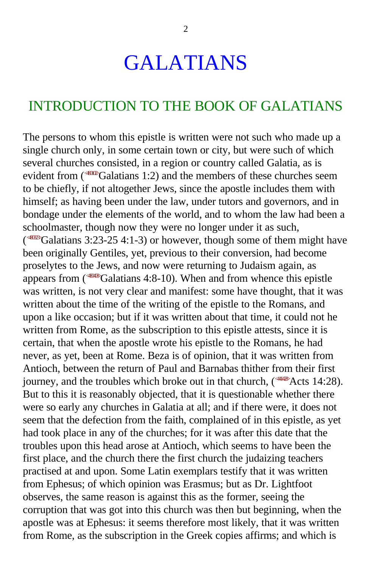# GALATIANS

#### INTRODUCTION TO THE BOOK OF GALATIANS

The persons to whom this epistle is written were not such who made up a single church only, in some certain town or city, but were such of which several churches consisted, in a region or country called Galatia, as is evident from  $(*\mathbb{R}C)$  Galatians 1:2) and the members of these churches seem to be chiefly, if not altogether Jews, since the apostle includes them with himself; as having been under the law, under tutors and governors, and in bondage under the elements of the world, and to whom the law had been a schoolmaster, though now they were no longer under it as such,  $(\sqrt[4122]$  Galatians 3:23-25 4:1-3) or however, though some of them might have been originally Gentiles, yet, previous to their conversion, had become proselytes to the Jews, and now were returning to Judaism again, as appears from  $(4808 \text{ Galatians } 4:8-10)$ . When and from whence this epistle was written, is not very clear and manifest: some have thought, that it was written about the time of the writing of the epistle to the Romans, and upon a like occasion; but if it was written about that time, it could not he written from Rome, as the subscription to this epistle attests, since it is certain, that when the apostle wrote his epistle to the Romans, he had never, as yet, been at Rome. Beza is of opinion, that it was written from Antioch, between the return of Paul and Barnabas thither from their first journey, and the troubles which broke out in that church,  $(\sqrt{44428})$ Acts 14:28). But to this it is reasonably objected, that it is questionable whether there were so early any churches in Galatia at all; and if there were, it does not seem that the defection from the faith, complained of in this epistle, as yet had took place in any of the churches; for it was after this date that the troubles upon this head arose at Antioch, which seems to have been the first place, and the church there the first church the judaizing teachers practised at and upon. Some Latin exemplars testify that it was written from Ephesus; of which opinion was Erasmus; but as Dr. Lightfoot observes, the same reason is against this as the former, seeing the corruption that was got into this church was then but beginning, when the apostle was at Ephesus: it seems therefore most likely, that it was written from Rome, as the subscription in the Greek copies affirms; and which is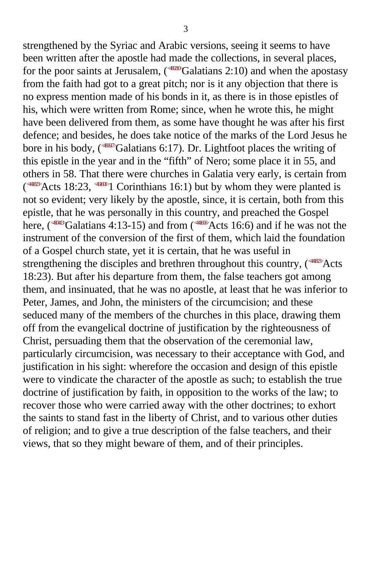strengthened by the Syriac and Arabic versions, seeing it seems to have been written after the apostle had made the collections, in several places, for the poor saints at Jerusalem,  $(\triangle^{RDD}Galatians 2:10)$  and when the apostasy from the faith had got to a great pitch; nor is it any objection that there is no express mention made of his bonds in it, as there is in those epistles of his, which were written from Rome; since, when he wrote this, he might have been delivered from them, as some have thought he was after his first defence; and besides, he does take notice of the marks of the Lord Jesus he bore in his body,  $(\sqrt{8802} \text{Gala} \times 6:17)$ . Dr. Lightfoot places the writing of this epistle in the year and in the "fifth" of Nero; some place it in 55, and others in 58. That there were churches in Galatia very early, is certain from  $(\sqrt{44828}$ Acts 18:23,  $\sqrt{4602}$ 1 Corinthians 16:1) but by whom they were planted is not so evident; very likely by the apostle, since, it is certain, both from this epistle, that he was personally in this country, and preached the Gospel here,  $(\sqrt[48015}Galatians 4:13-15)$  and from  $(\sqrt[44056}Acts 16:6)$  and if he was not the instrument of the conversion of the first of them, which laid the foundation of a Gospel church state, yet it is certain, that he was useful in strengthening the disciples and brethren throughout this country,  $(4482)$ Acts 18:23). But after his departure from them, the false teachers got among them, and insinuated, that he was no apostle, at least that he was inferior to Peter, James, and John, the ministers of the circumcision; and these seduced many of the members of the churches in this place, drawing them off from the evangelical doctrine of justification by the righteousness of Christ, persuading them that the observation of the ceremonial law, particularly circumcision, was necessary to their acceptance with God, and justification in his sight: wherefore the occasion and design of this epistle were to vindicate the character of the apostle as such; to establish the true doctrine of justification by faith, in opposition to the works of the law; to recover those who were carried away with the other doctrines; to exhort the saints to stand fast in the liberty of Christ, and to various other duties of religion; and to give a true description of the false teachers, and their views, that so they might beware of them, and of their principles.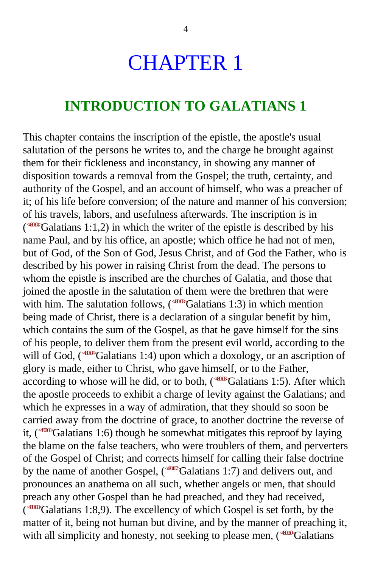## CHAPTER 1

### **INTRODUCTION TO GALATIANS 1**

This chapter contains the inscription of the epistle, the apostle's usual salutation of the persons he writes to, and the charge he brought against them for their fickleness and inconstancy, in showing any manner of disposition towards a removal from the Gospel; the truth, certainty, and authority of the Gospel, and an account of himself, who was a preacher of it; of his life before conversion; of the nature and manner of his conversion; of his travels, labors, and usefulness afterwards. The inscription is in  $(\sqrt[4800]{\text{Galatians}} 1:1,2)$  in which the writer of the epistle is described by his name Paul, and by his office, an apostle; which office he had not of men, but of God, of the Son of God, Jesus Christ, and of God the Father, who is described by his power in raising Christ from the dead. The persons to whom the epistle is inscribed are the churches of Galatia, and those that joined the apostle in the salutation of them were the brethren that were with him. The salutation follows,  $(\sqrt{48006} \text{Galatians } 1:3)$  in which mention being made of Christ, there is a declaration of a singular benefit by him, which contains the sum of the Gospel, as that he gave himself for the sins of his people, to deliver them from the present evil world, according to the will of God,  $(*\mathbb{R})$ <sup>4804</sup>Galatians 1:4) upon which a doxology, or an ascription of glory is made, either to Christ, who gave himself, or to the Father, according to whose will he did, or to both,  $(\sqrt{48005}$ Galatians 1:5). After which the apostle proceeds to exhibit a charge of levity against the Galatians; and which he expresses in a way of admiration, that they should so soon be carried away from the doctrine of grace, to another doctrine the reverse of it,  $\left(\frac{48006}{9}\text{Galatians } 1:6\right)$  though he somewhat mitigates this reproof by laying the blame on the false teachers, who were troublers of them, and perverters of the Gospel of Christ; and corrects himself for calling their false doctrine by the name of another Gospel,  $(\sqrt{4800} \text{Galatians } 1:7)$  and delivers out, and pronounces an anathema on all such, whether angels or men, that should preach any other Gospel than he had preached, and they had received,  $(\sqrt[4006]{\text{Galatians}} 1:8,9)$ . The excellency of which Gospel is set forth, by the matter of it, being not human but divine, and by the manner of preaching it, with all simplicity and honesty, not seeking to please men,  $(\sqrt{800} \text{Galatians})$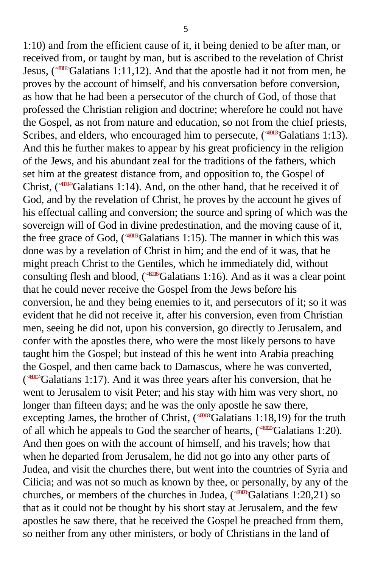1:10) and from the efficient cause of it, it being denied to be after man, or received from, or taught by man, but is ascribed to the revelation of Christ Jesus,  $(\sqrt{480115} \text{Galatians } 1:11,12)$ . And that the apostle had it not from men, he proves by the account of himself, and his conversation before conversion, as how that he had been a persecutor of the church of God, of those that professed the Christian religion and doctrine; wherefore he could not have the Gospel, as not from nature and education, so not from the chief priests, Scribes, and elders, who encouraged him to persecute,  $(\sqrt{8013} \text{Galatians } 1:13)$ . And this he further makes to appear by his great proficiency in the religion of the Jews, and his abundant zeal for the traditions of the fathers, which set him at the greatest distance from, and opposition to, the Gospel of Christ,  $(\sqrt{8014} \text{Galatians } 1:14)$ . And, on the other hand, that he received it of God, and by the revelation of Christ, he proves by the account he gives of his effectual calling and conversion; the source and spring of which was the sovereign will of God in divine predestination, and the moving cause of it, the free grace of God,  $(\sqrt{8015} \text{Galatians } 1:15)$ . The manner in which this was done was by a revelation of Christ in him; and the end of it was, that he might preach Christ to the Gentiles, which he immediately did, without consulting flesh and blood,  $($ <sup>48016</sup>Galatians 1:16). And as it was a clear point that he could never receive the Gospel from the Jews before his conversion, he and they being enemies to it, and persecutors of it; so it was evident that he did not receive it, after his conversion, even from Christian men, seeing he did not, upon his conversion, go directly to Jerusalem, and confer with the apostles there, who were the most likely persons to have taught him the Gospel; but instead of this he went into Arabia preaching the Gospel, and then came back to Damascus, where he was converted,  $(\sqrt[4017]{\text{Galatians}} 1:17)$ . And it was three years after his conversion, that he went to Jerusalem to visit Peter; and his stay with him was very short, no longer than fifteen days; and he was the only apostle he saw there, excepting James, the brother of Christ,  $($ <sup>48018</sup>Galatians 1:18,19) for the truth of all which he appeals to God the searcher of hearts,  $(\sqrt{4802})$ Galatians 1:20). And then goes on with the account of himself, and his travels; how that when he departed from Jerusalem, he did not go into any other parts of Judea, and visit the churches there, but went into the countries of Syria and Cilicia; and was not so much as known by thee, or personally, by any of the churches, or members of the churches in Judea,  $(\sqrt{800})$ Galatians 1:20,21) so that as it could not be thought by his short stay at Jerusalem, and the few apostles he saw there, that he received the Gospel he preached from them, so neither from any other ministers, or body of Christians in the land of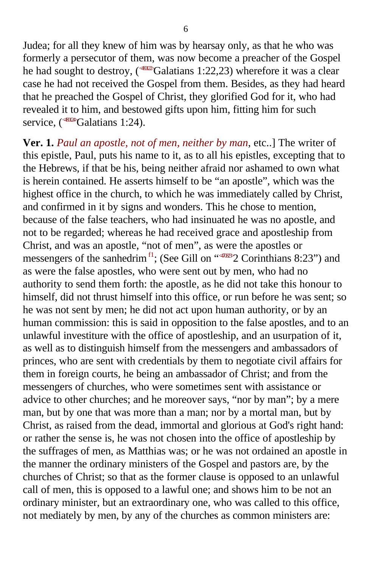Judea; for all they knew of him was by hearsay only, as that he who was formerly a persecutor of them, was now become a preacher of the Gospel he had sought to destroy, ( $\frac{4802}{2}$ Galatians 1:22,23) wherefore it was a clear case he had not received the Gospel from them. Besides, as they had heard that he preached the Gospel of Christ, they glorified God for it, who had revealed it to him, and bestowed gifts upon him, fitting him for such service,  $(\sqrt[4024]{\text{Galatians}} 1:24)$ .

**Ver. 1.** *Paul an apostle, not of men, neither by man*, etc..] The writer of this epistle, Paul, puts his name to it, as to all his epistles, excepting that to the Hebrews, if that be his, being neither afraid nor ashamed to own what is herein contained. He asserts himself to be "an apostle", which was the highest office in the church, to which he was immediately called by Christ, and confirmed in it by signs and wonders. This he chose to mention, because of the false teachers, who had insinuated he was no apostle, and not to be regarded; whereas he had received grace and apostleship from Christ, and was an apostle, "not of men", as were the apostles or messengers of the sanhedrim<sup>11</sup>; (See Gill on " $\frac{4782}{2}$  Corinthians 8:23") and as were the false apostles, who were sent out by men, who had no authority to send them forth: the apostle, as he did not take this honour to himself, did not thrust himself into this office, or run before he was sent; so he was not sent by men; he did not act upon human authority, or by an human commission: this is said in opposition to the false apostles, and to an unlawful investiture with the office of apostleship, and an usurpation of it, as well as to distinguish himself from the messengers and ambassadors of princes, who are sent with credentials by them to negotiate civil affairs for them in foreign courts, he being an ambassador of Christ; and from the messengers of churches, who were sometimes sent with assistance or advice to other churches; and he moreover says, "nor by man"; by a mere man, but by one that was more than a man; nor by a mortal man, but by Christ, as raised from the dead, immortal and glorious at God's right hand: or rather the sense is, he was not chosen into the office of apostleship by the suffrages of men, as Matthias was; or he was not ordained an apostle in the manner the ordinary ministers of the Gospel and pastors are, by the churches of Christ; so that as the former clause is opposed to an unlawful call of men, this is opposed to a lawful one; and shows him to be not an ordinary minister, but an extraordinary one, who was called to this office, not mediately by men, by any of the churches as common ministers are: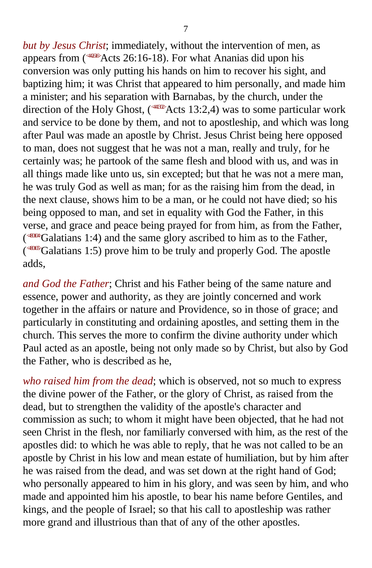*but by Jesus Christ*; immediately, without the intervention of men, as appears from  $(4466 \text{ Acts } 26:16-18)$ . For what Ananias did upon his conversion was only putting his hands on him to recover his sight, and baptizing him; it was Christ that appeared to him personally, and made him a minister; and his separation with Barnabas, by the church, under the direction of the Holy Ghost,  $($ <sup>4402</sup> $\text{Acts } 13:2,4)$  was to some particular work and service to be done by them, and not to apostleship, and which was long after Paul was made an apostle by Christ. Jesus Christ being here opposed to man, does not suggest that he was not a man, really and truly, for he certainly was; he partook of the same flesh and blood with us, and was in all things made like unto us, sin excepted; but that he was not a mere man, he was truly God as well as man; for as the raising him from the dead, in the next clause, shows him to be a man, or he could not have died; so his being opposed to man, and set in equality with God the Father, in this verse, and grace and peace being prayed for from him, as from the Father,  $(\sqrt[4004]{\text{Galatians}} 1:4)$  and the same glory ascribed to him as to the Father,  $(\sqrt[4005]{\text{Galatians}} 1:5)$  prove him to be truly and properly God. The apostle adds,

*and God the Father*; Christ and his Father being of the same nature and essence, power and authority, as they are jointly concerned and work together in the affairs or nature and Providence, so in those of grace; and particularly in constituting and ordaining apostles, and setting them in the church. This serves the more to confirm the divine authority under which Paul acted as an apostle, being not only made so by Christ, but also by God the Father, who is described as he,

*who raised him from the dead*; which is observed, not so much to express the divine power of the Father, or the glory of Christ, as raised from the dead, but to strengthen the validity of the apostle's character and commission as such; to whom it might have been objected, that he had not seen Christ in the flesh, nor familiarly conversed with him, as the rest of the apostles did: to which he was able to reply, that he was not called to be an apostle by Christ in his low and mean estate of humiliation, but by him after he was raised from the dead, and was set down at the right hand of God; who personally appeared to him in his glory, and was seen by him, and who made and appointed him his apostle, to bear his name before Gentiles, and kings, and the people of Israel; so that his call to apostleship was rather more grand and illustrious than that of any of the other apostles.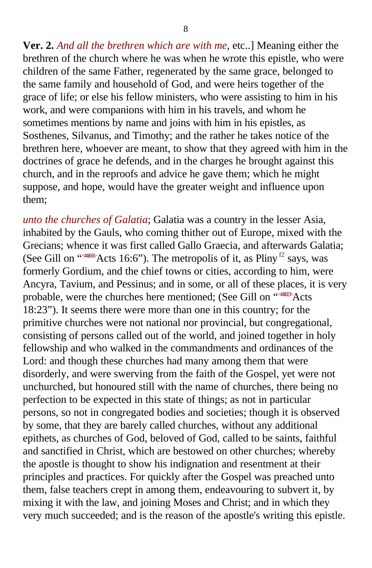**Ver. 2.** *And all the brethren which are with me*, etc..] Meaning either the brethren of the church where he was when he wrote this epistle, who were children of the same Father, regenerated by the same grace, belonged to the same family and household of God, and were heirs together of the grace of life; or else his fellow ministers, who were assisting to him in his work, and were companions with him in his travels, and whom he sometimes mentions by name and joins with him in his epistles, as Sosthenes, Silvanus, and Timothy; and the rather he takes notice of the brethren here, whoever are meant, to show that they agreed with him in the doctrines of grace he defends, and in the charges he brought against this church, and in the reproofs and advice he gave them; which he might suppose, and hope, would have the greater weight and influence upon them;

*unto the churches of Galatia*; Galatia was a country in the lesser Asia, inhabited by the Gauls, who coming thither out of Europe, mixed with the Grecians; whence it was first called Gallo Graecia, and afterwards Galatia; (See Gill on  $\sqrt[44466}$ Acts 16:6"). The metropolis of it, as Pliny  $^{f2}$  says, was formerly Gordium, and the chief towns or cities, according to him, were Ancyra, Tavium, and Pessinus; and in some, or all of these places, it is very probable, were the churches here mentioned; (See Gill on "[<441823>](#page-329-0)Acts 18:23"). It seems there were more than one in this country; for the primitive churches were not national nor provincial, but congregational, consisting of persons called out of the world, and joined together in holy fellowship and who walked in the commandments and ordinances of the Lord: and though these churches had many among them that were disorderly, and were swerving from the faith of the Gospel, yet were not unchurched, but honoured still with the name of churches, there being no perfection to be expected in this state of things; as not in particular persons, so not in congregated bodies and societies; though it is observed by some, that they are barely called churches, without any additional epithets, as churches of God, beloved of God, called to be saints, faithful and sanctified in Christ, which are bestowed on other churches; whereby the apostle is thought to show his indignation and resentment at their principles and practices. For quickly after the Gospel was preached unto them, false teachers crept in among them, endeavouring to subvert it, by mixing it with the law, and joining Moses and Christ; and in which they very much succeeded; and is the reason of the apostle's writing this epistle.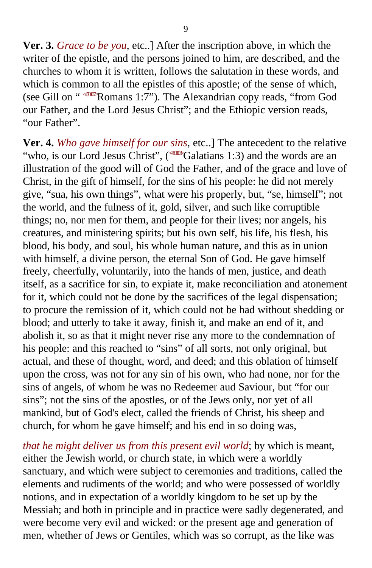**Ver. 3.** *Grace to be you*, etc..] After the inscription above, in which the writer of the epistle, and the persons joined to him, are described, and the churches to whom it is written, follows the salutation in these words, and which is common to all the epistles of this apostle; of the sense of which, (see Gill on "  $\sqrt{400}$  Romans 1:7"). The Alexandrian copy reads, "from God our Father, and the Lord Jesus Christ"; and the Ethiopic version reads, "our Father".

**Ver. 4.** *Who gave himself for our sins*, etc..] The antecedent to the relative "who, is our Lord Jesus Christ",  $($ <sup>4808</sup>Galatians 1:3) and the words are an illustration of the good will of God the Father, and of the grace and love of Christ, in the gift of himself, for the sins of his people: he did not merely give, "sua, his own things", what were his properly, but, "se, himself"; not the world, and the fulness of it, gold, silver, and such like corruptible things; no, nor men for them, and people for their lives; nor angels, his creatures, and ministering spirits; but his own self, his life, his flesh, his blood, his body, and soul, his whole human nature, and this as in union with himself, a divine person, the eternal Son of God. He gave himself freely, cheerfully, voluntarily, into the hands of men, justice, and death itself, as a sacrifice for sin, to expiate it, make reconciliation and atonement for it, which could not be done by the sacrifices of the legal dispensation; to procure the remission of it, which could not be had without shedding or blood; and utterly to take it away, finish it, and make an end of it, and abolish it, so as that it might never rise any more to the condemnation of his people: and this reached to "sins" of all sorts, not only original, but actual, and these of thought, word, and deed; and this oblation of himself upon the cross, was not for any sin of his own, who had none, nor for the sins of angels, of whom he was no Redeemer aud Saviour, but "for our sins"; not the sins of the apostles, or of the Jews only, nor yet of all mankind, but of God's elect, called the friends of Christ, his sheep and church, for whom he gave himself; and his end in so doing was,

*that he might deliver us from this present evil world*; by which is meant, either the Jewish world, or church state, in which were a worldly sanctuary, and which were subject to ceremonies and traditions, called the elements and rudiments of the world; and who were possessed of worldly notions, and in expectation of a worldly kingdom to be set up by the Messiah; and both in principle and in practice were sadly degenerated, and were become very evil and wicked: or the present age and generation of men, whether of Jews or Gentiles, which was so corrupt, as the like was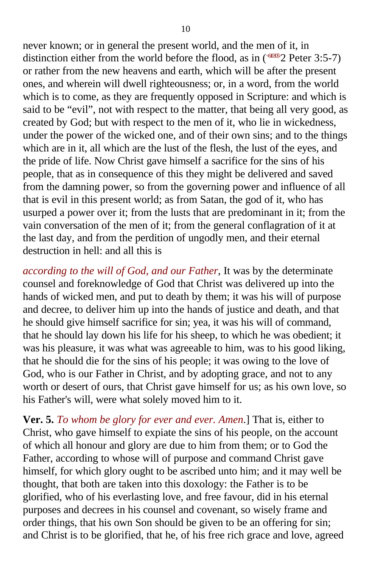never known; or in general the present world, and the men of it, in distinction either from the world before the flood, as in  $(\sqrt{4005})$  Peter 3:5-7) or rather from the new heavens and earth, which will be after the present ones, and wherein will dwell righteousness; or, in a word, from the world which is to come, as they are frequently opposed in Scripture: and which is said to be "evil", not with respect to the matter, that being all very good, as created by God; but with respect to the men of it, who lie in wickedness, under the power of the wicked one, and of their own sins; and to the things which are in it, all which are the lust of the flesh, the lust of the eyes, and the pride of life. Now Christ gave himself a sacrifice for the sins of his people, that as in consequence of this they might be delivered and saved from the damning power, so from the governing power and influence of all that is evil in this present world; as from Satan, the god of it, who has usurped a power over it; from the lusts that are predominant in it; from the vain conversation of the men of it; from the general conflagration of it at the last day, and from the perdition of ungodly men, and their eternal destruction in hell: and all this is

*according to the will of God, and our Father*, It was by the determinate counsel and foreknowledge of God that Christ was delivered up into the hands of wicked men, and put to death by them; it was his will of purpose and decree, to deliver him up into the hands of justice and death, and that he should give himself sacrifice for sin; yea, it was his will of command, that he should lay down his life for his sheep, to which he was obedient; it was his pleasure, it was what was agreeable to him, was to his good liking, that he should die for the sins of his people; it was owing to the love of God, who is our Father in Christ, and by adopting grace, and not to any worth or desert of ours, that Christ gave himself for us; as his own love, so his Father's will, were what solely moved him to it.

**Ver. 5.** *To whom be glory for ever and ever. Amen*.] That is, either to Christ, who gave himself to expiate the sins of his people, on the account of which all honour and glory are due to him from them; or to God the Father, according to whose will of purpose and command Christ gave himself, for which glory ought to be ascribed unto him; and it may well be thought, that both are taken into this doxology: the Father is to be glorified, who of his everlasting love, and free favour, did in his eternal purposes and decrees in his counsel and covenant, so wisely frame and order things, that his own Son should be given to be an offering for sin; and Christ is to be glorified, that he, of his free rich grace and love, agreed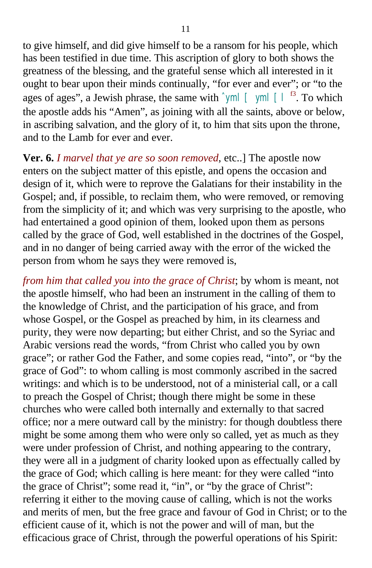<span id="page-10-0"></span>to give himself, and did give himself to be a ransom for his people, which has been testified in due time. This ascription of glory to both shows the greatness of the blessing, and the grateful sense which all interested in it ought to bear upon their minds continually, "for ever and ever"; or "to the ages of ages", a Jewish phrase, the same with ^yml  $[$  yml  $[$   $]$   $[$   $]$   $[$   $]$ <sup> $f3. To which$ the apostle adds his "Amen", as joining with all the saints, above or below, in ascribing salvation, and the glory of it, to him that sits upon the throne, and to the Lamb for ever and ever.

**Ver. 6.** *I marvel that ye are so soon removed*, etc..] The apostle now enters on the subject matter of this epistle, and opens the occasion and design of it, which were to reprove the Galatians for their instability in the Gospel; and, if possible, to reclaim them, who were removed, or removing from the simplicity of it; and which was very surprising to the apostle, who had entertained a good opinion of them, looked upon them as persons called by the grace of God, well established in the doctrines of the Gospel, and in no danger of being carried away with the error of the wicked the person from whom he says they were removed is,

*from him that called you into the grace of Christ*; by whom is meant, not the apostle himself, who had been an instrument in the calling of them to the knowledge of Christ, and the participation of his grace, and from whose Gospel, or the Gospel as preached by him, in its clearness and purity, they were now departing; but either Christ, and so the Syriac and Arabic versions read the words, "from Christ who called you by own grace"; or rather God the Father, and some copies read, "into", or "by the grace of God": to whom calling is most commonly ascribed in the sacred writings: and which is to be understood, not of a ministerial call, or a call to preach the Gospel of Christ; though there might be some in these churches who were called both internally and externally to that sacred office; nor a mere outward call by the ministry: for though doubtless there might be some among them who were only so called, yet as much as they were under profession of Christ, and nothing appearing to the contrary, they were all in a judgment of charity looked upon as effectually called by the grace of God; which calling is here meant: for they were called "into the grace of Christ"; some read it, "in", or "by the grace of Christ": referring it either to the moving cause of calling, which is not the works and merits of men, but the free grace and favour of God in Christ; or to the efficient cause of it, which is not the power and will of man, but the efficacious grace of Christ, through the powerful operations of his Spirit: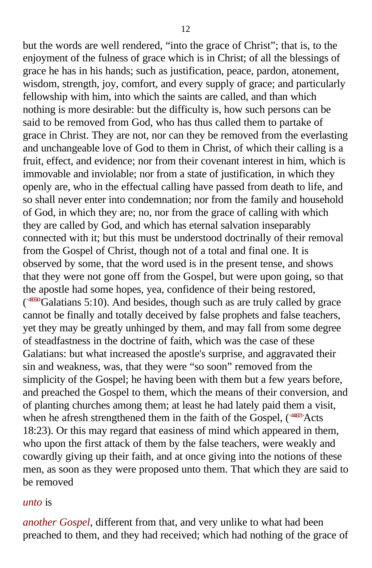but the words are well rendered, "into the grace of Christ"; that is, to the enjoyment of the fulness of grace which is in Christ; of all the blessings of grace he has in his hands; such as justification, peace, pardon, atonement, wisdom, strength, joy, comfort, and every supply of grace; and particularly fellowship with him, into which the saints are called, and than which nothing is more desirable: but the difficulty is, how such persons can be said to be removed from God, who has thus called them to partake of grace in Christ. They are not, nor can they be removed from the everlasting and unchangeable love of God to them in Christ, of which their calling is a fruit, effect, and evidence; nor from their covenant interest in him, which is immovable and inviolable; nor from a state of justification, in which they openly are, who in the effectual calling have passed from death to life, and so shall never enter into condemnation; nor from the family and household of God, in which they are; no, nor from the grace of calling with which they are called by God, and which has eternal salvation inseparably connected with it; but this must be understood doctrinally of their removal from the Gospel of Christ, though not of a total and final one. It is observed by some, that the word used is in the present tense, and shows that they were not gone off from the Gospel, but were upon going, so that the apostle had some hopes, yea, confidence of their being restored,  $(*<sup>4850</sup>Galatians 5:10)$ . And besides, though such as are truly called by grace cannot be finally and totally deceived by false prophets and false teachers, yet they may be greatly unhinged by them, and may fall from some degree of steadfastness in the doctrine of faith, which was the case of these Galatians: but what increased the apostle's surprise, and aggravated their sin and weakness, was, that they were "so soon" removed from the simplicity of the Gospel; he having been with them but a few years before, and preached the Gospel to them, which the means of their conversion, and of planting churches among them; at least he had lately paid them a visit, when he afresh strengthened them in the faith of the Gospel,  $(4482)$ Acts 18:23). Or this may regard that easiness of mind which appeared in them, who upon the first attack of them by the false teachers, were weakly and cowardly giving up their faith, and at once giving into the notions of these men, as soon as they were proposed unto them. That which they are said to be removed

#### *unto* is

*another Gospel*, different from that, and very unlike to what had been preached to them, and they had received; which had nothing of the grace of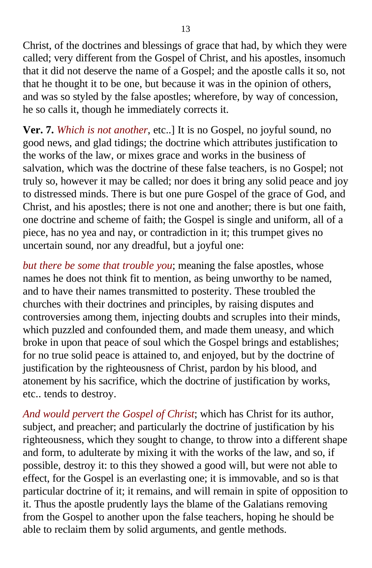Christ, of the doctrines and blessings of grace that had, by which they were called; very different from the Gospel of Christ, and his apostles, insomuch that it did not deserve the name of a Gospel; and the apostle calls it so, not that he thought it to be one, but because it was in the opinion of others, and was so styled by the false apostles; wherefore, by way of concession, he so calls it, though he immediately corrects it.

**Ver. 7.** *Which is not another*, etc..] It is no Gospel, no joyful sound, no good news, and glad tidings; the doctrine which attributes justification to the works of the law, or mixes grace and works in the business of salvation, which was the doctrine of these false teachers, is no Gospel; not truly so, however it may be called; nor does it bring any solid peace and joy to distressed minds. There is but one pure Gospel of the grace of God, and Christ, and his apostles; there is not one and another; there is but one faith, one doctrine and scheme of faith; the Gospel is single and uniform, all of a piece, has no yea and nay, or contradiction in it; this trumpet gives no uncertain sound, nor any dreadful, but a joyful one:

*but there be some that trouble you*; meaning the false apostles, whose names he does not think fit to mention, as being unworthy to be named, and to have their names transmitted to posterity. These troubled the churches with their doctrines and principles, by raising disputes and controversies among them, injecting doubts and scruples into their minds, which puzzled and confounded them, and made them uneasy, and which broke in upon that peace of soul which the Gospel brings and establishes; for no true solid peace is attained to, and enjoyed, but by the doctrine of justification by the righteousness of Christ, pardon by his blood, and atonement by his sacrifice, which the doctrine of justification by works, etc.. tends to destroy.

*And would pervert the Gospel of Christ*; which has Christ for its author, subject, and preacher; and particularly the doctrine of justification by his righteousness, which they sought to change, to throw into a different shape and form, to adulterate by mixing it with the works of the law, and so, if possible, destroy it: to this they showed a good will, but were not able to effect, for the Gospel is an everlasting one; it is immovable, and so is that particular doctrine of it; it remains, and will remain in spite of opposition to it. Thus the apostle prudently lays the blame of the Galatians removing from the Gospel to another upon the false teachers, hoping he should be able to reclaim them by solid arguments, and gentle methods.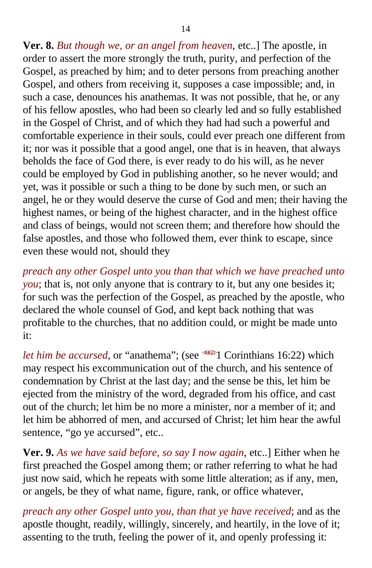**Ver. 8.** *But though we, or an angel from heaven*, etc..] The apostle, in order to assert the more strongly the truth, purity, and perfection of the Gospel, as preached by him; and to deter persons from preaching another Gospel, and others from receiving it, supposes a case impossible; and, in such a case, denounces his anathemas. It was not possible, that he, or any of his fellow apostles, who had been so clearly led and so fully established in the Gospel of Christ, and of which they had had such a powerful and comfortable experience in their souls, could ever preach one different from it; nor was it possible that a good angel, one that is in heaven, that always beholds the face of God there, is ever ready to do his will, as he never could be employed by God in publishing another, so he never would; and yet, was it possible or such a thing to be done by such men, or such an angel, he or they would deserve the curse of God and men; their having the highest names, or being of the highest character, and in the highest office and class of beings, would not screen them; and therefore how should the false apostles, and those who followed them, ever think to escape, since even these would not, should they

*preach any other Gospel unto you than that which we have preached unto you*; that is, not only anyone that is contrary to it, but any one besides it; for such was the perfection of the Gospel, as preached by the apostle, who declared the whole counsel of God, and kept back nothing that was profitable to the churches, that no addition could, or might be made unto it:

*let him be accursed*, or "anathema"; (see  $\frac{4602}{2}$ 1 Corinthians 16:22) which may respect his excommunication out of the church, and his sentence of condemnation by Christ at the last day; and the sense be this, let him be ejected from the ministry of the word, degraded from his office, and cast out of the church; let him be no more a minister, nor a member of it; and let him be abhorred of men, and accursed of Christ; let him hear the awful sentence, "go ye accursed", etc..

**Ver. 9.** *As we have said before, so say I now again*, etc..] Either when he first preached the Gospel among them; or rather referring to what he had just now said, which he repeats with some little alteration; as if any, men, or angels, be they of what name, figure, rank, or office whatever,

*preach any other Gospel unto you, than that ye have received*; and as the apostle thought, readily, willingly, sincerely, and heartily, in the love of it; assenting to the truth, feeling the power of it, and openly professing it: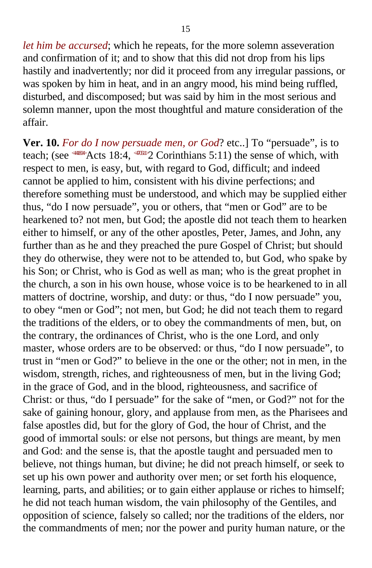*let him be accursed*; which he repeats, for the more solemn asseveration and confirmation of it; and to show that this did not drop from his lips hastily and inadvertently; nor did it proceed from any irregular passions, or was spoken by him in heat, and in an angry mood, his mind being ruffled, disturbed, and discomposed; but was said by him in the most serious and solemn manner, upon the most thoughtful and mature consideration of the affair.

**Ver. 10.** *For do I now persuade men, or God*? etc..] To "persuade", is to teach; (see  $4480\text{A}$  Acts 18:4,  $475\text{B}$  2 Corinthians 5:11) the sense of which, with respect to men, is easy, but, with regard to God, difficult; and indeed cannot be applied to him, consistent with his divine perfections; and therefore something must be understood, and which may be supplied either thus, "do I now persuade", you or others, that "men or God" are to be hearkened to? not men, but God; the apostle did not teach them to hearken either to himself, or any of the other apostles, Peter, James, and John, any further than as he and they preached the pure Gospel of Christ; but should they do otherwise, they were not to be attended to, but God, who spake by his Son; or Christ, who is God as well as man; who is the great prophet in the church, a son in his own house, whose voice is to be hearkened to in all matters of doctrine, worship, and duty: or thus, "do I now persuade" you, to obey "men or God"; not men, but God; he did not teach them to regard the traditions of the elders, or to obey the commandments of men, but, on the contrary, the ordinances of Christ, who is the one Lord, and only master, whose orders are to be observed: or thus, "do I now persuade", to trust in "men or God?" to believe in the one or the other; not in men, in the wisdom, strength, riches, and righteousness of men, but in the living God; in the grace of God, and in the blood, righteousness, and sacrifice of Christ: or thus, "do I persuade" for the sake of "men, or God?" not for the sake of gaining honour, glory, and applause from men, as the Pharisees and false apostles did, but for the glory of God, the hour of Christ, and the good of immortal souls: or else not persons, but things are meant, by men and God: and the sense is, that the apostle taught and persuaded men to believe, not things human, but divine; he did not preach himself, or seek to set up his own power and authority over men; or set forth his eloquence, learning, parts, and abilities; or to gain either applause or riches to himself; he did not teach human wisdom, the vain philosophy of the Gentiles, and opposition of science, falsely so called; nor the traditions of the elders, nor the commandments of men; nor the power and purity human nature, or the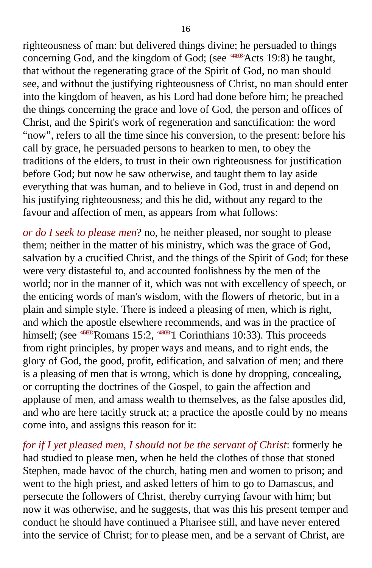righteousness of man: but delivered things divine; he persuaded to things concerning God, and the kingdom of God; (see  $44908$ Acts 19:8) he taught, that without the regenerating grace of the Spirit of God, no man should see, and without the justifying righteousness of Christ, no man should enter into the kingdom of heaven, as his Lord had done before him; he preached the things concerning the grace and love of God, the person and offices of Christ, and the Spirit's work of regeneration and sanctification: the word "now", refers to all the time since his conversion, to the present: before his call by grace, he persuaded persons to hearken to men, to obey the traditions of the elders, to trust in their own righteousness for justification before God; but now he saw otherwise, and taught them to lay aside everything that was human, and to believe in God, trust in and depend on his justifying righteousness; and this he did, without any regard to the favour and affection of men, as appears from what follows:

*or do I seek to please men*? no, he neither pleased, nor sought to please them; neither in the matter of his ministry, which was the grace of God, salvation by a crucified Christ, and the things of the Spirit of God; for these were very distasteful to, and accounted foolishness by the men of the world; nor in the manner of it, which was not with excellency of speech, or the enticing words of man's wisdom, with the flowers of rhetoric, but in a plain and simple style. There is indeed a pleasing of men, which is right, and which the apostle elsewhere recommends, and was in the practice of himself; (see  $\triangleleft$ EEPRomans 15:2,  $\triangleleft$ EEP1 Corinthians 10:33). This proceeds from right principles, by proper ways and means, and to right ends, the glory of God, the good, profit, edification, and salvation of men; and there is a pleasing of men that is wrong, which is done by dropping, concealing, or corrupting the doctrines of the Gospel, to gain the affection and applause of men, and amass wealth to themselves, as the false apostles did, and who are here tacitly struck at; a practice the apostle could by no means come into, and assigns this reason for it:

*for if I yet pleased men, I should not be the servant of Christ*: formerly he had studied to please men, when he held the clothes of those that stoned Stephen, made havoc of the church, hating men and women to prison; and went to the high priest, and asked letters of him to go to Damascus, and persecute the followers of Christ, thereby currying favour with him; but now it was otherwise, and he suggests, that was this his present temper and conduct he should have continued a Pharisee still, and have never entered into the service of Christ; for to please men, and be a servant of Christ, are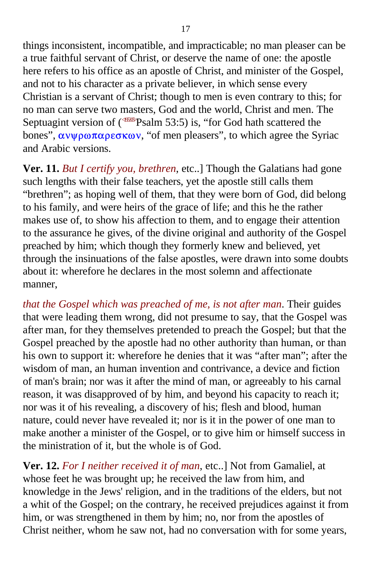things inconsistent, incompatible, and impracticable; no man pleaser can be a true faithful servant of Christ, or deserve the name of one: the apostle here refers to his office as an apostle of Christ, and minister of the Gospel, and not to his character as a private believer, in which sense every Christian is a servant of Christ; though to men is even contrary to this; for no man can serve two masters, God and the world, Christ and men. The Septuagint version of ( $\sqrt{2505}$ Psalm 53:5) is, "for God hath scattered the bones",  $\alpha v \psi \rho \omega \pi \alpha \rho \epsilon \sigma \kappa \omega v$ , "of men pleasers", to which agree the Syriac and Arabic versions.

**Ver. 11.** *But I certify you, brethren*, etc..] Though the Galatians had gone such lengths with their false teachers, yet the apostle still calls them "brethren"; as hoping well of them, that they were born of God, did belong to his family, and were heirs of the grace of life; and this he the rather makes use of, to show his affection to them, and to engage their attention to the assurance he gives, of the divine original and authority of the Gospel preached by him; which though they formerly knew and believed, yet through the insinuations of the false apostles, were drawn into some doubts about it: wherefore he declares in the most solemn and affectionate manner,

*that the Gospel which was preached of me, is not after man*. Their guides that were leading them wrong, did not presume to say, that the Gospel was after man, for they themselves pretended to preach the Gospel; but that the Gospel preached by the apostle had no other authority than human, or than his own to support it: wherefore he denies that it was "after man"; after the wisdom of man, an human invention and contrivance, a device and fiction of man's brain; nor was it after the mind of man, or agreeably to his carnal reason, it was disapproved of by him, and beyond his capacity to reach it; nor was it of his revealing, a discovery of his; flesh and blood, human nature, could never have revealed it; nor is it in the power of one man to make another a minister of the Gospel, or to give him or himself success in the ministration of it, but the whole is of God.

**Ver. 12.** *For I neither received it of man*, etc..] Not from Gamaliel, at whose feet he was brought up; he received the law from him, and knowledge in the Jews' religion, and in the traditions of the elders, but not a whit of the Gospel; on the contrary, he received prejudices against it from him, or was strengthened in them by him; no, nor from the apostles of Christ neither, whom he saw not, had no conversation with for some years,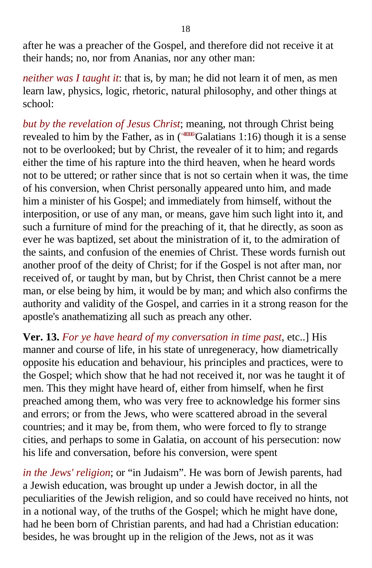after he was a preacher of the Gospel, and therefore did not receive it at their hands; no, nor from Ananias, nor any other man:

*neither was I taught it*: that is, by man; he did not learn it of men, as men learn law, physics, logic, rhetoric, natural philosophy, and other things at school:

*but by the revelation of Jesus Christ*; meaning, not through Christ being revealed to him by the Father, as in  $\left( \frac{48016}{6} \text{Galatians} 1:16 \right)$  though it is a sense not to be overlooked; but by Christ, the revealer of it to him; and regards either the time of his rapture into the third heaven, when he heard words not to be uttered; or rather since that is not so certain when it was, the time of his conversion, when Christ personally appeared unto him, and made him a minister of his Gospel; and immediately from himself, without the interposition, or use of any man, or means, gave him such light into it, and such a furniture of mind for the preaching of it, that he directly, as soon as ever he was baptized, set about the ministration of it, to the admiration of the saints, and confusion of the enemies of Christ. These words furnish out another proof of the deity of Christ; for if the Gospel is not after man, nor received of, or taught by man, but by Christ, then Christ cannot be a mere man, or else being by him, it would be by man; and which also confirms the authority and validity of the Gospel, and carries in it a strong reason for the apostle's anathematizing all such as preach any other.

**Ver. 13.** *For ye have heard of my conversation in time past*, etc..] His manner and course of life, in his state of unregeneracy, how diametrically opposite his education and behaviour, his principles and practices, were to the Gospel; which show that he had not received it, nor was he taught it of men. This they might have heard of, either from himself, when he first preached among them, who was very free to acknowledge his former sins and errors; or from the Jews, who were scattered abroad in the several countries; and it may be, from them, who were forced to fly to strange cities, and perhaps to some in Galatia, on account of his persecution: now his life and conversation, before his conversion, were spent

*in the Jews' religion*; or "in Judaism". He was born of Jewish parents, had a Jewish education, was brought up under a Jewish doctor, in all the peculiarities of the Jewish religion, and so could have received no hints, not in a notional way, of the truths of the Gospel; which he might have done, had he been born of Christian parents, and had had a Christian education: besides, he was brought up in the religion of the Jews, not as it was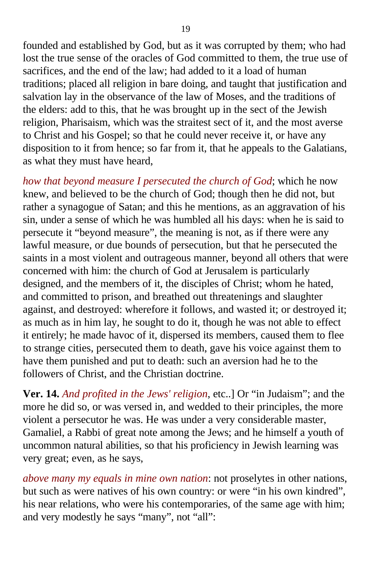founded and established by God, but as it was corrupted by them; who had lost the true sense of the oracles of God committed to them, the true use of sacrifices, and the end of the law; had added to it a load of human traditions; placed all religion in bare doing, and taught that justification and salvation lay in the observance of the law of Moses, and the traditions of the elders: add to this, that he was brought up in the sect of the Jewish religion, Pharisaism, which was the straitest sect of it, and the most averse to Christ and his Gospel; so that he could never receive it, or have any disposition to it from hence; so far from it, that he appeals to the Galatians, as what they must have heard,

*how that beyond measure I persecuted the church of God*; which he now knew, and believed to be the church of God; though then he did not, but rather a synagogue of Satan; and this he mentions, as an aggravation of his sin, under a sense of which he was humbled all his days: when he is said to persecute it "beyond measure", the meaning is not, as if there were any lawful measure, or due bounds of persecution, but that he persecuted the saints in a most violent and outrageous manner, beyond all others that were concerned with him: the church of God at Jerusalem is particularly designed, and the members of it, the disciples of Christ; whom he hated, and committed to prison, and breathed out threatenings and slaughter against, and destroyed: wherefore it follows, and wasted it; or destroyed it; as much as in him lay, he sought to do it, though he was not able to effect it entirely; he made havoc of it, dispersed its members, caused them to flee to strange cities, persecuted them to death, gave his voice against them to have them punished and put to death: such an aversion had he to the followers of Christ, and the Christian doctrine.

**Ver. 14.** *And profited in the Jews' religion*, etc..] Or "in Judaism"; and the more he did so, or was versed in, and wedded to their principles, the more violent a persecutor he was. He was under a very considerable master, Gamaliel, a Rabbi of great note among the Jews; and he himself a youth of uncommon natural abilities, so that his proficiency in Jewish learning was very great; even, as he says,

*above many my equals in mine own nation*: not proselytes in other nations, but such as were natives of his own country: or were "in his own kindred", his near relations, who were his contemporaries, of the same age with him; and very modestly he says "many", not "all":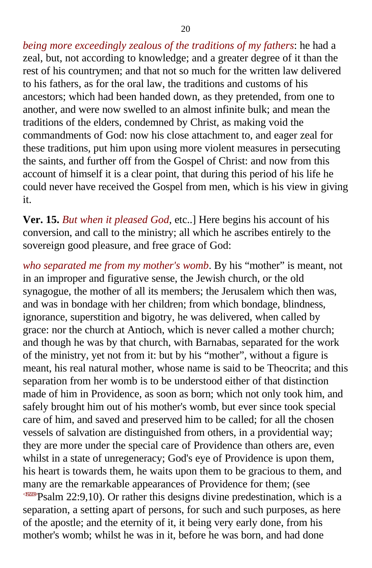*being more exceedingly zealous of the traditions of my fathers*: he had a zeal, but, not according to knowledge; and a greater degree of it than the rest of his countrymen; and that not so much for the written law delivered to his fathers, as for the oral law, the traditions and customs of his ancestors; which had been handed down, as they pretended, from one to another, and were now swelled to an almost infinite bulk; and mean the traditions of the elders, condemned by Christ, as making void the commandments of God: now his close attachment to, and eager zeal for these traditions, put him upon using more violent measures in persecuting the saints, and further off from the Gospel of Christ: and now from this account of himself it is a clear point, that during this period of his life he could never have received the Gospel from men, which is his view in giving it.

**Ver. 15.** *But when it pleased God*, etc..] Here begins his account of his conversion, and call to the ministry; all which he ascribes entirely to the sovereign good pleasure, and free grace of God:

*who separated me from my mother's womb*. By his "mother" is meant, not in an improper and figurative sense, the Jewish church, or the old synagogue, the mother of all its members; the Jerusalem which then was, and was in bondage with her children; from which bondage, blindness, ignorance, superstition and bigotry, he was delivered, when called by grace: nor the church at Antioch, which is never called a mother church; and though he was by that church, with Barnabas, separated for the work of the ministry, yet not from it: but by his "mother", without a figure is meant, his real natural mother, whose name is said to be Theocrita; and this separation from her womb is to be understood either of that distinction made of him in Providence, as soon as born; which not only took him, and safely brought him out of his mother's womb, but ever since took special care of him, and saved and preserved him to be called; for all the chosen vessels of salvation are distinguished from others, in a providential way; they are more under the special care of Providence than others are, even whilst in a state of unregeneracy; God's eye of Providence is upon them, his heart is towards them, he waits upon them to be gracious to them, and many are the remarkable appearances of Providence for them; (see  $\sqrt{229}$ Psalm 22:9,10). Or rather this designs divine predestination, which is a separation, a setting apart of persons, for such and such purposes, as here of the apostle; and the eternity of it, it being very early done, from his mother's womb; whilst he was in it, before he was born, and had done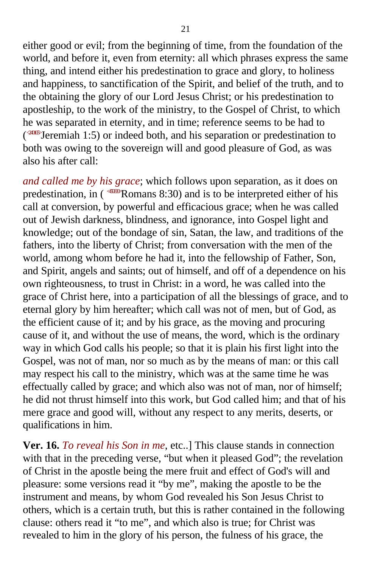either good or evil; from the beginning of time, from the foundation of the world, and before it, even from eternity: all which phrases express the same thing, and intend either his predestination to grace and glory, to holiness and happiness, to sanctification of the Spirit, and belief of the truth, and to the obtaining the glory of our Lord Jesus Christ; or his predestination to apostleship, to the work of the ministry, to the Gospel of Christ, to which he was separated in eternity, and in time; reference seems to be had to  $($ <sup>4005</sup> Jeremiah 1:5) or indeed both, and his separation or predestination to both was owing to the sovereign will and good pleasure of God, as was also his after call:

*and called me by his grace*; which follows upon separation, as it does on predestination, in  $($   $\triangleleft$ EXED Romans 8:30) and is to be interpreted either of his call at conversion, by powerful and efficacious grace; when he was called out of Jewish darkness, blindness, and ignorance, into Gospel light and knowledge; out of the bondage of sin, Satan, the law, and traditions of the fathers, into the liberty of Christ; from conversation with the men of the world, among whom before he had it, into the fellowship of Father, Son, and Spirit, angels and saints; out of himself, and off of a dependence on his own righteousness, to trust in Christ: in a word, he was called into the grace of Christ here, into a participation of all the blessings of grace, and to eternal glory by him hereafter; which call was not of men, but of God, as the efficient cause of it; and by his grace, as the moving and procuring cause of it, and without the use of means, the word, which is the ordinary way in which God calls his people; so that it is plain his first light into the Gospel, was not of man, nor so much as by the means of man: or this call may respect his call to the ministry, which was at the same time he was effectually called by grace; and which also was not of man, nor of himself; he did not thrust himself into this work, but God called him; and that of his mere grace and good will, without any respect to any merits, deserts, or qualifications in him.

**Ver. 16.** *To reveal his Son in me*, etc..] This clause stands in connection with that in the preceding verse, "but when it pleased God"; the revelation of Christ in the apostle being the mere fruit and effect of God's will and pleasure: some versions read it "by me", making the apostle to be the instrument and means, by whom God revealed his Son Jesus Christ to others, which is a certain truth, but this is rather contained in the following clause: others read it "to me", and which also is true; for Christ was revealed to him in the glory of his person, the fulness of his grace, the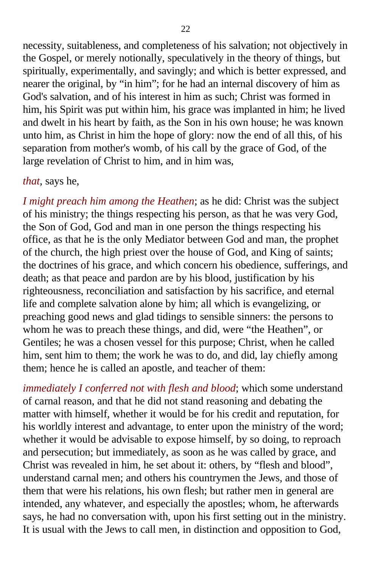necessity, suitableness, and completeness of his salvation; not objectively in the Gospel, or merely notionally, speculatively in the theory of things, but spiritually, experimentally, and savingly; and which is better expressed, and nearer the original, by "in him"; for he had an internal discovery of him as God's salvation, and of his interest in him as such; Christ was formed in him, his Spirit was put within him, his grace was implanted in him; he lived and dwelt in his heart by faith, as the Son in his own house; he was known unto him, as Christ in him the hope of glory: now the end of all this, of his separation from mother's womb, of his call by the grace of God, of the large revelation of Christ to him, and in him was,

#### *that*, says he,

*I might preach him among the Heathen*; as he did: Christ was the subject of his ministry; the things respecting his person, as that he was very God, the Son of God, God and man in one person the things respecting his office, as that he is the only Mediator between God and man, the prophet of the church, the high priest over the house of God, and King of saints; the doctrines of his grace, and which concern his obedience, sufferings, and death; as that peace and pardon are by his blood, justification by his righteousness, reconciliation and satisfaction by his sacrifice, and eternal life and complete salvation alone by him; all which is evangelizing, or preaching good news and glad tidings to sensible sinners: the persons to whom he was to preach these things, and did, were "the Heathen", or Gentiles; he was a chosen vessel for this purpose; Christ, when he called him, sent him to them; the work he was to do, and did, lay chiefly among them; hence he is called an apostle, and teacher of them:

*immediately I conferred not with flesh and blood*; which some understand of carnal reason, and that he did not stand reasoning and debating the matter with himself, whether it would be for his credit and reputation, for his worldly interest and advantage, to enter upon the ministry of the word; whether it would be advisable to expose himself, by so doing, to reproach and persecution; but immediately, as soon as he was called by grace, and Christ was revealed in him, he set about it: others, by "flesh and blood", understand carnal men; and others his countrymen the Jews, and those of them that were his relations, his own flesh; but rather men in general are intended, any whatever, and especially the apostles; whom, he afterwards says, he had no conversation with, upon his first setting out in the ministry. It is usual with the Jews to call men, in distinction and opposition to God,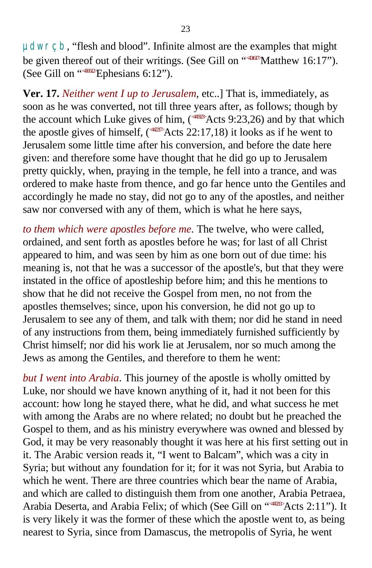µdw rçb, "flesh and blood". Infinite almost are the examples that might be given thereof out of their writings. (See Gill on "«MOTEM at the w 16:17"). (See Gill on  $\sqrt[4062]{\text{Ephesians 6:12"}}$ ).

**Ver. 17.** *Neither went I up to Jerusalem*, etc..] That is, immediately, as soon as he was converted, not till three years after, as follows; though by the account which Luke gives of him,  $(402)$ Acts 9:23,26) and by that which the apostle gives of himself,  $(\sqrt{22} \text{:} 17,18)$  it looks as if he went to Jerusalem some little time after his conversion, and before the date here given: and therefore some have thought that he did go up to Jerusalem pretty quickly, when, praying in the temple, he fell into a trance, and was ordered to make haste from thence, and go far hence unto the Gentiles and accordingly he made no stay, did not go to any of the apostles, and neither saw nor conversed with any of them, which is what he here says,

*to them which were apostles before me*. The twelve, who were called, ordained, and sent forth as apostles before he was; for last of all Christ appeared to him, and was seen by him as one born out of due time: his meaning is, not that he was a successor of the apostle's, but that they were instated in the office of apostleship before him; and this he mentions to show that he did not receive the Gospel from men, no not from the apostles themselves; since, upon his conversion, he did not go up to Jerusalem to see any of them, and talk with them; nor did he stand in need of any instructions from them, being immediately furnished sufficiently by Christ himself; nor did his work lie at Jerusalem, nor so much among the Jews as among the Gentiles, and therefore to them he went:

*but I went into Arabia*. This journey of the apostle is wholly omitted by Luke, nor should we have known anything of it, had it not been for this account: how long he stayed there, what he did, and what success he met with among the Arabs are no where related; no doubt but he preached the Gospel to them, and as his ministry everywhere was owned and blessed by God, it may be very reasonably thought it was here at his first setting out in it. The Arabic version reads it, "I went to Balcam", which was a city in Syria; but without any foundation for it; for it was not Syria, but Arabia to which he went. There are three countries which bear the name of Arabia, and which are called to distinguish them from one another, Arabia Petraea, Arabia Deserta, and Arabia Felix; of which (See Gill on "410b Acts 2:11"). It is very likely it was the former of these which the apostle went to, as being nearest to Syria, since from Damascus, the metropolis of Syria, he went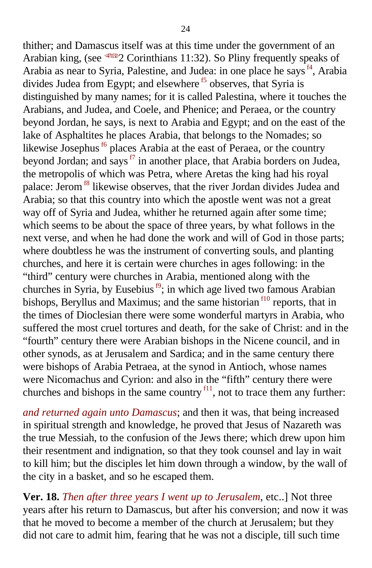<span id="page-23-0"></span>thither; and Damascus itself was at this time under the government of an Arabian king, (see  $\sqrt{4712}$  2 Corinthians 11:32). So Pliny frequently speaks of Arabia as near to Syria, Palestine, and Judea: in one place he says  $<sup>44</sup>$ , Arabia</sup> divides Judea from Egypt; and elsewhere <sup>f5</sup> observes, that Syria is distinguished by many names; for it is called Palestina, where it touches the Arabians, and Judea, and Coele, and Phenice; and Peraea, or the country beyond Jordan, he says, is next to Arabia and Egypt; and on the east of the lake of Asphaltites he places Arabia, that belongs to the Nomades; so likewise Josephus <sup>f6</sup> places Arabia at the east of Peraea, or the country beyond Jordan; and says  $\frac{1}{7}$  in another place, that Arabia borders on Judea, the metropolis of which was Petra, where Aretas the king had his royal palace: Jerom [f8](#page-182-0) likewise observes, that the river Jordan divides Judea and Arabia; so that this country into which the apostle went was not a great way off of Syria and Judea, whither he returned again after some time; which seems to be about the space of three years, by what follows in the next verse, and when he had done the work and will of God in those parts; where doubtless he was the instrument of converting souls, and planting churches, and here it is certain were churches in ages following: in the "third" century were churches in Arabia, mentioned along with the churches in Syria, by Eusebius  $f<sup>19</sup>$ ; in which age lived two famous Arabian bishops, Beryllus and Maximus; and the same historian f<sup>10</sup> reports, that in the times of Dioclesian there were some wonderful martyrs in Arabia, who suffered the most cruel tortures and death, for the sake of Christ: and in the "fourth" century there were Arabian bishops in the Nicene council, and in other synods, as at Jerusalem and Sardica; and in the same century there were bishops of Arabia Petraea, at the synod in Antioch, whose names were Nicomachus and Cyrion: and also in the "fifth" century there were churches and bishops in the same country  $f11$ , not to trace them any further:

*and returned again unto Damascus*; and then it was, that being increased in spiritual strength and knowledge, he proved that Jesus of Nazareth was the true Messiah, to the confusion of the Jews there; which drew upon him their resentment and indignation, so that they took counsel and lay in wait to kill him; but the disciples let him down through a window, by the wall of the city in a basket, and so he escaped them.

**Ver. 18.** *Then after three years I went up to Jerusalem*, etc..] Not three years after his return to Damascus, but after his conversion; and now it was that he moved to become a member of the church at Jerusalem; but they did not care to admit him, fearing that he was not a disciple, till such time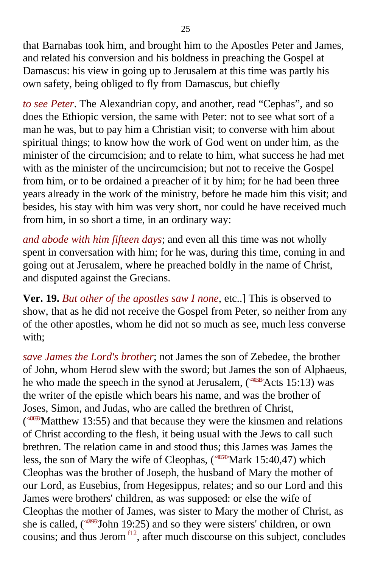that Barnabas took him, and brought him to the Apostles Peter and James, and related his conversion and his boldness in preaching the Gospel at Damascus: his view in going up to Jerusalem at this time was partly his own safety, being obliged to fly from Damascus, but chiefly

*to see Peter*. The Alexandrian copy, and another, read "Cephas", and so does the Ethiopic version, the same with Peter: not to see what sort of a man he was, but to pay him a Christian visit; to converse with him about spiritual things; to know how the work of God went on under him, as the minister of the circumcision; and to relate to him, what success he had met with as the minister of the uncircumcision; but not to receive the Gospel from him, or to be ordained a preacher of it by him; for he had been three years already in the work of the ministry, before he made him this visit; and besides, his stay with him was very short, nor could he have received much from him, in so short a time, in an ordinary way:

*and abode with him fifteen days*; and even all this time was not wholly spent in conversation with him; for he was, during this time, coming in and going out at Jerusalem, where he preached boldly in the name of Christ, and disputed against the Grecians.

**Ver. 19.** *But other of the apostles saw I none*, etc..] This is observed to show, that as he did not receive the Gospel from Peter, so neither from any of the other apostles, whom he did not so much as see, much less converse with;

*save James the Lord's brother*; not James the son of Zebedee, the brother of John, whom Herod slew with the sword; but James the son of Alphaeus, he who made the speech in the synod at Jerusalem,  $(4453 \text{ Acts } 15:13)$  was the writer of the epistle which bears his name, and was the brother of Joses, Simon, and Judas, who are called the brethren of Christ,  $(\sqrt[4135]{\hspace{0.1cm} \text{M}}$  Matthew 13:55) and that because they were the kinsmen and relations of Christ according to the flesh, it being usual with the Jews to call such brethren. The relation came in and stood thus; this James was James the less, the son of Mary the wife of Cleophas,  $(\triangle^{4150})$ Mark 15:40,47) which Cleophas was the brother of Joseph, the husband of Mary the mother of our Lord, as Eusebius, from Hegesippus, relates; and so our Lord and this James were brothers' children, as was supposed: or else the wife of Cleophas the mother of James, was sister to Mary the mother of Christ, as she is called,  $(\sqrt{48925})$  ohn 19:25) and so they were sisters' children, or own cousins; and thus Jerom  $f12$ , after much discourse on this subject, concludes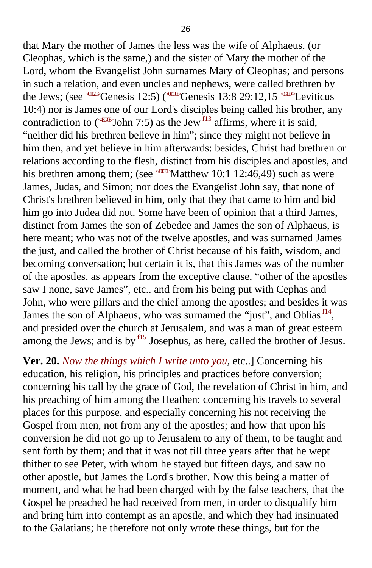<span id="page-25-0"></span>that Mary the mother of James the less was the wife of Alphaeus, (or Cleophas, which is the same,) and the sister of Mary the mother of the Lord, whom the Evangelist John surnames Mary of Cleophas; and persons in such a relation, and even uncles and nephews, were called brethren by the Jews; (see  $\frac{4125}{6}$ Genesis 12:5) ( $\frac{4125}{6}$ Genesis 13:8 29:12,15  $\frac{4500}{6}$ Leviticus 10:4) nor is James one of our Lord's disciples being called his brother, any contradiction to ( $\frac{4005}{100}$ John 7:5) as the Jew f<sup>13</sup> affirms, where it is said, "neither did his brethren believe in him"; since they might not believe in him then, and yet believe in him afterwards: besides, Christ had brethren or relations according to the flesh, distinct from his disciples and apostles, and his brethren among them; (see  $\triangleleft$ Matthew 10:1 12:46,49) such as were James, Judas, and Simon; nor does the Evangelist John say, that none of Christ's brethren believed in him, only that they that came to him and bid him go into Judea did not. Some have been of opinion that a third James, distinct from James the son of Zebedee and James the son of Alphaeus, is here meant; who was not of the twelve apostles, and was surnamed James the just, and called the brother of Christ because of his faith, wisdom, and becoming conversation; but certain it is, that this James was of the number of the apostles, as appears from the exceptive clause, "other of the apostles saw I none, save James", etc.. and from his being put with Cephas and John, who were pillars and the chief among the apostles; and besides it was James the son of Alphaeus, who was surnamed the "just", and Oblias  $f14$ , and presided over the church at Jerusalem, and was a man of great esteem among the Jews; and is by <sup>f15</sup> Josephus, as here, called the brother of Jesus.

**Ver. 20.** *Now the things which I write unto you*, etc..] Concerning his education, his religion, his principles and practices before conversion; concerning his call by the grace of God, the revelation of Christ in him, and his preaching of him among the Heathen; concerning his travels to several places for this purpose, and especially concerning his not receiving the Gospel from men, not from any of the apostles; and how that upon his conversion he did not go up to Jerusalem to any of them, to be taught and sent forth by them; and that it was not till three years after that he wept thither to see Peter, with whom he stayed but fifteen days, and saw no other apostle, but James the Lord's brother. Now this being a matter of moment, and what he had been charged with by the false teachers, that the Gospel he preached he had received from men, in order to disqualify him and bring him into contempt as an apostle, and which they had insinuated to the Galatians; he therefore not only wrote these things, but for the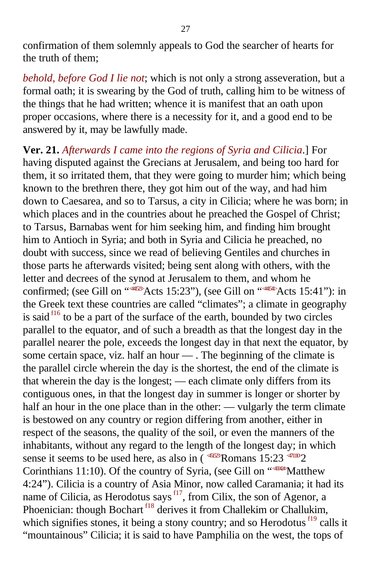confirmation of them solemnly appeals to God the searcher of hearts for the truth of them;

*behold, before God I lie not*; which is not only a strong asseveration, but a formal oath; it is swearing by the God of truth, calling him to be witness of the things that he had written; whence it is manifest that an oath upon proper occasions, where there is a necessity for it, and a good end to be answered by it, may be lawfully made.

**Ver. 21.** *Afterwards I came into the regions of Syria and Cilicia*.] For having disputed against the Grecians at Jerusalem, and being too hard for them, it so irritated them, that they were going to murder him; which being known to the brethren there, they got him out of the way, and had him down to Caesarea, and so to Tarsus, a city in Cilicia; where he was born; in which places and in the countries about he preached the Gospel of Christ; to Tarsus, Barnabas went for him seeking him, and finding him brought him to Antioch in Syria; and both in Syria and Cilicia he preached, no doubt with success, since we read of believing Gentiles and churches in those parts he afterwards visited; being sent along with others, with the letter and decrees of the synod at Jerusalem to them, and whom he confirmed; (see Gill on  $\frac{4453}{2}$ Acts 15:23"), (see Gill on  $\frac{4454}{2}$ Acts 15:41"): in the Greek text these countries are called "climates"; a climate in geography is said  $<sup>116</sup>$  to be a part of the surface of the earth, bounded by two circles</sup> parallel to the equator, and of such a breadth as that the longest day in the parallel nearer the pole, exceeds the longest day in that next the equator, by some certain space, viz. half an hour — . The beginning of the climate is the parallel circle wherein the day is the shortest, the end of the climate is that wherein the day is the longest; — each climate only differs from its contiguous ones, in that the longest day in summer is longer or shorter by half an hour in the one place than in the other: — vulgarly the term climate is bestowed on any country or region differing from another, either in respect of the seasons, the quality of the soil, or even the manners of the inhabitants, without any regard to the length of the longest day; in which sense it seems to be used here, as also in  $\left( \frac{4528}{2}$ Romans 15:23  $\frac{47110}{2}$ Corinthians 11:10). Of the country of Syria, (see Gill on "<sup>4004</sup>Matthew</sup> 4:24"). Cilicia is a country of Asia Minor, now called Caramania; it had its name of Cilicia, as Herodotus says  $f17$ , from Cilix, the son of Agenor, a Phoenician: though Bochart<sup>f18</sup> derives it from Challekim or Challukim, which signifies stones, it being a stony country; and so Herodotus  $<sup>19</sup>$  calls it</sup> "mountainous" Cilicia; it is said to have Pamphilia on the west, the tops of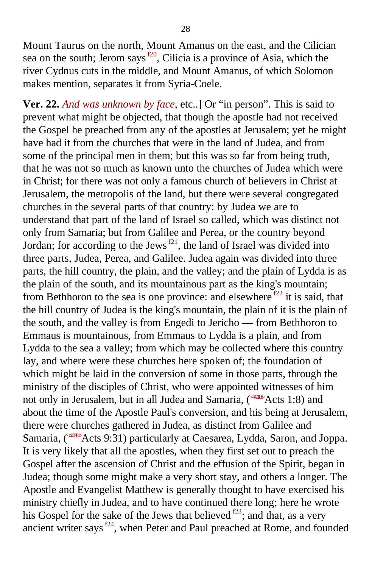<span id="page-27-0"></span>Mount Taurus on the north, Mount Amanus on the east, and the Cilician sea on the south; Jerom says <sup>f20</sup>, Cilicia is a province of Asia, which the river Cydnus cuts in the middle, and Mount Amanus, of which Solomon makes mention, separates it from Syria-Coele.

**Ver. 22.** *And was unknown by face*, etc..] Or "in person". This is said to prevent what might be objected, that though the apostle had not received the Gospel he preached from any of the apostles at Jerusalem; yet he might have had it from the churches that were in the land of Judea, and from some of the principal men in them; but this was so far from being truth, that he was not so much as known unto the churches of Judea which were in Christ; for there was not only a famous church of believers in Christ at Jerusalem, the metropolis of the land, but there were several congregated churches in the several parts of that country: by Judea we are to understand that part of the land of Israel so called, which was distinct not only from Samaria; but from Galilee and Perea, or the country beyond Jordan; for according to the Jews  $f^{21}$ , the land of Israel was divided into three parts, Judea, Perea, and Galilee. Judea again was divided into three parts, the hill country, the plain, and the valley; and the plain of Lydda is as the plain of the south, and its mountainous part as the king's mountain; from Bethhoron to the sea is one province: and elsewhere  $f^{22}$  it is said, that the hill country of Judea is the king's mountain, the plain of it is the plain of the south, and the valley is from Engedi to Jericho — from Bethhoron to Emmaus is mountainous, from Emmaus to Lydda is a plain, and from Lydda to the sea a valley; from which may be collected where this country lay, and where were these churches here spoken of; the foundation of which might be laid in the conversion of some in those parts, through the ministry of the disciples of Christ, who were appointed witnesses of him not only in Jerusalem, but in all Judea and Samaria, ( $4008$ Acts 1:8) and about the time of the Apostle Paul's conversion, and his being at Jerusalem, there were churches gathered in Judea, as distinct from Galilee and Samaria, (<sup>4095</sup>Acts 9:31) particularly at Caesarea, Lydda, Saron, and Joppa. It is very likely that all the apostles, when they first set out to preach the Gospel after the ascension of Christ and the effusion of the Spirit, began in Judea; though some might make a very short stay, and others a longer. The Apostle and Evangelist Matthew is generally thought to have exercised his ministry chiefly in Judea, and to have continued there long; here he wrote his Gospel for the sake of the Jews that believed  $f^{23}$ ; and that, as a very ancient writer says <sup>f24</sup>, when Peter and Paul preached at Rome, and founded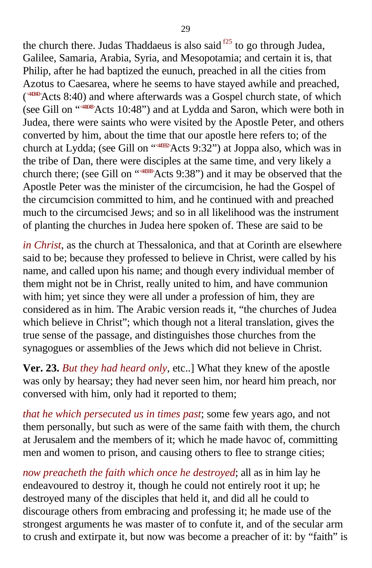the church there. Judas Thaddaeus is also said  $f^{25}$  to go through Judea, Galilee, Samaria, Arabia, Syria, and Mesopotamia; and certain it is, that Philip, after he had baptized the eunuch, preached in all the cities from Azotus to Caesarea, where he seems to have stayed awhile and preached,  $(*<sup>4B2D</sup>Acts 8:40)$  and where afterwards was a Gospel church state, of which (see Gill on  $\frac{44008}{2}$  Acts 10:48") and at Lydda and Saron, which were both in Judea, there were saints who were visited by the Apostle Peter, and others converted by him, about the time that our apostle here refers to; of the church at Lydda; (see Gill on "<sup>44998</sup>Acts 9:32") at Joppa also, which was in the tribe of Dan, there were disciples at the same time, and very likely a church there; (see Gill on "4088) Acts 9:38") and it may be observed that the Apostle Peter was the minister of the circumcision, he had the Gospel of the circumcision committed to him, and he continued with and preached much to the circumcised Jews; and so in all likelihood was the instrument of planting the churches in Judea here spoken of. These are said to be

*in Christ*, as the church at Thessalonica, and that at Corinth are elsewhere said to be; because they professed to believe in Christ, were called by his name, and called upon his name; and though every individual member of them might not be in Christ, really united to him, and have communion with him; yet since they were all under a profession of him, they are considered as in him. The Arabic version reads it, "the churches of Judea which believe in Christ"; which though not a literal translation, gives the true sense of the passage, and distinguishes those churches from the synagogues or assemblies of the Jews which did not believe in Christ.

**Ver. 23.** *But they had heard only*, etc..] What they knew of the apostle was only by hearsay; they had never seen him, nor heard him preach, nor conversed with him, only had it reported to them;

*that he which persecuted us in times past*; some few years ago, and not them personally, but such as were of the same faith with them, the church at Jerusalem and the members of it; which he made havoc of, committing men and women to prison, and causing others to flee to strange cities;

*now preacheth the faith which once he destroyed*; all as in him lay he endeavoured to destroy it, though he could not entirely root it up; he destroyed many of the disciples that held it, and did all he could to discourage others from embracing and professing it; he made use of the strongest arguments he was master of to confute it, and of the secular arm to crush and extirpate it, but now was become a preacher of it: by "faith" is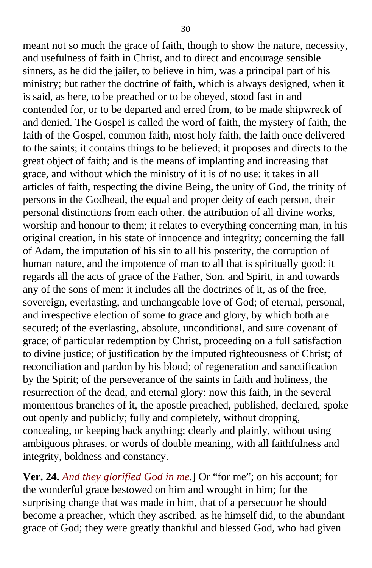meant not so much the grace of faith, though to show the nature, necessity, and usefulness of faith in Christ, and to direct and encourage sensible sinners, as he did the jailer, to believe in him, was a principal part of his ministry; but rather the doctrine of faith, which is always designed, when it is said, as here, to be preached or to be obeyed, stood fast in and contended for, or to be departed and erred from, to be made shipwreck of and denied. The Gospel is called the word of faith, the mystery of faith, the faith of the Gospel, common faith, most holy faith, the faith once delivered to the saints; it contains things to be believed; it proposes and directs to the great object of faith; and is the means of implanting and increasing that grace, and without which the ministry of it is of no use: it takes in all articles of faith, respecting the divine Being, the unity of God, the trinity of persons in the Godhead, the equal and proper deity of each person, their personal distinctions from each other, the attribution of all divine works, worship and honour to them; it relates to everything concerning man, in his original creation, in his state of innocence and integrity; concerning the fall of Adam, the imputation of his sin to all his posterity, the corruption of human nature, and the impotence of man to all that is spiritually good: it regards all the acts of grace of the Father, Son, and Spirit, in and towards any of the sons of men: it includes all the doctrines of it, as of the free, sovereign, everlasting, and unchangeable love of God; of eternal, personal, and irrespective election of some to grace and glory, by which both are secured; of the everlasting, absolute, unconditional, and sure covenant of grace; of particular redemption by Christ, proceeding on a full satisfaction to divine justice; of justification by the imputed righteousness of Christ; of reconciliation and pardon by his blood; of regeneration and sanctification by the Spirit; of the perseverance of the saints in faith and holiness, the resurrection of the dead, and eternal glory: now this faith, in the several momentous branches of it, the apostle preached, published, declared, spoke out openly and publicly; fully and completely, without dropping, concealing, or keeping back anything; clearly and plainly, without using ambiguous phrases, or words of double meaning, with all faithfulness and integrity, boldness and constancy.

**Ver. 24.** *And they glorified God in me*.] Or "for me"; on his account; for the wonderful grace bestowed on him and wrought in him; for the surprising change that was made in him, that of a persecutor he should become a preacher, which they ascribed, as he himself did, to the abundant grace of God; they were greatly thankful and blessed God, who had given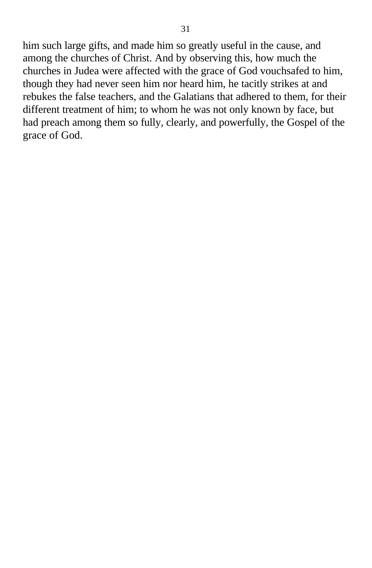him such large gifts, and made him so greatly useful in the cause, and among the churches of Christ. And by observing this, how much the churches in Judea were affected with the grace of God vouchsafed to him, though they had never seen him nor heard him, he tacitly strikes at and rebukes the false teachers, and the Galatians that adhered to them, for their different treatment of him; to whom he was not only known by face, but had preach among them so fully, clearly, and powerfully, the Gospel of the grace of God.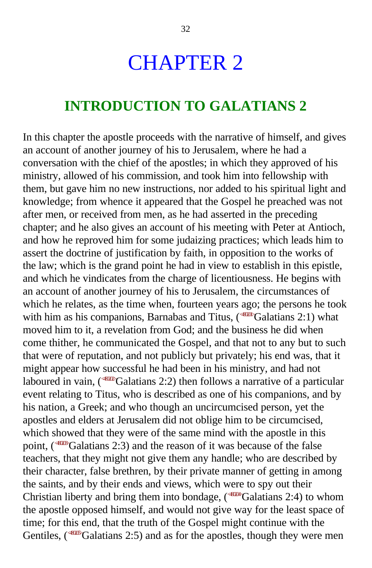## CHAPTER 2

### **INTRODUCTION TO GALATIANS 2**

In this chapter the apostle proceeds with the narrative of himself, and gives an account of another journey of his to Jerusalem, where he had a conversation with the chief of the apostles; in which they approved of his ministry, allowed of his commission, and took him into fellowship with them, but gave him no new instructions, nor added to his spiritual light and knowledge; from whence it appeared that the Gospel he preached was not after men, or received from men, as he had asserted in the preceding chapter; and he also gives an account of his meeting with Peter at Antioch, and how he reproved him for some judaizing practices; which leads him to assert the doctrine of justification by faith, in opposition to the works of the law; which is the grand point he had in view to establish in this epistle, and which he vindicates from the charge of licentiousness. He begins with an account of another journey of his to Jerusalem, the circumstances of which he relates, as the time when, fourteen years ago; the persons he took with him as his companions, Barnabas and Titus,  $(\sqrt{4800})$ Galatians 2:1) what moved him to it, a revelation from God; and the business he did when come thither, he communicated the Gospel, and that not to any but to such that were of reputation, and not publicly but privately; his end was, that it might appear how successful he had been in his ministry, and had not laboured in vain,  $(\sqrt{4802})$ Galatians 2:2) then follows a narrative of a particular event relating to Titus, who is described as one of his companions, and by his nation, a Greek; and who though an uncircumcised person, yet the apostles and elders at Jerusalem did not oblige him to be circumcised, which showed that they were of the same mind with the apostle in this point,  $(\sqrt{4800})$  Galatians 2:3) and the reason of it was because of the false teachers, that they might not give them any handle; who are described by their character, false brethren, by their private manner of getting in among the saints, and by their ends and views, which were to spy out their Christian liberty and bring them into bondage,  $($ <sup>48026</sup>Galatians 2:4) to whom the apostle opposed himself, and would not give way for the least space of time; for this end, that the truth of the Gospel might continue with the Gentiles,  $(\sqrt{ABID}Galatians 2:5)$  and as for the apostles, though they were men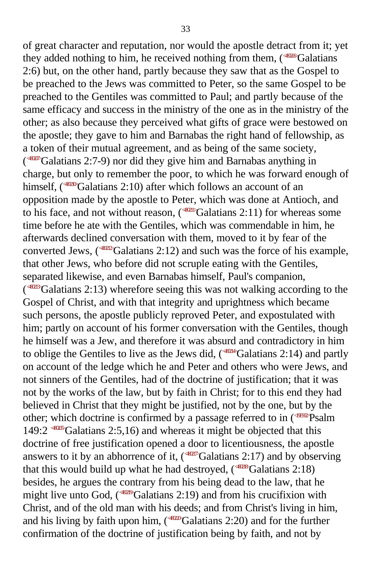of great character and reputation, nor would the apostle detract from it; yet they added nothing to him, he received nothing from them,  $($ <sup> $#IB6$ </sup>Galatians 2:6) but, on the other hand, partly because they saw that as the Gospel to be preached to the Jews was committed to Peter, so the same Gospel to be preached to the Gentiles was committed to Paul; and partly because of the same efficacy and success in the ministry of the one as in the ministry of the other; as also because they perceived what gifts of grace were bestowed on the apostle; they gave to him and Barnabas the right hand of fellowship, as a token of their mutual agreement, and as being of the same society,  $(\sqrt[4007]{\text{Galatians}}} 2:7-9)$  nor did they give him and Barnabas anything in charge, but only to remember the poor, to which he was forward enough of himself,  $(\sqrt{ADD}Galatians 2:10)$  after which follows an account of an opposition made by the apostle to Peter, which was done at Antioch, and to his face, and not without reason,  $(\sqrt{MPL}Galatians 2:11)$  for whereas some time before he ate with the Gentiles, which was commendable in him, he afterwards declined conversation with them, moved to it by fear of the converted Jews,  $(\sqrt[4022]{\text{Galatians}} 2:12)$  and such was the force of his example, that other Jews, who before did not scruple eating with the Gentiles, separated likewise, and even Barnabas himself, Paul's companion,  $(\sqrt[4025]{\text{Galatians}} 2:13)$  wherefore seeing this was not walking according to the Gospel of Christ, and with that integrity and uprightness which became such persons, the apostle publicly reproved Peter, and expostulated with him; partly on account of his former conversation with the Gentiles, though he himself was a Jew, and therefore it was absurd and contradictory in him to oblige the Gentiles to live as the Jews did,  $(\sqrt{AD4}Gala t \cdot 2:14)$  and partly on account of the ledge which he and Peter and others who were Jews, and not sinners of the Gentiles, had of the doctrine of justification; that it was not by the works of the law, but by faith in Christ; for to this end they had believed in Christ that they might be justified, not by the one, but by the other; which doctrine is confirmed by a passage referred to in  $($ <sup>4990</sup>Psalm 149:2  $\sqrt{4800}$ Galatians 2:5,16) and whereas it might be objected that this doctrine of free justification opened a door to licentiousness, the apostle answers to it by an abhorrence of it,  $(\sqrt[4000]{\text{Galatians}}} 2:17)$  and by observing that this would build up what he had destroyed,  $(\sqrt{MDE}Gala tians 2:18)$ besides, he argues the contrary from his being dead to the law, that he might live unto God,  $($ <sup> $\ll$ *RD*<sup> $D$ </sup>Galatians 2:19) and from his crucifixion with</sup> Christ, and of the old man with his deeds; and from Christ's living in him, and his living by faith upon him,  $(\sqrt{4802})$ Galatians 2:20) and for the further confirmation of the doctrine of justification being by faith, and not by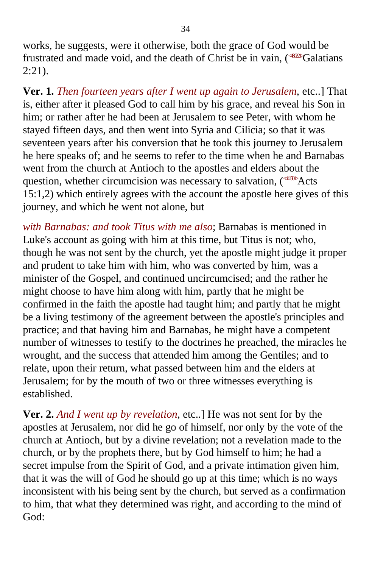works, he suggests, were it otherwise, both the grace of God would be frustrated and made void, and the death of Christ be in vain, (<ax>Galatians 2:21).

**Ver. 1.** *Then fourteen years after I went up again to Jerusalem*, etc..] That is, either after it pleased God to call him by his grace, and reveal his Son in him; or rather after he had been at Jerusalem to see Peter, with whom he stayed fifteen days, and then went into Syria and Cilicia; so that it was seventeen years after his conversion that he took this journey to Jerusalem he here speaks of; and he seems to refer to the time when he and Barnabas went from the church at Antioch to the apostles and elders about the question, whether circumcision was necessary to salvation, ( $4450$ bActs 15:1,2) which entirely agrees with the account the apostle here gives of this journey, and which he went not alone, but

*with Barnabas: and took Titus with me also*; Barnabas is mentioned in Luke's account as going with him at this time, but Titus is not; who, though he was not sent by the church, yet the apostle might judge it proper and prudent to take him with him, who was converted by him, was a minister of the Gospel, and continued uncircumcised; and the rather he might choose to have him along with him, partly that he might be confirmed in the faith the apostle had taught him; and partly that he might be a living testimony of the agreement between the apostle's principles and practice; and that having him and Barnabas, he might have a competent number of witnesses to testify to the doctrines he preached, the miracles he wrought, and the success that attended him among the Gentiles; and to relate, upon their return, what passed between him and the elders at Jerusalem; for by the mouth of two or three witnesses everything is established.

**Ver. 2.** *And I went up by revelation*, etc..] He was not sent for by the apostles at Jerusalem, nor did he go of himself, nor only by the vote of the church at Antioch, but by a divine revelation; not a revelation made to the church, or by the prophets there, but by God himself to him; he had a secret impulse from the Spirit of God, and a private intimation given him, that it was the will of God he should go up at this time; which is no ways inconsistent with his being sent by the church, but served as a confirmation to him, that what they determined was right, and according to the mind of God: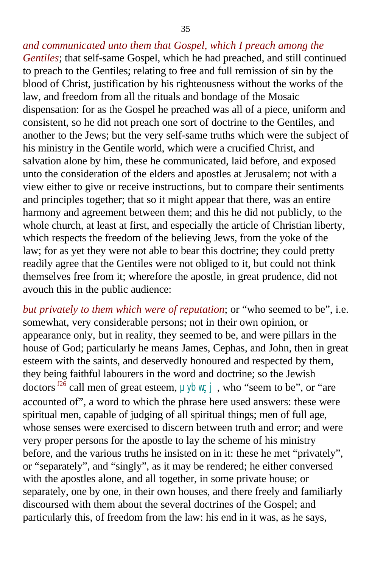*and communicated unto them that Gospel, which I preach among the Gentiles*; that self-same Gospel, which he had preached, and still continued to preach to the Gentiles; relating to free and full remission of sin by the blood of Christ, justification by his righteousness without the works of the law, and freedom from all the rituals and bondage of the Mosaic dispensation: for as the Gospel he preached was all of a piece, uniform and consistent, so he did not preach one sort of doctrine to the Gentiles, and another to the Jews; but the very self-same truths which were the subject of his ministry in the Gentile world, which were a crucified Christ, and salvation alone by him, these he communicated, laid before, and exposed unto the consideration of the elders and apostles at Jerusalem; not with a view either to give or receive instructions, but to compare their sentiments and principles together; that so it might appear that there, was an entire harmony and agreement between them; and this he did not publicly, to the whole church, at least at first, and especially the article of Christian liberty, which respects the freedom of the believing Jews, from the yoke of the law; for as yet they were not able to bear this doctrine; they could pretty readily agree that the Gentiles were not obliged to it, but could not think themselves free from it; wherefore the apostle, in great prudence, did not avouch this in the public audience:

*but privately to them which were of reputation*; or "who seemed to be", i.e. somewhat, very considerable persons; not in their own opinion, or appearance only, but in reality, they seemed to be, and were pillars in the house of God; particularly he means James, Cephas, and John, then in great esteem with the saints, and deservedly honoured and respected by them, they being faithful labourers in the word and doctrine; so the Jewish doctors <sup>f26</sup> call men of great esteem,  $\mu$ ybwçj, who "seem to be", or "are accounted of", a word to which the phrase here used answers: these were spiritual men, capable of judging of all spiritual things; men of full age, whose senses were exercised to discern between truth and error; and were very proper persons for the apostle to lay the scheme of his ministry before, and the various truths he insisted on in it: these he met "privately", or "separately", and "singly", as it may be rendered; he either conversed with the apostles alone, and all together, in some private house; or separately, one by one, in their own houses, and there freely and familiarly discoursed with them about the several doctrines of the Gospel; and particularly this, of freedom from the law: his end in it was, as he says,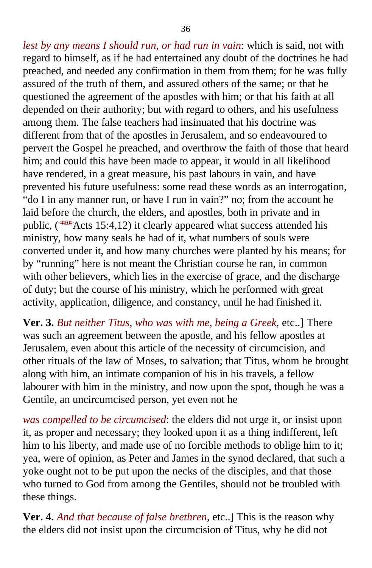*lest by any means I should run, or had run in vain*: which is said, not with regard to himself, as if he had entertained any doubt of the doctrines he had preached, and needed any confirmation in them from them; for he was fully assured of the truth of them, and assured others of the same; or that he questioned the agreement of the apostles with him; or that his faith at all depended on their authority; but with regard to others, and his usefulness among them. The false teachers had insinuated that his doctrine was different from that of the apostles in Jerusalem, and so endeavoured to pervert the Gospel he preached, and overthrow the faith of those that heard him; and could this have been made to appear, it would in all likelihood have rendered, in a great measure, his past labours in vain, and have prevented his future usefulness: some read these words as an interrogation, "do I in any manner run, or have I run in vain?" no; from the account he laid before the church, the elders, and apostles, both in private and in public,  $(440)$ Acts 15:4,12) it clearly appeared what success attended his ministry, how many seals he had of it, what numbers of souls were converted under it, and how many churches were planted by his means; for by "running" here is not meant the Christian course he ran, in common with other believers, which lies in the exercise of grace, and the discharge of duty; but the course of his ministry, which he performed with great activity, application, diligence, and constancy, until he had finished it.

**Ver. 3.** *But neither Titus, who was with me, being a Greek*, etc..] There was such an agreement between the apostle, and his fellow apostles at Jerusalem, even about this article of the necessity of circumcision, and other rituals of the law of Moses, to salvation; that Titus, whom he brought along with him, an intimate companion of his in his travels, a fellow labourer with him in the ministry, and now upon the spot, though he was a Gentile, an uncircumcised person, yet even not he

*was compelled to be circumcised*: the elders did not urge it, or insist upon it, as proper and necessary; they looked upon it as a thing indifferent, left him to his liberty, and made use of no forcible methods to oblige him to it; yea, were of opinion, as Peter and James in the synod declared, that such a yoke ought not to be put upon the necks of the disciples, and that those who turned to God from among the Gentiles, should not be troubled with these things.

**Ver. 4.** *And that because of false brethren*, etc..] This is the reason why the elders did not insist upon the circumcision of Titus, why he did not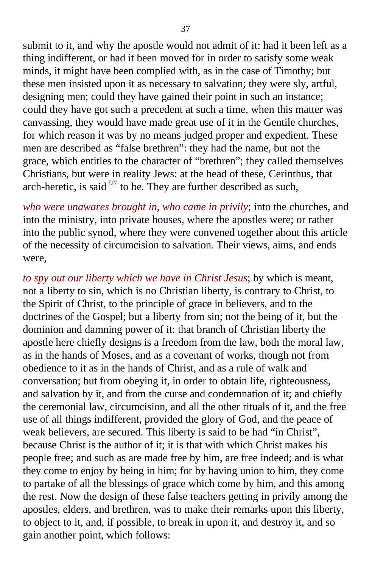<span id="page-36-0"></span>submit to it, and why the apostle would not admit of it: had it been left as a thing indifferent, or had it been moved for in order to satisfy some weak minds, it might have been complied with, as in the case of Timothy; but these men insisted upon it as necessary to salvation; they were sly, artful, designing men; could they have gained their point in such an instance; could they have got such a precedent at such a time, when this matter was canvassing, they would have made great use of it in the Gentile churches, for which reason it was by no means judged proper and expedient. These men are described as "false brethren": they had the name, but not the grace, which entitles to the character of "brethren"; they called themselves Christians, but were in reality Jews: at the head of these, Cerinthus, that arch-heretic, is said  $f^{27}$  to be. They are further described as such,

*who were unawares brought in, who came in privily*; into the churches, and into the ministry, into private houses, where the apostles were; or rather into the public synod, where they were convened together about this article of the necessity of circumcision to salvation. Their views, aims, and ends were,

*to spy out our liberty which we have in Christ Jesus*; by which is meant, not a liberty to sin, which is no Christian liberty, is contrary to Christ, to the Spirit of Christ, to the principle of grace in believers, and to the doctrines of the Gospel; but a liberty from sin; not the being of it, but the dominion and damning power of it: that branch of Christian liberty the apostle here chiefly designs is a freedom from the law, both the moral law, as in the hands of Moses, and as a covenant of works, though not from obedience to it as in the hands of Christ, and as a rule of walk and conversation; but from obeying it, in order to obtain life, righteousness, and salvation by it, and from the curse and condemnation of it; and chiefly the ceremonial law, circumcision, and all the other rituals of it, and the free use of all things indifferent, provided the glory of God, and the peace of weak believers, are secured. This liberty is said to be had "in Christ", because Christ is the author of it; it is that with which Christ makes his people free; and such as are made free by him, are free indeed; and is what they come to enjoy by being in him; for by having union to him, they come to partake of all the blessings of grace which come by him, and this among the rest. Now the design of these false teachers getting in privily among the apostles, elders, and brethren, was to make their remarks upon this liberty, to object to it, and, if possible, to break in upon it, and destroy it, and so gain another point, which follows: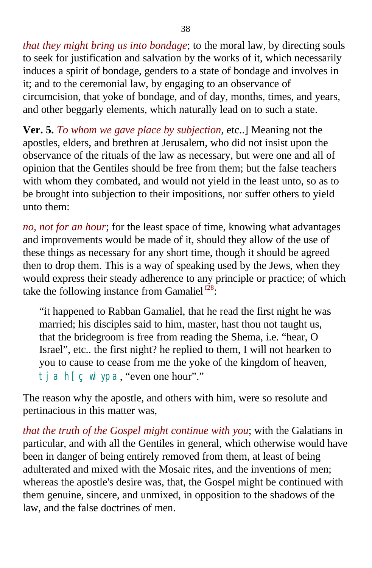*that they might bring us into bondage*; to the moral law, by directing souls to seek for justification and salvation by the works of it, which necessarily induces a spirit of bondage, genders to a state of bondage and involves in it; and to the ceremonial law, by engaging to an observance of circumcision, that yoke of bondage, and of day, months, times, and years, and other beggarly elements, which naturally lead on to such a state.

**Ver. 5.** *To whom we gave place by subjection*, etc..] Meaning not the apostles, elders, and brethren at Jerusalem, who did not insist upon the observance of the rituals of the law as necessary, but were one and all of opinion that the Gentiles should be free from them; but the false teachers with whom they combated, and would not yield in the least unto, so as to be brought into subjection to their impositions, nor suffer others to yield unto them:

*no, not for an hour*; for the least space of time, knowing what advantages and improvements would be made of it, should they allow of the use of these things as necessary for any short time, though it should be agreed then to drop them. This is a way of speaking used by the Jews, when they would express their steady adherence to any principle or practice; of which take the following instance from Gamaliel<sup>128</sup>:

"it happened to Rabban Gamaliel, that he read the first night he was married; his disciples said to him, master, hast thou not taught us, that the bridegroom is free from reading the Shema, i.e. "hear, O Israel", etc.. the first night? he replied to them, I will not hearken to you to cause to cease from me the yoke of the kingdom of heaven, tja h[ç wlypa, "even one hour"."

The reason why the apostle, and others with him, were so resolute and pertinacious in this matter was,

*that the truth of the Gospel might continue with you*; with the Galatians in particular, and with all the Gentiles in general, which otherwise would have been in danger of being entirely removed from them, at least of being adulterated and mixed with the Mosaic rites, and the inventions of men; whereas the apostle's desire was, that, the Gospel might be continued with them genuine, sincere, and unmixed, in opposition to the shadows of the law, and the false doctrines of men.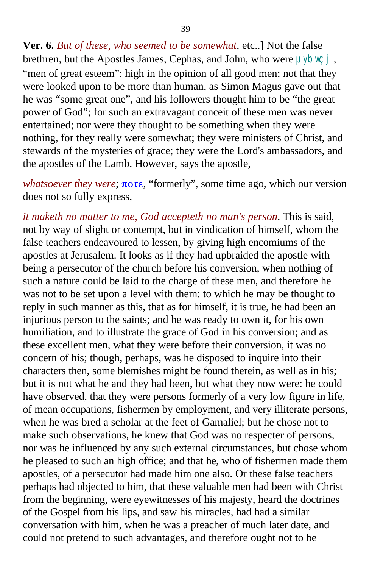**Ver. 6.** *But of these, who seemed to be somewhat*, etc..] Not the false brethren, but the Apostles James, Cephas, and John, who were  $\mu$ ybwcj, "men of great esteem": high in the opinion of all good men; not that they were looked upon to be more than human, as Simon Magus gave out that he was "some great one", and his followers thought him to be "the great power of God"; for such an extravagant conceit of these men was never entertained; nor were they thought to be something when they were nothing, for they really were somewhat; they were ministers of Christ, and stewards of the mysteries of grace; they were the Lord's ambassadors, and the apostles of the Lamb. However, says the apostle,

*whatsoever they were*;  $\pi$ <sup>o</sup> $\pi$ <sub> $\epsilon$ </sub>, "formerly", some time ago, which our version does not so fully express,

*it maketh no matter to me, God accepteth no man's person*. This is said, not by way of slight or contempt, but in vindication of himself, whom the false teachers endeavoured to lessen, by giving high encomiums of the apostles at Jerusalem. It looks as if they had upbraided the apostle with being a persecutor of the church before his conversion, when nothing of such a nature could be laid to the charge of these men, and therefore he was not to be set upon a level with them: to which he may be thought to reply in such manner as this, that as for himself, it is true, he had been an injurious person to the saints; and he was ready to own it, for his own humiliation, and to illustrate the grace of God in his conversion; and as these excellent men, what they were before their conversion, it was no concern of his; though, perhaps, was he disposed to inquire into their characters then, some blemishes might be found therein, as well as in his; but it is not what he and they had been, but what they now were: he could have observed, that they were persons formerly of a very low figure in life, of mean occupations, fishermen by employment, and very illiterate persons, when he was bred a scholar at the feet of Gamaliel; but he chose not to make such observations, he knew that God was no respecter of persons, nor was he influenced by any such external circumstances, but chose whom he pleased to such an high office; and that he, who of fishermen made them apostles, of a persecutor had made him one also. Or these false teachers perhaps had objected to him, that these valuable men had been with Christ from the beginning, were eyewitnesses of his majesty, heard the doctrines of the Gospel from his lips, and saw his miracles, had had a similar conversation with him, when he was a preacher of much later date, and could not pretend to such advantages, and therefore ought not to be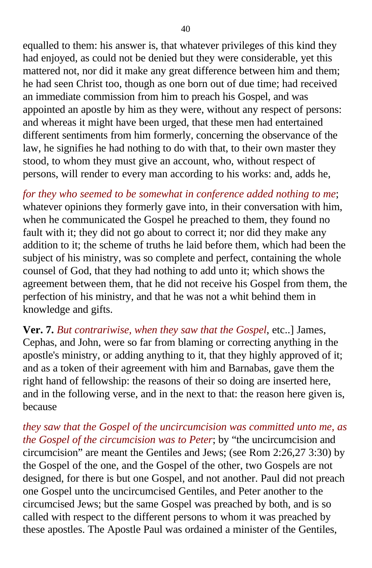equalled to them: his answer is, that whatever privileges of this kind they had enjoyed, as could not be denied but they were considerable, yet this mattered not, nor did it make any great difference between him and them; he had seen Christ too, though as one born out of due time; had received an immediate commission from him to preach his Gospel, and was appointed an apostle by him as they were, without any respect of persons: and whereas it might have been urged, that these men had entertained different sentiments from him formerly, concerning the observance of the law, he signifies he had nothing to do with that, to their own master they stood, to whom they must give an account, who, without respect of persons, will render to every man according to his works: and, adds he,

*for they who seemed to be somewhat in conference added nothing to me*; whatever opinions they formerly gave into, in their conversation with him, when he communicated the Gospel he preached to them, they found no fault with it; they did not go about to correct it; nor did they make any addition to it; the scheme of truths he laid before them, which had been the subject of his ministry, was so complete and perfect, containing the whole counsel of God, that they had nothing to add unto it; which shows the agreement between them, that he did not receive his Gospel from them, the perfection of his ministry, and that he was not a whit behind them in knowledge and gifts.

**Ver. 7.** *But contrariwise, when they saw that the Gospel*, etc..] James, Cephas, and John, were so far from blaming or correcting anything in the apostle's ministry, or adding anything to it, that they highly approved of it; and as a token of their agreement with him and Barnabas, gave them the right hand of fellowship: the reasons of their so doing are inserted here, and in the following verse, and in the next to that: the reason here given is, because

*they saw that the Gospel of the uncircumcision was committed unto me, as the Gospel of the circumcision was to Peter*; by "the uncircumcision and circumcision" are meant the Gentiles and Jews; (see Rom 2:26,27 3:30) by the Gospel of the one, and the Gospel of the other, two Gospels are not designed, for there is but one Gospel, and not another. Paul did not preach one Gospel unto the uncircumcised Gentiles, and Peter another to the circumcised Jews; but the same Gospel was preached by both, and is so called with respect to the different persons to whom it was preached by these apostles. The Apostle Paul was ordained a minister of the Gentiles,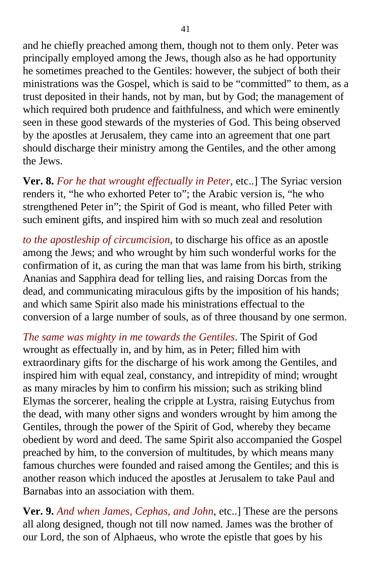and he chiefly preached among them, though not to them only. Peter was principally employed among the Jews, though also as he had opportunity he sometimes preached to the Gentiles: however, the subject of both their ministrations was the Gospel, which is said to be "committed" to them, as a trust deposited in their hands, not by man, but by God; the management of which required both prudence and faithfulness, and which were eminently seen in these good stewards of the mysteries of God. This being observed by the apostles at Jerusalem, they came into an agreement that one part should discharge their ministry among the Gentiles, and the other among the Jews.

**Ver. 8.** *For he that wrought effectually in Peter*, etc..] The Syriac version renders it, "he who exhorted Peter to"; the Arabic version is, "he who strengthened Peter in"; the Spirit of God is meant, who filled Peter with such eminent gifts, and inspired him with so much zeal and resolution

*to the apostleship of circumcision*, to discharge his office as an apostle among the Jews; and who wrought by him such wonderful works for the confirmation of it, as curing the man that was lame from his birth, striking Ananias and Sapphira dead for telling lies, and raising Dorcas from the dead, and communicating miraculous gifts by the imposition of his hands; and which same Spirit also made his ministrations effectual to the conversion of a large number of souls, as of three thousand by one sermon.

*The same was mighty in me towards the Gentiles*. The Spirit of God wrought as effectually in, and by him, as in Peter; filled him with extraordinary gifts for the discharge of his work among the Gentiles, and inspired him with equal zeal, constancy, and intrepidity of mind; wrought as many miracles by him to confirm his mission; such as striking blind Elymas the sorcerer, healing the cripple at Lystra, raising Eutychus from the dead, with many other signs and wonders wrought by him among the Gentiles, through the power of the Spirit of God, whereby they became obedient by word and deed. The same Spirit also accompanied the Gospel preached by him, to the conversion of multitudes, by which means many famous churches were founded and raised among the Gentiles; and this is another reason which induced the apostles at Jerusalem to take Paul and Barnabas into an association with them.

**Ver. 9.** *And when James, Cephas, and John*, etc..] These are the persons all along designed, though not till now named. James was the brother of our Lord, the son of Alphaeus, who wrote the epistle that goes by his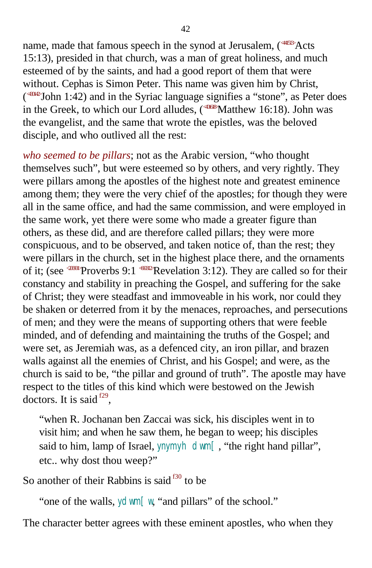name, made that famous speech in the synod at Jerusalem,  $(4453)$ Acts 15:13), presided in that church, was a man of great holiness, and much esteemed of by the saints, and had a good report of them that were without. Cephas is Simon Peter. This name was given him by Christ,  $(\text{AUC}$  John 1:42) and in the Syriac language signifies a "stone", as Peter does in the Greek, to which our Lord alludes,  $(4068 \text{Mat}$  Matthew 16:18). John was the evangelist, and the same that wrote the epistles, was the beloved disciple, and who outlived all the rest:

*who seemed to be pillars*; not as the Arabic version, "who thought themselves such", but were esteemed so by others, and very rightly. They were pillars among the apostles of the highest note and greatest eminence among them; they were the very chief of the apostles; for though they were all in the same office, and had the same commission, and were employed in the same work, yet there were some who made a greater figure than others, as these did, and are therefore called pillars; they were more conspicuous, and to be observed, and taken notice of, than the rest; they were pillars in the church, set in the highest place there, and the ornaments of it: (see  $\frac{4000}{P}$ Proverbs 9:1  $\frac{4000}{P}$ Revelation 3:12). They are called so for their constancy and stability in preaching the Gospel, and suffering for the sake of Christ; they were steadfast and immoveable in his work, nor could they be shaken or deterred from it by the menaces, reproaches, and persecutions of men; and they were the means of supporting others that were feeble minded, and of defending and maintaining the truths of the Gospel; and were set, as Jeremiah was, as a defenced city, an iron pillar, and brazen walls against all the enemies of Christ, and his Gospel; and were, as the church is said to be, "the pillar and ground of truth". The apostle may have respect to the titles of this kind which were bestowed on the Jewish doctors. It is said <sup>f29</sup>,

"when R. Jochanan ben Zaccai was sick, his disciples went in to visit him; and when he saw them, he began to weep; his disciples said to him, lamp of Israel, ynymyh dwm [, "the right hand pillar", etc.. why dost thou weep?"

So another of their Rabbins is said  $<sup>530</sup>$  to be</sup>

"one of the walls, ydwm  $\lceil w, "and pillars"$  of the school."

The character better agrees with these eminent apostles, who when they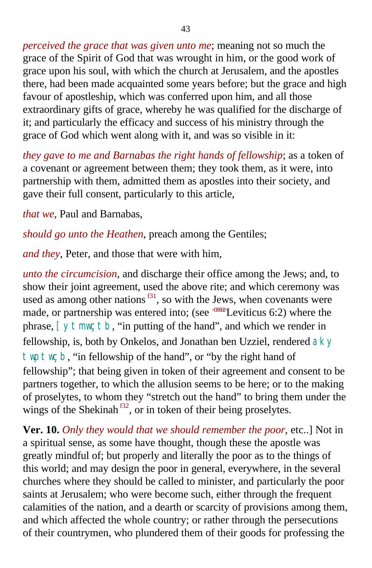*perceived the grace that was given unto me*; meaning not so much the grace of the Spirit of God that was wrought in him, or the good work of grace upon his soul, with which the church at Jerusalem, and the apostles there, had been made acquainted some years before; but the grace and high favour of apostleship, which was conferred upon him, and all those extraordinary gifts of grace, whereby he was qualified for the discharge of it; and particularly the efficacy and success of his ministry through the grace of God which went along with it, and was so visible in it:

*they gave to me and Barnabas the right hands of fellowship*; as a token of a covenant or agreement between them; they took them, as it were, into partnership with them, admitted them as apostles into their society, and gave their full consent, particularly to this article,

*that we*, Paul and Barnabas,

*should go unto the Heathen*, preach among the Gentiles;

*and they*, Peter, and those that were with him,

*unto the circumcision*, and discharge their office among the Jews; and, to show their joint agreement, used the above rite; and which ceremony was used as among other nations  $f31$ , so with the Jews, when covenants were made, or partnership was entered into; (see  $\alpha$ <sup>680</sup>Eeviticus 6:2) where the phrase, [y tmwçtb, "in putting of the hand", and which we render in fellowship, is, both by Onkelos, and Jonathan ben Uzziel, rendered aky twptwçb, "in fellowship of the hand", or "by the right hand of fellowship"; that being given in token of their agreement and consent to be partners together, to which the allusion seems to be here; or to the making of proselytes, to whom they "stretch out the hand" to bring them under the wings of the Shekinah  $^{52}$ , or in token of their being proselytes.

**Ver. 10.** *Only they would that we should remember the poor*, etc..] Not in a spiritual sense, as some have thought, though these the apostle was greatly mindful of; but properly and literally the poor as to the things of this world; and may design the poor in general, everywhere, in the several churches where they should be called to minister, and particularly the poor saints at Jerusalem; who were become such, either through the frequent calamities of the nation, and a dearth or scarcity of provisions among them, and which affected the whole country; or rather through the persecutions of their countrymen, who plundered them of their goods for professing the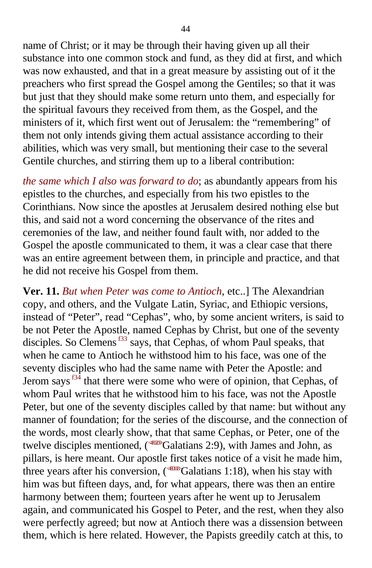<span id="page-43-0"></span>name of Christ; or it may be through their having given up all their substance into one common stock and fund, as they did at first, and which was now exhausted, and that in a great measure by assisting out of it the preachers who first spread the Gospel among the Gentiles; so that it was but just that they should make some return unto them, and especially for the spiritual favours they received from them, as the Gospel, and the ministers of it, which first went out of Jerusalem: the "remembering" of them not only intends giving them actual assistance according to their abilities, which was very small, but mentioning their case to the several Gentile churches, and stirring them up to a liberal contribution:

*the same which I also was forward to do*; as abundantly appears from his epistles to the churches, and especially from his two epistles to the Corinthians. Now since the apostles at Jerusalem desired nothing else but this, and said not a word concerning the observance of the rites and ceremonies of the law, and neither found fault with, nor added to the Gospel the apostle communicated to them, it was a clear case that there was an entire agreement between them, in principle and practice, and that he did not receive his Gospel from them.

**Ver. 11.** *But when Peter was come to Antioch*, etc..] The Alexandrian copy, and others, and the Vulgate Latin, Syriac, and Ethiopic versions, instead of "Peter", read "Cephas", who, by some ancient writers, is said to be not Peter the Apostle, named Cephas by Christ, but one of the seventy disciples. So Clemens<sup>133</sup> says, that Cephas, of whom Paul speaks, that when he came to Antioch he withstood him to his face, was one of the seventy disciples who had the same name with Peter the Apostle: and Jerom says  $f^{34}$  that there were some who were of opinion, that Cephas, of whom Paul writes that he withstood him to his face, was not the Apostle Peter, but one of the seventy disciples called by that name: but without any manner of foundation; for the series of the discourse, and the connection of the words, most clearly show, that that same Cephas, or Peter, one of the twelve disciples mentioned,  $(\sqrt{MID}Galatians 2:9)$ , with James and John, as pillars, is here meant. Our apostle first takes notice of a visit he made him, three years after his conversion,  $($ <sup>4808</sup>Galatians 1:18), when his stay with him was but fifteen days, and, for what appears, there was then an entire harmony between them; fourteen years after he went up to Jerusalem again, and communicated his Gospel to Peter, and the rest, when they also were perfectly agreed; but now at Antioch there was a dissension between them, which is here related. However, the Papists greedily catch at this, to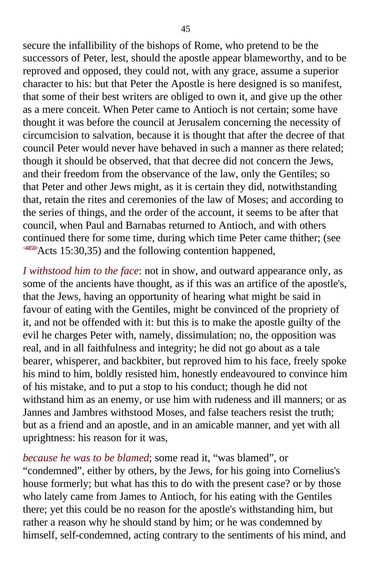secure the infallibility of the bishops of Rome, who pretend to be the successors of Peter, lest, should the apostle appear blameworthy, and to be reproved and opposed, they could not, with any grace, assume a superior character to his: but that Peter the Apostle is here designed is so manifest, that some of their best writers are obliged to own it, and give up the other as a mere conceit. When Peter came to Antioch is not certain; some have thought it was before the council at Jerusalem concerning the necessity of circumcision to salvation, because it is thought that after the decree of that council Peter would never have behaved in such a manner as there related; though it should be observed, that that decree did not concern the Jews, and their freedom from the observance of the law, only the Gentiles; so that Peter and other Jews might, as it is certain they did, notwithstanding that, retain the rites and ceremonies of the law of Moses; and according to the series of things, and the order of the account, it seems to be after that council, when Paul and Barnabas returned to Antioch, and with others continued there for some time, during which time Peter came thither; (see  $4450$ Acts 15:30,35) and the following contention happened,

*I withstood him to the face*: not in show, and outward appearance only, as some of the ancients have thought, as if this was an artifice of the apostle's, that the Jews, having an opportunity of hearing what might be said in favour of eating with the Gentiles, might be convinced of the propriety of it, and not be offended with it: but this is to make the apostle guilty of the evil he charges Peter with, namely, dissimulation; no, the opposition was real, and in all faithfulness and integrity; he did not go about as a tale bearer, whisperer, and backbiter, but reproved him to his face, freely spoke his mind to him, boldly resisted him, honestly endeavoured to convince him of his mistake, and to put a stop to his conduct; though he did not withstand him as an enemy, or use him with rudeness and ill manners; or as Jannes and Jambres withstood Moses, and false teachers resist the truth; but as a friend and an apostle, and in an amicable manner, and yet with all uprightness: his reason for it was,

*because he was to be blamed*; some read it, "was blamed", or "condemned", either by others, by the Jews, for his going into Cornelius's house formerly; but what has this to do with the present case? or by those who lately came from James to Antioch, for his eating with the Gentiles there; yet this could be no reason for the apostle's withstanding him, but rather a reason why he should stand by him; or he was condemned by himself, self-condemned, acting contrary to the sentiments of his mind, and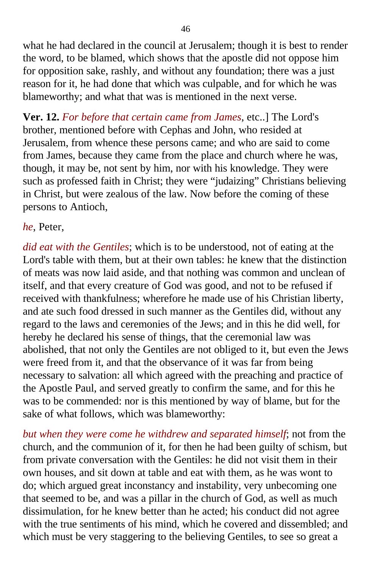what he had declared in the council at Jerusalem; though it is best to render the word, to be blamed, which shows that the apostle did not oppose him for opposition sake, rashly, and without any foundation; there was a just reason for it, he had done that which was culpable, and for which he was blameworthy; and what that was is mentioned in the next verse.

**Ver. 12.** *For before that certain came from James*, etc..] The Lord's brother, mentioned before with Cephas and John, who resided at Jerusalem, from whence these persons came; and who are said to come from James, because they came from the place and church where he was, though, it may be, not sent by him, nor with his knowledge. They were such as professed faith in Christ; they were "judaizing" Christians believing in Christ, but were zealous of the law. Now before the coming of these persons to Antioch,

## *he*, Peter,

*did eat with the Gentiles*; which is to be understood, not of eating at the Lord's table with them, but at their own tables: he knew that the distinction of meats was now laid aside, and that nothing was common and unclean of itself, and that every creature of God was good, and not to be refused if received with thankfulness; wherefore he made use of his Christian liberty, and ate such food dressed in such manner as the Gentiles did, without any regard to the laws and ceremonies of the Jews; and in this he did well, for hereby he declared his sense of things, that the ceremonial law was abolished, that not only the Gentiles are not obliged to it, but even the Jews were freed from it, and that the observance of it was far from being necessary to salvation: all which agreed with the preaching and practice of the Apostle Paul, and served greatly to confirm the same, and for this he was to be commended: nor is this mentioned by way of blame, but for the sake of what follows, which was blameworthy:

*but when they were come he withdrew and separated himself*; not from the church, and the communion of it, for then he had been guilty of schism, but from private conversation with the Gentiles: he did not visit them in their own houses, and sit down at table and eat with them, as he was wont to do; which argued great inconstancy and instability, very unbecoming one that seemed to be, and was a pillar in the church of God, as well as much dissimulation, for he knew better than he acted; his conduct did not agree with the true sentiments of his mind, which he covered and dissembled; and which must be very staggering to the believing Gentiles, to see so great a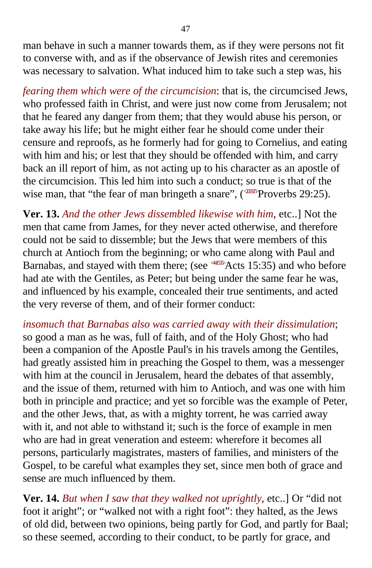<span id="page-46-0"></span>man behave in such a manner towards them, as if they were persons not fit to converse with, and as if the observance of Jewish rites and ceremonies was necessary to salvation. What induced him to take such a step was, his

*fearing them which were of the circumcision*: that is, the circumcised Jews, who professed faith in Christ, and were just now come from Jerusalem; not that he feared any danger from them; that they would abuse his person, or take away his life; but he might either fear he should come under their censure and reproofs, as he formerly had for going to Cornelius, and eating with him and his; or lest that they should be offended with him, and carry back an ill report of him, as not acting up to his character as an apostle of the circumcision. This led him into such a conduct; so true is that of the wise man, that "the fear of man bringeth a snare",  $(2025)$ .

**Ver. 13.** *And the other Jews dissembled likewise with him*, etc..] Not the men that came from James, for they never acted otherwise, and therefore could not be said to dissemble; but the Jews that were members of this church at Antioch from the beginning; or who came along with Paul and Barnabas, and stayed with them there; (see  $445\overline{ }$ Acts 15:35) and who before had ate with the Gentiles, as Peter; but being under the same fear he was, and influenced by his example, concealed their true sentiments, and acted the very reverse of them, and of their former conduct:

*insomuch that Barnabas also was carried away with their dissimulation*; so good a man as he was, full of faith, and of the Holy Ghost; who had been a companion of the Apostle Paul's in his travels among the Gentiles, had greatly assisted him in preaching the Gospel to them, was a messenger with him at the council in Jerusalem, heard the debates of that assembly, and the issue of them, returned with him to Antioch, and was one with him both in principle and practice; and yet so forcible was the example of Peter, and the other Jews, that, as with a mighty torrent, he was carried away with it, and not able to withstand it; such is the force of example in men who are had in great veneration and esteem: wherefore it becomes all persons, particularly magistrates, masters of families, and ministers of the Gospel, to be careful what examples they set, since men both of grace and sense are much influenced by them.

**Ver. 14.** *But when I saw that they walked not uprightly*, etc..] Or "did not foot it aright"; or "walked not with a right foot": they halted, as the Jews of old did, between two opinions, being partly for God, and partly for Baal; so these seemed, according to their conduct, to be partly for grace, and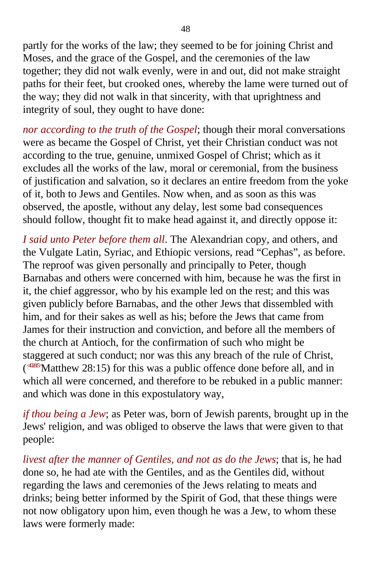partly for the works of the law; they seemed to be for joining Christ and Moses, and the grace of the Gospel, and the ceremonies of the law together; they did not walk evenly, were in and out, did not make straight paths for their feet, but crooked ones, whereby the lame were turned out of the way; they did not walk in that sincerity, with that uprightness and integrity of soul, they ought to have done:

*nor according to the truth of the Gospel*; though their moral conversations were as became the Gospel of Christ, yet their Christian conduct was not according to the true, genuine, unmixed Gospel of Christ; which as it excludes all the works of the law, moral or ceremonial, from the business of justification and salvation, so it declares an entire freedom from the yoke of it, both to Jews and Gentiles. Now when, and as soon as this was observed, the apostle, without any delay, lest some bad consequences should follow, thought fit to make head against it, and directly oppose it:

*I said unto Peter before them all*. The Alexandrian copy, and others, and the Vulgate Latin, Syriac, and Ethiopic versions, read "Cephas", as before. The reproof was given personally and principally to Peter, though Barnabas and others were concerned with him, because he was the first in it, the chief aggressor, who by his example led on the rest; and this was given publicly before Barnabas, and the other Jews that dissembled with him, and for their sakes as well as his; before the Jews that came from James for their instruction and conviction, and before all the members of the church at Antioch, for the confirmation of such who might be staggered at such conduct; nor was this any breach of the rule of Christ,  $(\sqrt[408]{6})$ Matthew 28:15) for this was a public offence done before all, and in which all were concerned, and therefore to be rebuked in a public manner: and which was done in this expostulatory way,

*if thou being a Jew*; as Peter was, born of Jewish parents, brought up in the Jews' religion, and was obliged to observe the laws that were given to that people:

*livest after the manner of Gentiles, and not as do the Jews*; that is, he had done so, he had ate with the Gentiles, and as the Gentiles did, without regarding the laws and ceremonies of the Jews relating to meats and drinks; being better informed by the Spirit of God, that these things were not now obligatory upon him, even though he was a Jew, to whom these laws were formerly made: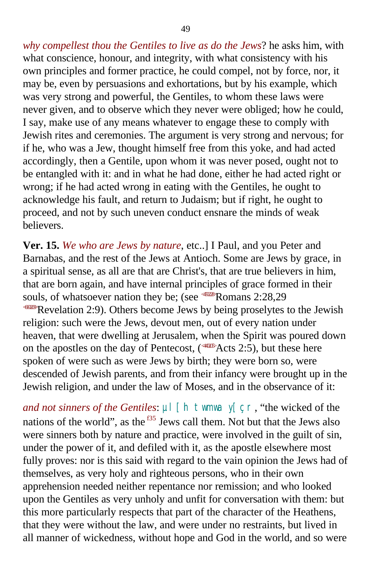*why compellest thou the Gentiles to live as do the Jews*? he asks him, with what conscience, honour, and integrity, with what consistency with his own principles and former practice, he could compel, not by force, nor, it may be, even by persuasions and exhortations, but by his example, which was very strong and powerful, the Gentiles, to whom these laws were never given, and to observe which they never were obliged; how he could, I say, make use of any means whatever to engage these to comply with Jewish rites and ceremonies. The argument is very strong and nervous; for if he, who was a Jew, thought himself free from this yoke, and had acted accordingly, then a Gentile, upon whom it was never posed, ought not to be entangled with it: and in what he had done, either he had acted right or wrong; if he had acted wrong in eating with the Gentiles, he ought to acknowledge his fault, and return to Judaism; but if right, he ought to proceed, and not by such uneven conduct ensnare the minds of weak believers.

**Ver. 15.** *We who are Jews by nature*, etc..] I Paul, and you Peter and Barnabas, and the rest of the Jews at Antioch. Some are Jews by grace, in a spiritual sense, as all are that are Christ's, that are true believers in him, that are born again, and have internal principles of grace formed in their souls, of whatsoever nation they be; (see  $\text{max}$ Romans 2:28,29 **EXECUTE:** Revelation 2:9). Others become Jews by being proselytes to the Jewish religion: such were the Jews, devout men, out of every nation under heaven, that were dwelling at Jerusalem, when the Spirit was poured down on the apostles on the day of Pentecost,  $(\sqrt{4905})$ Acts 2:5), but these here spoken of were such as were Jews by birth; they were born so, were descended of Jewish parents, and from their infancy were brought up in the Jewish religion, and under the law of Moses, and in the observance of it:

*and not sinners of the Gentiles*:  $\mu$  [h twmwa y[çr, "the wicked of the nations of the world", as the  $<sup>135</sup>$  Jews call them. Not but that the Jews also</sup> were sinners both by nature and practice, were involved in the guilt of sin, under the power of it, and defiled with it, as the apostle elsewhere most fully proves: nor is this said with regard to the vain opinion the Jews had of themselves, as very holy and righteous persons, who in their own apprehension needed neither repentance nor remission; and who looked upon the Gentiles as very unholy and unfit for conversation with them: but this more particularly respects that part of the character of the Heathens, that they were without the law, and were under no restraints, but lived in all manner of wickedness, without hope and God in the world, and so were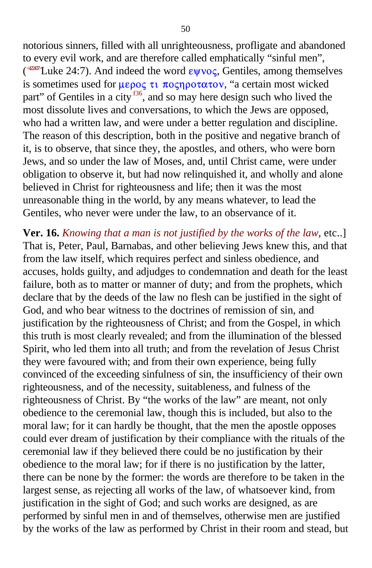notorious sinners, filled with all unrighteousness, profligate and abandoned to every evil work, and are therefore called emphatically "sinful men", ( $\mathbb{Z}$ <sup> $\mathbb{Z}$ </sup>Luke 24:7). And indeed the word  $\mathbb{E}$  **y**voc<sub>5</sub>, Gentiles, among themselves is sometimes used for  $\mu$ ερος τι πος προτατον, "a certain most wicked part" of Gentiles in a city  $^{136}$ , and so may here design such who lived the most dissolute lives and conversations, to which the Jews are opposed, who had a written law, and were under a better regulation and discipline. The reason of this description, both in the positive and negative branch of it, is to observe, that since they, the apostles, and others, who were born Jews, and so under the law of Moses, and, until Christ came, were under obligation to observe it, but had now relinquished it, and wholly and alone believed in Christ for righteousness and life; then it was the most unreasonable thing in the world, by any means whatever, to lead the Gentiles, who never were under the law, to an observance of it.

**Ver. 16.** *Knowing that a man is not justified by the works of the law*, etc..] That is, Peter, Paul, Barnabas, and other believing Jews knew this, and that from the law itself, which requires perfect and sinless obedience, and accuses, holds guilty, and adjudges to condemnation and death for the least failure, both as to matter or manner of duty; and from the prophets, which declare that by the deeds of the law no flesh can be justified in the sight of God, and who bear witness to the doctrines of remission of sin, and justification by the righteousness of Christ; and from the Gospel, in which this truth is most clearly revealed; and from the illumination of the blessed Spirit, who led them into all truth; and from the revelation of Jesus Christ they were favoured with; and from their own experience, being fully convinced of the exceeding sinfulness of sin, the insufficiency of their own righteousness, and of the necessity, suitableness, and fulness of the righteousness of Christ. By "the works of the law" are meant, not only obedience to the ceremonial law, though this is included, but also to the moral law; for it can hardly be thought, that the men the apostle opposes could ever dream of justification by their compliance with the rituals of the ceremonial law if they believed there could be no justification by their obedience to the moral law; for if there is no justification by the latter, there can be none by the former: the words are therefore to be taken in the largest sense, as rejecting all works of the law, of whatsoever kind, from justification in the sight of God; and such works are designed, as are performed by sinful men in and of themselves, otherwise men are justified by the works of the law as performed by Christ in their room and stead, but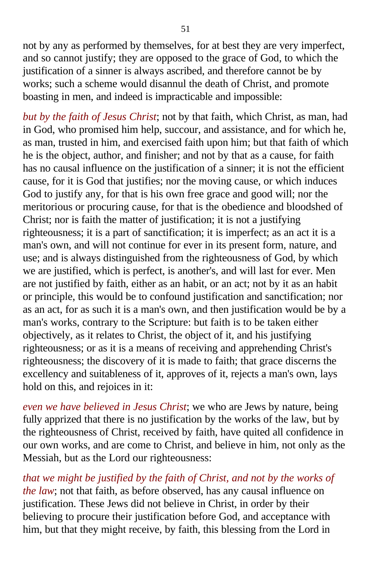not by any as performed by themselves, for at best they are very imperfect, and so cannot justify; they are opposed to the grace of God, to which the justification of a sinner is always ascribed, and therefore cannot be by works; such a scheme would disannul the death of Christ, and promote boasting in men, and indeed is impracticable and impossible:

*but by the faith of Jesus Christ*; not by that faith, which Christ, as man, had in God, who promised him help, succour, and assistance, and for which he, as man, trusted in him, and exercised faith upon him; but that faith of which he is the object, author, and finisher; and not by that as a cause, for faith has no causal influence on the justification of a sinner; it is not the efficient cause, for it is God that justifies; nor the moving cause, or which induces God to justify any, for that is his own free grace and good will; nor the meritorious or procuring cause, for that is the obedience and bloodshed of Christ; nor is faith the matter of justification; it is not a justifying righteousness; it is a part of sanctification; it is imperfect; as an act it is a man's own, and will not continue for ever in its present form, nature, and use; and is always distinguished from the righteousness of God, by which we are justified, which is perfect, is another's, and will last for ever. Men are not justified by faith, either as an habit, or an act; not by it as an habit or principle, this would be to confound justification and sanctification; nor as an act, for as such it is a man's own, and then justification would be by a man's works, contrary to the Scripture: but faith is to be taken either objectively, as it relates to Christ, the object of it, and his justifying righteousness; or as it is a means of receiving and apprehending Christ's righteousness; the discovery of it is made to faith; that grace discerns the excellency and suitableness of it, approves of it, rejects a man's own, lays hold on this, and rejoices in it:

*even we have believed in Jesus Christ*; we who are Jews by nature, being fully apprized that there is no justification by the works of the law, but by the righteousness of Christ, received by faith, have quited all confidence in our own works, and are come to Christ, and believe in him, not only as the Messiah, but as the Lord our righteousness:

*that we might be justified by the faith of Christ, and not by the works of the law*; not that faith, as before observed, has any causal influence on justification. These Jews did not believe in Christ, in order by their believing to procure their justification before God, and acceptance with him, but that they might receive, by faith, this blessing from the Lord in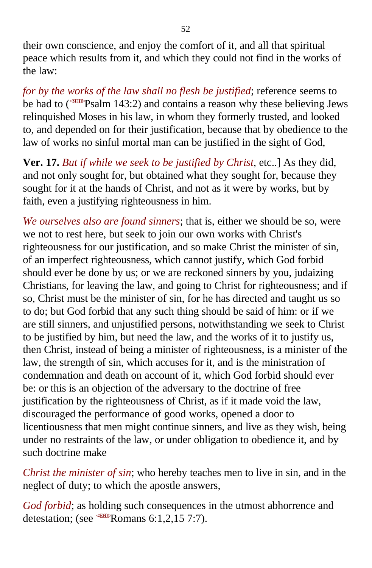their own conscience, and enjoy the comfort of it, and all that spiritual peace which results from it, and which they could not find in the works of the law:

*for by the works of the law shall no flesh be justified*; reference seems to be had to ( $\sqrt{1.2}P$ salm 143:2) and contains a reason why these believing Jews relinquished Moses in his law, in whom they formerly trusted, and looked to, and depended on for their justification, because that by obedience to the law of works no sinful mortal man can be justified in the sight of God,

**Ver. 17.** *But if while we seek to be justified by Christ*, etc..] As they did, and not only sought for, but obtained what they sought for, because they sought for it at the hands of Christ, and not as it were by works, but by faith, even a justifying righteousness in him.

*We ourselves also are found sinners*; that is, either we should be so, were we not to rest here, but seek to join our own works with Christ's righteousness for our justification, and so make Christ the minister of sin, of an imperfect righteousness, which cannot justify, which God forbid should ever be done by us; or we are reckoned sinners by you, judaizing Christians, for leaving the law, and going to Christ for righteousness; and if so, Christ must be the minister of sin, for he has directed and taught us so to do; but God forbid that any such thing should be said of him: or if we are still sinners, and unjustified persons, notwithstanding we seek to Christ to be justified by him, but need the law, and the works of it to justify us, then Christ, instead of being a minister of righteousness, is a minister of the law, the strength of sin, which accuses for it, and is the ministration of condemnation and death on account of it, which God forbid should ever be: or this is an objection of the adversary to the doctrine of free justification by the righteousness of Christ, as if it made void the law, discouraged the performance of good works, opened a door to licentiousness that men might continue sinners, and live as they wish, being under no restraints of the law, or under obligation to obedience it, and by such doctrine make

*Christ the minister of sin*; who hereby teaches men to live in sin, and in the neglect of duty; to which the apostle answers,

*God forbid*; as holding such consequences in the utmost abhorrence and detestation; (see  $\triangleleft$ Romans 6:1,2,15 7:7).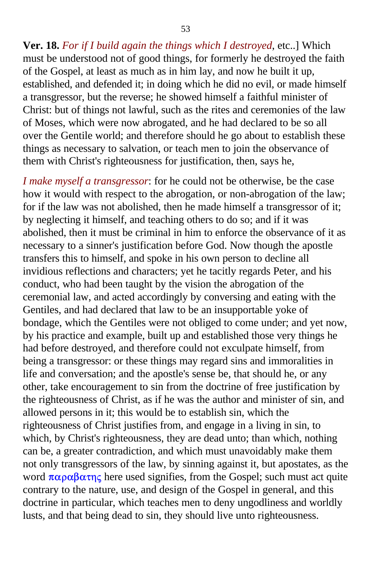**Ver. 18.** *For if I build again the things which I destroyed*, etc..] Which must be understood not of good things, for formerly he destroyed the faith of the Gospel, at least as much as in him lay, and now he built it up, established, and defended it; in doing which he did no evil, or made himself a transgressor, but the reverse; he showed himself a faithful minister of Christ: but of things not lawful, such as the rites and ceremonies of the law of Moses, which were now abrogated, and he had declared to be so all over the Gentile world; and therefore should he go about to establish these things as necessary to salvation, or teach men to join the observance of them with Christ's righteousness for justification, then, says he,

*I make myself a transgressor*: for he could not be otherwise, be the case how it would with respect to the abrogation, or non-abrogation of the law; for if the law was not abolished, then he made himself a transgressor of it; by neglecting it himself, and teaching others to do so; and if it was abolished, then it must be criminal in him to enforce the observance of it as necessary to a sinner's justification before God. Now though the apostle transfers this to himself, and spoke in his own person to decline all invidious reflections and characters; yet he tacitly regards Peter, and his conduct, who had been taught by the vision the abrogation of the ceremonial law, and acted accordingly by conversing and eating with the Gentiles, and had declared that law to be an insupportable yoke of bondage, which the Gentiles were not obliged to come under; and yet now, by his practice and example, built up and established those very things he had before destroyed, and therefore could not exculpate himself, from being a transgressor: or these things may regard sins and immoralities in life and conversation; and the apostle's sense be, that should he, or any other, take encouragement to sin from the doctrine of free justification by the righteousness of Christ, as if he was the author and minister of sin, and allowed persons in it; this would be to establish sin, which the righteousness of Christ justifies from, and engage in a living in sin, to which, by Christ's righteousness, they are dead unto; than which, nothing can be, a greater contradiction, and which must unavoidably make them not only transgressors of the law, by sinning against it, but apostates, as the word  $\pi \alpha \rho \alpha \beta \alpha \tau \eta \zeta$  here used signifies, from the Gospel; such must act quite contrary to the nature, use, and design of the Gospel in general, and this doctrine in particular, which teaches men to deny ungodliness and worldly lusts, and that being dead to sin, they should live unto righteousness.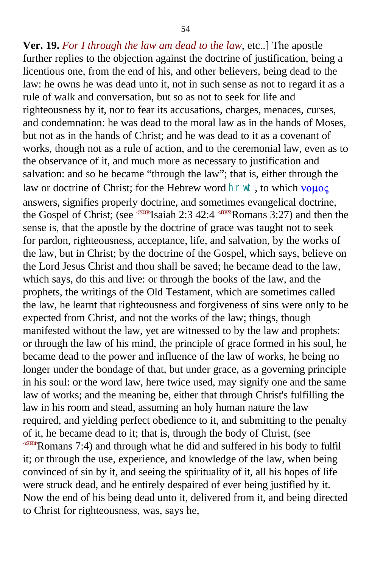**Ver. 19.** *For I through the law am dead to the law*, etc..] The apostle further replies to the objection against the doctrine of justification, being a licentious one, from the end of his, and other believers, being dead to the law: he owns he was dead unto it, not in such sense as not to regard it as a rule of walk and conversation, but so as not to seek for life and righteousness by it, nor to fear its accusations, charges, menaces, curses, and condemnation: he was dead to the moral law as in the hands of Moses, but not as in the hands of Christ; and he was dead to it as a covenant of works, though not as a rule of action, and to the ceremonial law, even as to the observance of it, and much more as necessary to justification and salvation: and so he became "through the law"; that is, either through the law or doctrine of Christ; for the Hebrew word  $hrwt$ , to which  $vowq$ answers, signifies properly doctrine, and sometimes evangelical doctrine, the Gospel of Christ; (see  $\frac{\text{QUB}}{\text{2018}}$ Isaiah 2:3 42:4  $\frac{\text{GPE}}{\text{R}^2}$ Romans 3:27) and then the sense is, that the apostle by the doctrine of grace was taught not to seek for pardon, righteousness, acceptance, life, and salvation, by the works of the law, but in Christ; by the doctrine of the Gospel, which says, believe on the Lord Jesus Christ and thou shall be saved; he became dead to the law, which says, do this and live: or through the books of the law, and the prophets, the writings of the Old Testament, which are sometimes called the law, he learnt that righteousness and forgiveness of sins were only to be expected from Christ, and not the works of the law; things, though manifested without the law, yet are witnessed to by the law and prophets: or through the law of his mind, the principle of grace formed in his soul, he became dead to the power and influence of the law of works, he being no longer under the bondage of that, but under grace, as a governing principle in his soul: or the word law, here twice used, may signify one and the same law of works; and the meaning be, either that through Christ's fulfilling the law in his room and stead, assuming an holy human nature the law required, and yielding perfect obedience to it, and submitting to the penalty of it, he became dead to it; that is, through the body of Christ, (see  $4504$  Romans 7:4) and through what he did and suffered in his body to fulfil it; or through the use, experience, and knowledge of the law, when being convinced of sin by it, and seeing the spirituality of it, all his hopes of life were struck dead, and he entirely despaired of ever being justified by it. Now the end of his being dead unto it, delivered from it, and being directed to Christ for righteousness, was, says he,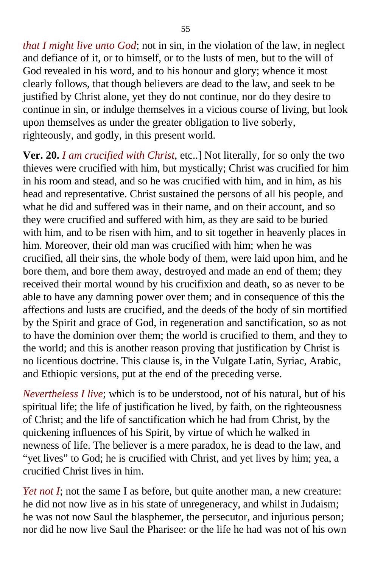*that I might live unto God*; not in sin, in the violation of the law, in neglect and defiance of it, or to himself, or to the lusts of men, but to the will of God revealed in his word, and to his honour and glory; whence it most clearly follows, that though believers are dead to the law, and seek to be justified by Christ alone, yet they do not continue, nor do they desire to continue in sin, or indulge themselves in a vicious course of living, but look upon themselves as under the greater obligation to live soberly, righteously, and godly, in this present world.

**Ver. 20.** *I am crucified with Christ*, etc..] Not literally, for so only the two thieves were crucified with him, but mystically; Christ was crucified for him in his room and stead, and so he was crucified with him, and in him, as his head and representative. Christ sustained the persons of all his people, and what he did and suffered was in their name, and on their account, and so they were crucified and suffered with him, as they are said to be buried with him, and to be risen with him, and to sit together in heavenly places in him. Moreover, their old man was crucified with him; when he was crucified, all their sins, the whole body of them, were laid upon him, and he bore them, and bore them away, destroyed and made an end of them; they received their mortal wound by his crucifixion and death, so as never to be able to have any damning power over them; and in consequence of this the affections and lusts are crucified, and the deeds of the body of sin mortified by the Spirit and grace of God, in regeneration and sanctification, so as not to have the dominion over them; the world is crucified to them, and they to the world; and this is another reason proving that justification by Christ is no licentious doctrine. This clause is, in the Vulgate Latin, Syriac, Arabic, and Ethiopic versions, put at the end of the preceding verse.

*Nevertheless I live*; which is to be understood, not of his natural, but of his spiritual life; the life of justification he lived, by faith, on the righteousness of Christ; and the life of sanctification which he had from Christ, by the quickening influences of his Spirit, by virtue of which he walked in newness of life. The believer is a mere paradox, he is dead to the law, and "yet lives" to God; he is crucified with Christ, and yet lives by him; yea, a crucified Christ lives in him.

*Yet not I*; not the same I as before, but quite another man, a new creature: he did not now live as in his state of unregeneracy, and whilst in Judaism; he was not now Saul the blasphemer, the persecutor, and injurious person; nor did he now live Saul the Pharisee: or the life he had was not of his own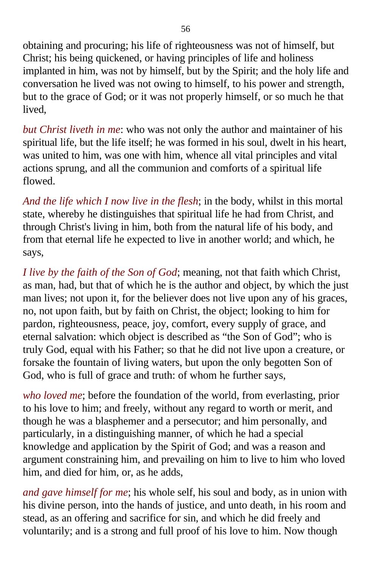obtaining and procuring; his life of righteousness was not of himself, but Christ; his being quickened, or having principles of life and holiness implanted in him, was not by himself, but by the Spirit; and the holy life and conversation he lived was not owing to himself, to his power and strength, but to the grace of God; or it was not properly himself, or so much he that lived,

*but Christ liveth in me*: who was not only the author and maintainer of his spiritual life, but the life itself; he was formed in his soul, dwelt in his heart, was united to him, was one with him, whence all vital principles and vital actions sprung, and all the communion and comforts of a spiritual life flowed.

*And the life which I now live in the flesh*; in the body, whilst in this mortal state, whereby he distinguishes that spiritual life he had from Christ, and through Christ's living in him, both from the natural life of his body, and from that eternal life he expected to live in another world; and which, he says,

*I live by the faith of the Son of God*; meaning, not that faith which Christ, as man, had, but that of which he is the author and object, by which the just man lives; not upon it, for the believer does not live upon any of his graces, no, not upon faith, but by faith on Christ, the object; looking to him for pardon, righteousness, peace, joy, comfort, every supply of grace, and eternal salvation: which object is described as "the Son of God"; who is truly God, equal with his Father; so that he did not live upon a creature, or forsake the fountain of living waters, but upon the only begotten Son of God, who is full of grace and truth: of whom he further says,

*who loved me*; before the foundation of the world, from everlasting, prior to his love to him; and freely, without any regard to worth or merit, and though he was a blasphemer and a persecutor; and him personally, and particularly, in a distinguishing manner, of which he had a special knowledge and application by the Spirit of God; and was a reason and argument constraining him, and prevailing on him to live to him who loved him, and died for him, or, as he adds,

*and gave himself for me*; his whole self, his soul and body, as in union with his divine person, into the hands of justice, and unto death, in his room and stead, as an offering and sacrifice for sin, and which he did freely and voluntarily; and is a strong and full proof of his love to him. Now though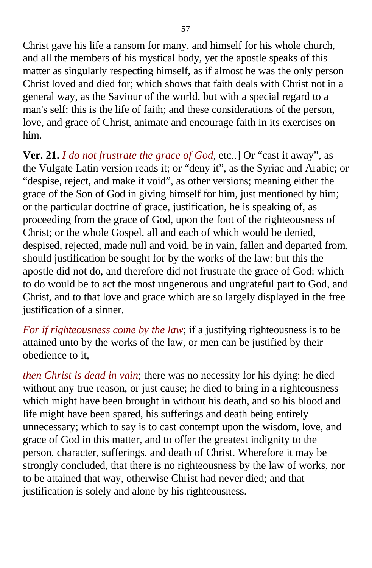Christ gave his life a ransom for many, and himself for his whole church, and all the members of his mystical body, yet the apostle speaks of this matter as singularly respecting himself, as if almost he was the only person Christ loved and died for; which shows that faith deals with Christ not in a general way, as the Saviour of the world, but with a special regard to a man's self: this is the life of faith; and these considerations of the person, love, and grace of Christ, animate and encourage faith in its exercises on him.

**Ver. 21.** *I do not frustrate the grace of God*, etc..] Or "cast it away", as the Vulgate Latin version reads it; or "deny it", as the Syriac and Arabic; or "despise, reject, and make it void", as other versions; meaning either the grace of the Son of God in giving himself for him, just mentioned by him; or the particular doctrine of grace, justification, he is speaking of, as proceeding from the grace of God, upon the foot of the righteousness of Christ; or the whole Gospel, all and each of which would be denied, despised, rejected, made null and void, be in vain, fallen and departed from, should justification be sought for by the works of the law: but this the apostle did not do, and therefore did not frustrate the grace of God: which to do would be to act the most ungenerous and ungrateful part to God, and Christ, and to that love and grace which are so largely displayed in the free justification of a sinner.

*For if righteousness come by the law*; if a justifying righteousness is to be attained unto by the works of the law, or men can be justified by their obedience to it,

*then Christ is dead in vain*; there was no necessity for his dying: he died without any true reason, or just cause; he died to bring in a righteousness which might have been brought in without his death, and so his blood and life might have been spared, his sufferings and death being entirely unnecessary; which to say is to cast contempt upon the wisdom, love, and grace of God in this matter, and to offer the greatest indignity to the person, character, sufferings, and death of Christ. Wherefore it may be strongly concluded, that there is no righteousness by the law of works, nor to be attained that way, otherwise Christ had never died; and that justification is solely and alone by his righteousness.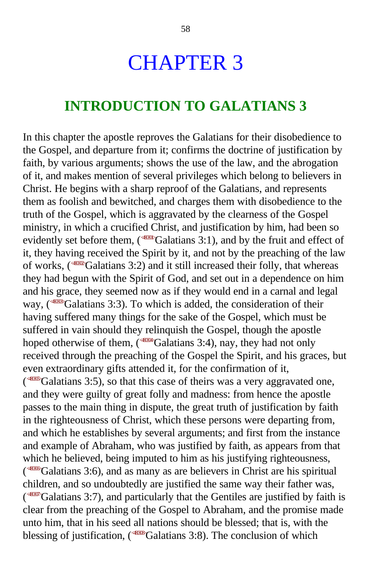## CHAPTER 3

## <span id="page-57-0"></span>**INTRODUCTION TO GALATIANS 3**

In this chapter the apostle reproves the Galatians for their disobedience to the Gospel, and departure from it; confirms the doctrine of justification by faith, by various arguments; shows the use of the law, and the abrogation of it, and makes mention of several privileges which belong to believers in Christ. He begins with a sharp reproof of the Galatians, and represents them as foolish and bewitched, and charges them with disobedience to the truth of the Gospel, which is aggravated by the clearness of the Gospel ministry, in which a crucified Christ, and justification by him, had been so evidently set before them,  $(\sqrt{ABB})$ Galatians 3:1), and by the fruit and effect of it, they having received the Spirit by it, and not by the preaching of the law of works,  $(\sqrt[4802]{\text{Galatians}} 3:2)$  and it still increased their folly, that whereas they had begun with the Spirit of God, and set out in a dependence on him and his grace, they seemed now as if they would end in a carnal and legal way, ( $\sqrt{4803}$ Galatians 3:3). To which is added, the consideration of their having suffered many things for the sake of the Gospel, which must be suffered in vain should they relinquish the Gospel, though the apostle hoped otherwise of them,  $(\sqrt{4800} \text{Galatians } 3:4)$ , nay, they had not only received through the preaching of the Gospel the Spirit, and his graces, but even extraordinary gifts attended it, for the confirmation of it,  $(\sqrt{4805}$ Galatians 3:5), so that this case of theirs was a very aggravated one, and they were guilty of great folly and madness: from hence the apostle passes to the main thing in dispute, the great truth of justification by faith in the righteousness of Christ, which these persons were departing from, and which he establishes by several arguments; and first from the instance and example of Abraham, who was justified by faith, as appears from that which he believed, being imputed to him as his justifying righteousness,  $(\sqrt[4806]{\text{Galatians 3:6}})$ , and as many as are believers in Christ are his spiritual children, and so undoubtedly are justified the same way their father was,  $(\sqrt[4800]{\text{Galatians}} 3:7)$ , and particularly that the Gentiles are justified by faith is clear from the preaching of the Gospel to Abraham, and the promise made unto him, that in his seed all nations should be blessed; that is, with the blessing of justification,  $($ <sup>4888</sup>Galatians 3:8). The conclusion of which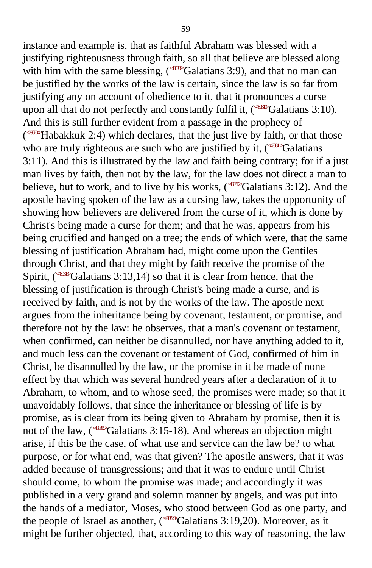instance and example is, that as faithful Abraham was blessed with a justifying righteousness through faith, so all that believe are blessed along with him with the same blessing,  $(*<sup>48B</sup>$ <sup>Galatians 3:9), and that no man can</sup> be justified by the works of the law is certain, since the law is so far from justifying any on account of obedience to it, that it pronounces a curse upon all that do not perfectly and constantly fulfil it,  $(\sqrt{ABD}Gala tians 3:10)$ . And this is still further evident from a passage in the prophecy of  $(\sqrt{3004}Habakkuk 2:4)$  which declares, that the just live by faith, or that those who are truly righteous are such who are justified by it,  $($ <sup> $\triangle$ 8812</sup>Galatians 3:11). And this is illustrated by the law and faith being contrary; for if a just man lives by faith, then not by the law, for the law does not direct a man to believe, but to work, and to live by his works,  $(\sqrt{ABD}Gala t \cdot 3:12)$ . And the apostle having spoken of the law as a cursing law, takes the opportunity of showing how believers are delivered from the curse of it, which is done by Christ's being made a curse for them; and that he was, appears from his being crucified and hanged on a tree; the ends of which were, that the same blessing of justification Abraham had, might come upon the Gentiles through Christ, and that they might by faith receive the promise of the Spirit,  $(\sqrt{4808} \text{Galatians } 3:13,14)$  so that it is clear from hence, that the blessing of justification is through Christ's being made a curse, and is received by faith, and is not by the works of the law. The apostle next argues from the inheritance being by covenant, testament, or promise, and therefore not by the law: he observes, that a man's covenant or testament, when confirmed, can neither be disannulled, nor have anything added to it, and much less can the covenant or testament of God, confirmed of him in Christ, be disannulled by the law, or the promise in it be made of none effect by that which was several hundred years after a declaration of it to Abraham, to whom, and to whose seed, the promises were made; so that it unavoidably follows, that since the inheritance or blessing of life is by promise, as is clear from its being given to Abraham by promise, then it is not of the law,  $(\sqrt{4805} \text{Galatians } 3:15-18)$ . And whereas an objection might arise, if this be the case, of what use and service can the law be? to what purpose, or for what end, was that given? The apostle answers, that it was added because of transgressions; and that it was to endure until Christ should come, to whom the promise was made; and accordingly it was published in a very grand and solemn manner by angels, and was put into the hands of a mediator, Moses, who stood between God as one party, and the people of Israel as another,  $(\sqrt[4800]})$ Galatians 3:19,20). Moreover, as it might be further objected, that, according to this way of reasoning, the law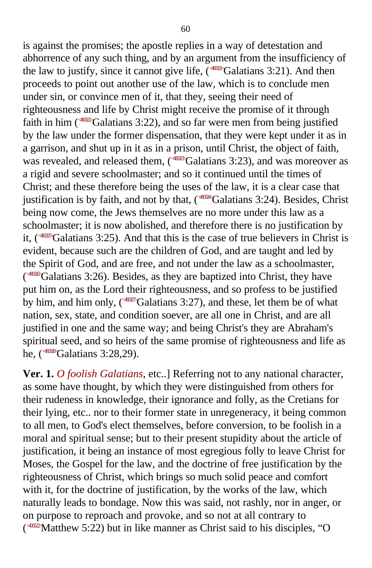is against the promises; the apostle replies in a way of detestation and abhorrence of any such thing, and by an argument from the insufficiency of the law to justify, since it cannot give life,  $(\sqrt{4802})$ Galatians 3:21). And then proceeds to point out another use of the law, which is to conclude men under sin, or convince men of it, that they, seeing their need of righteousness and life by Christ might receive the promise of it through faith in him ( $AED$ <sup>Galatians 3:22), and so far were men from being justified</sup> by the law under the former dispensation, that they were kept under it as in a garrison, and shut up in it as in a prison, until Christ, the object of faith, was revealed, and released them,  $(\sqrt{48025} \text{Galatians } 3:23)$ , and was moreover as a rigid and severe schoolmaster; and so it continued until the times of Christ; and these therefore being the uses of the law, it is a clear case that justification is by faith, and not by that,  $(\sqrt{4804} \text{Galatians } 3:24)$ . Besides, Christ being now come, the Jews themselves are no more under this law as a schoolmaster; it is now abolished, and therefore there is no justification by it,  $(\sqrt{4805} \text{Galatians } 3:25)$ . And that this is the case of true believers in Christ is evident, because such are the children of God, and are taught and led by the Spirit of God, and are free, and not under the law as a schoolmaster,  $(\sqrt[4006]{\text{dBb}}$ Galatians 3:26). Besides, as they are baptized into Christ, they have put him on, as the Lord their righteousness, and so profess to be justified by him, and him only, ( $\sqrt{4802}$ Galatians 3:27), and these, let them be of what nation, sex, state, and condition soever, are all one in Christ, and are all justified in one and the same way; and being Christ's they are Abraham's spiritual seed, and so heirs of the same promise of righteousness and life as he, (<sup>4888</sup>Galatians 3:28,29).

**Ver. 1.** *O foolish Galatians*, etc..] Referring not to any national character, as some have thought, by which they were distinguished from others for their rudeness in knowledge, their ignorance and folly, as the Cretians for their lying, etc.. nor to their former state in unregeneracy, it being common to all men, to God's elect themselves, before conversion, to be foolish in a moral and spiritual sense; but to their present stupidity about the article of justification, it being an instance of most egregious folly to leave Christ for Moses, the Gospel for the law, and the doctrine of free justification by the righteousness of Christ, which brings so much solid peace and comfort with it, for the doctrine of justification, by the works of the law, which naturally leads to bondage. Now this was said, not rashly, nor in anger, or on purpose to reproach and provoke, and so not at all contrary to  $(\sqrt[4022}M$ atthew 5:22) but in like manner as Christ said to his disciples, "O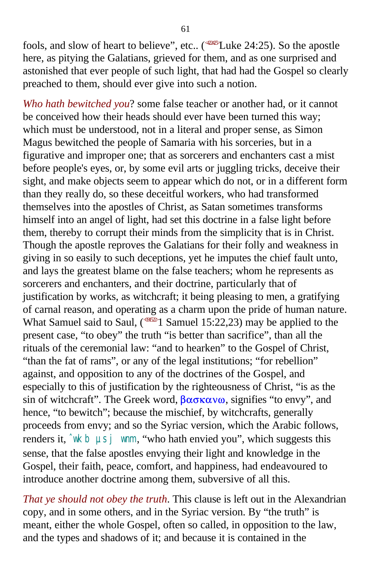fools, and slow of heart to believe", etc.. ( $\frac{4245}{2}$ Luke 24:25). So the apostle here, as pitying the Galatians, grieved for them, and as one surprised and astonished that ever people of such light, that had had the Gospel so clearly preached to them, should ever give into such a notion.

*Who hath bewitched you*? some false teacher or another had, or it cannot be conceived how their heads should ever have been turned this way; which must be understood, not in a literal and proper sense, as Simon Magus bewitched the people of Samaria with his sorceries, but in a figurative and improper one; that as sorcerers and enchanters cast a mist before people's eyes, or, by some evil arts or juggling tricks, deceive their sight, and make objects seem to appear which do not, or in a different form than they really do, so these deceitful workers, who had transformed themselves into the apostles of Christ, as Satan sometimes transforms himself into an angel of light, had set this doctrine in a false light before them, thereby to corrupt their minds from the simplicity that is in Christ. Though the apostle reproves the Galatians for their folly and weakness in giving in so easily to such deceptions, yet he imputes the chief fault unto, and lays the greatest blame on the false teachers; whom he represents as sorcerers and enchanters, and their doctrine, particularly that of justification by works, as witchcraft; it being pleasing to men, a gratifying of carnal reason, and operating as a charm upon the pride of human nature. What Samuel said to Saul,  $(4982)$  Samuel 15:22,23) may be applied to the present case, "to obey" the truth "is better than sacrifice", than all the rituals of the ceremonial law: "and to hearken" to the Gospel of Christ, "than the fat of rams", or any of the legal institutions; "for rebellion" against, and opposition to any of the doctrines of the Gospel, and especially to this of justification by the righteousness of Christ, "is as the sin of witchcraft". The Greek word,  $\beta \alpha \sigma \kappa \alpha v \omega$ , signifies "to envy", and hence, "to bewitch"; because the mischief, by witchcrafts, generally proceeds from envy; and so the Syriac version, which the Arabic follows, renders it,  $W \& b \; \mu s \, j \; \text{wmm}$ , "who hath envied you", which suggests this sense, that the false apostles envying their light and knowledge in the Gospel, their faith, peace, comfort, and happiness, had endeavoured to introduce another doctrine among them, subversive of all this.

*That ye should not obey the truth*. This clause is left out in the Alexandrian copy, and in some others, and in the Syriac version. By "the truth" is meant, either the whole Gospel, often so called, in opposition to the law, and the types and shadows of it; and because it is contained in the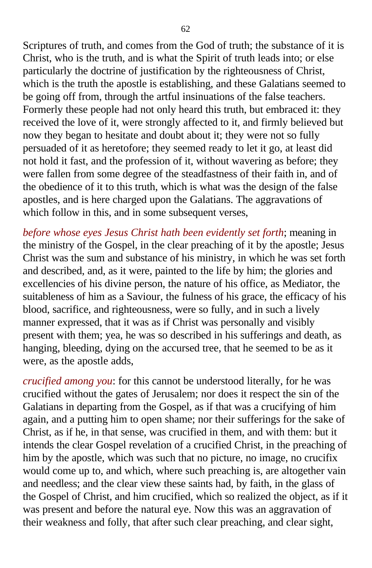Scriptures of truth, and comes from the God of truth; the substance of it is Christ, who is the truth, and is what the Spirit of truth leads into; or else particularly the doctrine of justification by the righteousness of Christ, which is the truth the apostle is establishing, and these Galatians seemed to be going off from, through the artful insinuations of the false teachers. Formerly these people had not only heard this truth, but embraced it: they received the love of it, were strongly affected to it, and firmly believed but now they began to hesitate and doubt about it; they were not so fully persuaded of it as heretofore; they seemed ready to let it go, at least did not hold it fast, and the profession of it, without wavering as before; they were fallen from some degree of the steadfastness of their faith in, and of the obedience of it to this truth, which is what was the design of the false apostles, and is here charged upon the Galatians. The aggravations of which follow in this, and in some subsequent verses,

*before whose eyes Jesus Christ hath been evidently set forth*; meaning in the ministry of the Gospel, in the clear preaching of it by the apostle; Jesus Christ was the sum and substance of his ministry, in which he was set forth and described, and, as it were, painted to the life by him; the glories and excellencies of his divine person, the nature of his office, as Mediator, the suitableness of him as a Saviour, the fulness of his grace, the efficacy of his blood, sacrifice, and righteousness, were so fully, and in such a lively manner expressed, that it was as if Christ was personally and visibly present with them; yea, he was so described in his sufferings and death, as hanging, bleeding, dying on the accursed tree, that he seemed to be as it were, as the apostle adds,

*crucified among you*: for this cannot be understood literally, for he was crucified without the gates of Jerusalem; nor does it respect the sin of the Galatians in departing from the Gospel, as if that was a crucifying of him again, and a putting him to open shame; nor their sufferings for the sake of Christ, as if he, in that sense, was crucified in them, and with them: but it intends the clear Gospel revelation of a crucified Christ, in the preaching of him by the apostle, which was such that no picture, no image, no crucifix would come up to, and which, where such preaching is, are altogether vain and needless; and the clear view these saints had, by faith, in the glass of the Gospel of Christ, and him crucified, which so realized the object, as if it was present and before the natural eye. Now this was an aggravation of their weakness and folly, that after such clear preaching, and clear sight,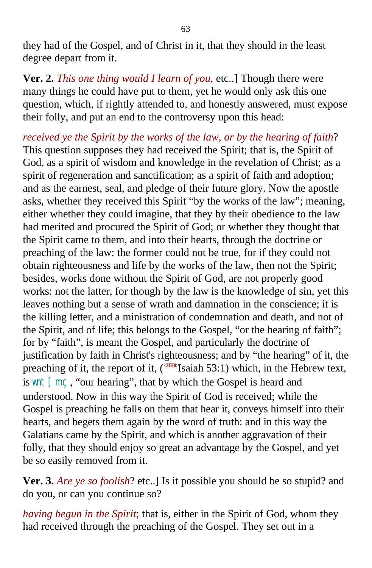they had of the Gospel, and of Christ in it, that they should in the least degree depart from it.

**Ver. 2.** *This one thing would I learn of you*, etc..] Though there were many things he could have put to them, yet he would only ask this one question, which, if rightly attended to, and honestly answered, must expose their folly, and put an end to the controversy upon this head:

*received ye the Spirit by the works of the law, or by the hearing of faith*? This question supposes they had received the Spirit; that is, the Spirit of God, as a spirit of wisdom and knowledge in the revelation of Christ; as a spirit of regeneration and sanctification; as a spirit of faith and adoption; and as the earnest, seal, and pledge of their future glory. Now the apostle asks, whether they received this Spirit "by the works of the law"; meaning, either whether they could imagine, that they by their obedience to the law had merited and procured the Spirit of God; or whether they thought that the Spirit came to them, and into their hearts, through the doctrine or preaching of the law: the former could not be true, for if they could not obtain righteousness and life by the works of the law, then not the Spirit; besides, works done without the Spirit of God, are not properly good works: not the latter, for though by the law is the knowledge of sin, yet this leaves nothing but a sense of wrath and damnation in the conscience; it is the killing letter, and a ministration of condemnation and death, and not of the Spirit, and of life; this belongs to the Gospel, "or the hearing of faith"; for by "faith", is meant the Gospel, and particularly the doctrine of justification by faith in Christ's righteousness; and by "the hearing" of it, the preaching of it, the report of it,  $(2580)$ Isaiah 53:1) which, in the Hebrew text, is  $wnt[mc, "our hearing", that by which the Gospel is heard and$ understood. Now in this way the Spirit of God is received; while the Gospel is preaching he falls on them that hear it, conveys himself into their hearts, and begets them again by the word of truth: and in this way the Galatians came by the Spirit, and which is another aggravation of their folly, that they should enjoy so great an advantage by the Gospel, and yet be so easily removed from it.

**Ver. 3.** *Are ye so foolish*? etc..] Is it possible you should be so stupid? and do you, or can you continue so?

*having begun in the Spirit*; that is, either in the Spirit of God, whom they had received through the preaching of the Gospel. They set out in a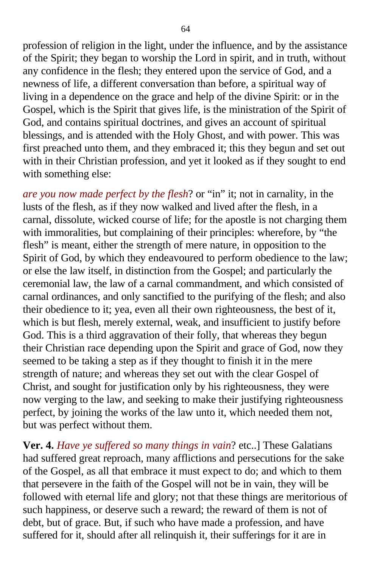profession of religion in the light, under the influence, and by the assistance of the Spirit; they began to worship the Lord in spirit, and in truth, without any confidence in the flesh; they entered upon the service of God, and a newness of life, a different conversation than before, a spiritual way of living in a dependence on the grace and help of the divine Spirit: or in the Gospel, which is the Spirit that gives life, is the ministration of the Spirit of God, and contains spiritual doctrines, and gives an account of spiritual blessings, and is attended with the Holy Ghost, and with power. This was first preached unto them, and they embraced it; this they begun and set out with in their Christian profession, and yet it looked as if they sought to end with something else:

*are you now made perfect by the flesh*? or "in" it; not in carnality, in the lusts of the flesh, as if they now walked and lived after the flesh, in a carnal, dissolute, wicked course of life; for the apostle is not charging them with immoralities, but complaining of their principles: wherefore, by "the flesh" is meant, either the strength of mere nature, in opposition to the Spirit of God, by which they endeavoured to perform obedience to the law; or else the law itself, in distinction from the Gospel; and particularly the ceremonial law, the law of a carnal commandment, and which consisted of carnal ordinances, and only sanctified to the purifying of the flesh; and also their obedience to it; yea, even all their own righteousness, the best of it, which is but flesh, merely external, weak, and insufficient to justify before God. This is a third aggravation of their folly, that whereas they begun their Christian race depending upon the Spirit and grace of God, now they seemed to be taking a step as if they thought to finish it in the mere strength of nature; and whereas they set out with the clear Gospel of Christ, and sought for justification only by his righteousness, they were now verging to the law, and seeking to make their justifying righteousness perfect, by joining the works of the law unto it, which needed them not, but was perfect without them.

**Ver. 4.** *Have ye suffered so many things in vain*? etc..] These Galatians had suffered great reproach, many afflictions and persecutions for the sake of the Gospel, as all that embrace it must expect to do; and which to them that persevere in the faith of the Gospel will not be in vain, they will be followed with eternal life and glory; not that these things are meritorious of such happiness, or deserve such a reward; the reward of them is not of debt, but of grace. But, if such who have made a profession, and have suffered for it, should after all relinquish it, their sufferings for it are in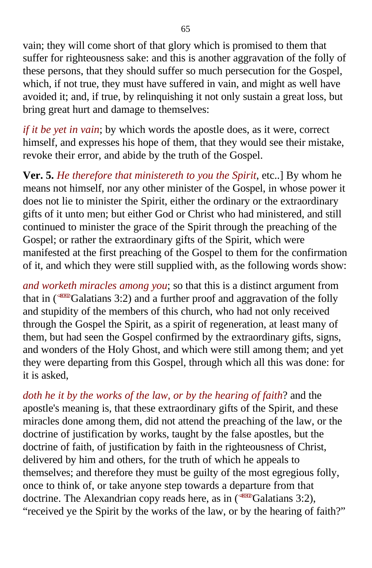<span id="page-64-0"></span>vain; they will come short of that glory which is promised to them that suffer for righteousness sake: and this is another aggravation of the folly of these persons, that they should suffer so much persecution for the Gospel, which, if not true, they must have suffered in vain, and might as well have avoided it; and, if true, by relinquishing it not only sustain a great loss, but bring great hurt and damage to themselves:

*if it be yet in vain*; by which words the apostle does, as it were, correct himself, and expresses his hope of them, that they would see their mistake, revoke their error, and abide by the truth of the Gospel.

**Ver. 5.** *He therefore that ministereth to you the Spirit*, etc..] By whom he means not himself, nor any other minister of the Gospel, in whose power it does not lie to minister the Spirit, either the ordinary or the extraordinary gifts of it unto men; but either God or Christ who had ministered, and still continued to minister the grace of the Spirit through the preaching of the Gospel; or rather the extraordinary gifts of the Spirit, which were manifested at the first preaching of the Gospel to them for the confirmation of it, and which they were still supplied with, as the following words show:

*and worketh miracles among you*; so that this is a distinct argument from that in ([<480302>](#page-446-0)Galatians 3:2) and a further proof and aggravation of the folly and stupidity of the members of this church, who had not only received through the Gospel the Spirit, as a spirit of regeneration, at least many of them, but had seen the Gospel confirmed by the extraordinary gifts, signs, and wonders of the Holy Ghost, and which were still among them; and yet they were departing from this Gospel, through which all this was done: for it is asked,

*doth he it by the works of the law, or by the hearing of faith*? and the apostle's meaning is, that these extraordinary gifts of the Spirit, and these miracles done among them, did not attend the preaching of the law, or the doctrine of justification by works, taught by the false apostles, but the doctrine of faith, of justification by faith in the righteousness of Christ, delivered by him and others, for the truth of which he appeals to themselves; and therefore they must be guilty of the most egregious folly, once to think of, or take anyone step towards a departure from that doctrine. The Alexandrian copy reads here, as in  $(\sqrt[4000]{2}Galatians 3:2)$ , "received ye the Spirit by the works of the law, or by the hearing of faith?"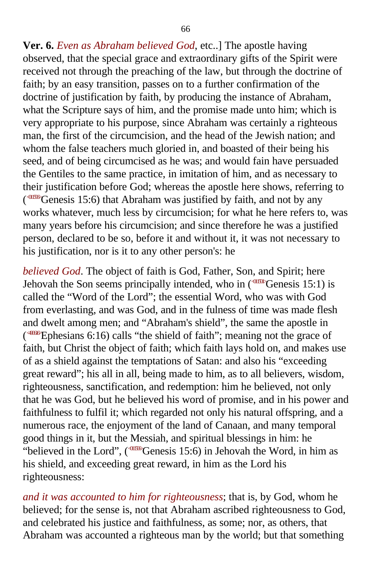**Ver. 6.** *Even as Abraham believed God*, etc..] The apostle having observed, that the special grace and extraordinary gifts of the Spirit were received not through the preaching of the law, but through the doctrine of faith; by an easy transition, passes on to a further confirmation of the doctrine of justification by faith, by producing the instance of Abraham, what the Scripture says of him, and the promise made unto him; which is very appropriate to his purpose, since Abraham was certainly a righteous man, the first of the circumcision, and the head of the Jewish nation; and whom the false teachers much gloried in, and boasted of their being his seed, and of being circumcised as he was; and would fain have persuaded the Gentiles to the same practice, in imitation of him, and as necessary to their justification before God; whereas the apostle here shows, referring to  $($ <sup>dlfff6</sup>Genesis 15:6) that Abraham was justified by faith, and not by any works whatever, much less by circumcision; for what he here refers to, was many years before his circumcision; and since therefore he was a justified person, declared to be so, before it and without it, it was not necessary to his justification, nor is it to any other person's: he

*believed God*. The object of faith is God, Father, Son, and Spirit; here Jehovah the Son seems principally intended, who in  $($ <sup> $\bullet$ IED</sup>Genesis 15:1) is called the "Word of the Lord"; the essential Word, who was with God from everlasting, and was God, and in the fulness of time was made flesh and dwelt among men; and "Abraham's shield", the same the apostle in  $(\sqrt[4006]{\text{E}})$  enormous (\*IO) calls "the shield of faith"; meaning not the grace of faith, but Christ the object of faith; which faith lays hold on, and makes use of as a shield against the temptations of Satan: and also his "exceeding great reward"; his all in all, being made to him, as to all believers, wisdom, righteousness, sanctification, and redemption: him he believed, not only that he was God, but he believed his word of promise, and in his power and faithfulness to fulfil it; which regarded not only his natural offspring, and a numerous race, the enjoyment of the land of Canaan, and many temporal good things in it, but the Messiah, and spiritual blessings in him: he "believed in the Lord",  $($ <sup>dlff6</sup>Genesis 15:6) in Jehovah the Word, in him as his shield, and exceeding great reward, in him as the Lord his righteousness:

*and it was accounted to him for righteousness*; that is, by God, whom he believed; for the sense is, not that Abraham ascribed righteousness to God, and celebrated his justice and faithfulness, as some; nor, as others, that Abraham was accounted a righteous man by the world; but that something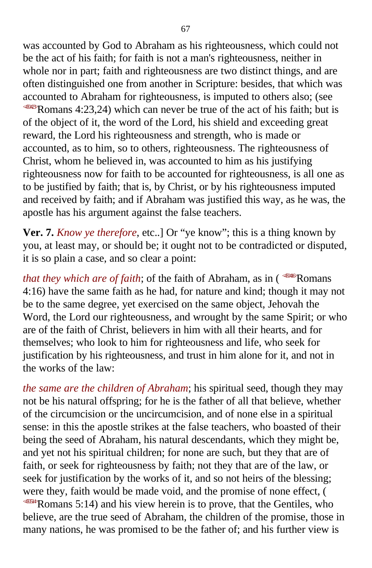was accounted by God to Abraham as his righteousness, which could not be the act of his faith; for faith is not a man's righteousness, neither in whole nor in part; faith and righteousness are two distinct things, and are often distinguished one from another in Scripture: besides, that which was accounted to Abraham for righteousness, is imputed to others also; (see  $4.23,24$ ) which can never be true of the act of his faith; but is of the object of it, the word of the Lord, his shield and exceeding great reward, the Lord his righteousness and strength, who is made or accounted, as to him, so to others, righteousness. The righteousness of Christ, whom he believed in, was accounted to him as his justifying righteousness now for faith to be accounted for righteousness, is all one as to be justified by faith; that is, by Christ, or by his righteousness imputed and received by faith; and if Abraham was justified this way, as he was, the apostle has his argument against the false teachers.

**Ver. 7.** *Know ye therefore*, etc..] Or "ye know"; this is a thing known by you, at least may, or should be; it ought not to be contradicted or disputed, it is so plain a case, and so clear a point:

*that they which are of faith*; of the faith of Abraham, as in  $\left(\sqrt[40]{10}\right)$ Romans 4:16) have the same faith as he had, for nature and kind; though it may not be to the same degree, yet exercised on the same object, Jehovah the Word, the Lord our righteousness, and wrought by the same Spirit; or who are of the faith of Christ, believers in him with all their hearts, and for themselves; who look to him for righteousness and life, who seek for justification by his righteousness, and trust in him alone for it, and not in the works of the law:

*the same are the children of Abraham*; his spiritual seed, though they may not be his natural offspring; for he is the father of all that believe, whether of the circumcision or the uncircumcision, and of none else in a spiritual sense: in this the apostle strikes at the false teachers, who boasted of their being the seed of Abraham, his natural descendants, which they might be, and yet not his spiritual children; for none are such, but they that are of faith, or seek for righteousness by faith; not they that are of the law, or seek for justification by the works of it, and so not heirs of the blessing; were they, faith would be made void, and the promise of none effect, (  $4504$  Romans 5:14) and his view herein is to prove, that the Gentiles, who believe, are the true seed of Abraham, the children of the promise, those in many nations, he was promised to be the father of; and his further view is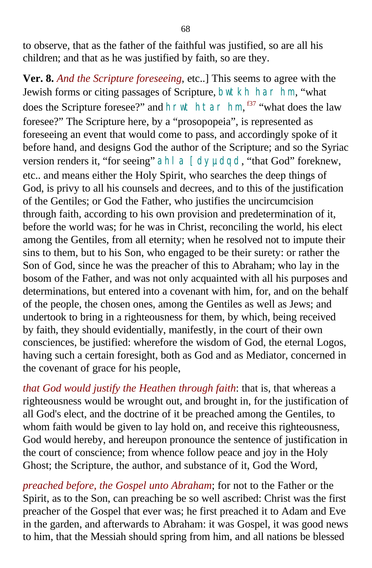to observe, that as the father of the faithful was justified, so are all his children; and that as he was justified by faith, so are they.

**Ver. 8.** *And the Scripture foreseeing*, etc..] This seems to agree with the Jewish forms or citing passages of Scripture, bwtkh har hm, "what does the Scripture foresee?" and hrwt htar hm,  $57$  "what does the law foresee?" The Scripture here, by a "prosopopeia", is represented as foreseeing an event that would come to pass, and accordingly spoke of it before hand, and designs God the author of the Scripture; and so the Syriac version renders it, "for seeing" ahl a [dy µdqd, "that God" foreknew, etc.. and means either the Holy Spirit, who searches the deep things of God, is privy to all his counsels and decrees, and to this of the justification of the Gentiles; or God the Father, who justifies the uncircumcision through faith, according to his own provision and predetermination of it, before the world was; for he was in Christ, reconciling the world, his elect among the Gentiles, from all eternity; when he resolved not to impute their sins to them, but to his Son, who engaged to be their surety: or rather the Son of God, since he was the preacher of this to Abraham; who lay in the bosom of the Father, and was not only acquainted with all his purposes and determinations, but entered into a covenant with him, for, and on the behalf of the people, the chosen ones, among the Gentiles as well as Jews; and undertook to bring in a righteousness for them, by which, being received by faith, they should evidentially, manifestly, in the court of their own consciences, be justified: wherefore the wisdom of God, the eternal Logos, having such a certain foresight, both as God and as Mediator, concerned in the covenant of grace for his people,

*that God would justify the Heathen through faith*: that is, that whereas a righteousness would be wrought out, and brought in, for the justification of all God's elect, and the doctrine of it be preached among the Gentiles, to whom faith would be given to lay hold on, and receive this righteousness, God would hereby, and hereupon pronounce the sentence of justification in the court of conscience; from whence follow peace and joy in the Holy Ghost; the Scripture, the author, and substance of it, God the Word,

*preached before, the Gospel unto Abraham*; for not to the Father or the Spirit, as to the Son, can preaching be so well ascribed: Christ was the first preacher of the Gospel that ever was; he first preached it to Adam and Eve in the garden, and afterwards to Abraham: it was Gospel, it was good news to him, that the Messiah should spring from him, and all nations be blessed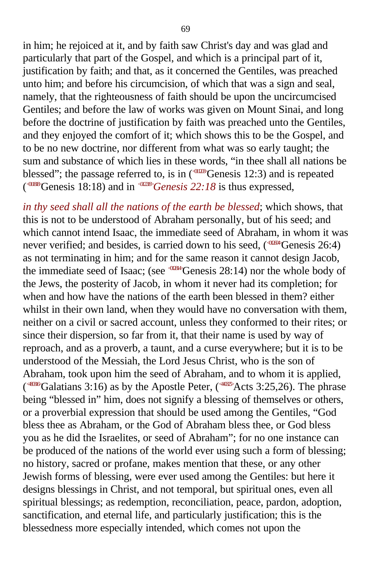in him; he rejoiced at it, and by faith saw Christ's day and was glad and particularly that part of the Gospel, and which is a principal part of it, justification by faith; and that, as it concerned the Gentiles, was preached unto him; and before his circumcision, of which that was a sign and seal, namely, that the righteousness of faith should be upon the uncircumcised Gentiles; and before the law of works was given on Mount Sinai, and long before the doctrine of justification by faith was preached unto the Gentiles, and they enjoyed the comfort of it; which shows this to be the Gospel, and to be no new doctrine, nor different from what was so early taught; the sum and substance of which lies in these words, "in thee shall all nations be blessed"; the passage referred to, is in  $(41208)$ Genesis 12:3) and is repeated (<sup>dises</sup>Genesis 18:18) and in <sup>dizes</sup>Genesis 22:18 is thus expressed,

*in thy seed shall all the nations of the earth be blessed*; which shows, that this is not to be understood of Abraham personally, but of his seed; and which cannot intend Isaac, the immediate seed of Abraham, in whom it was never verified; and besides, is carried down to his seed,  $(1200 + \text{Genesis } 26:4)$ as not terminating in him; and for the same reason it cannot design Jacob, the immediate seed of Isaac; (see  $\frac{dE}{dE}$ Genesis 28:14) nor the whole body of the Jews, the posterity of Jacob, in whom it never had its completion; for when and how have the nations of the earth been blessed in them? either whilst in their own land, when they would have no conversation with them. neither on a civil or sacred account, unless they conformed to their rites; or since their dispersion, so far from it, that their name is used by way of reproach, and as a proverb, a taunt, and a curse everywhere; but it is to be understood of the Messiah, the Lord Jesus Christ, who is the son of Abraham, took upon him the seed of Abraham, and to whom it is applied,  $(\sqrt[4806]{\text{Galatians}} 3:16)$  as by the Apostle Peter,  $(\sqrt[44825]{\text{Acts}} 3:25,26)$ . The phrase being "blessed in" him, does not signify a blessing of themselves or others, or a proverbial expression that should be used among the Gentiles, "God bless thee as Abraham, or the God of Abraham bless thee, or God bless you as he did the Israelites, or seed of Abraham"; for no one instance can be produced of the nations of the world ever using such a form of blessing; no history, sacred or profane, makes mention that these, or any other Jewish forms of blessing, were ever used among the Gentiles: but here it designs blessings in Christ, and not temporal, but spiritual ones, even all spiritual blessings; as redemption, reconciliation, peace, pardon, adoption, sanctification, and eternal life, and particularly justification; this is the blessedness more especially intended, which comes not upon the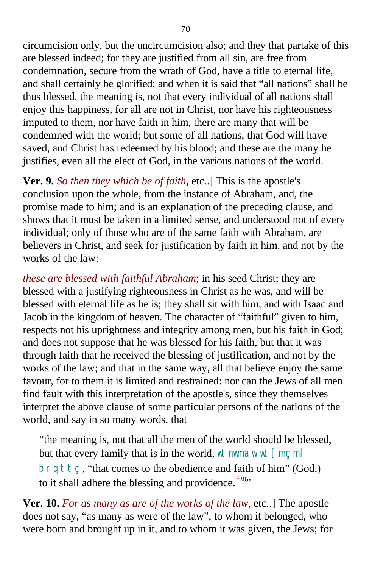circumcision only, but the uncircumcision also; and they that partake of this are blessed indeed; for they are justified from all sin, are free from condemnation, secure from the wrath of God, have a title to eternal life, and shall certainly be glorified: and when it is said that "all nations" shall be thus blessed, the meaning is, not that every individual of all nations shall enjoy this happiness, for all are not in Christ, nor have his righteousness imputed to them, nor have faith in him, there are many that will be condemned with the world; but some of all nations, that God will have saved, and Christ has redeemed by his blood; and these are the many he justifies, even all the elect of God, in the various nations of the world.

**Ver. 9.** *So then they which be of faith*, etc..] This is the apostle's conclusion upon the whole, from the instance of Abraham, and, the promise made to him; and is an explanation of the preceding clause, and shows that it must be taken in a limited sense, and understood not of every individual; only of those who are of the same faith with Abraham, are believers in Christ, and seek for justification by faith in him, and not by the works of the law:

*these are blessed with faithful Abraham*; in his seed Christ; they are blessed with a justifying righteousness in Christ as he was, and will be blessed with eternal life as he is; they shall sit with him, and with Isaac and Jacob in the kingdom of heaven. The character of "faithful" given to him, respects not his uprightness and integrity among men, but his faith in God; and does not suppose that he was blessed for his faith, but that it was through faith that he received the blessing of justification, and not by the works of the law; and that in the same way, all that believe enjoy the same favour, for to them it is limited and restrained: nor can the Jews of all men find fault with this interpretation of the apostle's, since they themselves interpret the above clause of some particular persons of the nations of the world, and say in so many words, that

"the meaning is, not that all the men of the world should be blessed, but that every family that is in the world, wthere we  $\lceil m \right]$  $b$ rqttç, "that comes to the obedience and faith of him" (God,) to it shall adhere the blessing and providence.  $538$ .

**Ver. 10.** *For as many as are of the works of the law*, etc..] The apostle does not say, "as many as were of the law", to whom it belonged, who were born and brought up in it, and to whom it was given, the Jews; for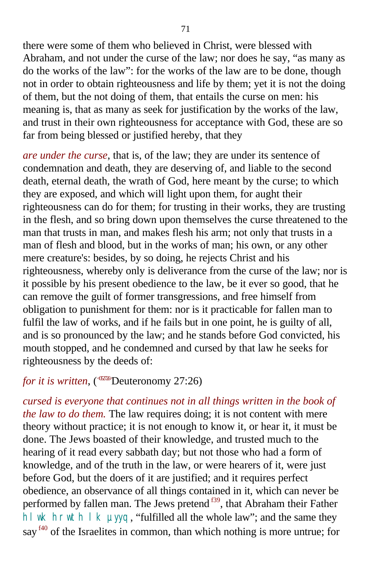there were some of them who believed in Christ, were blessed with Abraham, and not under the curse of the law; nor does he say, "as many as do the works of the law": for the works of the law are to be done, though not in order to obtain righteousness and life by them; yet it is not the doing of them, but the not doing of them, that entails the curse on men: his meaning is, that as many as seek for justification by the works of the law, and trust in their own righteousness for acceptance with God, these are so far from being blessed or justified hereby, that they

*are under the curse*, that is, of the law; they are under its sentence of condemnation and death, they are deserving of, and liable to the second death, eternal death, the wrath of God, here meant by the curse; to which they are exposed, and which will light upon them, for aught their righteousness can do for them; for trusting in their works, they are trusting in the flesh, and so bring down upon themselves the curse threatened to the man that trusts in man, and makes flesh his arm; not only that trusts in a man of flesh and blood, but in the works of man; his own, or any other mere creature's: besides, by so doing, he rejects Christ and his righteousness, whereby only is deliverance from the curse of the law; nor is it possible by his present obedience to the law, be it ever so good, that he can remove the guilt of former transgressions, and free himself from obligation to punishment for them: nor is it practicable for fallen man to fulfil the law of works, and if he fails but in one point, he is guilty of all, and is so pronounced by the law; and he stands before God convicted, his mouth stopped, and he condemned and cursed by that law he seeks for righteousness by the deeds of:

## *for it is written*,  $(\sqrt[4]{226})$ Deuteronomy 27:26)

*cursed is everyone that continues not in all things written in the book of the law to do them.* The law requires doing; it is not content with mere theory without practice; it is not enough to know it, or hear it, it must be done. The Jews boasted of their knowledge, and trusted much to the hearing of it read every sabbath day; but not those who had a form of knowledge, and of the truth in the law, or were hearers of it, were just before God, but the doers of it are justified; and it requires perfect obedience, an observance of all things contained in it, which can never be performed by fallen man. The Jews pretend<sup>139</sup>, that Abraham their Father hlwk hrwth lk µyyq, "fulfilled all the whole law"; and the same they say  $f^{40}$  of the Israelites in common, than which nothing is more untrue; for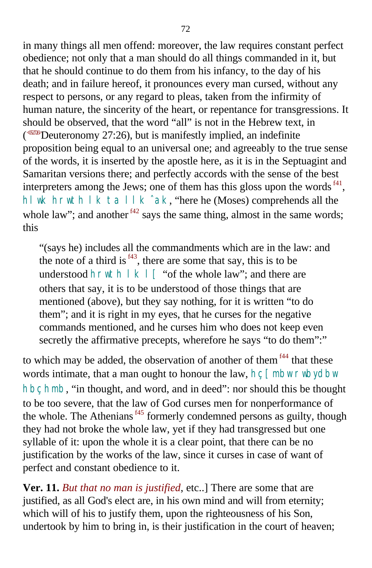in many things all men offend: moreover, the law requires constant perfect obedience; not only that a man should do all things commanded in it, but that he should continue to do them from his infancy, to the day of his death; and in failure hereof, it pronounces every man cursed, without any respect to persons, or any regard to pleas, taken from the infirmity of human nature, the sincerity of the heart, or repentance for transgressions. It should be observed, that the word "all" is not in the Hebrew text, in  $(\sqrt{225})$ Deuteronomy 27:26), but is manifestly implied, an indefinite proposition being equal to an universal one; and agreeably to the true sense of the words, it is inserted by the apostle here, as it is in the Septuagint and Samaritan versions there; and perfectly accords with the sense of the best interpreters among the Jews; one of them has this gloss upon the words  $<sup>f41</sup>$ ,</sup> hlwk hrwth lk ta llk ^ak, "here he (Moses) comprehends all the whole law"; and another  $f^{42}$  says the same thing, almost in the same words; this

"(says he) includes all the commandments which are in the law: and the note of a third is  $f^{43}$ , there are some that say, this is to be understood hrwth  $|k|$  is "of the whole law"; and there are others that say, it is to be understood of those things that are mentioned (above), but they say nothing, for it is written "to do them"; and it is right in my eyes, that he curses for the negative commands mentioned, and he curses him who does not keep even secretly the affirmative precepts, wherefore he says "to do them":"

to which may be added, the observation of another of them <sup>f44</sup> that these words intimate, that a man ought to honour the law,  $\frac{h}{c}$  mbw rwbydbw hbçhmb, "in thought, and word, and in deed": nor should this be thought to be too severe, that the law of God curses men for nonperformance of the whole. The Athenians<sup>f45</sup> formerly condemned persons as guilty, though they had not broke the whole law, yet if they had transgressed but one syllable of it: upon the whole it is a clear point, that there can be no justification by the works of the law, since it curses in case of want of perfect and constant obedience to it.

**Ver. 11.** *But that no man is justified*, etc..] There are some that are justified, as all God's elect are, in his own mind and will from eternity; which will of his to justify them, upon the righteousness of his Son, undertook by him to bring in, is their justification in the court of heaven;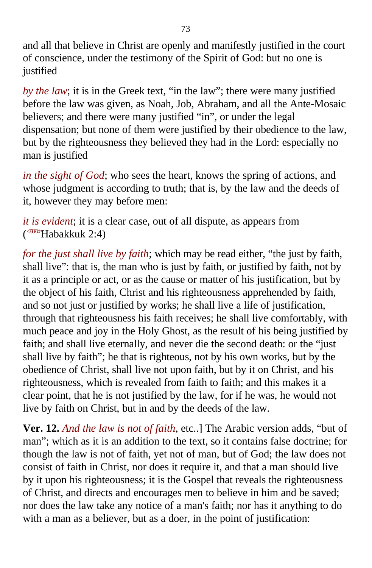and all that believe in Christ are openly and manifestly justified in the court of conscience, under the testimony of the Spirit of God: but no one is justified

*by the law*; it is in the Greek text, "in the law"; there were many justified before the law was given, as Noah, Job, Abraham, and all the Ante-Mosaic believers; and there were many justified "in", or under the legal dispensation; but none of them were justified by their obedience to the law, but by the righteousness they believed they had in the Lord: especially no man is justified

*in the sight of God*; who sees the heart, knows the spring of actions, and whose judgment is according to truth; that is, by the law and the deeds of it, however they may before men:

*it is evident*; it is a clear case, out of all dispute, as appears from (<sup><3004</sup>Habakkuk 2:4)

*for the just shall live by faith*; which may be read either, "the just by faith, shall live": that is, the man who is just by faith, or justified by faith, not by it as a principle or act, or as the cause or matter of his justification, but by the object of his faith, Christ and his righteousness apprehended by faith, and so not just or justified by works; he shall live a life of justification, through that righteousness his faith receives; he shall live comfortably, with much peace and joy in the Holy Ghost, as the result of his being justified by faith; and shall live eternally, and never die the second death: or the "just shall live by faith"; he that is righteous, not by his own works, but by the obedience of Christ, shall live not upon faith, but by it on Christ, and his righteousness, which is revealed from faith to faith; and this makes it a clear point, that he is not justified by the law, for if he was, he would not live by faith on Christ, but in and by the deeds of the law.

**Ver. 12.** *And the law is not of faith*, etc..] The Arabic version adds, "but of man"; which as it is an addition to the text, so it contains false doctrine; for though the law is not of faith, yet not of man, but of God; the law does not consist of faith in Christ, nor does it require it, and that a man should live by it upon his righteousness; it is the Gospel that reveals the righteousness of Christ, and directs and encourages men to believe in him and be saved; nor does the law take any notice of a man's faith; nor has it anything to do with a man as a believer, but as a doer, in the point of justification: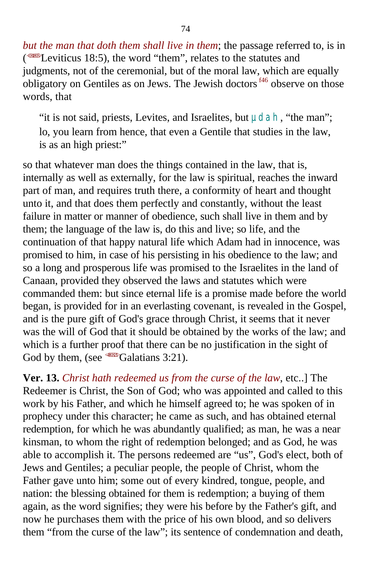*but the man that doth them shall live in them*; the passage referred to, is in  $($ <sup>GBBB</sup>Leviticus 18:5), the word "them", relates to the statutes and judgments, not of the ceremonial, but of the moral law, which are equally obligatory on Gentiles as on Jews. The Jewish doctors  $46$  observe on those words, that

"it is not said, priests, Levites, and Israelites, but µdah, "the man"; lo, you learn from hence, that even a Gentile that studies in the law, is as an high priest:"

so that whatever man does the things contained in the law, that is, internally as well as externally, for the law is spiritual, reaches the inward part of man, and requires truth there, a conformity of heart and thought unto it, and that does them perfectly and constantly, without the least failure in matter or manner of obedience, such shall live in them and by them; the language of the law is, do this and live; so life, and the continuation of that happy natural life which Adam had in innocence, was promised to him, in case of his persisting in his obedience to the law; and so a long and prosperous life was promised to the Israelites in the land of Canaan, provided they observed the laws and statutes which were commanded them: but since eternal life is a promise made before the world began, is provided for in an everlasting covenant, is revealed in the Gospel, and is the pure gift of God's grace through Christ, it seems that it never was the will of God that it should be obtained by the works of the law; and which is a further proof that there can be no justification in the sight of God by them, (see  $\sqrt{MP}$ Galatians 3:21).

**Ver. 13.** *Christ hath redeemed us from the curse of the law*, etc..] The Redeemer is Christ, the Son of God; who was appointed and called to this work by his Father, and which he himself agreed to; he was spoken of in prophecy under this character; he came as such, and has obtained eternal redemption, for which he was abundantly qualified; as man, he was a near kinsman, to whom the right of redemption belonged; and as God, he was able to accomplish it. The persons redeemed are "us", God's elect, both of Jews and Gentiles; a peculiar people, the people of Christ, whom the Father gave unto him; some out of every kindred, tongue, people, and nation: the blessing obtained for them is redemption; a buying of them again, as the word signifies; they were his before by the Father's gift, and now he purchases them with the price of his own blood, and so delivers them "from the curse of the law"; its sentence of condemnation and death,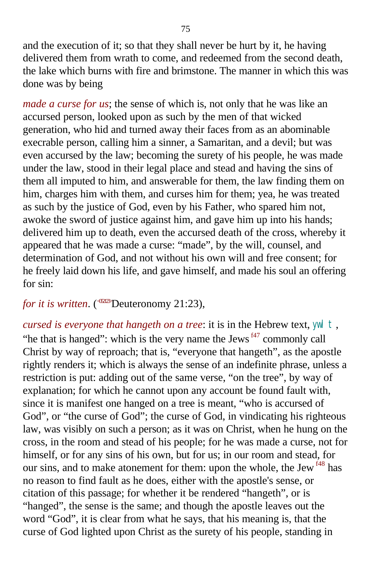and the execution of it; so that they shall never be hurt by it, he having delivered them from wrath to come, and redeemed from the second death, the lake which burns with fire and brimstone. The manner in which this was done was by being

*made a curse for us*; the sense of which is, not only that he was like an accursed person, looked upon as such by the men of that wicked generation, who hid and turned away their faces from as an abominable execrable person, calling him a sinner, a Samaritan, and a devil; but was even accursed by the law; becoming the surety of his people, he was made under the law, stood in their legal place and stead and having the sins of them all imputed to him, and answerable for them, the law finding them on him, charges him with them, and curses him for them; yea, he was treated as such by the justice of God, even by his Father, who spared him not, awoke the sword of justice against him, and gave him up into his hands; delivered him up to death, even the accursed death of the cross, whereby it appeared that he was made a curse: "made", by the will, counsel, and determination of God, and not without his own will and free consent; for he freely laid down his life, and gave himself, and made his soul an offering for sin:

*for it is written.* ( $\sqrt[4D23]{\text{Deuteronomy 21:23}}$ ),

*cursed is everyone that hangeth on a tree: it is in the Hebrew text, ywl* t, "he that is hanged": which is the very name the Jews $<sup>447</sup>$  commonly call</sup> Christ by way of reproach; that is, "everyone that hangeth", as the apostle rightly renders it; which is always the sense of an indefinite phrase, unless a restriction is put: adding out of the same verse, "on the tree", by way of explanation; for which he cannot upon any account be found fault with, since it is manifest one hanged on a tree is meant, "who is accursed of God", or "the curse of God"; the curse of God, in vindicating his righteous law, was visibly on such a person; as it was on Christ, when he hung on the cross, in the room and stead of his people; for he was made a curse, not for himself, or for any sins of his own, but for us; in our room and stead, for our sins, and to make atonement for them: upon the whole, the Jew <sup>f48</sup> has no reason to find fault as he does, either with the apostle's sense, or citation of this passage; for whether it be rendered "hangeth", or is "hanged", the sense is the same; and though the apostle leaves out the word "God", it is clear from what he says, that his meaning is, that the curse of God lighted upon Christ as the surety of his people, standing in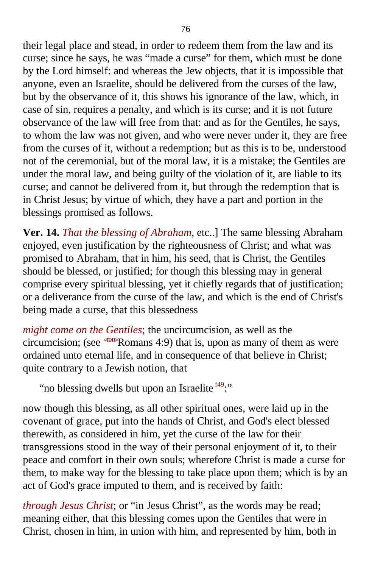their legal place and stead, in order to redeem them from the law and its curse; since he says, he was "made a curse" for them, which must be done by the Lord himself: and whereas the Jew objects, that it is impossible that anyone, even an Israelite, should be delivered from the curses of the law, but by the observance of it, this shows his ignorance of the law, which, in case of sin, requires a penalty, and which is its curse; and it is not future observance of the law will free from that: and as for the Gentiles, he says, to whom the law was not given, and who were never under it, they are free from the curses of it, without a redemption; but as this is to be, understood not of the ceremonial, but of the moral law, it is a mistake; the Gentiles are under the moral law, and being guilty of the violation of it, are liable to its curse; and cannot be delivered from it, but through the redemption that is in Christ Jesus; by virtue of which, they have a part and portion in the blessings promised as follows.

**Ver. 14.** *That the blessing of Abraham*, etc..] The same blessing Abraham enjoyed, even justification by the righteousness of Christ; and what was promised to Abraham, that in him, his seed, that is Christ, the Gentiles should be blessed, or justified; for though this blessing may in general comprise every spiritual blessing, yet it chiefly regards that of justification; or a deliverance from the curse of the law, and which is the end of Christ's being made a curse, that this blessedness

*might come on the Gentiles*; the uncircumcision, as well as the circumcision; (see  $\triangleleft$ <sub>45040</sub> $\angle$ Romans 4:9) that is, upon as many of them as were ordained unto eternal life, and in consequence of that believe in Christ; quite contrary to a Jewish notion, that

"no blessing dwells but upon an Israelite<sup>149</sup>:"

now though this blessing, as all other spiritual ones, were laid up in the covenant of grace, put into the hands of Christ, and God's elect blessed therewith, as considered in him, yet the curse of the law for their transgressions stood in the way of their personal enjoyment of it, to their peace and comfort in their own souls; wherefore Christ is made a curse for them, to make way for the blessing to take place upon them; which is by an act of God's grace imputed to them, and is received by faith:

*through Jesus Christ*; or "in Jesus Christ", as the words may be read; meaning either, that this blessing comes upon the Gentiles that were in Christ, chosen in him, in union with him, and represented by him, both in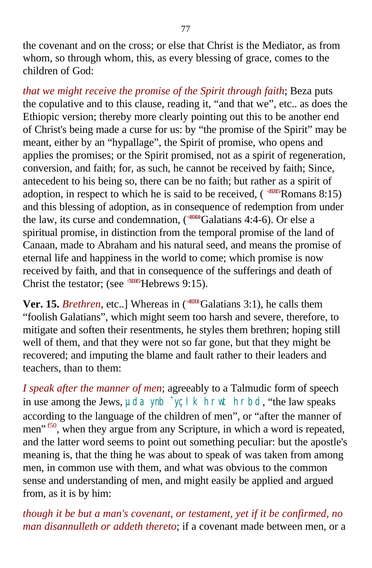the covenant and on the cross; or else that Christ is the Mediator, as from whom, so through whom, this, as every blessing of grace, comes to the children of God:

*that we might receive the promise of the Spirit through faith*; Beza puts the copulative and to this clause, reading it, "and that we", etc.. as does the Ethiopic version; thereby more clearly pointing out this to be another end of Christ's being made a curse for us: by "the promise of the Spirit" may be meant, either by an "hypallage", the Spirit of promise, who opens and applies the promises; or the Spirit promised, not as a spirit of regeneration, conversion, and faith; for, as such, he cannot be received by faith; Since, antecedent to his being so, there can be no faith; but rather as a spirit of adoption, in respect to which he is said to be received,  $(\triangleleft \mathbb{R} \cdot \mathbb{R})$ and this blessing of adoption, as in consequence of redemption from under the law, its curse and condemnation,  $(\sqrt{8004} \text{Galatians } 4:4-6)$ . Or else a spiritual promise, in distinction from the temporal promise of the land of Canaan, made to Abraham and his natural seed, and means the promise of eternal life and happiness in the world to come; which promise is now received by faith, and that in consequence of the sufferings and death of Christ the testator; (see  $\frac{4005}{12}$ Hebrews 9:15).

**Ver. 15.** *Brethren*, etc..] Whereas in (\*\*\*\*\*\*\*\*\*)Galatians 3:1), he calls them "foolish Galatians", which might seem too harsh and severe, therefore, to mitigate and soften their resentments, he styles them brethren; hoping still well of them, and that they were not so far gone, but that they might be recovered; and imputing the blame and fault rather to their leaders and teachers, than to them:

*I speak after the manner of men*; agreeably to a Talmudic form of speech in use among the Jews, µda ynb  $\gamma c$ lk hrwt hrbd, "the law speaks according to the language of the children of men", or "after the manner of men" f<sup>50</sup>, when they argue from any Scripture, in which a word is repeated, and the latter word seems to point out something peculiar: but the apostle's meaning is, that the thing he was about to speak of was taken from among men, in common use with them, and what was obvious to the common sense and understanding of men, and might easily be applied and argued from, as it is by him:

*though it be but a man's covenant, or testament, yet if it be confirmed, no man disannulleth or addeth thereto*; if a covenant made between men, or a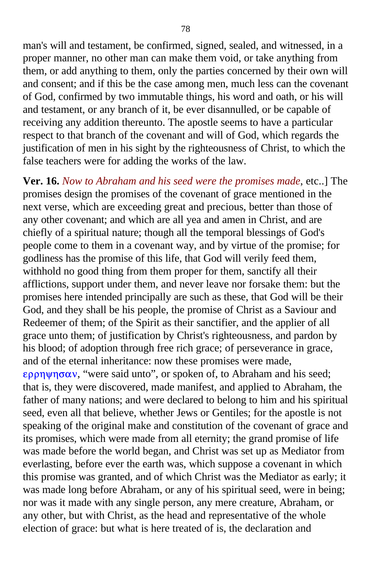man's will and testament, be confirmed, signed, sealed, and witnessed, in a proper manner, no other man can make them void, or take anything from them, or add anything to them, only the parties concerned by their own will and consent; and if this be the case among men, much less can the covenant of God, confirmed by two immutable things, his word and oath, or his will and testament, or any branch of it, be ever disannulled, or be capable of receiving any addition thereunto. The apostle seems to have a particular respect to that branch of the covenant and will of God, which regards the justification of men in his sight by the righteousness of Christ, to which the false teachers were for adding the works of the law.

**Ver. 16.** *Now to Abraham and his seed were the promises made*, etc..] The promises design the promises of the covenant of grace mentioned in the next verse, which are exceeding great and precious, better than those of any other covenant; and which are all yea and amen in Christ, and are chiefly of a spiritual nature; though all the temporal blessings of God's people come to them in a covenant way, and by virtue of the promise; for godliness has the promise of this life, that God will verily feed them, withhold no good thing from them proper for them, sanctify all their afflictions, support under them, and never leave nor forsake them: but the promises here intended principally are such as these, that God will be their God, and they shall be his people, the promise of Christ as a Saviour and Redeemer of them; of the Spirit as their sanctifier, and the applier of all grace unto them; of justification by Christ's righteousness, and pardon by his blood; of adoption through free rich grace; of perseverance in grace, and of the eternal inheritance: now these promises were made,  $\epsilon \rho \rho \eta \psi \eta \sigma \alpha \nu$ , "were said unto", or spoken of, to Abraham and his seed; that is, they were discovered, made manifest, and applied to Abraham, the father of many nations; and were declared to belong to him and his spiritual seed, even all that believe, whether Jews or Gentiles; for the apostle is not speaking of the original make and constitution of the covenant of grace and its promises, which were made from all eternity; the grand promise of life was made before the world began, and Christ was set up as Mediator from everlasting, before ever the earth was, which suppose a covenant in which this promise was granted, and of which Christ was the Mediator as early; it was made long before Abraham, or any of his spiritual seed, were in being; nor was it made with any single person, any mere creature, Abraham, or any other, but with Christ, as the head and representative of the whole election of grace: but what is here treated of is, the declaration and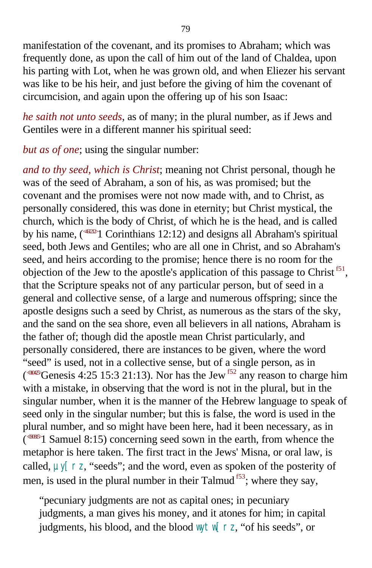manifestation of the covenant, and its promises to Abraham; which was frequently done, as upon the call of him out of the land of Chaldea, upon his parting with Lot, when he was grown old, and when Eliezer his servant was like to be his heir, and just before the giving of him the covenant of circumcision, and again upon the offering up of his son Isaac:

*he saith not unto seeds*, as of many; in the plural number, as if Jews and Gentiles were in a different manner his spiritual seed:

*but as of one*; using the singular number:

*and to thy seed, which is Christ*; meaning not Christ personal, though he was of the seed of Abraham, a son of his, as was promised; but the covenant and the promises were not now made with, and to Christ, as personally considered, this was done in eternity; but Christ mystical, the church, which is the body of Christ, of which he is the head, and is called by his name,  $(\sqrt{22})$  Corinthians 12:12) and designs all Abraham's spiritual seed, both Jews and Gentiles; who are all one in Christ, and so Abraham's seed, and heirs according to the promise; hence there is no room for the objection of the Jew to the apostle's application of this passage to Christ<sup>151</sup>, that the Scripture speaks not of any particular person, but of seed in a general and collective sense, of a large and numerous offspring; since the apostle designs such a seed by Christ, as numerous as the stars of the sky, and the sand on the sea shore, even all believers in all nations, Abraham is the father of; though did the apostle mean Christ particularly, and personally considered, there are instances to be given, where the word "seed" is used, not in a collective sense, but of a single person, as in ( $\frac{1}{2}$ Genesis 4:25 15:3 21:13). Nor has the Jew <sup>f52</sup> any reason to charge him with a mistake, in observing that the word is not in the plural, but in the singular number, when it is the manner of the Hebrew language to speak of seed only in the singular number; but this is false, the word is used in the plural number, and so might have been here, had it been necessary, as in  $(\sqrt{4085}1)$  Samuel 8:15) concerning seed sown in the earth, from whence the metaphor is here taken. The first tract in the Jews' Misna, or oral law, is called,  $\mu$  $\sqrt{\Gamma}$   $\Gamma$  z, "seeds"; and the word, even as spoken of the posterity of men, is used in the plural number in their Talmud  $<sup>553</sup>$ ; where they say,</sup>

"pecuniary judgments are not as capital ones; in pecuniary judgments, a man gives his money, and it atones for him; in capital judgments, his blood, and the blood  $\psi \psi$   $\Gamma$   $\Gamma$   $\Gamma$ , "of his seeds", or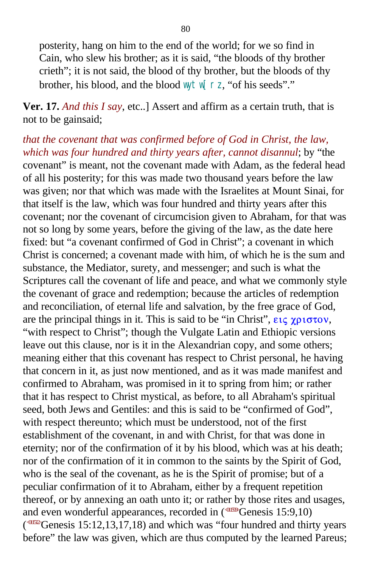posterity, hang on him to the end of the world; for we so find in Cain, who slew his brother; as it is said, "the bloods of thy brother crieth"; it is not said, the blood of thy brother, but the bloods of thy brother, his blood, and the blood  $\mathbb{W}$ t $\mathbb{V}$  rz, "of his seeds"."

**Ver. 17.** *And this I say*, etc..] Assert and affirm as a certain truth, that is not to be gainsaid;

*that the covenant that was confirmed before of God in Christ, the law, which was four hundred and thirty years after, cannot disannul*; by "the covenant" is meant, not the covenant made with Adam, as the federal head of all his posterity; for this was made two thousand years before the law was given; nor that which was made with the Israelites at Mount Sinai, for that itself is the law, which was four hundred and thirty years after this covenant; nor the covenant of circumcision given to Abraham, for that was not so long by some years, before the giving of the law, as the date here fixed: but "a covenant confirmed of God in Christ"; a covenant in which Christ is concerned; a covenant made with him, of which he is the sum and substance, the Mediator, surety, and messenger; and such is what the Scriptures call the covenant of life and peace, and what we commonly style the covenant of grace and redemption; because the articles of redemption and reconciliation, of eternal life and salvation, by the free grace of God, are the principal things in it. This is said to be "in Christ",  $\epsilon_1 \zeta$   $\gamma$   $\beta$ "with respect to Christ"; though the Vulgate Latin and Ethiopic versions leave out this clause, nor is it in the Alexandrian copy, and some others; meaning either that this covenant has respect to Christ personal, he having that concern in it, as just now mentioned, and as it was made manifest and confirmed to Abraham, was promised in it to spring from him; or rather that it has respect to Christ mystical, as before, to all Abraham's spiritual seed, both Jews and Gentiles: and this is said to be "confirmed of God", with respect thereunto; which must be understood, not of the first establishment of the covenant, in and with Christ, for that was done in eternity; nor of the confirmation of it by his blood, which was at his death; nor of the confirmation of it in common to the saints by the Spirit of God, who is the seal of the covenant, as he is the Spirit of promise; but of a peculiar confirmation of it to Abraham, either by a frequent repetition thereof, or by annexing an oath unto it; or rather by those rites and usages, and even wonderful appearances, recorded in  $(1.11)$ <sup>dltsb</sup>Genesis 15:9,10)  $($ <sup>-CHSD</sup><sup>-</sup>Genesis 15:12,13,17,18) and which was "four hundred and thirty years before" the law was given, which are thus computed by the learned Pareus;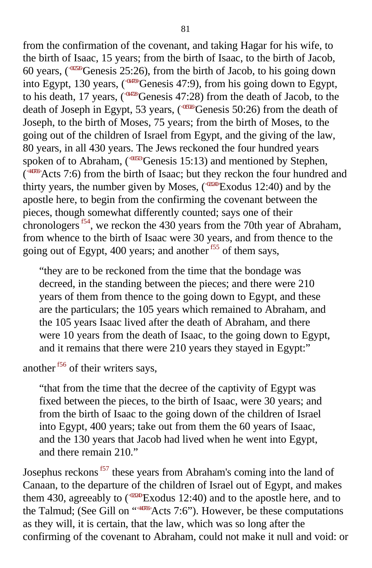from the confirmation of the covenant, and taking Hagar for his wife, to the birth of Isaac, 15 years; from the birth of Isaac, to the birth of Jacob, 60 years,  $(\sqrt{0.256} \text{Genesis } 25:26)$ , from the birth of Jacob, to his going down into Egypt, 130 years,  $(4400 \text{Genesis } 47:9)$ , from his going down to Egypt, to his death, 17 years,  $(447 \text{°Geness } 47:28)$  from the death of Jacob, to the death of Joseph in Egypt, 53 years,  $(4006)$ Genesis 50:26) from the death of Joseph, to the birth of Moses, 75 years; from the birth of Moses, to the going out of the children of Israel from Egypt, and the giving of the law, 80 years, in all 430 years. The Jews reckoned the four hundred years spoken of to Abraham,  $($ <sup>41513</sup> Genesis 15:13) and mentioned by Stephen, ( [<440706>](#page-293-0)Acts 7:6) from the birth of Isaac; but they reckon the four hundred and thirty years, the number given by Moses,  $($ <sup> $QEDQ$ </sup>Exodus 12:40) and by the apostle here, to begin from the confirming the covenant between the pieces, though somewhat differently counted; says one of their chronologers [f54](#page-184-0), we reckon the 430 years from the 70th year of Abraham, from whence to the birth of Isaac were 30 years, and from thence to the going out of Egypt, 400 years; and another <sup>f55</sup> of them says,

"they are to be reckoned from the time that the bondage was decreed, in the standing between the pieces; and there were 210 years of them from thence to the going down to Egypt, and these are the particulars; the 105 years which remained to Abraham, and the 105 years Isaac lived after the death of Abraham, and there were 10 years from the death of Isaac, to the going down to Egypt, and it remains that there were 210 years they stayed in Egypt:"

## another<sup>f56</sup> of their writers says,

"that from the time that the decree of the captivity of Egypt was fixed between the pieces, to the birth of Isaac, were 30 years; and from the birth of Isaac to the going down of the children of Israel into Egypt, 400 years; take out from them the 60 years of Isaac, and the 130 years that Jacob had lived when he went into Egypt, and there remain 210."

Josephus reckons<sup>557</sup> these years from Abraham's coming into the land of Canaan, to the departure of the children of Israel out of Egypt, and makes them 430, agreeably to  $(4220)$  Exodus 12:40) and to the apostle here, and to the Talmud; (See Gill on  $\sqrt[44006]{\text{Acts}}$  7:6"). However, be these computations as they will, it is certain, that the law, which was so long after the confirming of the covenant to Abraham, could not make it null and void: or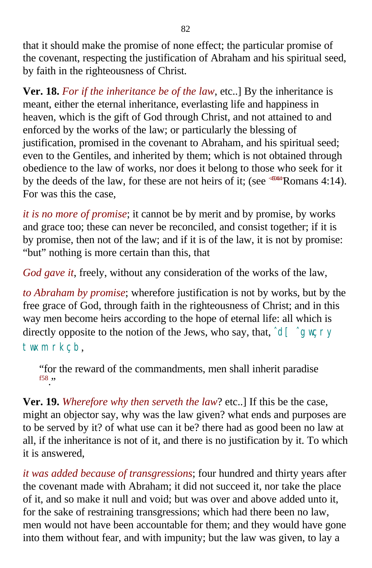that it should make the promise of none effect; the particular promise of the covenant, respecting the justification of Abraham and his spiritual seed, by faith in the righteousness of Christ.

**Ver. 18.** *For if the inheritance be of the law*, etc..] By the inheritance is meant, either the eternal inheritance, everlasting life and happiness in heaven, which is the gift of God through Christ, and not attained to and enforced by the works of the law; or particularly the blessing of justification, promised in the covenant to Abraham, and his spiritual seed; even to the Gentiles, and inherited by them; which is not obtained through obedience to the law of works, nor does it belong to those who seek for it by the deeds of the law, for these are not heirs of it; (see  $\triangleleft 5044}$ Romans 4:14). For was this the case,

*it is no more of promise*; it cannot be by merit and by promise, by works and grace too; these can never be reconciled, and consist together; if it is by promise, then not of the law; and if it is of the law, it is not by promise: "but" nothing is more certain than this, that

*God gave it*, freely, without any consideration of the works of the law,

*to Abraham by promise*; wherefore justification is not by works, but by the free grace of God, through faith in the righteousness of Christ; and in this way men become heirs according to the hope of eternal life: all which is directly opposite to the notion of the Jews, who say, that,  $\partial \int \hat{g}$  wcry twxm rkçb,

"for the reward of the commandments, men shall inherit paradise [f58](#page-184-0) $,$ 

**Ver. 19.** *Wherefore why then serveth the law*? etc..] If this be the case, might an objector say, why was the law given? what ends and purposes are to be served by it? of what use can it be? there had as good been no law at all, if the inheritance is not of it, and there is no justification by it. To which it is answered,

*it was added because of transgressions*; four hundred and thirty years after the covenant made with Abraham; it did not succeed it, nor take the place of it, and so make it null and void; but was over and above added unto it, for the sake of restraining transgressions; which had there been no law, men would not have been accountable for them; and they would have gone into them without fear, and with impunity; but the law was given, to lay a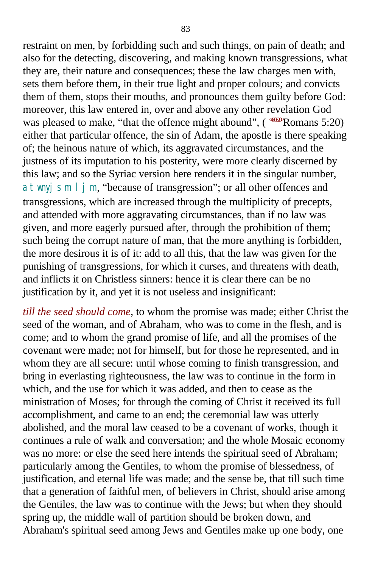restraint on men, by forbidding such and such things, on pain of death; and also for the detecting, discovering, and making known transgressions, what they are, their nature and consequences; these the law charges men with, sets them before them, in their true light and proper colours; and convicts them of them, stops their mouths, and pronounces them guilty before God: moreover, this law entered in, over and above any other revelation God was pleased to make, "that the offence might abound",  $(\sqrt{4500}$ Romans 5:20) either that particular offence, the sin of Adam, the apostle is there speaking of; the heinous nature of which, its aggravated circumstances, and the justness of its imputation to his posterity, were more clearly discerned by this law; and so the Syriac version here renders it in the singular number, atwnyj sm I j m, "because of transgression"; or all other offences and transgressions, which are increased through the multiplicity of precepts, and attended with more aggravating circumstances, than if no law was given, and more eagerly pursued after, through the prohibition of them; such being the corrupt nature of man, that the more anything is forbidden, the more desirous it is of it: add to all this, that the law was given for the punishing of transgressions, for which it curses, and threatens with death, and inflicts it on Christless sinners: hence it is clear there can be no justification by it, and yet it is not useless and insignificant:

*till the seed should come*, to whom the promise was made; either Christ the seed of the woman, and of Abraham, who was to come in the flesh, and is come; and to whom the grand promise of life, and all the promises of the covenant were made; not for himself, but for those he represented, and in whom they are all secure: until whose coming to finish transgression, and bring in everlasting righteousness, the law was to continue in the form in which, and the use for which it was added, and then to cease as the ministration of Moses; for through the coming of Christ it received its full accomplishment, and came to an end; the ceremonial law was utterly abolished, and the moral law ceased to be a covenant of works, though it continues a rule of walk and conversation; and the whole Mosaic economy was no more: or else the seed here intends the spiritual seed of Abraham; particularly among the Gentiles, to whom the promise of blessedness, of justification, and eternal life was made; and the sense be, that till such time that a generation of faithful men, of believers in Christ, should arise among the Gentiles, the law was to continue with the Jews; but when they should spring up, the middle wall of partition should be broken down, and Abraham's spiritual seed among Jews and Gentiles make up one body, one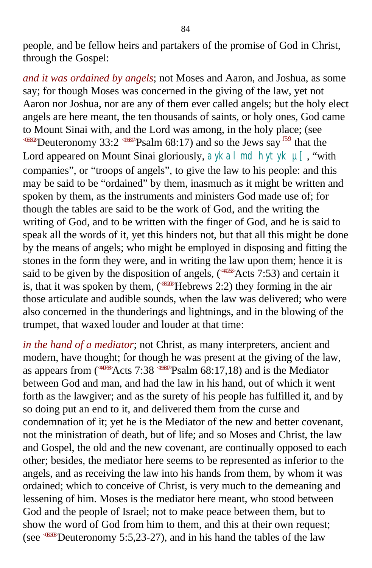people, and be fellow heirs and partakers of the promise of God in Christ, through the Gospel:

*and it was ordained by angels*; not Moses and Aaron, and Joshua, as some say; for though Moses was concerned in the giving of the law, yet not Aaron nor Joshua, nor are any of them ever called angels; but the holy elect angels are here meant, the ten thousands of saints, or holy ones, God came to Mount Sinai with, and the Lord was among, in the holy place; (see  $\sqrt{6532}$ Deuteronomy 33:2  $\sqrt{6532}$ Psalm 68:17) and so the Jews say f<sup>59</sup> that the Lord appeared on Mount Sinai gloriously, aykal md hytyk  $\mu$ , "with" companies", or "troops of angels", to give the law to his people: and this may be said to be "ordained" by them, inasmuch as it might be written and spoken by them, as the instruments and ministers God made use of; for though the tables are said to be the work of God, and the writing the writing of God, and to be written with the finger of God, and he is said to speak all the words of it, yet this hinders not, but that all this might be done by the means of angels; who might be employed in disposing and fitting the stones in the form they were, and in writing the law upon them; hence it is said to be given by the disposition of angels,  $(4405)$ Acts 7:53) and certain it is, that it was spoken by them,  $(\sqrt{800})$ Hebrews 2:2) they forming in the air those articulate and audible sounds, when the law was delivered; who were also concerned in the thunderings and lightnings, and in the blowing of the trumpet, that waxed louder and louder at that time:

*in the hand of a mediator*; not Christ, as many interpreters, ancient and modern, have thought; for though he was present at the giving of the law, as appears from ( $4078$ <sup>Acts 7:38</sub>  $408$ <sup>*DBI*</sup> $P$ Salm 68:17,18) and is the Mediator</sup> between God and man, and had the law in his hand, out of which it went forth as the lawgiver; and as the surety of his people has fulfilled it, and by so doing put an end to it, and delivered them from the curse and condemnation of it; yet he is the Mediator of the new and better covenant, not the ministration of death, but of life; and so Moses and Christ, the law and Gospel, the old and the new covenant, are continually opposed to each other; besides, the mediator here seems to be represented as inferior to the angels, and as receiving the law into his hands from them, by whom it was ordained; which to conceive of Christ, is very much to the demeaning and lessening of him. Moses is the mediator here meant, who stood between God and the people of Israel; not to make peace between them, but to show the word of God from him to them, and this at their own request; (see  $\frac{4885}{6}$ Deuteronomy 5:5,23-27), and in his hand the tables of the law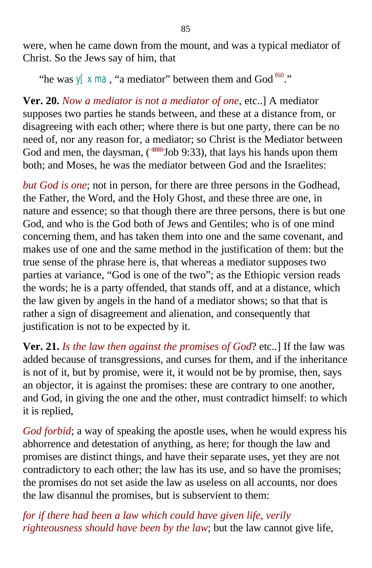were, when he came down from the mount, and was a typical mediator of Christ. So the Jews say of him, that

"he was y[ $x$ ma, "a mediator" between them and God<sup>f60</sup>."

**Ver. 20.** *Now a mediator is not a mediator of one*, etc..] A mediator supposes two parties he stands between, and these at a distance from, or disagreeing with each other; where there is but one party, there can be no need of, nor any reason for, a mediator; so Christ is the Mediator between God and men, the daysman,  $(\sqrt{18008})$  Job 9:33), that lays his hands upon them both; and Moses, he was the mediator between God and the Israelites:

*but God is one*; not in person, for there are three persons in the Godhead, the Father, the Word, and the Holy Ghost, and these three are one, in nature and essence; so that though there are three persons, there is but one God, and who is the God both of Jews and Gentiles; who is of one mind concerning them, and has taken them into one and the same covenant, and makes use of one and the same method in the justification of them: but the true sense of the phrase here is, that whereas a mediator supposes two parties at variance, "God is one of the two"; as the Ethiopic version reads the words; he is a party offended, that stands off, and at a distance, which the law given by angels in the hand of a mediator shows; so that that is rather a sign of disagreement and alienation, and consequently that justification is not to be expected by it.

**Ver. 21.** *Is the law then against the promises of God*? etc..] If the law was added because of transgressions, and curses for them, and if the inheritance is not of it, but by promise, were it, it would not be by promise, then, says an objector, it is against the promises: these are contrary to one another, and God, in giving the one and the other, must contradict himself: to which it is replied,

*God forbid*; a way of speaking the apostle uses, when he would express his abhorrence and detestation of anything, as here; for though the law and promises are distinct things, and have their separate uses, yet they are not contradictory to each other; the law has its use, and so have the promises; the promises do not set aside the law as useless on all accounts, nor does the law disannul the promises, but is subservient to them:

*for if there had been a law which could have given life, verily righteousness should have been by the law*; but the law cannot give life,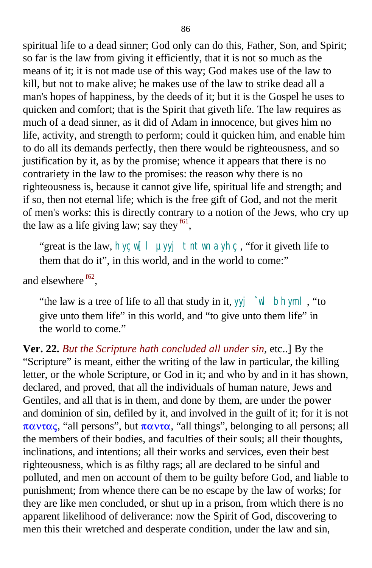spiritual life to a dead sinner; God only can do this, Father, Son, and Spirit; so far is the law from giving it efficiently, that it is not so much as the means of it; it is not made use of this way; God makes use of the law to kill, but not to make alive; he makes use of the law to strike dead all a man's hopes of happiness, by the deeds of it; but it is the Gospel he uses to quicken and comfort; that is the Spirit that giveth life. The law requires as much of a dead sinner, as it did of Adam in innocence, but gives him no life, activity, and strength to perform; could it quicken him, and enable him to do all its demands perfectly, then there would be righteousness, and so justification by it, as by the promise; whence it appears that there is no contrariety in the law to the promises: the reason why there is no righteousness is, because it cannot give life, spiritual life and strength; and if so, then not eternal life; which is the free gift of God, and not the merit of men's works: this is directly contrary to a notion of the Jews, who cry up the law as a life giving law; say they  $<sup>61</sup>$ ,</sup>

"great is the law, hyçw[l µyyj tntwn ayhç, "for it giveth life to them that do it", in this world, and in the world to come:"

and elsewhere <sup>f62</sup>,

"the law is a tree of life to all that study in it, yyj ˆwl bhyml, "to give unto them life" in this world, and "to give unto them life" in the world to come."

**Ver. 22.** *But the Scripture hath concluded all under sin*, etc..] By the "Scripture" is meant, either the writing of the law in particular, the killing letter, or the whole Scripture, or God in it; and who by and in it has shown, declared, and proved, that all the individuals of human nature, Jews and Gentiles, and all that is in them, and done by them, are under the power and dominion of sin, defiled by it, and involved in the guilt of it; for it is not  $\pi \alpha \nu \tau \alpha \varsigma$ , "all persons", but  $\pi \alpha \nu \tau \alpha$ , "all things", belonging to all persons; all the members of their bodies, and faculties of their souls; all their thoughts, inclinations, and intentions; all their works and services, even their best righteousness, which is as filthy rags; all are declared to be sinful and polluted, and men on account of them to be guilty before God, and liable to punishment; from whence there can be no escape by the law of works; for they are like men concluded, or shut up in a prison, from which there is no apparent likelihood of deliverance: now the Spirit of God, discovering to men this their wretched and desperate condition, under the law and sin,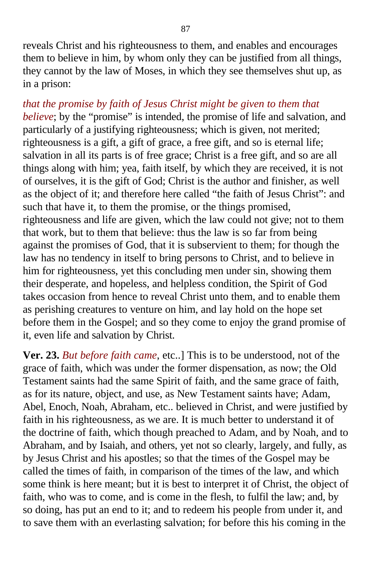reveals Christ and his righteousness to them, and enables and encourages them to believe in him, by whom only they can be justified from all things, they cannot by the law of Moses, in which they see themselves shut up, as in a prison:

*that the promise by faith of Jesus Christ might be given to them that believe*; by the "promise" is intended, the promise of life and salvation, and particularly of a justifying righteousness; which is given, not merited; righteousness is a gift, a gift of grace, a free gift, and so is eternal life; salvation in all its parts is of free grace; Christ is a free gift, and so are all things along with him; yea, faith itself, by which they are received, it is not of ourselves, it is the gift of God; Christ is the author and finisher, as well as the object of it; and therefore here called "the faith of Jesus Christ": and such that have it, to them the promise, or the things promised, righteousness and life are given, which the law could not give; not to them that work, but to them that believe: thus the law is so far from being against the promises of God, that it is subservient to them; for though the law has no tendency in itself to bring persons to Christ, and to believe in him for righteousness, yet this concluding men under sin, showing them their desperate, and hopeless, and helpless condition, the Spirit of God takes occasion from hence to reveal Christ unto them, and to enable them as perishing creatures to venture on him, and lay hold on the hope set before them in the Gospel; and so they come to enjoy the grand promise of it, even life and salvation by Christ.

**Ver. 23.** *But before faith came*, etc..] This is to be understood, not of the grace of faith, which was under the former dispensation, as now; the Old Testament saints had the same Spirit of faith, and the same grace of faith, as for its nature, object, and use, as New Testament saints have; Adam, Abel, Enoch, Noah, Abraham, etc.. believed in Christ, and were justified by faith in his righteousness, as we are. It is much better to understand it of the doctrine of faith, which though preached to Adam, and by Noah, and to Abraham, and by Isaiah, and others, yet not so clearly, largely, and fully, as by Jesus Christ and his apostles; so that the times of the Gospel may be called the times of faith, in comparison of the times of the law, and which some think is here meant; but it is best to interpret it of Christ, the object of faith, who was to come, and is come in the flesh, to fulfil the law; and, by so doing, has put an end to it; and to redeem his people from under it, and to save them with an everlasting salvation; for before this his coming in the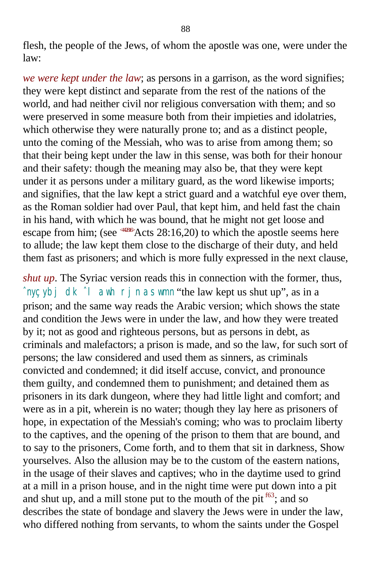flesh, the people of the Jews, of whom the apostle was one, were under the law:

*we were kept under the law*; as persons in a garrison, as the word signifies; they were kept distinct and separate from the rest of the nations of the world, and had neither civil nor religious conversation with them; and so were preserved in some measure both from their impieties and idolatries, which otherwise they were naturally prone to; and as a distinct people, unto the coming of the Messiah, who was to arise from among them; so that their being kept under the law in this sense, was both for their honour and their safety: though the meaning may also be, that they were kept under it as persons under a military guard, as the word likewise imports; and signifies, that the law kept a strict guard and a watchful eye over them, as the Roman soldier had over Paul, that kept him, and held fast the chain in his hand, with which he was bound, that he might not get loose and escape from him; (see  $4866$ Acts 28:16,20) to which the apostle seems here to allude; the law kept them close to the discharge of their duty, and held them fast as prisoners; and which is more fully expressed in the next clause,

*shut up*. The Syriac version reads this in connection with the former, thus, ˆnyçybj dk ˆl awh rjn aswmn "the law kept us shut up", as in a prison; and the same way reads the Arabic version; which shows the state and condition the Jews were in under the law, and how they were treated by it; not as good and righteous persons, but as persons in debt, as criminals and malefactors; a prison is made, and so the law, for such sort of persons; the law considered and used them as sinners, as criminals convicted and condemned; it did itself accuse, convict, and pronounce them guilty, and condemned them to punishment; and detained them as prisoners in its dark dungeon, where they had little light and comfort; and were as in a pit, wherein is no water; though they lay here as prisoners of hope, in expectation of the Messiah's coming; who was to proclaim liberty to the captives, and the opening of the prison to them that are bound, and to say to the prisoners, Come forth, and to them that sit in darkness, Show yourselves. Also the allusion may be to the custom of the eastern nations, in the usage of their slaves and captives; who in the daytime used to grind at a mill in a prison house, and in the night time were put down into a pit and shut up, and a mill stone put to the mouth of the pit<sup>f63</sup>; and so describes the state of bondage and slavery the Jews were in under the law, who differed nothing from servants, to whom the saints under the Gospel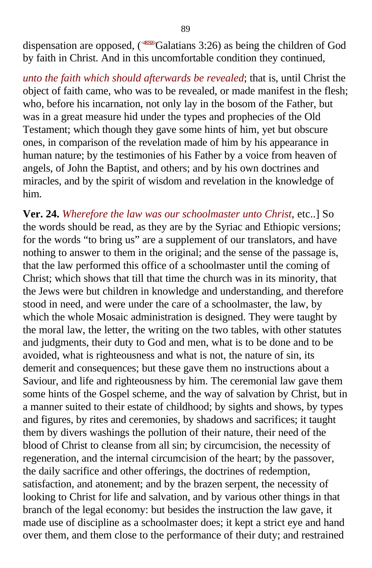dispensation are opposed,  $(*\mathbb{R}^3Galatians 3:26)$  as being the children of God by faith in Christ. And in this uncomfortable condition they continued,

*unto the faith which should afterwards be revealed*; that is, until Christ the object of faith came, who was to be revealed, or made manifest in the flesh; who, before his incarnation, not only lay in the bosom of the Father, but was in a great measure hid under the types and prophecies of the Old Testament; which though they gave some hints of him, yet but obscure ones, in comparison of the revelation made of him by his appearance in human nature; by the testimonies of his Father by a voice from heaven of angels, of John the Baptist, and others; and by his own doctrines and miracles, and by the spirit of wisdom and revelation in the knowledge of him.

**Ver. 24.** *Wherefore the law was our schoolmaster unto Christ*, etc..] So the words should be read, as they are by the Syriac and Ethiopic versions; for the words "to bring us" are a supplement of our translators, and have nothing to answer to them in the original; and the sense of the passage is, that the law performed this office of a schoolmaster until the coming of Christ; which shows that till that time the church was in its minority, that the Jews were but children in knowledge and understanding, and therefore stood in need, and were under the care of a schoolmaster, the law, by which the whole Mosaic administration is designed. They were taught by the moral law, the letter, the writing on the two tables, with other statutes and judgments, their duty to God and men, what is to be done and to be avoided, what is righteousness and what is not, the nature of sin, its demerit and consequences; but these gave them no instructions about a Saviour, and life and righteousness by him. The ceremonial law gave them some hints of the Gospel scheme, and the way of salvation by Christ, but in a manner suited to their estate of childhood; by sights and shows, by types and figures, by rites and ceremonies, by shadows and sacrifices; it taught them by divers washings the pollution of their nature, their need of the blood of Christ to cleanse from all sin; by circumcision, the necessity of regeneration, and the internal circumcision of the heart; by the passover, the daily sacrifice and other offerings, the doctrines of redemption, satisfaction, and atonement; and by the brazen serpent, the necessity of looking to Christ for life and salvation, and by various other things in that branch of the legal economy: but besides the instruction the law gave, it made use of discipline as a schoolmaster does; it kept a strict eye and hand over them, and them close to the performance of their duty; and restrained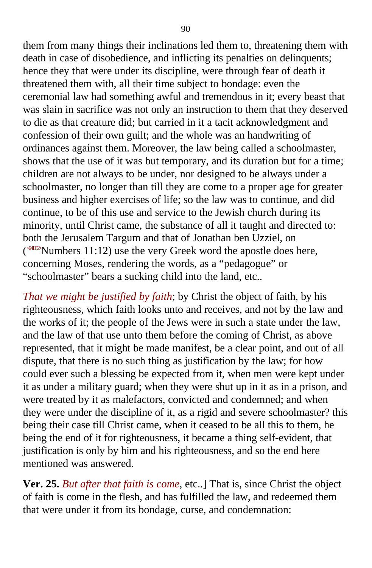them from many things their inclinations led them to, threatening them with death in case of disobedience, and inflicting its penalties on delinquents; hence they that were under its discipline, were through fear of death it threatened them with, all their time subject to bondage: even the ceremonial law had something awful and tremendous in it; every beast that was slain in sacrifice was not only an instruction to them that they deserved to die as that creature did; but carried in it a tacit acknowledgment and confession of their own guilt; and the whole was an handwriting of ordinances against them. Moreover, the law being called a schoolmaster, shows that the use of it was but temporary, and its duration but for a time; children are not always to be under, nor designed to be always under a schoolmaster, no longer than till they are come to a proper age for greater business and higher exercises of life; so the law was to continue, and did continue, to be of this use and service to the Jewish church during its minority, until Christ came, the substance of all it taught and directed to: both the Jerusalem Targum and that of Jonathan ben Uzziel, on  $($ <sup>- $\text{4III}$ </sup> Numbers 11:12) use the very Greek word the apostle does here, concerning Moses, rendering the words, as a "pedagogue" or "schoolmaster" bears a sucking child into the land, etc..

*That we might be justified by faith*; by Christ the object of faith, by his righteousness, which faith looks unto and receives, and not by the law and the works of it; the people of the Jews were in such a state under the law, and the law of that use unto them before the coming of Christ, as above represented, that it might be made manifest, be a clear point, and out of all dispute, that there is no such thing as justification by the law; for how could ever such a blessing be expected from it, when men were kept under it as under a military guard; when they were shut up in it as in a prison, and were treated by it as malefactors, convicted and condemned; and when they were under the discipline of it, as a rigid and severe schoolmaster? this being their case till Christ came, when it ceased to be all this to them, he being the end of it for righteousness, it became a thing self-evident, that justification is only by him and his righteousness, and so the end here mentioned was answered.

**Ver. 25.** *But after that faith is come*, etc..] That is, since Christ the object of faith is come in the flesh, and has fulfilled the law, and redeemed them that were under it from its bondage, curse, and condemnation: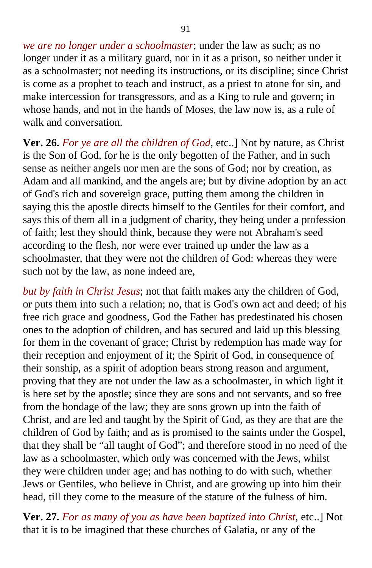*we are no longer under a schoolmaster*; under the law as such; as no longer under it as a military guard, nor in it as a prison, so neither under it as a schoolmaster; not needing its instructions, or its discipline; since Christ is come as a prophet to teach and instruct, as a priest to atone for sin, and make intercession for transgressors, and as a King to rule and govern; in whose hands, and not in the hands of Moses, the law now is, as a rule of walk and conversation.

**Ver. 26.** *For ye are all the children of God*, etc..] Not by nature, as Christ is the Son of God, for he is the only begotten of the Father, and in such sense as neither angels nor men are the sons of God; nor by creation, as Adam and all mankind, and the angels are; but by divine adoption by an act of God's rich and sovereign grace, putting them among the children in saying this the apostle directs himself to the Gentiles for their comfort, and says this of them all in a judgment of charity, they being under a profession of faith; lest they should think, because they were not Abraham's seed according to the flesh, nor were ever trained up under the law as a schoolmaster, that they were not the children of God: whereas they were such not by the law, as none indeed are,

*but by faith in Christ Jesus*; not that faith makes any the children of God, or puts them into such a relation; no, that is God's own act and deed; of his free rich grace and goodness, God the Father has predestinated his chosen ones to the adoption of children, and has secured and laid up this blessing for them in the covenant of grace; Christ by redemption has made way for their reception and enjoyment of it; the Spirit of God, in consequence of their sonship, as a spirit of adoption bears strong reason and argument, proving that they are not under the law as a schoolmaster, in which light it is here set by the apostle; since they are sons and not servants, and so free from the bondage of the law; they are sons grown up into the faith of Christ, and are led and taught by the Spirit of God, as they are that are the children of God by faith; and as is promised to the saints under the Gospel, that they shall be "all taught of God"; and therefore stood in no need of the law as a schoolmaster, which only was concerned with the Jews, whilst they were children under age; and has nothing to do with such, whether Jews or Gentiles, who believe in Christ, and are growing up into him their head, till they come to the measure of the stature of the fulness of him.

**Ver. 27.** *For as many of you as have been baptized into Christ*, etc..] Not that it is to be imagined that these churches of Galatia, or any of the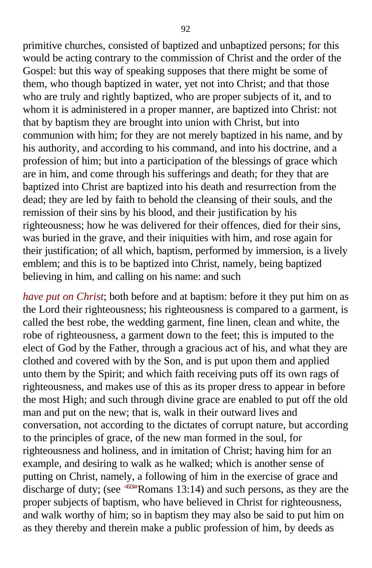primitive churches, consisted of baptized and unbaptized persons; for this would be acting contrary to the commission of Christ and the order of the Gospel: but this way of speaking supposes that there might be some of them, who though baptized in water, yet not into Christ; and that those who are truly and rightly baptized, who are proper subjects of it, and to whom it is administered in a proper manner, are baptized into Christ: not that by baptism they are brought into union with Christ, but into communion with him; for they are not merely baptized in his name, and by his authority, and according to his command, and into his doctrine, and a profession of him; but into a participation of the blessings of grace which are in him, and come through his sufferings and death; for they that are baptized into Christ are baptized into his death and resurrection from the dead; they are led by faith to behold the cleansing of their souls, and the remission of their sins by his blood, and their justification by his righteousness; how he was delivered for their offences, died for their sins, was buried in the grave, and their iniquities with him, and rose again for their justification; of all which, baptism, performed by immersion, is a lively emblem; and this is to be baptized into Christ, namely, being baptized believing in him, and calling on his name: and such

*have put on Christ*; both before and at baptism: before it they put him on as the Lord their righteousness; his righteousness is compared to a garment, is called the best robe, the wedding garment, fine linen, clean and white, the robe of righteousness, a garment down to the feet; this is imputed to the elect of God by the Father, through a gracious act of his, and what they are clothed and covered with by the Son, and is put upon them and applied unto them by the Spirit; and which faith receiving puts off its own rags of righteousness, and makes use of this as its proper dress to appear in before the most High; and such through divine grace are enabled to put off the old man and put on the new; that is, walk in their outward lives and conversation, not according to the dictates of corrupt nature, but according to the principles of grace, of the new man formed in the soul, for righteousness and holiness, and in imitation of Christ; having him for an example, and desiring to walk as he walked; which is another sense of putting on Christ, namely, a following of him in the exercise of grace and discharge of duty; (see  $\triangleleft$ B<sup>46</sup>Romans 13:14) and such persons, as they are the proper subjects of baptism, who have believed in Christ for righteousness, and walk worthy of him; so in baptism they may also be said to put him on as they thereby and therein make a public profession of him, by deeds as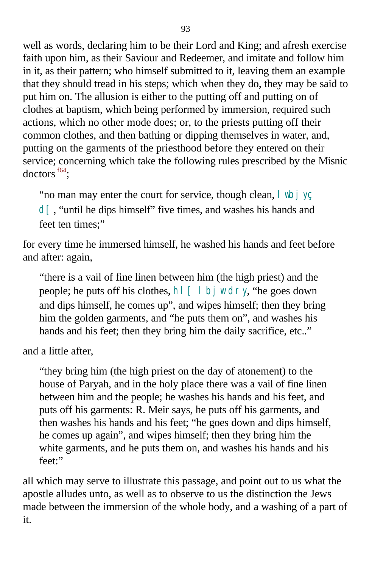well as words, declaring him to be their Lord and King; and afresh exercise faith upon him, as their Saviour and Redeemer, and imitate and follow him in it, as their pattern; who himself submitted to it, leaving them an example that they should tread in his steps; which when they do, they may be said to put him on. The allusion is either to the putting off and putting on of clothes at baptism, which being performed by immersion, required such actions, which no other mode does; or, to the priests putting off their common clothes, and then bathing or dipping themselves in water, and, putting on the garments of the priesthood before they entered on their service; concerning which take the following rules prescribed by the Misnic doctors<sup>f64</sup>;

"no man may enter the court for service, though clean, I wbj yc d[, "until he dips himself" five times, and washes his hands and feet ten times;"

for every time he immersed himself, he washed his hands and feet before and after: again,

"there is a vail of fine linen between him (the high priest) and the people; he puts off his clothes, h  $\lceil \cdot \rceil$  bj w dry, "he goes down and dips himself, he comes up", and wipes himself; then they bring him the golden garments, and "he puts them on", and washes his hands and his feet; then they bring him the daily sacrifice, etc.."

and a little after,

"they bring him (the high priest on the day of atonement) to the house of Paryah, and in the holy place there was a vail of fine linen between him and the people; he washes his hands and his feet, and puts off his garments: R. Meir says, he puts off his garments, and then washes his hands and his feet; "he goes down and dips himself, he comes up again", and wipes himself; then they bring him the white garments, and he puts them on, and washes his hands and his feet:"

all which may serve to illustrate this passage, and point out to us what the apostle alludes unto, as well as to observe to us the distinction the Jews made between the immersion of the whole body, and a washing of a part of it.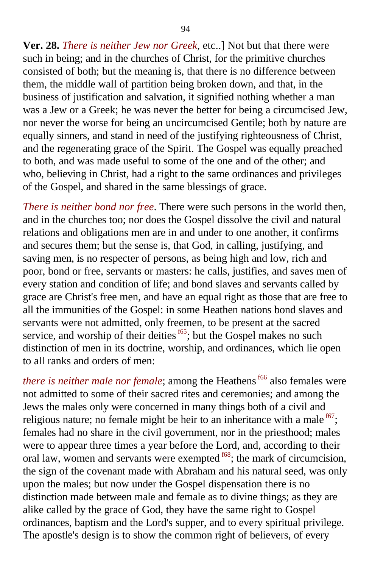**Ver. 28.** *There is neither Jew nor Greek*, etc..] Not but that there were such in being; and in the churches of Christ, for the primitive churches consisted of both; but the meaning is, that there is no difference between them, the middle wall of partition being broken down, and that, in the business of justification and salvation, it signified nothing whether a man was a Jew or a Greek; he was never the better for being a circumcised Jew, nor never the worse for being an uncircumcised Gentile; both by nature are equally sinners, and stand in need of the justifying righteousness of Christ, and the regenerating grace of the Spirit. The Gospel was equally preached to both, and was made useful to some of the one and of the other; and who, believing in Christ, had a right to the same ordinances and privileges of the Gospel, and shared in the same blessings of grace.

*There is neither bond nor free*. There were such persons in the world then, and in the churches too; nor does the Gospel dissolve the civil and natural relations and obligations men are in and under to one another, it confirms and secures them; but the sense is, that God, in calling, justifying, and saving men, is no respecter of persons, as being high and low, rich and poor, bond or free, servants or masters: he calls, justifies, and saves men of every station and condition of life; and bond slaves and servants called by grace are Christ's free men, and have an equal right as those that are free to all the immunities of the Gospel: in some Heathen nations bond slaves and servants were not admitted, only freemen, to be present at the sacred service, and worship of their deities  $<sup>65</sup>$ ; but the Gospel makes no such</sup> distinction of men in its doctrine, worship, and ordinances, which lie open to all ranks and orders of men:

*there is neither male nor female*; among the Heathens<sup>f66</sup> also females were not admitted to some of their sacred rites and ceremonies; and among the Jews the males only were concerned in many things both of a civil and religious nature; no female might be heir to an inheritance with a male <sup>f67</sup>; females had no share in the civil government, nor in the priesthood; males were to appear three times a year before the Lord, and, according to their oral law, women and servants were exempted <sup>f68</sup>; the mark of circumcision, the sign of the covenant made with Abraham and his natural seed, was only upon the males; but now under the Gospel dispensation there is no distinction made between male and female as to divine things; as they are alike called by the grace of God, they have the same right to Gospel ordinances, baptism and the Lord's supper, and to every spiritual privilege. The apostle's design is to show the common right of believers, of every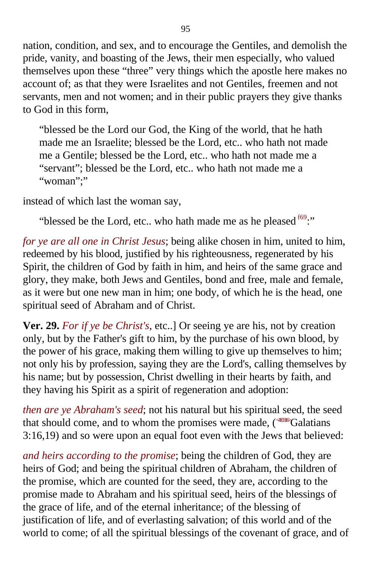nation, condition, and sex, and to encourage the Gentiles, and demolish the pride, vanity, and boasting of the Jews, their men especially, who valued themselves upon these "three" very things which the apostle here makes no account of; as that they were Israelites and not Gentiles, freemen and not servants, men and not women; and in their public prayers they give thanks to God in this form,

"blessed be the Lord our God, the King of the world, that he hath made me an Israelite; blessed be the Lord, etc.. who hath not made me a Gentile; blessed be the Lord, etc.. who hath not made me a "servant"; blessed be the Lord, etc.. who hath not made me a "woman":"

instead of which last the woman say,

"blessed be the Lord, etc.. who hath made me as he pleased  $f^{69}$ :"

*for ye are all one in Christ Jesus*; being alike chosen in him, united to him, redeemed by his blood, justified by his righteousness, regenerated by his Spirit, the children of God by faith in him, and heirs of the same grace and glory, they make, both Jews and Gentiles, bond and free, male and female, as it were but one new man in him; one body, of which he is the head, one spiritual seed of Abraham and of Christ.

**Ver. 29.** *For if ye be Christ's*, etc..] Or seeing ye are his, not by creation only, but by the Father's gift to him, by the purchase of his own blood, by the power of his grace, making them willing to give up themselves to him; not only his by profession, saying they are the Lord's, calling themselves by his name; but by possession, Christ dwelling in their hearts by faith, and they having his Spirit as a spirit of regeneration and adoption:

*then are ye Abraham's seed*; not his natural but his spiritual seed, the seed that should come, and to whom the promises were made,  $(\sqrt{4806} \text{Galatians})$ 3:16,19) and so were upon an equal foot even with the Jews that believed:

*and heirs according to the promise*; being the children of God, they are heirs of God; and being the spiritual children of Abraham, the children of the promise, which are counted for the seed, they are, according to the promise made to Abraham and his spiritual seed, heirs of the blessings of the grace of life, and of the eternal inheritance; of the blessing of justification of life, and of everlasting salvation; of this world and of the world to come; of all the spiritual blessings of the covenant of grace, and of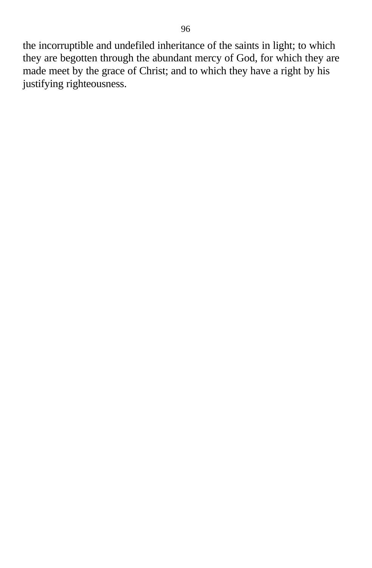the incorruptible and undefiled inheritance of the saints in light; to which they are begotten through the abundant mercy of God, for which they are made meet by the grace of Christ; and to which they have a right by his justifying righteousness.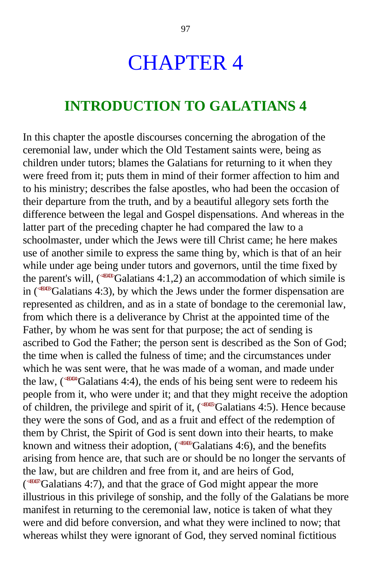## CHAPTER 4

## **INTRODUCTION TO GALATIANS 4**

In this chapter the apostle discourses concerning the abrogation of the ceremonial law, under which the Old Testament saints were, being as children under tutors; blames the Galatians for returning to it when they were freed from it; puts them in mind of their former affection to him and to his ministry; describes the false apostles, who had been the occasion of their departure from the truth, and by a beautiful allegory sets forth the difference between the legal and Gospel dispensations. And whereas in the latter part of the preceding chapter he had compared the law to a schoolmaster, under which the Jews were till Christ came; he here makes use of another simile to express the same thing by, which is that of an heir while under age being under tutors and governors, until the time fixed by the parent's will,  $(*<sup>800</sup>Galatians 4:1,2)$  an accommodation of which simile is in  $(^{4800}$ Galatians 4:3), by which the Jews under the former dispensation are represented as children, and as in a state of bondage to the ceremonial law, from which there is a deliverance by Christ at the appointed time of the Father, by whom he was sent for that purpose; the act of sending is ascribed to God the Father; the person sent is described as the Son of God; the time when is called the fulness of time; and the circumstances under which he was sent were, that he was made of a woman, and made under the law,  $(\sqrt{800+}\text{Galatians } 4:4)$ , the ends of his being sent were to redeem his people from it, who were under it; and that they might receive the adoption of children, the privilege and spirit of it,  $(4006)$ Galatians 4:5). Hence because they were the sons of God, and as a fruit and effect of the redemption of them by Christ, the Spirit of God is sent down into their hearts, to make known and witness their adoption,  $(\sqrt{4046} \text{Galatians } 4:6)$ , and the benefits arising from hence are, that such are or should be no longer the servants of the law, but are children and free from it, and are heirs of God,  $(\sqrt[4800]{\text{Galatians}}\, 4:7)$ , and that the grace of God might appear the more illustrious in this privilege of sonship, and the folly of the Galatians be more manifest in returning to the ceremonial law, notice is taken of what they were and did before conversion, and what they were inclined to now; that whereas whilst they were ignorant of God, they served nominal fictitious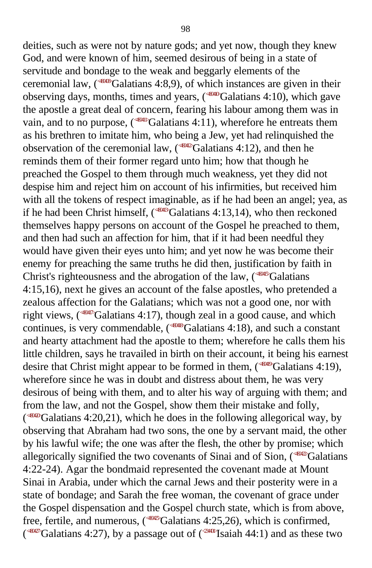deities, such as were not by nature gods; and yet now, though they knew God, and were known of him, seemed desirous of being in a state of servitude and bondage to the weak and beggarly elements of the ceremonial law,  $(\sqrt{4808} \text{Galatians } 4:8,9)$ , of which instances are given in their observing days, months, times and years,  $(\sqrt{800} \text{Galatians } 4:10)$ , which gave the apostle a great deal of concern, fearing his labour among them was in vain, and to no purpose,  $(\sqrt{ABH}Gala$ datians 4:11), wherefore he entreats them as his brethren to imitate him, who being a Jew, yet had relinquished the observation of the ceremonial law,  $(\sqrt{480\mu}Ga)$  at the head then head then head then head then head then head then head then head then head then head then head then head then head then head then head then head then head reminds them of their former regard unto him; how that though he preached the Gospel to them through much weakness, yet they did not despise him and reject him on account of his infirmities, but received him with all the tokens of respect imaginable, as if he had been an angel; yea, as if he had been Christ himself,  $(\sqrt[4015]{\text{Galatians}}} 4:13,14)$ , who then reckoned themselves happy persons on account of the Gospel he preached to them, and then had such an affection for him, that if it had been needful they would have given their eyes unto him; and yet now he was become their enemy for preaching the same truths he did then, justification by faith in Christ's righteousness and the abrogation of the law,  $(\sqrt{18045})$ Galatians 4:15,16), next he gives an account of the false apostles, who pretended a zealous affection for the Galatians; which was not a good one, nor with right views,  $(\sqrt{48047} \text{Galatians } 4:17)$ , though zeal in a good cause, and which continues, is very commendable,  $(\sqrt{4848}Galatians 4:18)$ , and such a constant and hearty attachment had the apostle to them; wherefore he calls them his little children, says he travailed in birth on their account, it being his earnest desire that Christ might appear to be formed in them,  $(\sqrt{4849} \text{Galatians } 4:19)$ , wherefore since he was in doubt and distress about them, he was very desirous of being with them, and to alter his way of arguing with them; and from the law, and not the Gospel, show them their mistake and folly,  $(\sqrt[4020]{\text{Galatians}} 4:20,21)$ , which he does in the following allegorical way, by observing that Abraham had two sons, the one by a servant maid, the other by his lawful wife; the one was after the flesh, the other by promise; which allegorically signified the two covenants of Sinai and of Sion,  $(\triangle^{RPL}Galatians)$ 4:22-24). Agar the bondmaid represented the covenant made at Mount Sinai in Arabia, under which the carnal Jews and their posterity were in a state of bondage; and Sarah the free woman, the covenant of grace under the Gospel dispensation and the Gospel church state, which is from above, free, fertile, and numerous,  $(\sqrt[4025}Galatians 4:25,26)$ , which is confirmed, ( $\frac{4800}{2}$ Galatians 4:27), by a passage out of ( $\frac{440}{2}$ Isaiah 44:1) and as these two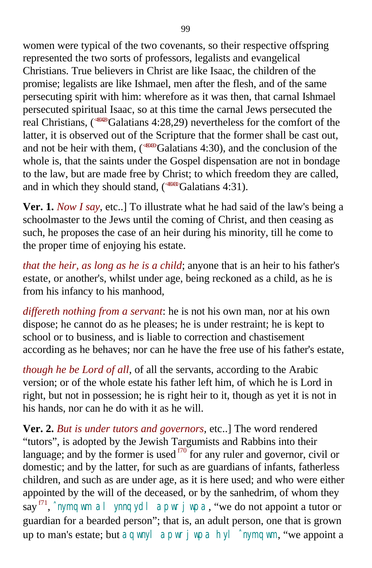women were typical of the two covenants, so their respective offspring represented the two sorts of professors, legalists and evangelical Christians. True believers in Christ are like Isaac, the children of the promise; legalists are like Ishmael, men after the flesh, and of the same persecuting spirit with him: wherefore as it was then, that carnal Ishmael persecuted spiritual Isaac, so at this time the carnal Jews persecuted the real Christians,  $($ <sup>4808</sup> $G$ alatians 4:28,29) nevertheless for the comfort of the latter, it is observed out of the Scripture that the former shall be cast out, and not be heir with them,  $(\sqrt{4040} \text{Galatians } 4:30)$ , and the conclusion of the whole is, that the saints under the Gospel dispensation are not in bondage to the law, but are made free by Christ; to which freedom they are called, and in which they should stand,  $(\sqrt{4804})$ Galatians 4:31).

**Ver. 1.** *Now I say*, etc..] To illustrate what he had said of the law's being a schoolmaster to the Jews until the coming of Christ, and then ceasing as such, he proposes the case of an heir during his minority, till he come to the proper time of enjoying his estate.

*that the heir, as long as he is a child*; anyone that is an heir to his father's estate, or another's, whilst under age, being reckoned as a child, as he is from his infancy to his manhood,

*differeth nothing from a servant*: he is not his own man, nor at his own dispose; he cannot do as he pleases; he is under restraint; he is kept to school or to business, and is liable to correction and chastisement according as he behaves; nor can he have the free use of his father's estate,

*though he be Lord of all*, of all the servants, according to the Arabic version; or of the whole estate his father left him, of which he is Lord in right, but not in possession; he is right heir to it, though as yet it is not in his hands, nor can he do with it as he will.

**Ver. 2.** *But is under tutors and governors*, etc..] The word rendered "tutors", is adopted by the Jewish Targumists and Rabbins into their language; and by the former is used  $f^{\prime\prime}$  for any ruler and governor, civil or domestic; and by the latter, for such as are guardians of infants, fatherless children, and such as are under age, as it is here used; and who were either appointed by the will of the deceased, or by the sanhedrim, of whom they say<sup>f71</sup>, ^nymqwm al ynnqydl apwrj wpa, "we do not appoint a tutor or guardian for a bearded person"; that is, an adult person, one that is grown up to man's estate; but aqwnyl apwr j wpa hyl ^nymqwm, "we appoint a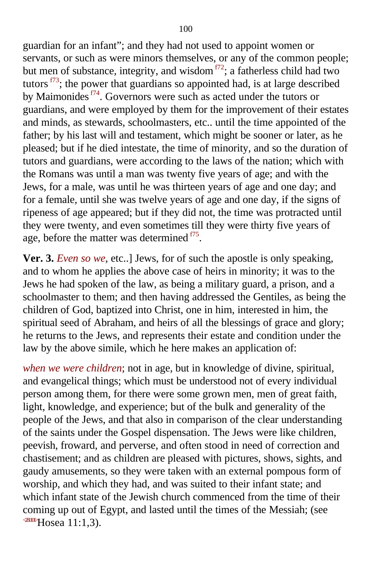guardian for an infant"; and they had not used to appoint women or servants, or such as were minors themselves, or any of the common people; but men of substance, integrity, and wisdom  $^{f72}$ ; a fatherless child had two tutors  $f^{73}$ ; the power that guardians so appointed had, is at large described by Maimonides <sup>f74</sup>. Governors were such as acted under the tutors or guardians, and were employed by them for the improvement of their estates and minds, as stewards, schoolmasters, etc.. until the time appointed of the father; by his last will and testament, which might be sooner or later, as he pleased; but if he died intestate, the time of minority, and so the duration of tutors and guardians, were according to the laws of the nation; which with the Romans was until a man was twenty five years of age; and with the Jews, for a male, was until he was thirteen years of age and one day; and for a female, until she was twelve years of age and one day, if the signs of ripeness of age appeared; but if they did not, the time was protracted until they were twenty, and even sometimes till they were thirty five years of age, before the matter was determined <sup>f75</sup>.

**Ver. 3.** *Even so we*, etc..] Jews, for of such the apostle is only speaking, and to whom he applies the above case of heirs in minority; it was to the Jews he had spoken of the law, as being a military guard, a prison, and a schoolmaster to them; and then having addressed the Gentiles, as being the children of God, baptized into Christ, one in him, interested in him, the spiritual seed of Abraham, and heirs of all the blessings of grace and glory; he returns to the Jews, and represents their estate and condition under the law by the above simile, which he here makes an application of:

*when we were children*; not in age, but in knowledge of divine, spiritual, and evangelical things; which must be understood not of every individual person among them, for there were some grown men, men of great faith, light, knowledge, and experience; but of the bulk and generality of the people of the Jews, and that also in comparison of the clear understanding of the saints under the Gospel dispensation. The Jews were like children, peevish, froward, and perverse, and often stood in need of correction and chastisement; and as children are pleased with pictures, shows, sights, and gaudy amusements, so they were taken with an external pompous form of worship, and which they had, and was suited to their infant state; and which infant state of the Jewish church commenced from the time of their coming up out of Egypt, and lasted until the times of the Messiah; (see  $\triangle$ <sup>2810b</sup>Hosea 11:1,3).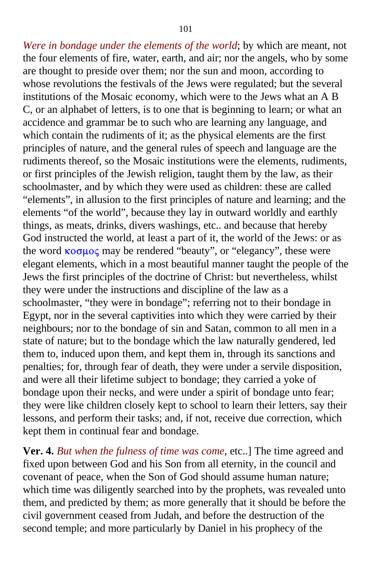*Were in bondage under the elements of the world*; by which are meant, not the four elements of fire, water, earth, and air; nor the angels, who by some are thought to preside over them; nor the sun and moon, according to whose revolutions the festivals of the Jews were regulated; but the several institutions of the Mosaic economy, which were to the Jews what an A B C, or an alphabet of letters, is to one that is beginning to learn; or what an accidence and grammar be to such who are learning any language, and which contain the rudiments of it; as the physical elements are the first principles of nature, and the general rules of speech and language are the rudiments thereof, so the Mosaic institutions were the elements, rudiments, or first principles of the Jewish religion, taught them by the law, as their schoolmaster, and by which they were used as children: these are called "elements", in allusion to the first principles of nature and learning; and the elements "of the world", because they lay in outward worldly and earthly things, as meats, drinks, divers washings, etc.. and because that hereby God instructed the world, at least a part of it, the world of the Jews: or as the word  $\kappa$ o $\sigma \mu$ o $\varsigma$  may be rendered "beauty", or "elegancy", these were elegant elements, which in a most beautiful manner taught the people of the Jews the first principles of the doctrine of Christ: but nevertheless, whilst they were under the instructions and discipline of the law as a schoolmaster, "they were in bondage"; referring not to their bondage in Egypt, nor in the several captivities into which they were carried by their neighbours; nor to the bondage of sin and Satan, common to all men in a state of nature; but to the bondage which the law naturally gendered, led them to, induced upon them, and kept them in, through its sanctions and penalties; for, through fear of death, they were under a servile disposition, and were all their lifetime subject to bondage; they carried a yoke of bondage upon their necks, and were under a spirit of bondage unto fear; they were like children closely kept to school to learn their letters, say their lessons, and perform their tasks; and, if not, receive due correction, which kept them in continual fear and bondage.

**Ver. 4.** *But when the fulness of time was come*, etc..] The time agreed and fixed upon between God and his Son from all eternity, in the council and covenant of peace, when the Son of God should assume human nature; which time was diligently searched into by the prophets, was revealed unto them, and predicted by them; as more generally that it should be before the civil government ceased from Judah, and before the destruction of the second temple; and more particularly by Daniel in his prophecy of the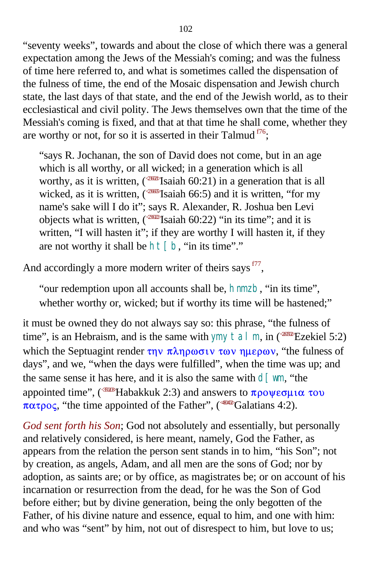"seventy weeks", towards and about the close of which there was a general expectation among the Jews of the Messiah's coming; and was the fulness of time here referred to, and what is sometimes called the dispensation of the fulness of time, the end of the Mosaic dispensation and Jewish church state, the last days of that state, and the end of the Jewish world, as to their ecclesiastical and civil polity. The Jews themselves own that the time of the Messiah's coming is fixed, and that at that time he shall come, whether they are worthy or not, for so it is asserted in their Talmud  $^{176}$ ;

"says R. Jochanan, the son of David does not come, but in an age which is all worthy, or all wicked; in a generation which is all worthy, as it is written,  $(2802)$  as it is written,  $(2802)$  in a generation that is all wicked, as it is written,  $(2465)$  and it is written, "for my name's sake will I do it"; says R. Alexander, R. Joshua ben Levi objects what is written,  $\binom{2402}{15}$  saiah 60:22) "in its time"; and it is written, "I will hasten it"; if they are worthy I will hasten it, if they are not worthy it shall be  $ht [b, "in its time"."$ 

And accordingly a more modern writer of theirs says  $177$ ,

"our redemption upon all accounts shall be, hnmzb, "in its time", whether worthy or, wicked; but if worthy its time will be hastened;"

it must be owned they do not always say so: this phrase, "the fulness of time", is an Hebraism, and is the same with ymy  $\tau a \mid m$ , in ( $\alpha$ <sub>E</sub> Ezekiel 5:2) which the Septuagint render  $\pi$ <sup>N</sup>  $\pi$  $\lambda$ n $\rho$ ωσιν των ημερων, "the fulness of days", and we, "when the days were fulfilled", when the time was up; and the same sense it has here, and it is also the same with  $d\lceil w m$ , "the appointed time",  $(\sqrt{3408}Habakkuk 2:3)$  and answers to  $\pi\rho o \psi \epsilon \sigma \mu \iota \alpha$  to v  $\pi\alpha\tau\rho$  , "the time appointed of the Father", ( $\pi\alpha\tau\rho$ ).

*God sent forth his Son*; God not absolutely and essentially, but personally and relatively considered, is here meant, namely, God the Father, as appears from the relation the person sent stands in to him, "his Son"; not by creation, as angels, Adam, and all men are the sons of God; nor by adoption, as saints are; or by office, as magistrates be; or on account of his incarnation or resurrection from the dead, for he was the Son of God before either; but by divine generation, being the only begotten of the Father, of his divine nature and essence, equal to him, and one with him: and who was "sent" by him, not out of disrespect to him, but love to us;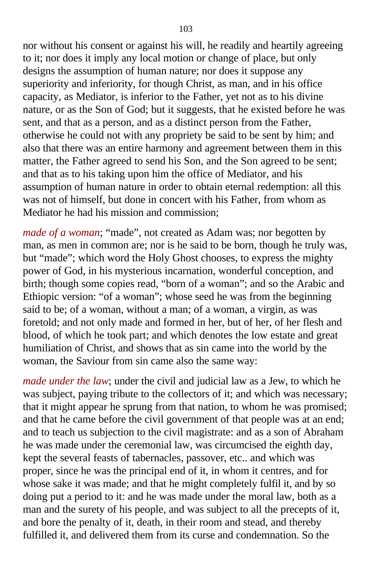nor without his consent or against his will, he readily and heartily agreeing to it; nor does it imply any local motion or change of place, but only designs the assumption of human nature; nor does it suppose any superiority and inferiority, for though Christ, as man, and in his office capacity, as Mediator, is inferior to the Father, yet not as to his divine nature, or as the Son of God; but it suggests, that he existed before he was sent, and that as a person, and as a distinct person from the Father, otherwise he could not with any propriety be said to be sent by him; and also that there was an entire harmony and agreement between them in this matter, the Father agreed to send his Son, and the Son agreed to be sent; and that as to his taking upon him the office of Mediator, and his assumption of human nature in order to obtain eternal redemption: all this was not of himself, but done in concert with his Father, from whom as Mediator he had his mission and commission;

*made of a woman*; "made", not created as Adam was; nor begotten by man, as men in common are; nor is he said to be born, though he truly was, but "made"; which word the Holy Ghost chooses, to express the mighty power of God, in his mysterious incarnation, wonderful conception, and birth; though some copies read, "born of a woman"; and so the Arabic and Ethiopic version: "of a woman"; whose seed he was from the beginning said to be; of a woman, without a man; of a woman, a virgin, as was foretold; and not only made and formed in her, but of her, of her flesh and blood, of which he took part; and which denotes the low estate and great humiliation of Christ, and shows that as sin came into the world by the woman, the Saviour from sin came also the same way:

*made under the law*; under the civil and judicial law as a Jew, to which he was subject, paying tribute to the collectors of it; and which was necessary; that it might appear he sprung from that nation, to whom he was promised; and that he came before the civil government of that people was at an end; and to teach us subjection to the civil magistrate: and as a son of Abraham he was made under the ceremonial law, was circumcised the eighth day, kept the several feasts of tabernacles, passover, etc.. and which was proper, since he was the principal end of it, in whom it centres, and for whose sake it was made; and that he might completely fulfil it, and by so doing put a period to it: and he was made under the moral law, both as a man and the surety of his people, and was subject to all the precepts of it, and bore the penalty of it, death, in their room and stead, and thereby fulfilled it, and delivered them from its curse and condemnation. So the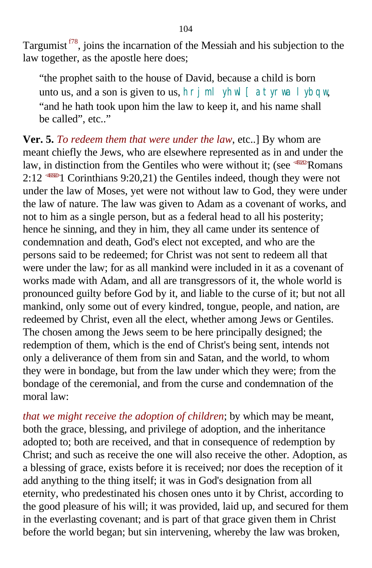Targumist<sup>178</sup>, joins the incarnation of the Messiah and his subjection to the law together, as the apostle here does;

"the prophet saith to the house of David, because a child is born unto us, and a son is given to us,  $hrj$  ml yhwl  $\lceil$  atyrwa lybqw, "and he hath took upon him the law to keep it, and his name shall be called", etc.."

**Ver. 5.** *To redeem them that were under the law*, etc..] By whom are meant chiefly the Jews, who are elsewhere represented as in and under the law, in distinction from the Gentiles who were without it; (see  $\text{max}$ Romans  $2:12 \frac{4000}{11}$  Corinthians 9:20,21) the Gentiles indeed, though they were not under the law of Moses, yet were not without law to God, they were under the law of nature. The law was given to Adam as a covenant of works, and not to him as a single person, but as a federal head to all his posterity; hence he sinning, and they in him, they all came under its sentence of condemnation and death, God's elect not excepted, and who are the persons said to be redeemed; for Christ was not sent to redeem all that were under the law; for as all mankind were included in it as a covenant of works made with Adam, and all are transgressors of it, the whole world is pronounced guilty before God by it, and liable to the curse of it; but not all mankind, only some out of every kindred, tongue, people, and nation, are redeemed by Christ, even all the elect, whether among Jews or Gentiles. The chosen among the Jews seem to be here principally designed; the redemption of them, which is the end of Christ's being sent, intends not only a deliverance of them from sin and Satan, and the world, to whom they were in bondage, but from the law under which they were; from the bondage of the ceremonial, and from the curse and condemnation of the moral law:

*that we might receive the adoption of children*; by which may be meant, both the grace, blessing, and privilege of adoption, and the inheritance adopted to; both are received, and that in consequence of redemption by Christ; and such as receive the one will also receive the other. Adoption, as a blessing of grace, exists before it is received; nor does the reception of it add anything to the thing itself; it was in God's designation from all eternity, who predestinated his chosen ones unto it by Christ, according to the good pleasure of his will; it was provided, laid up, and secured for them in the everlasting covenant; and is part of that grace given them in Christ before the world began; but sin intervening, whereby the law was broken,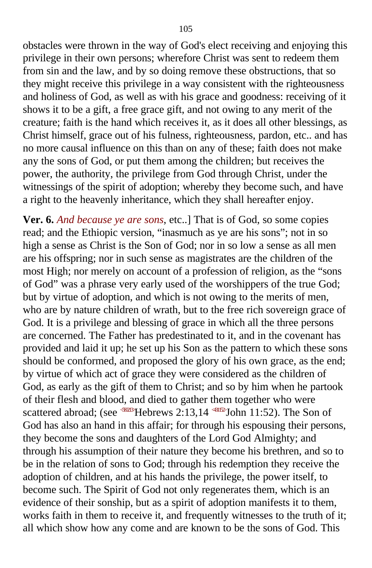obstacles were thrown in the way of God's elect receiving and enjoying this privilege in their own persons; wherefore Christ was sent to redeem them from sin and the law, and by so doing remove these obstructions, that so they might receive this privilege in a way consistent with the righteousness and holiness of God, as well as with his grace and goodness: receiving of it shows it to be a gift, a free grace gift, and not owing to any merit of the creature; faith is the hand which receives it, as it does all other blessings, as Christ himself, grace out of his fulness, righteousness, pardon, etc.. and has no more causal influence on this than on any of these; faith does not make any the sons of God, or put them among the children; but receives the power, the authority, the privilege from God through Christ, under the witnessings of the spirit of adoption; whereby they become such, and have a right to the heavenly inheritance, which they shall hereafter enjoy.

**Ver. 6.** *And because ye are sons*, etc..] That is of God, so some copies read; and the Ethiopic version, "inasmuch as ye are his sons"; not in so high a sense as Christ is the Son of God; nor in so low a sense as all men are his offspring; nor in such sense as magistrates are the children of the most High; nor merely on account of a profession of religion, as the "sons of God" was a phrase very early used of the worshippers of the true God; but by virtue of adoption, and which is not owing to the merits of men, who are by nature children of wrath, but to the free rich sovereign grace of God. It is a privilege and blessing of grace in which all the three persons are concerned. The Father has predestinated to it, and in the covenant has provided and laid it up; he set up his Son as the pattern to which these sons should be conformed, and proposed the glory of his own grace, as the end; by virtue of which act of grace they were considered as the children of God, as early as the gift of them to Christ; and so by him when he partook of their flesh and blood, and died to gather them together who were scattered abroad; (see  $\frac{1}{2}$ Hebrews 2:13,14  $\frac{1}{2}$ John 11:52). The Son of God has also an hand in this affair; for through his espousing their persons, they become the sons and daughters of the Lord God Almighty; and through his assumption of their nature they become his brethren, and so to be in the relation of sons to God; through his redemption they receive the adoption of children, and at his hands the privilege, the power itself, to become such. The Spirit of God not only regenerates them, which is an evidence of their sonship, but as a spirit of adoption manifests it to them, works faith in them to receive it, and frequently witnesses to the truth of it; all which show how any come and are known to be the sons of God. This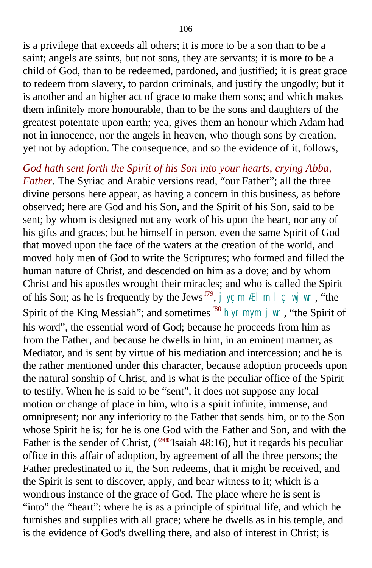is a privilege that exceeds all others; it is more to be a son than to be a saint; angels are saints, but not sons, they are servants; it is more to be a child of God, than to be redeemed, pardoned, and justified; it is great grace to redeem from slavery, to pardon criminals, and justify the ungodly; but it is another and an higher act of grace to make them sons; and which makes them infinitely more honourable, than to be the sons and daughters of the greatest potentate upon earth; yea, gives them an honour which Adam had not in innocence, nor the angels in heaven, who though sons by creation, yet not by adoption. The consequence, and so the evidence of it, follows,

*God hath sent forth the Spirit of his Son into your hearts, crying Abba, Father*. The Syriac and Arabic versions read, "our Father"; all the three divine persons here appear, as having a concern in this business, as before observed; here are God and his Son, and the Spirit of his Son, said to be sent; by whom is designed not any work of his upon the heart, nor any of his gifts and graces; but he himself in person, even the same Spirit of God that moved upon the face of the waters at the creation of the world, and moved holy men of God to write the Scriptures; who formed and filled the human nature of Christ, and descended on him as a dove; and by whom Christ and his apostles wrought their miracles; and who is called the Spirit of his Son; as he is frequently by the Jews  $^{779}$ , j yçm Ælm lç wj wr, "the Spirit of the King Messiah"; and sometimes  $f^{80}$  hyrmym j wr, "the Spirit of his word", the essential word of God; because he proceeds from him as from the Father, and because he dwells in him, in an eminent manner, as Mediator, and is sent by virtue of his mediation and intercession; and he is the rather mentioned under this character, because adoption proceeds upon the natural sonship of Christ, and is what is the peculiar office of the Spirit to testify. When he is said to be "sent", it does not suppose any local motion or change of place in him, who is a spirit infinite, immense, and omnipresent; nor any inferiority to the Father that sends him, or to the Son whose Spirit he is; for he is one God with the Father and Son, and with the Father is the sender of Christ,  $(2886)$ Isaiah 48:16), but it regards his peculiar office in this affair of adoption, by agreement of all the three persons; the Father predestinated to it, the Son redeems, that it might be received, and the Spirit is sent to discover, apply, and bear witness to it; which is a wondrous instance of the grace of God. The place where he is sent is "into" the "heart": where he is as a principle of spiritual life, and which he furnishes and supplies with all grace; where he dwells as in his temple, and is the evidence of God's dwelling there, and also of interest in Christ; is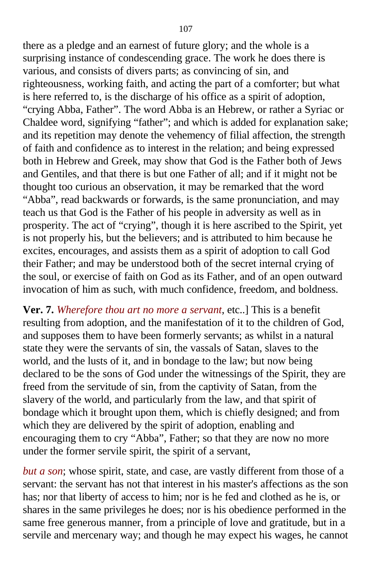there as a pledge and an earnest of future glory; and the whole is a surprising instance of condescending grace. The work he does there is various, and consists of divers parts; as convincing of sin, and righteousness, working faith, and acting the part of a comforter; but what is here referred to, is the discharge of his office as a spirit of adoption, "crying Abba, Father". The word Abba is an Hebrew, or rather a Syriac or Chaldee word, signifying "father"; and which is added for explanation sake; and its repetition may denote the vehemency of filial affection, the strength of faith and confidence as to interest in the relation; and being expressed both in Hebrew and Greek, may show that God is the Father both of Jews and Gentiles, and that there is but one Father of all; and if it might not be thought too curious an observation, it may be remarked that the word "Abba", read backwards or forwards, is the same pronunciation, and may teach us that God is the Father of his people in adversity as well as in prosperity. The act of "crying", though it is here ascribed to the Spirit, yet is not properly his, but the believers; and is attributed to him because he excites, encourages, and assists them as a spirit of adoption to call God their Father; and may be understood both of the secret internal crying of the soul, or exercise of faith on God as its Father, and of an open outward invocation of him as such, with much confidence, freedom, and boldness.

**Ver. 7.** *Wherefore thou art no more a servant*, etc..] This is a benefit resulting from adoption, and the manifestation of it to the children of God, and supposes them to have been formerly servants; as whilst in a natural state they were the servants of sin, the vassals of Satan, slaves to the world, and the lusts of it, and in bondage to the law; but now being declared to be the sons of God under the witnessings of the Spirit, they are freed from the servitude of sin, from the captivity of Satan, from the slavery of the world, and particularly from the law, and that spirit of bondage which it brought upon them, which is chiefly designed; and from which they are delivered by the spirit of adoption, enabling and encouraging them to cry "Abba", Father; so that they are now no more under the former servile spirit, the spirit of a servant,

*but a son*; whose spirit, state, and case, are vastly different from those of a servant: the servant has not that interest in his master's affections as the son has; nor that liberty of access to him; nor is he fed and clothed as he is, or shares in the same privileges he does; nor is his obedience performed in the same free generous manner, from a principle of love and gratitude, but in a servile and mercenary way; and though he may expect his wages, he cannot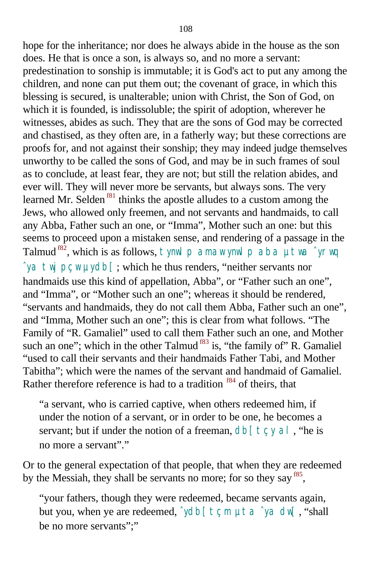hope for the inheritance; nor does he always abide in the house as the son does. He that is once a son, is always so, and no more a servant: predestination to sonship is immutable; it is God's act to put any among the children, and none can put them out; the covenant of grace, in which this blessing is secured, is unalterable; union with Christ, the Son of God, on which it is founded, is indissoluble; the spirit of adoption, wherever he witnesses, abides as such. They that are the sons of God may be corrected and chastised, as they often are, in a fatherly way; but these corrections are proofs for, and not against their sonship; they may indeed judge themselves unworthy to be called the sons of God, and may be in such frames of soul as to conclude, at least fear, they are not; but still the relation abides, and ever will. They will never more be servants, but always sons. The very learned Mr. Selden<sup>f81</sup> thinks the apostle alludes to a custom among the Jews, who allowed only freemen, and not servants and handmaids, to call any Abba, Father such an one, or "Imma", Mother such an one: but this seems to proceed upon a mistaken sense, and rendering of a passage in the Talmud  $f82$ , which is as follows, tynwl p amaw ynwl p aba  $\mu$ twa  $\gamma$ rwq ˆya twjpçw µydb[; which he thus renders, "neither servants nor handmaids use this kind of appellation, Abba", or "Father such an one", and "Imma", or "Mother such an one"; whereas it should be rendered, "servants and handmaids, they do not call them Abba, Father such an one", and "Imma, Mother such an one"; this is clear from what follows. "The Family of "R. Gamaliel" used to call them Father such an one, and Mother such an one"; which in the other Talmud  $^{683}$  is, "the family of" R. Gamaliel "used to call their servants and their handmaids Father Tabi, and Mother Tabitha"; which were the names of the servant and handmaid of Gamaliel. Rather therefore reference is had to a tradition <sup>[f84](#page-185-0)</sup> of theirs, that

"a servant, who is carried captive, when others redeemed him, if under the notion of a servant, or in order to be one, he becomes a servant; but if under the notion of a freeman,  $db \upharpoonright$  tcy al, "he is no more a servant"."

Or to the general expectation of that people, that when they are redeemed by the Messiah, they shall be servants no more; for so they say  $^{85}$ ,

"your fathers, though they were redeemed, became servants again, but you, when ye are redeemed,  $\gamma$ db  $\lceil \text{tcm } \mu \text{ta } \gamma$ a dw $\lceil$ , "shall be no more servants";"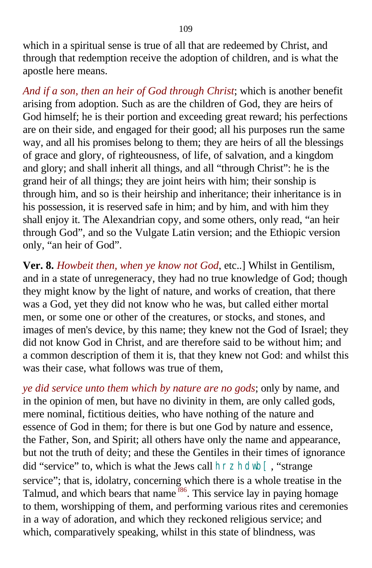which in a spiritual sense is true of all that are redeemed by Christ, and through that redemption receive the adoption of children, and is what the apostle here means.

*And if a son, then an heir of God through Christ*; which is another benefit arising from adoption. Such as are the children of God, they are heirs of God himself; he is their portion and exceeding great reward; his perfections are on their side, and engaged for their good; all his purposes run the same way, and all his promises belong to them; they are heirs of all the blessings of grace and glory, of righteousness, of life, of salvation, and a kingdom and glory; and shall inherit all things, and all "through Christ": he is the grand heir of all things; they are joint heirs with him; their sonship is through him, and so is their heirship and inheritance; their inheritance is in his possession, it is reserved safe in him; and by him, and with him they shall enjoy it. The Alexandrian copy, and some others, only read, "an heir through God", and so the Vulgate Latin version; and the Ethiopic version only, "an heir of God".

**Ver. 8.** *Howbeit then, when ye know not God*, etc..] Whilst in Gentilism, and in a state of unregeneracy, they had no true knowledge of God; though they might know by the light of nature, and works of creation, that there was a God, yet they did not know who he was, but called either mortal men, or some one or other of the creatures, or stocks, and stones, and images of men's device, by this name; they knew not the God of Israel; they did not know God in Christ, and are therefore said to be without him; and a common description of them it is, that they knew not God: and whilst this was their case, what follows was true of them,

*ye did service unto them which by nature are no gods*; only by name, and in the opinion of men, but have no divinity in them, are only called gods, mere nominal, fictitious deities, who have nothing of the nature and essence of God in them; for there is but one God by nature and essence, the Father, Son, and Spirit; all others have only the name and appearance, but not the truth of deity; and these the Gentiles in their times of ignorance did "service" to, which is what the Jews call hrz hdwb[, "strange service"; that is, idolatry, concerning which there is a whole treatise in the Talmud, and which bears that name <sup>186</sup>. This service lay in paying homage to them, worshipping of them, and performing various rites and ceremonies in a way of adoration, and which they reckoned religious service; and which, comparatively speaking, whilst in this state of blindness, was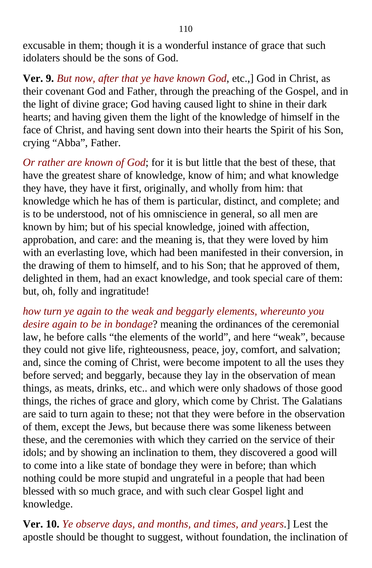excusable in them; though it is a wonderful instance of grace that such idolaters should be the sons of God.

**Ver. 9.** *But now, after that ye have known God*, etc.,] God in Christ, as their covenant God and Father, through the preaching of the Gospel, and in the light of divine grace; God having caused light to shine in their dark hearts; and having given them the light of the knowledge of himself in the face of Christ, and having sent down into their hearts the Spirit of his Son, crying "Abba", Father.

*Or rather are known of God*; for it is but little that the best of these, that have the greatest share of knowledge, know of him; and what knowledge they have, they have it first, originally, and wholly from him: that knowledge which he has of them is particular, distinct, and complete; and is to be understood, not of his omniscience in general, so all men are known by him; but of his special knowledge, joined with affection, approbation, and care: and the meaning is, that they were loved by him with an everlasting love, which had been manifested in their conversion, in the drawing of them to himself, and to his Son; that he approved of them, delighted in them, had an exact knowledge, and took special care of them: but, oh, folly and ingratitude!

*how turn ye again to the weak and beggarly elements, whereunto you desire again to be in bondage*? meaning the ordinances of the ceremonial law, he before calls "the elements of the world", and here "weak", because they could not give life, righteousness, peace, joy, comfort, and salvation; and, since the coming of Christ, were become impotent to all the uses they before served; and beggarly, because they lay in the observation of mean things, as meats, drinks, etc.. and which were only shadows of those good things, the riches of grace and glory, which come by Christ. The Galatians are said to turn again to these; not that they were before in the observation of them, except the Jews, but because there was some likeness between these, and the ceremonies with which they carried on the service of their idols; and by showing an inclination to them, they discovered a good will to come into a like state of bondage they were in before; than which nothing could be more stupid and ungrateful in a people that had been blessed with so much grace, and with such clear Gospel light and knowledge.

**Ver. 10.** *Ye observe days, and months, and times, and years*.] Lest the apostle should be thought to suggest, without foundation, the inclination of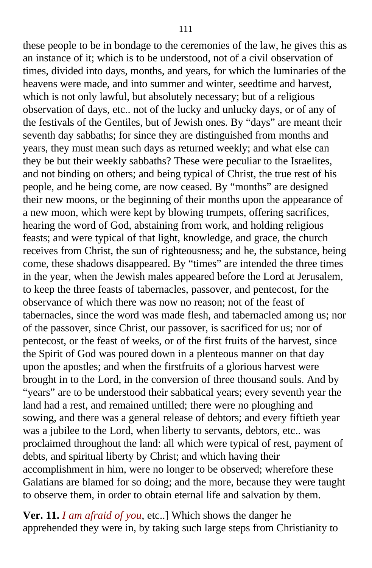these people to be in bondage to the ceremonies of the law, he gives this as an instance of it; which is to be understood, not of a civil observation of times, divided into days, months, and years, for which the luminaries of the heavens were made, and into summer and winter, seedtime and harvest, which is not only lawful, but absolutely necessary; but of a religious observation of days, etc.. not of the lucky and unlucky days, or of any of the festivals of the Gentiles, but of Jewish ones. By "days" are meant their seventh day sabbaths; for since they are distinguished from months and years, they must mean such days as returned weekly; and what else can they be but their weekly sabbaths? These were peculiar to the Israelites, and not binding on others; and being typical of Christ, the true rest of his people, and he being come, are now ceased. By "months" are designed their new moons, or the beginning of their months upon the appearance of a new moon, which were kept by blowing trumpets, offering sacrifices, hearing the word of God, abstaining from work, and holding religious feasts; and were typical of that light, knowledge, and grace, the church receives from Christ, the sun of righteousness; and he, the substance, being come, these shadows disappeared. By "times" are intended the three times in the year, when the Jewish males appeared before the Lord at Jerusalem, to keep the three feasts of tabernacles, passover, and pentecost, for the observance of which there was now no reason; not of the feast of tabernacles, since the word was made flesh, and tabernacled among us; nor of the passover, since Christ, our passover, is sacrificed for us; nor of pentecost, or the feast of weeks, or of the first fruits of the harvest, since the Spirit of God was poured down in a plenteous manner on that day upon the apostles; and when the firstfruits of a glorious harvest were brought in to the Lord, in the conversion of three thousand souls. And by "years" are to be understood their sabbatical years; every seventh year the land had a rest, and remained untilled; there were no ploughing and sowing, and there was a general release of debtors; and every fiftieth year was a jubilee to the Lord, when liberty to servants, debtors, etc.. was proclaimed throughout the land: all which were typical of rest, payment of debts, and spiritual liberty by Christ; and which having their accomplishment in him, were no longer to be observed; wherefore these Galatians are blamed for so doing; and the more, because they were taught to observe them, in order to obtain eternal life and salvation by them.

**Ver. 11.** *I am afraid of you*, etc..] Which shows the danger he apprehended they were in, by taking such large steps from Christianity to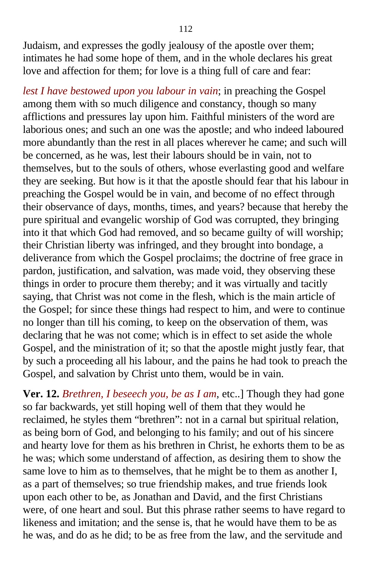Judaism, and expresses the godly jealousy of the apostle over them; intimates he had some hope of them, and in the whole declares his great love and affection for them; for love is a thing full of care and fear:

*lest I have bestowed upon you labour in vain*; in preaching the Gospel among them with so much diligence and constancy, though so many afflictions and pressures lay upon him. Faithful ministers of the word are laborious ones; and such an one was the apostle; and who indeed laboured more abundantly than the rest in all places wherever he came; and such will be concerned, as he was, lest their labours should be in vain, not to themselves, but to the souls of others, whose everlasting good and welfare they are seeking. But how is it that the apostle should fear that his labour in preaching the Gospel would be in vain, and become of no effect through their observance of days, months, times, and years? because that hereby the pure spiritual and evangelic worship of God was corrupted, they bringing into it that which God had removed, and so became guilty of will worship; their Christian liberty was infringed, and they brought into bondage, a deliverance from which the Gospel proclaims; the doctrine of free grace in pardon, justification, and salvation, was made void, they observing these things in order to procure them thereby; and it was virtually and tacitly saying, that Christ was not come in the flesh, which is the main article of the Gospel; for since these things had respect to him, and were to continue no longer than till his coming, to keep on the observation of them, was declaring that he was not come; which is in effect to set aside the whole Gospel, and the ministration of it; so that the apostle might justly fear, that by such a proceeding all his labour, and the pains he had took to preach the Gospel, and salvation by Christ unto them, would be in vain.

**Ver. 12.** *Brethren, I beseech you, be as I am*, etc..] Though they had gone so far backwards, yet still hoping well of them that they would he reclaimed, he styles them "brethren": not in a carnal but spiritual relation, as being born of God, and belonging to his family; and out of his sincere and hearty love for them as his brethren in Christ, he exhorts them to be as he was; which some understand of affection, as desiring them to show the same love to him as to themselves, that he might be to them as another I, as a part of themselves; so true friendship makes, and true friends look upon each other to be, as Jonathan and David, and the first Christians were, of one heart and soul. But this phrase rather seems to have regard to likeness and imitation; and the sense is, that he would have them to be as he was, and do as he did; to be as free from the law, and the servitude and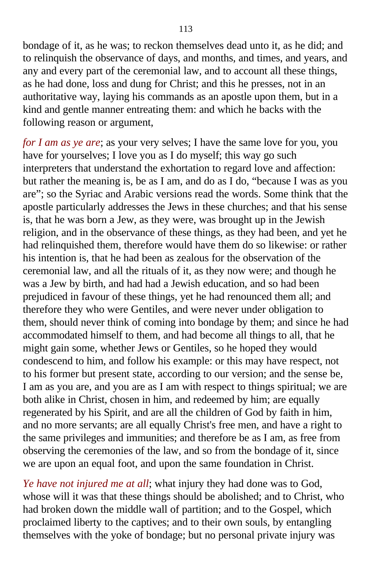bondage of it, as he was; to reckon themselves dead unto it, as he did; and to relinquish the observance of days, and months, and times, and years, and any and every part of the ceremonial law, and to account all these things, as he had done, loss and dung for Christ; and this he presses, not in an authoritative way, laying his commands as an apostle upon them, but in a kind and gentle manner entreating them: and which he backs with the following reason or argument,

*for I am as ye are*; as your very selves; I have the same love for you, you have for yourselves; I love you as I do myself; this way go such interpreters that understand the exhortation to regard love and affection: but rather the meaning is, be as I am, and do as I do, "because I was as you are"; so the Syriac and Arabic versions read the words. Some think that the apostle particularly addresses the Jews in these churches; and that his sense is, that he was born a Jew, as they were, was brought up in the Jewish religion, and in the observance of these things, as they had been, and yet he had relinquished them, therefore would have them do so likewise: or rather his intention is, that he had been as zealous for the observation of the ceremonial law, and all the rituals of it, as they now were; and though he was a Jew by birth, and had had a Jewish education, and so had been prejudiced in favour of these things, yet he had renounced them all; and therefore they who were Gentiles, and were never under obligation to them, should never think of coming into bondage by them; and since he had accommodated himself to them, and had become all things to all, that he might gain some, whether Jews or Gentiles, so he hoped they would condescend to him, and follow his example: or this may have respect, not to his former but present state, according to our version; and the sense be, I am as you are, and you are as I am with respect to things spiritual; we are both alike in Christ, chosen in him, and redeemed by him; are equally regenerated by his Spirit, and are all the children of God by faith in him, and no more servants; are all equally Christ's free men, and have a right to the same privileges and immunities; and therefore be as I am, as free from observing the ceremonies of the law, and so from the bondage of it, since we are upon an equal foot, and upon the same foundation in Christ.

*Ye have not injured me at all*; what injury they had done was to God, whose will it was that these things should be abolished; and to Christ, who had broken down the middle wall of partition; and to the Gospel, which proclaimed liberty to the captives; and to their own souls, by entangling themselves with the yoke of bondage; but no personal private injury was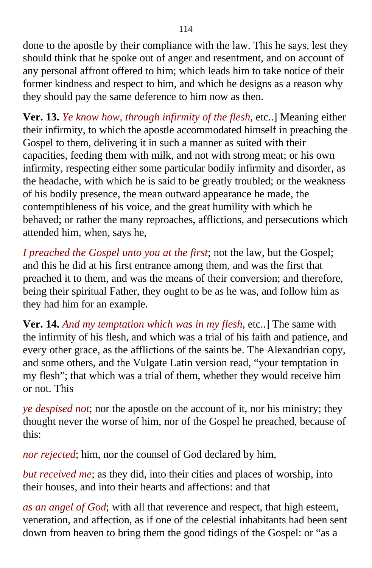done to the apostle by their compliance with the law. This he says, lest they should think that he spoke out of anger and resentment, and on account of any personal affront offered to him; which leads him to take notice of their former kindness and respect to him, and which he designs as a reason why they should pay the same deference to him now as then.

**Ver. 13.** *Ye know how, through infirmity of the flesh*, etc..] Meaning either their infirmity, to which the apostle accommodated himself in preaching the Gospel to them, delivering it in such a manner as suited with their capacities, feeding them with milk, and not with strong meat; or his own infirmity, respecting either some particular bodily infirmity and disorder, as the headache, with which he is said to be greatly troubled; or the weakness of his bodily presence, the mean outward appearance he made, the contemptibleness of his voice, and the great humility with which he behaved; or rather the many reproaches, afflictions, and persecutions which attended him, when, says he,

*I preached the Gospel unto you at the first*; not the law, but the Gospel; and this he did at his first entrance among them, and was the first that preached it to them, and was the means of their conversion; and therefore, being their spiritual Father, they ought to be as he was, and follow him as they had him for an example.

**Ver. 14.** *And my temptation which was in my flesh*, etc..] The same with the infirmity of his flesh, and which was a trial of his faith and patience, and every other grace, as the afflictions of the saints be. The Alexandrian copy, and some others, and the Vulgate Latin version read, "your temptation in my flesh"; that which was a trial of them, whether they would receive him or not. This

*ye despised not*; nor the apostle on the account of it, nor his ministry; they thought never the worse of him, nor of the Gospel he preached, because of this:

*nor rejected*; him, nor the counsel of God declared by him,

*but received me*; as they did, into their cities and places of worship, into their houses, and into their hearts and affections: and that

*as an angel of God*; with all that reverence and respect, that high esteem, veneration, and affection, as if one of the celestial inhabitants had been sent down from heaven to bring them the good tidings of the Gospel: or "as a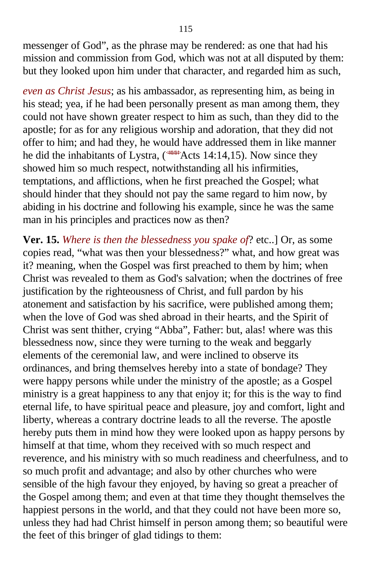messenger of God", as the phrase may be rendered: as one that had his mission and commission from God, which was not at all disputed by them: but they looked upon him under that character, and regarded him as such,

*even as Christ Jesus*; as his ambassador, as representing him, as being in his stead; yea, if he had been personally present as man among them, they could not have shown greater respect to him as such, than they did to the apostle; for as for any religious worship and adoration, that they did not offer to him; and had they, he would have addressed them in like manner he did the inhabitants of Lystra,  $(4444)$ Acts 14:14,15). Now since they showed him so much respect, notwithstanding all his infirmities, temptations, and afflictions, when he first preached the Gospel; what should hinder that they should not pay the same regard to him now, by abiding in his doctrine and following his example, since he was the same man in his principles and practices now as then?

**Ver. 15.** *Where is then the blessedness you spake of*? etc..] Or, as some copies read, "what was then your blessedness?" what, and how great was it? meaning, when the Gospel was first preached to them by him; when Christ was revealed to them as God's salvation; when the doctrines of free justification by the righteousness of Christ, and full pardon by his atonement and satisfaction by his sacrifice, were published among them; when the love of God was shed abroad in their hearts, and the Spirit of Christ was sent thither, crying "Abba", Father: but, alas! where was this blessedness now, since they were turning to the weak and beggarly elements of the ceremonial law, and were inclined to observe its ordinances, and bring themselves hereby into a state of bondage? They were happy persons while under the ministry of the apostle; as a Gospel ministry is a great happiness to any that enjoy it; for this is the way to find eternal life, to have spiritual peace and pleasure, joy and comfort, light and liberty, whereas a contrary doctrine leads to all the reverse. The apostle hereby puts them in mind how they were looked upon as happy persons by himself at that time, whom they received with so much respect and reverence, and his ministry with so much readiness and cheerfulness, and to so much profit and advantage; and also by other churches who were sensible of the high favour they enjoyed, by having so great a preacher of the Gospel among them; and even at that time they thought themselves the happiest persons in the world, and that they could not have been more so, unless they had had Christ himself in person among them; so beautiful were the feet of this bringer of glad tidings to them: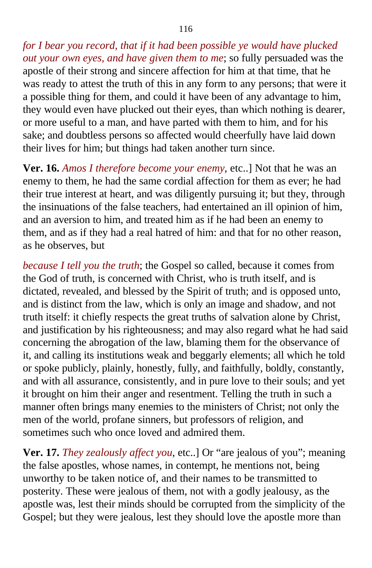*for I bear you record, that if it had been possible ye would have plucked out your own eyes, and have given them to me*; so fully persuaded was the apostle of their strong and sincere affection for him at that time, that he was ready to attest the truth of this in any form to any persons; that were it a possible thing for them, and could it have been of any advantage to him, they would even have plucked out their eyes, than which nothing is dearer, or more useful to a man, and have parted with them to him, and for his sake; and doubtless persons so affected would cheerfully have laid down their lives for him; but things had taken another turn since.

**Ver. 16.** *Amos I therefore become your enemy*, etc..] Not that he was an enemy to them, he had the same cordial affection for them as ever; he had their true interest at heart, and was diligently pursuing it; but they, through the insinuations of the false teachers, had entertained an ill opinion of him, and an aversion to him, and treated him as if he had been an enemy to them, and as if they had a real hatred of him: and that for no other reason, as he observes, but

*because I tell you the truth*; the Gospel so called, because it comes from the God of truth, is concerned with Christ, who is truth itself, and is dictated, revealed, and blessed by the Spirit of truth; and is opposed unto, and is distinct from the law, which is only an image and shadow, and not truth itself: it chiefly respects the great truths of salvation alone by Christ, and justification by his righteousness; and may also regard what he had said concerning the abrogation of the law, blaming them for the observance of it, and calling its institutions weak and beggarly elements; all which he told or spoke publicly, plainly, honestly, fully, and faithfully, boldly, constantly, and with all assurance, consistently, and in pure love to their souls; and yet it brought on him their anger and resentment. Telling the truth in such a manner often brings many enemies to the ministers of Christ; not only the men of the world, profane sinners, but professors of religion, and sometimes such who once loved and admired them.

**Ver. 17.** *They zealously affect you*, etc..] Or "are jealous of you"; meaning the false apostles, whose names, in contempt, he mentions not, being unworthy to be taken notice of, and their names to be transmitted to posterity. These were jealous of them, not with a godly jealousy, as the apostle was, lest their minds should be corrupted from the simplicity of the Gospel; but they were jealous, lest they should love the apostle more than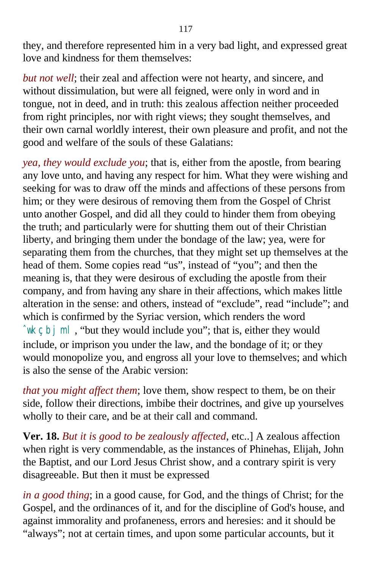they, and therefore represented him in a very bad light, and expressed great love and kindness for them themselves:

*but not well*; their zeal and affection were not hearty, and sincere, and without dissimulation, but were all feigned, were only in word and in tongue, not in deed, and in truth: this zealous affection neither proceeded from right principles, nor with right views; they sought themselves, and their own carnal worldly interest, their own pleasure and profit, and not the good and welfare of the souls of these Galatians:

*yea, they would exclude you*; that is, either from the apostle, from bearing any love unto, and having any respect for him. What they were wishing and seeking for was to draw off the minds and affections of these persons from him; or they were desirous of removing them from the Gospel of Christ unto another Gospel, and did all they could to hinder them from obeying the truth; and particularly were for shutting them out of their Christian liberty, and bringing them under the bondage of the law; yea, were for separating them from the churches, that they might set up themselves at the head of them. Some copies read "us", instead of "you"; and then the meaning is, that they were desirous of excluding the apostle from their company, and from having any share in their affections, which makes little alteration in the sense: and others, instead of "exclude", read "include"; and which is confirmed by the Syriac version, which renders the word ˆwkçbjml, "but they would include you"; that is, either they would include, or imprison you under the law, and the bondage of it; or they would monopolize you, and engross all your love to themselves; and which is also the sense of the Arabic version:

*that you might affect them*; love them, show respect to them, be on their side, follow their directions, imbibe their doctrines, and give up yourselves wholly to their care, and be at their call and command.

**Ver. 18.** *But it is good to be zealously affected*, etc..] A zealous affection when right is very commendable, as the instances of Phinehas, Elijah, John the Baptist, and our Lord Jesus Christ show, and a contrary spirit is very disagreeable. But then it must be expressed

*in a good thing*; in a good cause, for God, and the things of Christ; for the Gospel, and the ordinances of it, and for the discipline of God's house, and against immorality and profaneness, errors and heresies: and it should be "always"; not at certain times, and upon some particular accounts, but it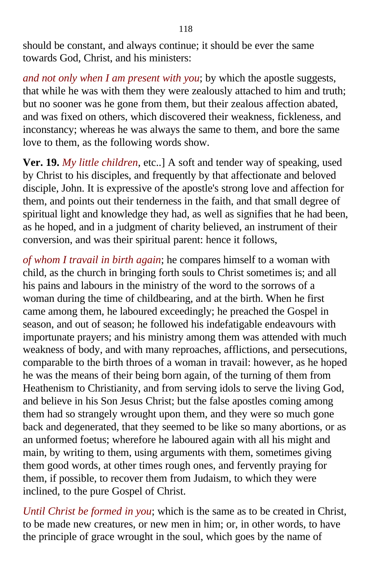should be constant, and always continue; it should be ever the same towards God, Christ, and his ministers:

*and not only when I am present with you*; by which the apostle suggests, that while he was with them they were zealously attached to him and truth; but no sooner was he gone from them, but their zealous affection abated, and was fixed on others, which discovered their weakness, fickleness, and inconstancy; whereas he was always the same to them, and bore the same love to them, as the following words show.

**Ver. 19.** *My little children*, etc..] A soft and tender way of speaking, used by Christ to his disciples, and frequently by that affectionate and beloved disciple, John. It is expressive of the apostle's strong love and affection for them, and points out their tenderness in the faith, and that small degree of spiritual light and knowledge they had, as well as signifies that he had been, as he hoped, and in a judgment of charity believed, an instrument of their conversion, and was their spiritual parent: hence it follows,

*of whom I travail in birth again*; he compares himself to a woman with child, as the church in bringing forth souls to Christ sometimes is; and all his pains and labours in the ministry of the word to the sorrows of a woman during the time of childbearing, and at the birth. When he first came among them, he laboured exceedingly; he preached the Gospel in season, and out of season; he followed his indefatigable endeavours with importunate prayers; and his ministry among them was attended with much weakness of body, and with many reproaches, afflictions, and persecutions, comparable to the birth throes of a woman in travail: however, as he hoped he was the means of their being born again, of the turning of them from Heathenism to Christianity, and from serving idols to serve the living God, and believe in his Son Jesus Christ; but the false apostles coming among them had so strangely wrought upon them, and they were so much gone back and degenerated, that they seemed to be like so many abortions, or as an unformed foetus; wherefore he laboured again with all his might and main, by writing to them, using arguments with them, sometimes giving them good words, at other times rough ones, and fervently praying for them, if possible, to recover them from Judaism, to which they were inclined, to the pure Gospel of Christ.

*Until Christ be formed in you*; which is the same as to be created in Christ, to be made new creatures, or new men in him; or, in other words, to have the principle of grace wrought in the soul, which goes by the name of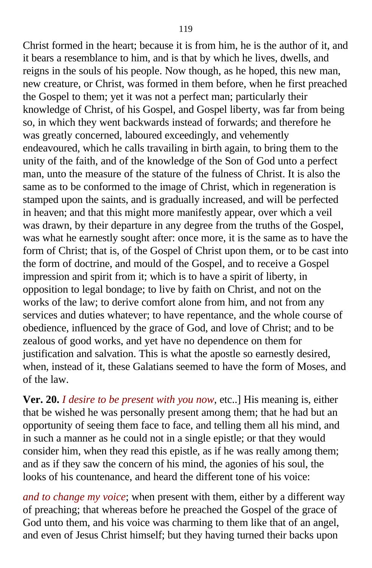Christ formed in the heart; because it is from him, he is the author of it, and it bears a resemblance to him, and is that by which he lives, dwells, and reigns in the souls of his people. Now though, as he hoped, this new man, new creature, or Christ, was formed in them before, when he first preached the Gospel to them; yet it was not a perfect man; particularly their knowledge of Christ, of his Gospel, and Gospel liberty, was far from being so, in which they went backwards instead of forwards; and therefore he was greatly concerned, laboured exceedingly, and vehemently endeavoured, which he calls travailing in birth again, to bring them to the unity of the faith, and of the knowledge of the Son of God unto a perfect man, unto the measure of the stature of the fulness of Christ. It is also the same as to be conformed to the image of Christ, which in regeneration is stamped upon the saints, and is gradually increased, and will be perfected in heaven; and that this might more manifestly appear, over which a veil was drawn, by their departure in any degree from the truths of the Gospel, was what he earnestly sought after: once more, it is the same as to have the form of Christ; that is, of the Gospel of Christ upon them, or to be cast into the form of doctrine, and mould of the Gospel, and to receive a Gospel impression and spirit from it; which is to have a spirit of liberty, in opposition to legal bondage; to live by faith on Christ, and not on the works of the law; to derive comfort alone from him, and not from any services and duties whatever; to have repentance, and the whole course of obedience, influenced by the grace of God, and love of Christ; and to be zealous of good works, and yet have no dependence on them for justification and salvation. This is what the apostle so earnestly desired, when, instead of it, these Galatians seemed to have the form of Moses, and of the law.

**Ver. 20.** *I desire to be present with you now*, etc..] His meaning is, either that be wished he was personally present among them; that he had but an opportunity of seeing them face to face, and telling them all his mind, and in such a manner as he could not in a single epistle; or that they would consider him, when they read this epistle, as if he was really among them; and as if they saw the concern of his mind, the agonies of his soul, the looks of his countenance, and heard the different tone of his voice:

*and to change my voice*; when present with them, either by a different way of preaching; that whereas before he preached the Gospel of the grace of God unto them, and his voice was charming to them like that of an angel, and even of Jesus Christ himself; but they having turned their backs upon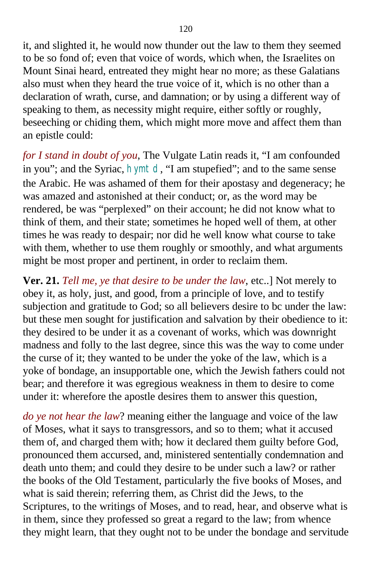it, and slighted it, he would now thunder out the law to them they seemed to be so fond of; even that voice of words, which when, the Israelites on Mount Sinai heard, entreated they might hear no more; as these Galatians also must when they heard the true voice of it, which is no other than a declaration of wrath, curse, and damnation; or by using a different way of speaking to them, as necessity might require, either softly or roughly, beseeching or chiding them, which might more move and affect them than an epistle could:

*for I stand in doubt of you*, The Vulgate Latin reads it, "I am confounded in you"; and the Syriac, hymtd, "I am stupefied"; and to the same sense the Arabic. He was ashamed of them for their apostasy and degeneracy; he was amazed and astonished at their conduct; or, as the word may be rendered, be was "perplexed" on their account; he did not know what to think of them, and their state; sometimes he hoped well of them, at other times he was ready to despair; nor did he well know what course to take with them, whether to use them roughly or smoothly, and what arguments might be most proper and pertinent, in order to reclaim them.

**Ver. 21.** *Tell me, ye that desire to be under the law*, etc..] Not merely to obey it, as holy, just, and good, from a principle of love, and to testify subjection and gratitude to God; so all believers desire to bc under the law: but these men sought for justification and salvation by their obedience to it: they desired to be under it as a covenant of works, which was downright madness and folly to the last degree, since this was the way to come under the curse of it; they wanted to be under the yoke of the law, which is a yoke of bondage, an insupportable one, which the Jewish fathers could not bear; and therefore it was egregious weakness in them to desire to come under it: wherefore the apostle desires them to answer this question,

*do ye not hear the law*? meaning either the language and voice of the law of Moses, what it says to transgressors, and so to them; what it accused them of, and charged them with; how it declared them guilty before God, pronounced them accursed, and, ministered sententially condemnation and death unto them; and could they desire to be under such a law? or rather the books of the Old Testament, particularly the five books of Moses, and what is said therein; referring them, as Christ did the Jews, to the Scriptures, to the writings of Moses, and to read, hear, and observe what is in them, since they professed so great a regard to the law; from whence they might learn, that they ought not to be under the bondage and servitude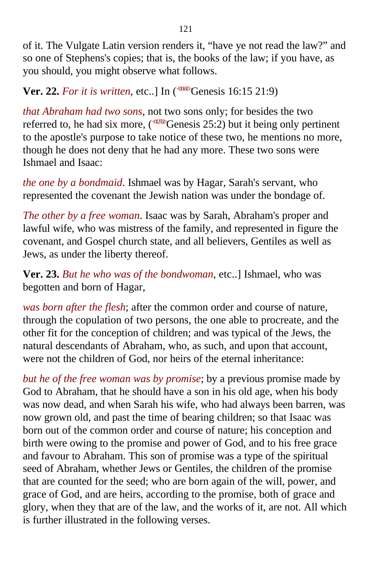of it. The Vulgate Latin version renders it, "have ye not read the law?" and so one of Stephens's copies; that is, the books of the law; if you have, as you should, you might observe what follows.

**Ver. 22.** For it is written, etc..] In  $($ <sup> $\triangleleft$ I65</sup>Genesis 16:15 21:9)

*that Abraham had two sons*, not two sons only; for besides the two referred to, he had six more,  $(\sqrt{020} \text{Genesis } 25:2)$  but it being only pertinent to the apostle's purpose to take notice of these two, he mentions no more, though he does not deny that he had any more. These two sons were Ishmael and Isaac:

*the one by a bondmaid*. Ishmael was by Hagar, Sarah's servant, who represented the covenant the Jewish nation was under the bondage of.

*The other by a free woman*. Isaac was by Sarah, Abraham's proper and lawful wife, who was mistress of the family, and represented in figure the covenant, and Gospel church state, and all believers, Gentiles as well as Jews, as under the liberty thereof.

**Ver. 23.** *But he who was of the bondwoman*, etc..] Ishmael, who was begotten and born of Hagar,

*was born after the flesh*; after the common order and course of nature, through the copulation of two persons, the one able to procreate, and the other fit for the conception of children; and was typical of the Jews, the natural descendants of Abraham, who, as such, and upon that account, were not the children of God, nor heirs of the eternal inheritance:

*but he of the free woman was by promise*; by a previous promise made by God to Abraham, that he should have a son in his old age, when his body was now dead, and when Sarah his wife, who had always been barren, was now grown old, and past the time of bearing children; so that Isaac was born out of the common order and course of nature; his conception and birth were owing to the promise and power of God, and to his free grace and favour to Abraham. This son of promise was a type of the spiritual seed of Abraham, whether Jews or Gentiles, the children of the promise that are counted for the seed; who are born again of the will, power, and grace of God, and are heirs, according to the promise, both of grace and glory, when they that are of the law, and the works of it, are not. All which is further illustrated in the following verses.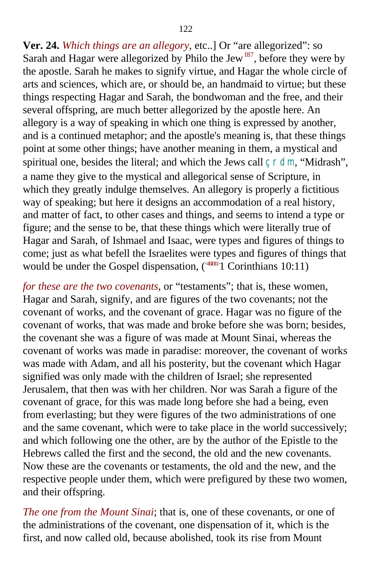**Ver. 24.** *Which things are an allegory*, etc..] Or "are allegorized": so Sarah and Hagar were allegorized by Philo the Jew <sup>f87</sup>, before they were by the apostle. Sarah he makes to signify virtue, and Hagar the whole circle of arts and sciences, which are, or should be, an handmaid to virtue; but these things respecting Hagar and Sarah, the bondwoman and the free, and their several offspring, are much better allegorized by the apostle here. An allegory is a way of speaking in which one thing is expressed by another, and is a continued metaphor; and the apostle's meaning is, that these things point at some other things; have another meaning in them, a mystical and spiritual one, besides the literal; and which the Jews call  $Crdm$ , "Midrash", a name they give to the mystical and allegorical sense of Scripture, in which they greatly indulge themselves. An allegory is properly a fictitious way of speaking; but here it designs an accommodation of a real history, and matter of fact, to other cases and things, and seems to intend a type or figure; and the sense to be, that these things which were literally true of Hagar and Sarah, of Ishmael and Isaac, were types and figures of things to come; just as what befell the Israelites were types and figures of things that would be under the Gospel dispensation,  $(\sqrt{400} \cdot 1 \text{ Continuous 10:11})$ 

*for these are the two covenants*, or "testaments"; that is, these women, Hagar and Sarah, signify, and are figures of the two covenants; not the covenant of works, and the covenant of grace. Hagar was no figure of the covenant of works, that was made and broke before she was born; besides, the covenant she was a figure of was made at Mount Sinai, whereas the covenant of works was made in paradise: moreover, the covenant of works was made with Adam, and all his posterity, but the covenant which Hagar signified was only made with the children of Israel; she represented Jerusalem, that then was with her children. Nor was Sarah a figure of the covenant of grace, for this was made long before she had a being, even from everlasting; but they were figures of the two administrations of one and the same covenant, which were to take place in the world successively; and which following one the other, are by the author of the Epistle to the Hebrews called the first and the second, the old and the new covenants. Now these are the covenants or testaments, the old and the new, and the respective people under them, which were prefigured by these two women, and their offspring.

*The one from the Mount Sinai*; that is, one of these covenants, or one of the administrations of the covenant, one dispensation of it, which is the first, and now called old, because abolished, took its rise from Mount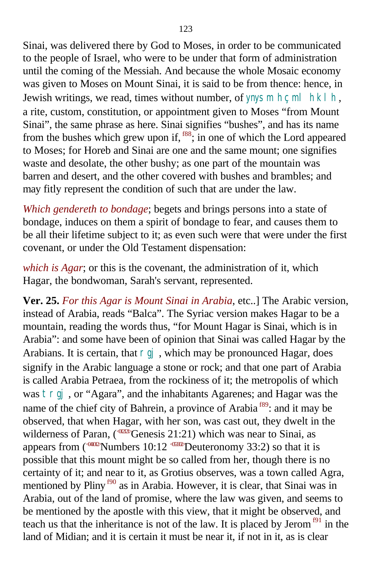Sinai, was delivered there by God to Moses, in order to be communicated to the people of Israel, who were to be under that form of administration until the coming of the Messiah. And because the whole Mosaic economy was given to Moses on Mount Sinai, it is said to be from thence: hence, in Jewish writings, we read, times without number, of ynysm hçml hklh, a rite, custom, constitution, or appointment given to Moses "from Mount Sinai", the same phrase as here. Sinai signifies "bushes", and has its name from the bushes which grew upon if, <sup>f88</sup>; in one of which the Lord appeared to Moses; for Horeb and Sinai are one and the same mount; one signifies waste and desolate, the other bushy; as one part of the mountain was barren and desert, and the other covered with bushes and brambles; and may fitly represent the condition of such that are under the law.

*Which gendereth to bondage*; begets and brings persons into a state of bondage, induces on them a spirit of bondage to fear, and causes them to be all their lifetime subject to it; as even such were that were under the first covenant, or under the Old Testament dispensation:

*which is Agar*; or this is the covenant, the administration of it, which Hagar, the bondwoman, Sarah's servant, represented.

**Ver. 25.** *For this Agar is Mount Sinai in Arabia*, etc..] The Arabic version, instead of Arabia, reads "Balca". The Syriac version makes Hagar to be a mountain, reading the words thus, "for Mount Hagar is Sinai, which is in Arabia": and some have been of opinion that Sinai was called Hagar by the Arabians. It is certain, that  $\Gamma$ gj, which may be pronounced Hagar, does signify in the Arabic language a stone or rock; and that one part of Arabia is called Arabia Petraea, from the rockiness of it; the metropolis of which was  $traj$ , or "Agara", and the inhabitants Agarenes; and Hagar was the name of the chief city of Bahrein, a province of Arabia<sup>189</sup>: and it may be observed, that when Hagar, with her son, was cast out, they dwelt in the wilderness of Paran,  $(1222)$ Genesis 21:21) which was near to Sinai, as appears from  $(4002)$ Numbers 10:12  $4802$ Deuteronomy 33:2) so that it is possible that this mount might be so called from her, though there is no certainty of it; and near to it, as Grotius observes, was a town called Agra, mentioned by Pliny<sup>190</sup> as in Arabia. However, it is clear, that Sinai was in Arabia, out of the land of promise, where the law was given, and seems to be mentioned by the apostle with this view, that it might be observed, and teach us that the inheritance is not of the law. It is placed by Jerom  $191$  in the land of Midian; and it is certain it must be near it, if not in it, as is clear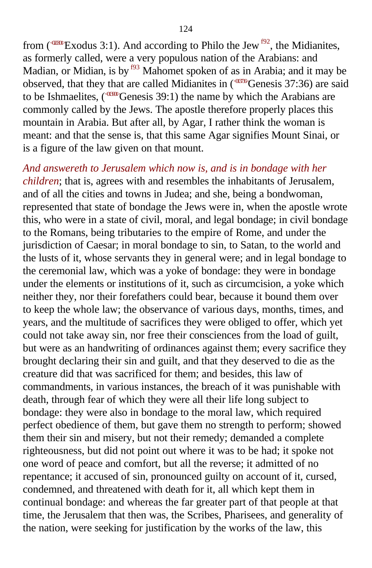from ( $\sqrt{MR}$ Exodus 3:1). And according to Philo the Jew <sup>f92</sup>, the Midianites, as formerly called, were a very populous nation of the Arabians: and Madian, or Midian, is by  $<sup>f93</sup>$  Mahomet spoken of as in Arabia; and it may be</sup> observed, that they that are called Midianites in  $(4036)$ Genesis 37:36) are said to be Ishmaelites,  $(4000 \text{ G} \cdot 39.1)$  the name by which the Arabians are commonly called by the Jews. The apostle therefore properly places this mountain in Arabia. But after all, by Agar, I rather think the woman is meant: and that the sense is, that this same Agar signifies Mount Sinai, or is a figure of the law given on that mount.

*And answereth to Jerusalem which now is, and is in bondage with her children*; that is, agrees with and resembles the inhabitants of Jerusalem, and of all the cities and towns in Judea; and she, being a bondwoman, represented that state of bondage the Jews were in, when the apostle wrote this, who were in a state of civil, moral, and legal bondage; in civil bondage to the Romans, being tributaries to the empire of Rome, and under the jurisdiction of Caesar; in moral bondage to sin, to Satan, to the world and the lusts of it, whose servants they in general were; and in legal bondage to the ceremonial law, which was a yoke of bondage: they were in bondage under the elements or institutions of it, such as circumcision, a yoke which neither they, nor their forefathers could bear, because it bound them over to keep the whole law; the observance of various days, months, times, and years, and the multitude of sacrifices they were obliged to offer, which yet could not take away sin, nor free their consciences from the load of guilt, but were as an handwriting of ordinances against them; every sacrifice they brought declaring their sin and guilt, and that they deserved to die as the creature did that was sacrificed for them; and besides, this law of commandments, in various instances, the breach of it was punishable with death, through fear of which they were all their life long subject to bondage: they were also in bondage to the moral law, which required perfect obedience of them, but gave them no strength to perform; showed them their sin and misery, but not their remedy; demanded a complete righteousness, but did not point out where it was to be had; it spoke not one word of peace and comfort, but all the reverse; it admitted of no repentance; it accused of sin, pronounced guilty on account of it, cursed, condemned, and threatened with death for it, all which kept them in continual bondage: and whereas the far greater part of that people at that time, the Jerusalem that then was, the Scribes, Pharisees, and generality of the nation, were seeking for justification by the works of the law, this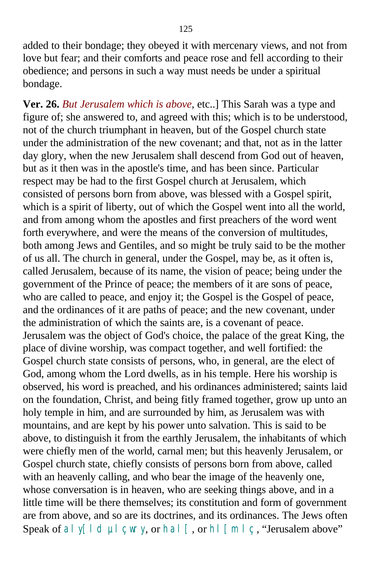added to their bondage; they obeyed it with mercenary views, and not from love but fear; and their comforts and peace rose and fell according to their obedience; and persons in such a way must needs be under a spiritual bondage.

**Ver. 26.** *But Jerusalem which is above*, etc..] This Sarah was a type and figure of; she answered to, and agreed with this; which is to be understood, not of the church triumphant in heaven, but of the Gospel church state under the administration of the new covenant; and that, not as in the latter day glory, when the new Jerusalem shall descend from God out of heaven, but as it then was in the apostle's time, and has been since. Particular respect may be had to the first Gospel church at Jerusalem, which consisted of persons born from above, was blessed with a Gospel spirit, which is a spirit of liberty, out of which the Gospel went into all the world, and from among whom the apostles and first preachers of the word went forth everywhere, and were the means of the conversion of multitudes, both among Jews and Gentiles, and so might be truly said to be the mother of us all. The church in general, under the Gospel, may be, as it often is, called Jerusalem, because of its name, the vision of peace; being under the government of the Prince of peace; the members of it are sons of peace, who are called to peace, and enjoy it; the Gospel is the Gospel of peace, and the ordinances of it are paths of peace; and the new covenant, under the administration of which the saints are, is a covenant of peace. Jerusalem was the object of God's choice, the palace of the great King, the place of divine worship, was compact together, and well fortified: the Gospel church state consists of persons, who, in general, are the elect of God, among whom the Lord dwells, as in his temple. Here his worship is observed, his word is preached, and his ordinances administered; saints laid on the foundation, Christ, and being fitly framed together, grow up unto an holy temple in him, and are surrounded by him, as Jerusalem was with mountains, and are kept by his power unto salvation. This is said to be above, to distinguish it from the earthly Jerusalem, the inhabitants of which were chiefly men of the world, carnal men; but this heavenly Jerusalem, or Gospel church state, chiefly consists of persons born from above, called with an heavenly calling, and who bear the image of the heavenly one, whose conversation is in heaven, who are seeking things above, and in a little time will be there themselves; its constitution and form of government are from above, and so are its doctrines, and its ordinances. The Jews often Speak of all y<sup>[ $\vert$ ]</sup> d µl cwry, or hal  $\vert$ , or hl  $\vert$ m  $\vert$  c, "Jerusalem above"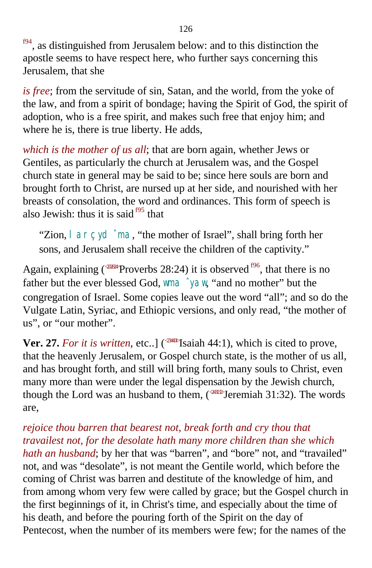$f<sup>94</sup>$ , as distinguished from Jerusalem below: and to this distinction the apostle seems to have respect here, who further says concerning this Jerusalem, that she

*is free*; from the servitude of sin, Satan, and the world, from the yoke of the law, and from a spirit of bondage; having the Spirit of God, the spirit of adoption, who is a free spirit, and makes such free that enjoy him; and where he is, there is true liberty. He adds,

*which is the mother of us all*; that are born again, whether Jews or Gentiles, as particularly the church at Jerusalem was, and the Gospel church state in general may be said to be; since here souls are born and brought forth to Christ, are nursed up at her side, and nourished with her breasts of consolation, the word and ordinances. This form of speech is also Jewish: thus it is said  $f^{95}$  that

"Zion, larçyd ˆma, "the mother of Israel", shall bring forth her sons, and Jerusalem shall receive the children of the captivity."

Again, explaining ( $\alpha$ <sup>3884</sup>) Proverbs 28:24) it is observed <sup>f96</sup>, that there is no father but the ever blessed God, wma ˆyaw, "and no mother" but the congregation of Israel. Some copies leave out the word "all"; and so do the Vulgate Latin, Syriac, and Ethiopic versions, and only read, "the mother of us", or "our mother".

**Ver. 27.** *For it is written*, etc..] ( $\alpha$ <sup>340</sup>Isaiah 44:1), which is cited to prove, that the heavenly Jerusalem, or Gospel church state, is the mother of us all, and has brought forth, and still will bring forth, many souls to Christ, even many more than were under the legal dispensation by the Jewish church, though the Lord was an husband to them,  $(2882)$  Jeremiah 31:32). The words are,

*rejoice thou barren that bearest not, break forth and cry thou that travailest not, for the desolate hath many more children than she which hath an husband*; by her that was "barren", and "bore" not, and "travailed" not, and was "desolate", is not meant the Gentile world, which before the coming of Christ was barren and destitute of the knowledge of him, and from among whom very few were called by grace; but the Gospel church in the first beginnings of it, in Christ's time, and especially about the time of his death, and before the pouring forth of the Spirit on the day of Pentecost, when the number of its members were few; for the names of the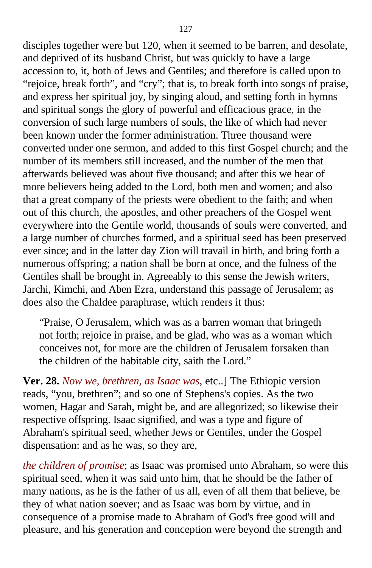disciples together were but 120, when it seemed to be barren, and desolate, and deprived of its husband Christ, but was quickly to have a large accession to, it, both of Jews and Gentiles; and therefore is called upon to "rejoice, break forth", and "cry"; that is, to break forth into songs of praise, and express her spiritual joy, by singing aloud, and setting forth in hymns and spiritual songs the glory of powerful and efficacious grace, in the conversion of such large numbers of souls, the like of which had never been known under the former administration. Three thousand were converted under one sermon, and added to this first Gospel church; and the number of its members still increased, and the number of the men that afterwards believed was about five thousand; and after this we hear of more believers being added to the Lord, both men and women; and also that a great company of the priests were obedient to the faith; and when out of this church, the apostles, and other preachers of the Gospel went everywhere into the Gentile world, thousands of souls were converted, and a large number of churches formed, and a spiritual seed has been preserved ever since; and in the latter day Zion will travail in birth, and bring forth a numerous offspring; a nation shall be born at once, and the fulness of the Gentiles shall be brought in. Agreeably to this sense the Jewish writers, Jarchi, Kimchi, and Aben Ezra, understand this passage of Jerusalem; as does also the Chaldee paraphrase, which renders it thus:

"Praise, O Jerusalem, which was as a barren woman that bringeth not forth; rejoice in praise, and be glad, who was as a woman which conceives not, for more are the children of Jerusalem forsaken than the children of the habitable city, saith the Lord."

**Ver. 28.** *Now we, brethren, as Isaac was*, etc..] The Ethiopic version reads, "you, brethren"; and so one of Stephens's copies. As the two women, Hagar and Sarah, might be, and are allegorized; so likewise their respective offspring. Isaac signified, and was a type and figure of Abraham's spiritual seed, whether Jews or Gentiles, under the Gospel dispensation: and as he was, so they are,

*the children of promise*; as Isaac was promised unto Abraham, so were this spiritual seed, when it was said unto him, that he should be the father of many nations, as he is the father of us all, even of all them that believe, be they of what nation soever; and as Isaac was born by virtue, and in consequence of a promise made to Abraham of God's free good will and pleasure, and his generation and conception were beyond the strength and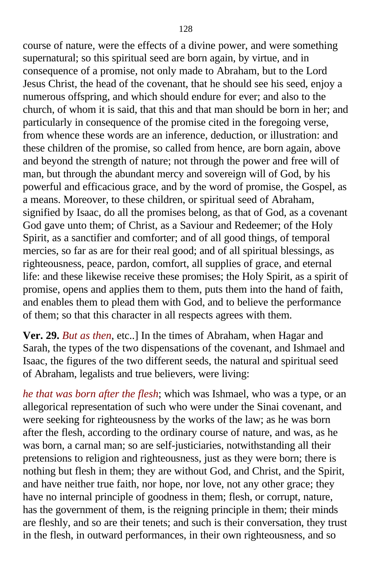<span id="page-127-0"></span>course of nature, were the effects of a divine power, and were something supernatural; so this spiritual seed are born again, by virtue, and in consequence of a promise, not only made to Abraham, but to the Lord Jesus Christ, the head of the covenant, that he should see his seed, enjoy a numerous offspring, and which should endure for ever; and also to the church, of whom it is said, that this and that man should be born in her; and particularly in consequence of the promise cited in the foregoing verse, from whence these words are an inference, deduction, or illustration: and these children of the promise, so called from hence, are born again, above and beyond the strength of nature; not through the power and free will of man, but through the abundant mercy and sovereign will of God, by his powerful and efficacious grace, and by the word of promise, the Gospel, as a means. Moreover, to these children, or spiritual seed of Abraham, signified by Isaac, do all the promises belong, as that of God, as a covenant God gave unto them; of Christ, as a Saviour and Redeemer; of the Holy Spirit, as a sanctifier and comforter; and of all good things, of temporal mercies, so far as are for their real good; and of all spiritual blessings, as righteousness, peace, pardon, comfort, all supplies of grace, and eternal life: and these likewise receive these promises; the Holy Spirit, as a spirit of promise, opens and applies them to them, puts them into the hand of faith, and enables them to plead them with God, and to believe the performance of them; so that this character in all respects agrees with them.

**Ver. 29.** *But as then*, etc..] In the times of Abraham, when Hagar and Sarah, the types of the two dispensations of the covenant, and Ishmael and Isaac, the figures of the two different seeds, the natural and spiritual seed of Abraham, legalists and true believers, were living:

*he that was born after the flesh*; which was Ishmael, who was a type, or an allegorical representation of such who were under the Sinai covenant, and were seeking for righteousness by the works of the law; as he was born after the flesh, according to the ordinary course of nature, and was, as he was born, a carnal man; so are self-justiciaries, notwithstanding all their pretensions to religion and righteousness, just as they were born; there is nothing but flesh in them; they are without God, and Christ, and the Spirit, and have neither true faith, nor hope, nor love, not any other grace; they have no internal principle of goodness in them; flesh, or corrupt, nature, has the government of them, is the reigning principle in them; their minds are fleshly, and so are their tenets; and such is their conversation, they trust in the flesh, in outward performances, in their own righteousness, and so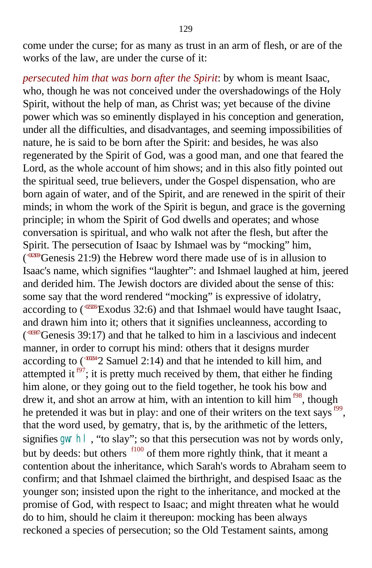come under the curse; for as many as trust in an arm of flesh, or are of the works of the law, are under the curse of it:

*persecuted him that was born after the Spirit*: by whom is meant Isaac, who, though he was not conceived under the overshadowings of the Holy Spirit, without the help of man, as Christ was; yet because of the divine power which was so eminently displayed in his conception and generation, under all the difficulties, and disadvantages, and seeming impossibilities of nature, he is said to be born after the Spirit: and besides, he was also regenerated by the Spirit of God, was a good man, and one that feared the Lord, as the whole account of him shows; and in this also fitly pointed out the spiritual seed, true believers, under the Gospel dispensation, who are born again of water, and of the Spirit, and are renewed in the spirit of their minds; in whom the work of the Spirit is begun, and grace is the governing principle; in whom the Spirit of God dwells and operates; and whose conversation is spiritual, and who walk not after the flesh, but after the Spirit. The persecution of Isaac by Ishmael was by "mocking" him,  $($ <sup>ond</sup> Genesis 21:9) the Hebrew word there made use of is in allusion to Isaac's name, which signifies "laughter": and Ishmael laughed at him, jeered and derided him. The Jewish doctors are divided about the sense of this: some say that the word rendered "mocking" is expressive of idolatry, according to  $(4836)$ Exodus 32:6) and that Ishmael would have taught Isaac, and drawn him into it; others that it signifies uncleanness, according to  $($ <sup>**OBT<sub>2</sub>**Genesis 39:17) and that he talked to him in a lascivious and indecent</sup> manner, in order to corrupt his mind: others that it designs murder according to  $($ <sup>IIII4</sup> $)$  Samuel 2:14) and that he intended to kill him, and attempted it  $f^{97}$ ; it is pretty much received by them, that either he finding him alone, or they going out to the field together, he took his bow and drew it, and shot an arrow at him, with an intention to kill him <sup>f98</sup>, though he pretended it was but in play: and one of their writers on the text says <sup>f99</sup>, that the word used, by gematry, that is, by the arithmetic of the letters, signifies qwrhl, "to slay"; so that this persecution was not by words only, but by deeds: but others  $f100$  of them more rightly think, that it meant a contention about the inheritance, which Sarah's words to Abraham seem to confirm; and that Ishmael claimed the birthright, and despised Isaac as the younger son; insisted upon the right to the inheritance, and mocked at the promise of God, with respect to Isaac; and might threaten what he would do to him, should he claim it thereupon: mocking has been always reckoned a species of persecution; so the Old Testament saints, among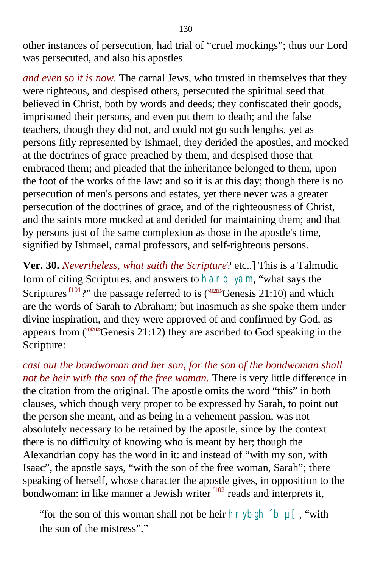other instances of persecution, had trial of "cruel mockings"; thus our Lord was persecuted, and also his apostles

*and even so it is now*. The carnal Jews, who trusted in themselves that they were righteous, and despised others, persecuted the spiritual seed that believed in Christ, both by words and deeds; they confiscated their goods, imprisoned their persons, and even put them to death; and the false teachers, though they did not, and could not go such lengths, yet as persons fitly represented by Ishmael, they derided the apostles, and mocked at the doctrines of grace preached by them, and despised those that embraced them; and pleaded that the inheritance belonged to them, upon the foot of the works of the law: and so it is at this day; though there is no persecution of men's persons and estates, yet there never was a greater persecution of the doctrines of grace, and of the righteousness of Christ, and the saints more mocked at and derided for maintaining them; and that by persons just of the same complexion as those in the apostle's time, signified by Ishmael, carnal professors, and self-righteous persons.

**Ver. 30.** *Nevertheless, what saith the Scripture*? etc..] This is a Talmudic form of citing Scriptures, and answers to harq yam, "what says the Scriptures  $f101}$ ?" the passage referred to is ( $\frac{1}{2}$ Genesis 21:10) and which are the words of Sarah to Abraham; but inasmuch as she spake them under divine inspiration, and they were approved of and confirmed by God, as appears from  $(^{0212}$ Genesis 21:12) they are ascribed to God speaking in the Scripture:

*cast out the bondwoman and her son, for the son of the bondwoman shall not be heir with the son of the free woman.* There is very little difference in the citation from the original. The apostle omits the word "this" in both clauses, which though very proper to be expressed by Sarah, to point out the person she meant, and as being in a vehement passion, was not absolutely necessary to be retained by the apostle, since by the context there is no difficulty of knowing who is meant by her; though the Alexandrian copy has the word in it: and instead of "with my son, with Isaac", the apostle says, "with the son of the free woman, Sarah"; there speaking of herself, whose character the apostle gives, in opposition to the bondwoman: in like manner a Jewish writer <sup>f102</sup> reads and interprets it,

"for the son of this woman shall not be heir hrybgh  $\hat{b}$   $\mu$ , "with" the son of the mistress""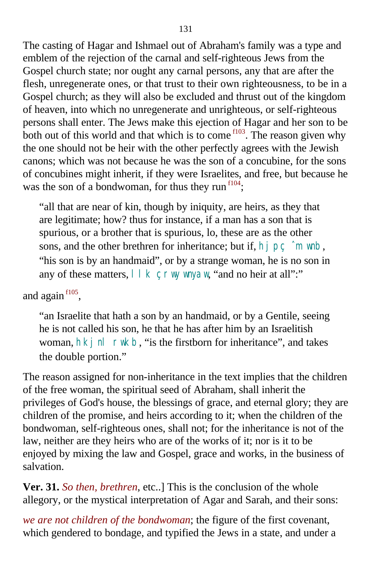The casting of Hagar and Ishmael out of Abraham's family was a type and emblem of the rejection of the carnal and self-righteous Jews from the Gospel church state; nor ought any carnal persons, any that are after the flesh, unregenerate ones, or that trust to their own righteousness, to be in a Gospel church; as they will also be excluded and thrust out of the kingdom of heaven, into which no unregenerate and unrighteous, or self-righteous persons shall enter. The Jews make this ejection of Hagar and her son to be both out of this world and that which is to come  $f103$ . The reason given why the one should not be heir with the other perfectly agrees with the Jewish canons; which was not because he was the son of a concubine, for the sons of concubines might inherit, if they were Israelites, and free, but because he was the son of a bondwoman, for thus they run  $104$ ;

"all that are near of kin, though by iniquity, are heirs, as they that are legitimate; how? thus for instance, if a man has a son that is spurious, or a brother that is spurious, lo, these are as the other sons, and the other brethren for inheritance; but if, hj  $p\tilde{c}$   $\tilde{m}$  wnb, "his son is by an handmaid", or by a strange woman, he is no son in any of these matters,  $\vert \vert \vert k \vert$  crwy wnyaw, "and no heir at all":"

## and again  $f105$ ,

"an Israelite that hath a son by an handmaid, or by a Gentile, seeing he is not called his son, he that he has after him by an Israelitish woman, hkj nl rwkb, "is the firstborn for inheritance", and takes the double portion."

The reason assigned for non-inheritance in the text implies that the children of the free woman, the spiritual seed of Abraham, shall inherit the privileges of God's house, the blessings of grace, and eternal glory; they are children of the promise, and heirs according to it; when the children of the bondwoman, self-righteous ones, shall not; for the inheritance is not of the law, neither are they heirs who are of the works of it; nor is it to be enjoyed by mixing the law and Gospel, grace and works, in the business of salvation.

**Ver. 31.** *So then, brethren*, etc..] This is the conclusion of the whole allegory, or the mystical interpretation of Agar and Sarah, and their sons:

*we are not children of the bondwoman*; the figure of the first covenant, which gendered to bondage, and typified the Jews in a state, and under a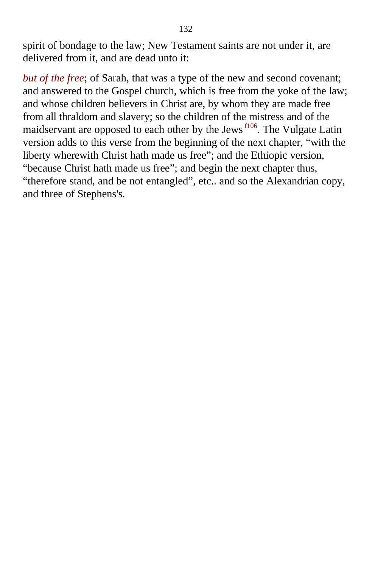spirit of bondage to the law; New Testament saints are not under it, are delivered from it, and are dead unto it:

*but of the free*; of Sarah, that was a type of the new and second covenant; and answered to the Gospel church, which is free from the yoke of the law; and whose children believers in Christ are, by whom they are made free from all thraldom and slavery; so the children of the mistress and of the maidservant are opposed to each other by the Jews [f106](#page-186-0). The Vulgate Latin version adds to this verse from the beginning of the next chapter, "with the liberty wherewith Christ hath made us free"; and the Ethiopic version, "because Christ hath made us free"; and begin the next chapter thus, "therefore stand, and be not entangled", etc.. and so the Alexandrian copy, and three of Stephens's.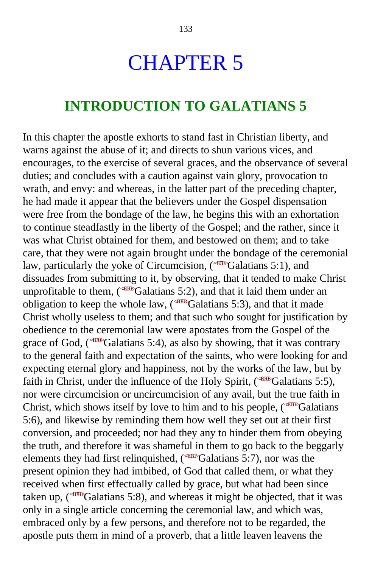## CHAPTER 5

## **INTRODUCTION TO GALATIANS 5**

In this chapter the apostle exhorts to stand fast in Christian liberty, and warns against the abuse of it; and directs to shun various vices, and encourages, to the exercise of several graces, and the observance of several duties; and concludes with a caution against vain glory, provocation to wrath, and envy: and whereas, in the latter part of the preceding chapter, he had made it appear that the believers under the Gospel dispensation were free from the bondage of the law, he begins this with an exhortation to continue steadfastly in the liberty of the Gospel; and the rather, since it was what Christ obtained for them, and bestowed on them; and to take care, that they were not again brought under the bondage of the ceremonial law, particularly the yoke of Circumcision,  $(\sqrt{8800})$ Galatians 5:1), and dissuades from submitting to it, by observing, that it tended to make Christ unprofitable to them,  $(\sqrt{4800})$ Galatians 5:2), and that it laid them under an obligation to keep the whole law,  $(\sqrt{ABB}Gala t)$  and that it made Christ wholly useless to them; and that such who sought for justification by obedience to the ceremonial law were apostates from the Gospel of the grace of God,  $(\sqrt[4804]{\text{Gal}})$  Galatians 5:4), as also by showing, that it was contrary to the general faith and expectation of the saints, who were looking for and expecting eternal glory and happiness, not by the works of the law, but by faith in Christ, under the influence of the Holy Spirit,  $(\sqrt{4815} \text{Galatians } 5.5)$ , nor were circumcision or uncircumcision of any avail, but the true faith in Christ, which shows itself by love to him and to his people,  $($ <sup>4886</sup> $G$ alatians 5:6), and likewise by reminding them how well they set out at their first conversion, and proceeded; nor had they any to hinder them from obeying the truth, and therefore it was shameful in them to go back to the beggarly elements they had first relinquished,  $(\sqrt{4800}Galatians 5:7)$ , nor was the present opinion they had imbibed, of God that called them, or what they received when first effectually called by grace, but what had been since taken up,  $($ <sup> $#KB$ </sup>Galatians 5:8), and whereas it might be objected, that it was only in a single article concerning the ceremonial law, and which was, embraced only by a few persons, and therefore not to be regarded, the apostle puts them in mind of a proverb, that a little leaven leavens the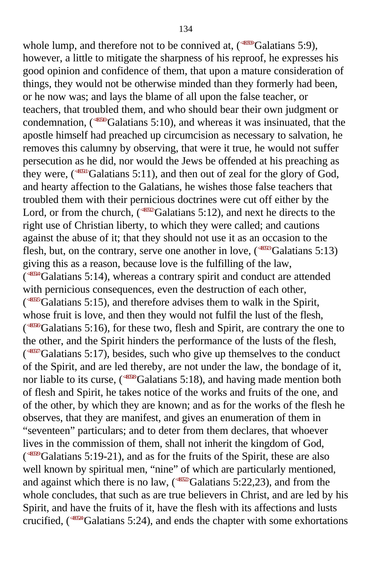whole lump, and therefore not to be connived at,  $(\sqrt{4800})$ Galatians 5:9), however, a little to mitigate the sharpness of his reproof, he expresses his good opinion and confidence of them, that upon a mature consideration of things, they would not be otherwise minded than they formerly had been, or he now was; and lays the blame of all upon the false teacher, or teachers, that troubled them, and who should bear their own judgment or condemnation,  $(4880)$ Galatians 5:10), and whereas it was insinuated, that the apostle himself had preached up circumcision as necessary to salvation, he removes this calumny by observing, that were it true, he would not suffer persecution as he did, nor would the Jews be offended at his preaching as they were,  $(\sqrt{4851}Galatians 5:11)$ , and then out of zeal for the glory of God, and hearty affection to the Galatians, he wishes those false teachers that troubled them with their pernicious doctrines were cut off either by the Lord, or from the church,  $(\sqrt{ABD}Galatians 5:12)$ , and next he directs to the right use of Christian liberty, to which they were called; and cautions against the abuse of it; that they should not use it as an occasion to the flesh, but, on the contrary, serve one another in love,  $(\sqrt[4666]{\text{Galatians}} 5:13)$ giving this as a reason, because love is the fulfilling of the law,  $(\sqrt[466]{6}$ Galatians 5:14), whereas a contrary spirit and conduct are attended with pernicious consequences, even the destruction of each other,  $(\sqrt[4655]{\text{Galatians}} 5:15)$ , and therefore advises them to walk in the Spirit, whose fruit is love, and then they would not fulfil the lust of the flesh,  $(\sqrt[466]{6}$ Galatians 5:16), for these two, flesh and Spirit, are contrary the one to the other, and the Spirit hinders the performance of the lusts of the flesh,  $(\sqrt[4867]{\text{Galatians}} 5:17)$ , besides, such who give up themselves to the conduct of the Spirit, and are led thereby, are not under the law, the bondage of it, nor liable to its curse,  $(*BDBGalatians 5:18)$ , and having made mention both of flesh and Spirit, he takes notice of the works and fruits of the one, and of the other, by which they are known; and as for the works of the flesh he observes, that they are manifest, and gives an enumeration of them in "seventeen" particulars; and to deter from them declares, that whoever lives in the commission of them, shall not inherit the kingdom of God,  $(\sqrt[4660]{\text{Galatians}} 5:19-21)$ , and as for the fruits of the Spirit, these are also well known by spiritual men, "nine" of which are particularly mentioned, and against which there is no law,  $(\sqrt{4802})$ Galatians 5:22,23), and from the whole concludes, that such as are true believers in Christ, and are led by his Spirit, and have the fruits of it, have the flesh with its affections and lusts crucified,  $(\sqrt[4804]{\text{Gal}})$  and ends the chapter with some exhortations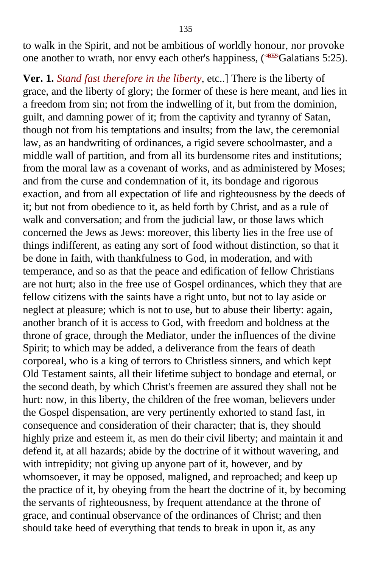to walk in the Spirit, and not be ambitious of worldly honour, nor provoke one another to wrath, nor envy each other's happiness,  $(\sqrt[4025]{\text{Galatians}}} 5:25)$ .

**Ver. 1.** *Stand fast therefore in the liberty*, etc..] There is the liberty of grace, and the liberty of glory; the former of these is here meant, and lies in a freedom from sin; not from the indwelling of it, but from the dominion, guilt, and damning power of it; from the captivity and tyranny of Satan, though not from his temptations and insults; from the law, the ceremonial law, as an handwriting of ordinances, a rigid severe schoolmaster, and a middle wall of partition, and from all its burdensome rites and institutions; from the moral law as a covenant of works, and as administered by Moses; and from the curse and condemnation of it, its bondage and rigorous exaction, and from all expectation of life and righteousness by the deeds of it; but not from obedience to it, as held forth by Christ, and as a rule of walk and conversation; and from the judicial law, or those laws which concerned the Jews as Jews: moreover, this liberty lies in the free use of things indifferent, as eating any sort of food without distinction, so that it be done in faith, with thankfulness to God, in moderation, and with temperance, and so as that the peace and edification of fellow Christians are not hurt; also in the free use of Gospel ordinances, which they that are fellow citizens with the saints have a right unto, but not to lay aside or neglect at pleasure; which is not to use, but to abuse their liberty: again, another branch of it is access to God, with freedom and boldness at the throne of grace, through the Mediator, under the influences of the divine Spirit; to which may be added, a deliverance from the fears of death corporeal, who is a king of terrors to Christless sinners, and which kept Old Testament saints, all their lifetime subject to bondage and eternal, or the second death, by which Christ's freemen are assured they shall not be hurt: now, in this liberty, the children of the free woman, believers under the Gospel dispensation, are very pertinently exhorted to stand fast, in consequence and consideration of their character; that is, they should highly prize and esteem it, as men do their civil liberty; and maintain it and defend it, at all hazards; abide by the doctrine of it without wavering, and with intrepidity; not giving up anyone part of it, however, and by whomsoever, it may be opposed, maligned, and reproached; and keep up the practice of it, by obeying from the heart the doctrine of it, by becoming the servants of righteousness, by frequent attendance at the throne of grace, and continual observance of the ordinances of Christ; and then should take heed of everything that tends to break in upon it, as any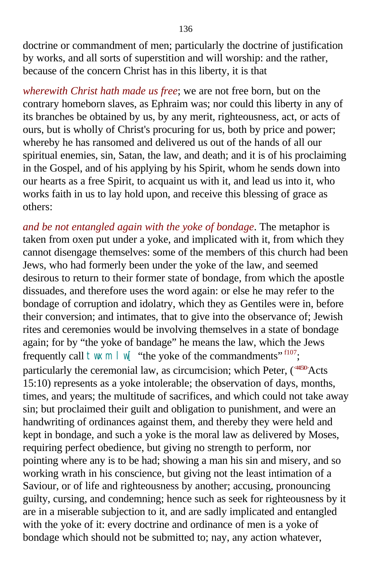doctrine or commandment of men; particularly the doctrine of justification by works, and all sorts of superstition and will worship: and the rather, because of the concern Christ has in this liberty, it is that

*wherewith Christ hath made us free*; we are not free born, but on the contrary homeborn slaves, as Ephraim was; nor could this liberty in any of its branches be obtained by us, by any merit, righteousness, act, or acts of ours, but is wholly of Christ's procuring for us, both by price and power; whereby he has ransomed and delivered us out of the hands of all our spiritual enemies, sin, Satan, the law, and death; and it is of his proclaiming in the Gospel, and of his applying by his Spirit, whom he sends down into our hearts as a free Spirit, to acquaint us with it, and lead us into it, who works faith in us to lay hold upon, and receive this blessing of grace as others:

*and be not entangled again with the yoke of bondage*. The metaphor is taken from oxen put under a yoke, and implicated with it, from which they cannot disengage themselves: some of the members of this church had been Jews, who had formerly been under the yoke of the law, and seemed desirous to return to their former state of bondage, from which the apostle dissuades, and therefore uses the word again: or else he may refer to the bondage of corruption and idolatry, which they as Gentiles were in, before their conversion; and intimates, that to give into the observance of; Jewish rites and ceremonies would be involving themselves in a state of bondage again; for by "the yoke of bandage" he means the law, which the Jews frequently call  $twxm \mid w$ <sup>[</sup> "the yoke of the commandments"  $f107$ ; particularly the ceremonial law, as circumcision; which Peter,  $(4450)$ Acts 15:10) represents as a yoke intolerable; the observation of days, months, times, and years; the multitude of sacrifices, and which could not take away sin; but proclaimed their guilt and obligation to punishment, and were an handwriting of ordinances against them, and thereby they were held and kept in bondage, and such a yoke is the moral law as delivered by Moses, requiring perfect obedience, but giving no strength to perform, nor pointing where any is to be had; showing a man his sin and misery, and so working wrath in his conscience, but giving not the least intimation of a Saviour, or of life and righteousness by another; accusing, pronouncing guilty, cursing, and condemning; hence such as seek for righteousness by it are in a miserable subjection to it, and are sadly implicated and entangled with the yoke of it: every doctrine and ordinance of men is a yoke of bondage which should not be submitted to; nay, any action whatever,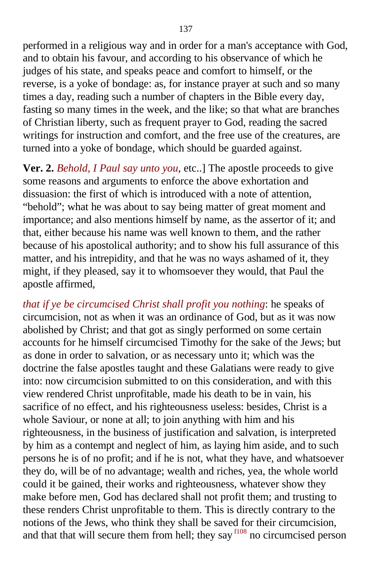performed in a religious way and in order for a man's acceptance with God, and to obtain his favour, and according to his observance of which he judges of his state, and speaks peace and comfort to himself, or the reverse, is a yoke of bondage: as, for instance prayer at such and so many times a day, reading such a number of chapters in the Bible every day, fasting so many times in the week, and the like; so that what are branches of Christian liberty, such as frequent prayer to God, reading the sacred writings for instruction and comfort, and the free use of the creatures, are turned into a yoke of bondage, which should be guarded against.

**Ver. 2.** *Behold, I Paul say unto you*, etc..] The apostle proceeds to give some reasons and arguments to enforce the above exhortation and dissuasion: the first of which is introduced with a note of attention, "behold"; what he was about to say being matter of great moment and importance; and also mentions himself by name, as the assertor of it; and that, either because his name was well known to them, and the rather because of his apostolical authority; and to show his full assurance of this matter, and his intrepidity, and that he was no ways ashamed of it, they might, if they pleased, say it to whomsoever they would, that Paul the apostle affirmed,

*that if ye be circumcised Christ shall profit you nothing*: he speaks of circumcision, not as when it was an ordinance of God, but as it was now abolished by Christ; and that got as singly performed on some certain accounts for he himself circumcised Timothy for the sake of the Jews; but as done in order to salvation, or as necessary unto it; which was the doctrine the false apostles taught and these Galatians were ready to give into: now circumcision submitted to on this consideration, and with this view rendered Christ unprofitable, made his death to be in vain, his sacrifice of no effect, and his righteousness useless: besides, Christ is a whole Saviour, or none at all; to join anything with him and his righteousness, in the business of justification and salvation, is interpreted by him as a contempt and neglect of him, as laying him aside, and to such persons he is of no profit; and if he is not, what they have, and whatsoever they do, will be of no advantage; wealth and riches, yea, the whole world could it be gained, their works and righteousness, whatever show they make before men, God has declared shall not profit them; and trusting to these renders Christ unprofitable to them. This is directly contrary to the notions of the Jews, who think they shall be saved for their circumcision, and that that will secure them from hell; they say  $f108$  no circumcised person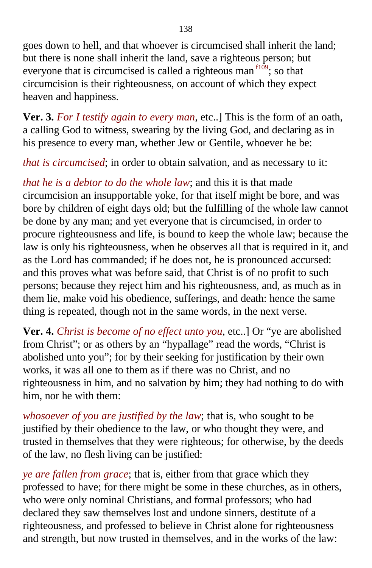goes down to hell, and that whoever is circumcised shall inherit the land; but there is none shall inherit the land, save a righteous person; but everyone that is circumcised is called a righteous man  $\frac{f109}{g}$ ; so that circumcision is their righteousness, on account of which they expect heaven and happiness.

**Ver. 3.** *For I testify again to every man*, etc..] This is the form of an oath, a calling God to witness, swearing by the living God, and declaring as in his presence to every man, whether Jew or Gentile, whoever he be:

*that is circumcised*; in order to obtain salvation, and as necessary to it:

*that he is a debtor to do the whole law*; and this it is that made circumcision an insupportable yoke, for that itself might be bore, and was bore by children of eight days old; but the fulfilling of the whole law cannot be done by any man; and yet everyone that is circumcised, in order to procure righteousness and life, is bound to keep the whole law; because the law is only his righteousness, when he observes all that is required in it, and as the Lord has commanded; if he does not, he is pronounced accursed: and this proves what was before said, that Christ is of no profit to such persons; because they reject him and his righteousness, and, as much as in them lie, make void his obedience, sufferings, and death: hence the same thing is repeated, though not in the same words, in the next verse.

**Ver. 4.** *Christ is become of no effect unto you*, etc..] Or "ye are abolished from Christ"; or as others by an "hypallage" read the words, "Christ is abolished unto you"; for by their seeking for justification by their own works, it was all one to them as if there was no Christ, and no righteousness in him, and no salvation by him; they had nothing to do with him, nor he with them:

*whosoever of you are justified by the law*; that is, who sought to be justified by their obedience to the law, or who thought they were, and trusted in themselves that they were righteous; for otherwise, by the deeds of the law, no flesh living can be justified:

*ye are fallen from grace*; that is, either from that grace which they professed to have; for there might be some in these churches, as in others, who were only nominal Christians, and formal professors; who had declared they saw themselves lost and undone sinners, destitute of a righteousness, and professed to believe in Christ alone for righteousness and strength, but now trusted in themselves, and in the works of the law: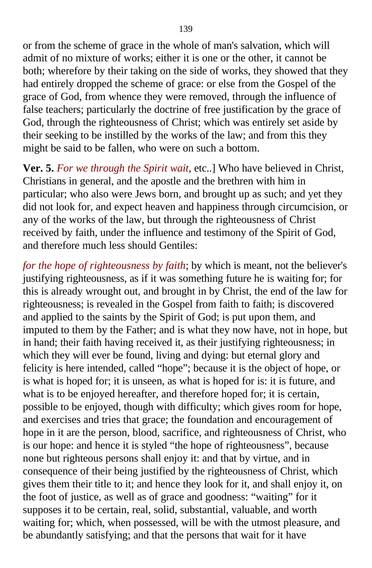or from the scheme of grace in the whole of man's salvation, which will admit of no mixture of works; either it is one or the other, it cannot be both; wherefore by their taking on the side of works, they showed that they had entirely dropped the scheme of grace: or else from the Gospel of the grace of God, from whence they were removed, through the influence of false teachers; particularly the doctrine of free justification by the grace of God, through the righteousness of Christ; which was entirely set aside by their seeking to be instilled by the works of the law; and from this they might be said to be fallen, who were on such a bottom.

**Ver. 5.** *For we through the Spirit wait*, etc..] Who have believed in Christ, Christians in general, and the apostle and the brethren with him in particular; who also were Jews born, and brought up as such; and yet they did not look for, and expect heaven and happiness through circumcision, or any of the works of the law, but through the righteousness of Christ received by faith, under the influence and testimony of the Spirit of God, and therefore much less should Gentiles:

*for the hope of righteousness by faith*; by which is meant, not the believer's justifying righteousness, as if it was something future he is waiting for; for this is already wrought out, and brought in by Christ, the end of the law for righteousness; is revealed in the Gospel from faith to faith; is discovered and applied to the saints by the Spirit of God; is put upon them, and imputed to them by the Father; and is what they now have, not in hope, but in hand; their faith having received it, as their justifying righteousness; in which they will ever be found, living and dying: but eternal glory and felicity is here intended, called "hope"; because it is the object of hope, or is what is hoped for; it is unseen, as what is hoped for is: it is future, and what is to be enjoyed hereafter, and therefore hoped for; it is certain, possible to be enjoyed, though with difficulty; which gives room for hope, and exercises and tries that grace; the foundation and encouragement of hope in it are the person, blood, sacrifice, and righteousness of Christ, who is our hope: and hence it is styled "the hope of righteousness", because none but righteous persons shall enjoy it: and that by virtue, and in consequence of their being justified by the righteousness of Christ, which gives them their title to it; and hence they look for it, and shall enjoy it, on the foot of justice, as well as of grace and goodness: "waiting" for it supposes it to be certain, real, solid, substantial, valuable, and worth waiting for; which, when possessed, will be with the utmost pleasure, and be abundantly satisfying; and that the persons that wait for it have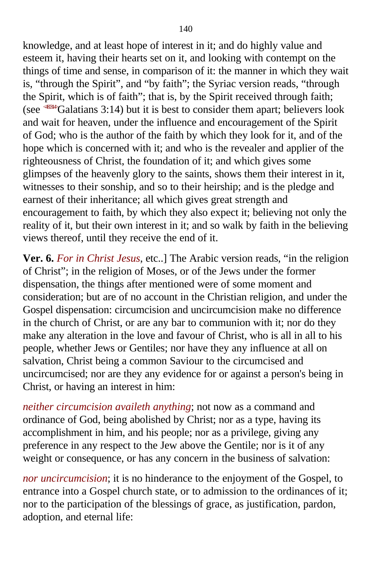knowledge, and at least hope of interest in it; and do highly value and esteem it, having their hearts set on it, and looking with contempt on the things of time and sense, in comparison of it: the manner in which they wait is, "through the Spirit", and "by faith"; the Syriac version reads, "through the Spirit, which is of faith"; that is, by the Spirit received through faith; (see  $\alpha$ <sub>6884</sub><sup> $\alpha$ </sup>Galatians 3:14) but it is best to consider them apart; believers look and wait for heaven, under the influence and encouragement of the Spirit of God; who is the author of the faith by which they look for it, and of the hope which is concerned with it; and who is the revealer and applier of the righteousness of Christ, the foundation of it; and which gives some glimpses of the heavenly glory to the saints, shows them their interest in it, witnesses to their sonship, and so to their heirship; and is the pledge and earnest of their inheritance; all which gives great strength and encouragement to faith, by which they also expect it; believing not only the reality of it, but their own interest in it; and so walk by faith in the believing views thereof, until they receive the end of it.

**Ver. 6.** *For in Christ Jesus*, etc..] The Arabic version reads, "in the religion of Christ"; in the religion of Moses, or of the Jews under the former dispensation, the things after mentioned were of some moment and consideration; but are of no account in the Christian religion, and under the Gospel dispensation: circumcision and uncircumcision make no difference in the church of Christ, or are any bar to communion with it; nor do they make any alteration in the love and favour of Christ, who is all in all to his people, whether Jews or Gentiles; nor have they any influence at all on salvation, Christ being a common Saviour to the circumcised and uncircumcised; nor are they any evidence for or against a person's being in Christ, or having an interest in him:

*neither circumcision availeth anything*; not now as a command and ordinance of God, being abolished by Christ; nor as a type, having its accomplishment in him, and his people; nor as a privilege, giving any preference in any respect to the Jew above the Gentile; nor is it of any weight or consequence, or has any concern in the business of salvation:

*nor uncircumcision*; it is no hinderance to the enjoyment of the Gospel, to entrance into a Gospel church state, or to admission to the ordinances of it; nor to the participation of the blessings of grace, as justification, pardon, adoption, and eternal life: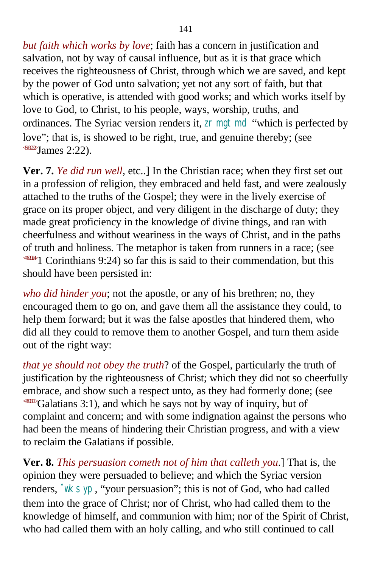*but faith which works by love*; faith has a concern in justification and salvation, not by way of causal influence, but as it is that grace which receives the righteousness of Christ, through which we are saved, and kept by the power of God unto salvation; yet not any sort of faith, but that which is operative, is attended with good works; and which works itself by love to God, to Christ, to his people, ways, worship, truths, and ordinances. The Syriac version renders it, zrmgtmd "which is perfected by love"; that is, is showed to be right, true, and genuine thereby; (see  $\sqrt{502}$ James 2:22).

**Ver. 7.** *Ye did run well*, etc..] In the Christian race; when they first set out in a profession of religion, they embraced and held fast, and were zealously attached to the truths of the Gospel; they were in the lively exercise of grace on its proper object, and very diligent in the discharge of duty; they made great proficiency in the knowledge of divine things, and ran with cheerfulness and without weariness in the ways of Christ, and in the paths of truth and holiness. The metaphor is taken from runners in a race; (see  $4004$  Corinthians 9:24) so far this is said to their commendation, but this should have been persisted in:

*who did hinder you*; not the apostle, or any of his brethren; no, they encouraged them to go on, and gave them all the assistance they could, to help them forward; but it was the false apostles that hindered them, who did all they could to remove them to another Gospel, and turn them aside out of the right way:

*that ye should not obey the truth*? of the Gospel, particularly the truth of justification by the righteousness of Christ; which they did not so cheerfully embrace, and show such a respect unto, as they had formerly done; (see  $\mathbb{R}$ <sup>4803</sup>Galatians 3:1), and which he says not by way of inquiry, but of complaint and concern; and with some indignation against the persons who had been the means of hindering their Christian progress, and with a view to reclaim the Galatians if possible.

**Ver. 8.** *This persuasion cometh not of him that calleth you*.] That is, the opinion they were persuaded to believe; and which the Syriac version renders, ˆwksyp, "your persuasion"; this is not of God, who had called them into the grace of Christ; nor of Christ, who had called them to the knowledge of himself, and communion with him; nor of the Spirit of Christ, who had called them with an holy calling, and who still continued to call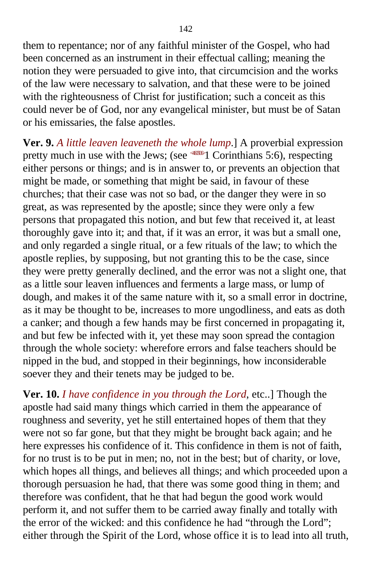them to repentance; nor of any faithful minister of the Gospel, who had been concerned as an instrument in their effectual calling; meaning the notion they were persuaded to give into, that circumcision and the works of the law were necessary to salvation, and that these were to be joined with the righteousness of Christ for justification; such a conceit as this could never be of God, nor any evangelical minister, but must be of Satan or his emissaries, the false apostles.

**Ver. 9.** *A little leaven leaveneth the whole lump*.] A proverbial expression pretty much in use with the Jews; (see  $\frac{4606}{1}$  Corinthians 5:6), respecting either persons or things; and is in answer to, or prevents an objection that might be made, or something that might be said, in favour of these churches; that their case was not so bad, or the danger they were in so great, as was represented by the apostle; since they were only a few persons that propagated this notion, and but few that received it, at least thoroughly gave into it; and that, if it was an error, it was but a small one, and only regarded a single ritual, or a few rituals of the law; to which the apostle replies, by supposing, but not granting this to be the case, since they were pretty generally declined, and the error was not a slight one, that as a little sour leaven influences and ferments a large mass, or lump of dough, and makes it of the same nature with it, so a small error in doctrine, as it may be thought to be, increases to more ungodliness, and eats as doth a canker; and though a few hands may be first concerned in propagating it, and but few be infected with it, yet these may soon spread the contagion through the whole society: wherefore errors and false teachers should be nipped in the bud, and stopped in their beginnings, how inconsiderable soever they and their tenets may be judged to be.

**Ver. 10.** *I have confidence in you through the Lord*, etc..] Though the apostle had said many things which carried in them the appearance of roughness and severity, yet he still entertained hopes of them that they were not so far gone, but that they might be brought back again; and he here expresses his confidence of it. This confidence in them is not of faith, for no trust is to be put in men; no, not in the best; but of charity, or love, which hopes all things, and believes all things; and which proceeded upon a thorough persuasion he had, that there was some good thing in them; and therefore was confident, that he that had begun the good work would perform it, and not suffer them to be carried away finally and totally with the error of the wicked: and this confidence he had "through the Lord"; either through the Spirit of the Lord, whose office it is to lead into all truth,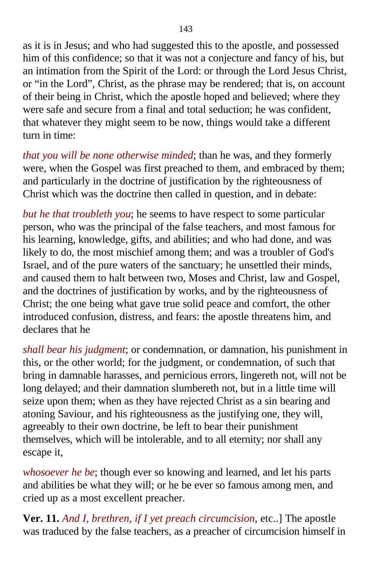as it is in Jesus; and who had suggested this to the apostle, and possessed him of this confidence; so that it was not a conjecture and fancy of his, but an intimation from the Spirit of the Lord: or through the Lord Jesus Christ, or "in the Lord", Christ, as the phrase may be rendered; that is, on account of their being in Christ, which the apostle hoped and believed; where they were safe and secure from a final and total seduction; he was confident, that whatever they might seem to be now, things would take a different turn in time:

*that you will be none otherwise minded*; than he was, and they formerly were, when the Gospel was first preached to them, and embraced by them; and particularly in the doctrine of justification by the righteousness of Christ which was the doctrine then called in question, and in debate:

*but he that troubleth you*; he seems to have respect to some particular person, who was the principal of the false teachers, and most famous for his learning, knowledge, gifts, and abilities; and who had done, and was likely to do, the most mischief among them; and was a troubler of God's Israel, and of the pure waters of the sanctuary; he unsettled their minds, and caused them to halt between two, Moses and Christ, law and Gospel, and the doctrines of justification by works, and by the righteousness of Christ; the one being what gave true solid peace and comfort, the other introduced confusion, distress, and fears: the apostle threatens him, and declares that he

*shall bear his judgment*; or condemnation, or damnation, his punishment in this, or the other world; for the judgment, or condemnation, of such that bring in damnable harasses, and pernicious errors, lingereth not, will not be long delayed; and their damnation slumbereth not, but in a little time will seize upon them; when as they have rejected Christ as a sin bearing and atoning Saviour, and his righteousness as the justifying one, they will, agreeably to their own doctrine, be left to bear their punishment themselves, which will be intolerable, and to all eternity; nor shall any escape it,

*whosoever he be*; though ever so knowing and learned, and let his parts and abilities be what they will; or he be ever so famous among men, and cried up as a most excellent preacher.

**Ver. 11.** *And I, brethren, if I yet preach circumcision*, etc..] The apostle was traduced by the false teachers, as a preacher of circumcision himself in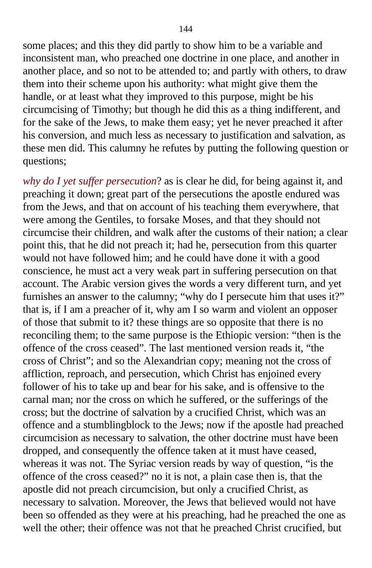some places; and this they did partly to show him to be a variable and inconsistent man, who preached one doctrine in one place, and another in another place, and so not to be attended to; and partly with others, to draw them into their scheme upon his authority: what might give them the handle, or at least what they improved to this purpose, might be his circumcising of Timothy; but though he did this as a thing indifferent, and for the sake of the Jews, to make them easy; yet he never preached it after his conversion, and much less as necessary to justification and salvation, as these men did. This calumny he refutes by putting the following question or questions;

*why do I yet suffer persecution*? as is clear he did, for being against it, and preaching it down; great part of the persecutions the apostle endured was from the Jews, and that on account of his teaching them everywhere, that were among the Gentiles, to forsake Moses, and that they should not circumcise their children, and walk after the customs of their nation; a clear point this, that he did not preach it; had he, persecution from this quarter would not have followed him; and he could have done it with a good conscience, he must act a very weak part in suffering persecution on that account. The Arabic version gives the words a very different turn, and yet furnishes an answer to the calumny; "why do I persecute him that uses it?" that is, if I am a preacher of it, why am I so warm and violent an opposer of those that submit to it? these things are so opposite that there is no reconciling them; to the same purpose is the Ethiopic version: "then is the offence of the cross ceased". The last mentioned version reads it, "the cross of Christ"; and so the Alexandrian copy; meaning not the cross of affliction, reproach, and persecution, which Christ has enjoined every follower of his to take up and bear for his sake, and is offensive to the carnal man; nor the cross on which he suffered, or the sufferings of the cross; but the doctrine of salvation by a crucified Christ, which was an offence and a stumblingblock to the Jews; now if the apostle had preached circumcision as necessary to salvation, the other doctrine must have been dropped, and consequently the offence taken at it must have ceased, whereas it was not. The Syriac version reads by way of question, "is the offence of the cross ceased?" no it is not, a plain case then is, that the apostle did not preach circumcision, but only a crucified Christ, as necessary to salvation. Moreover, the Jews that believed would not have been so offended as they were at his preaching, had he preached the one as well the other; their offence was not that he preached Christ crucified, but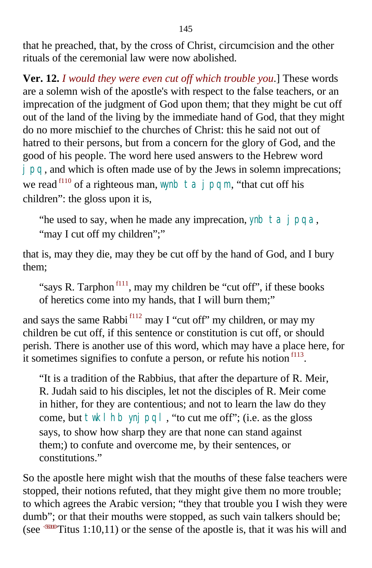that he preached, that, by the cross of Christ, circumcision and the other rituals of the ceremonial law were now abolished.

**Ver. 12.** *I would they were even cut off which trouble you*.] These words are a solemn wish of the apostle's with respect to the false teachers, or an imprecation of the judgment of God upon them; that they might be cut off out of the land of the living by the immediate hand of God, that they might do no more mischief to the churches of Christ: this he said not out of hatred to their persons, but from a concern for the glory of God, and the good of his people. The word here used answers to the Hebrew word jpq, and which is often made use of by the Jews in solemn imprecations; we read  $f110}$  of a righteous man, wynb ta j pqm, "that cut off his children": the gloss upon it is,

"he used to say, when he made any imprecation, ynb ta jpqa, "may I cut off my children";"

that is, may they die, may they be cut off by the hand of God, and I bury them;

"says R. Tarphon  $f111$ , may my children be "cut off", if these books of heretics come into my hands, that I will burn them;"

and says the same Rabbi  $f112$  may I "cut off" my children, or may my children be cut off, if this sentence or constitution is cut off, or should perish. There is another use of this word, which may have a place here, for it sometimes signifies to confute a person, or refute his notion <sup>f113</sup>.

"It is a tradition of the Rabbius, that after the departure of R. Meir, R. Judah said to his disciples, let not the disciples of R. Meir come in hither, for they are contentious; and not to learn the law do they come, but twkl hb ynj pql, "to cut me off"; (i.e. as the gloss says, to show how sharp they are that none can stand against them;) to confute and overcome me, by their sentences, or constitutions."

So the apostle here might wish that the mouths of these false teachers were stopped, their notions refuted, that they might give them no more trouble; to which agrees the Arabic version; "they that trouble you I wish they were dumb"; or that their mouths were stopped, as such vain talkers should be; (see  $\frac{4000}{T}$ Titus 1:10,11) or the sense of the apostle is, that it was his will and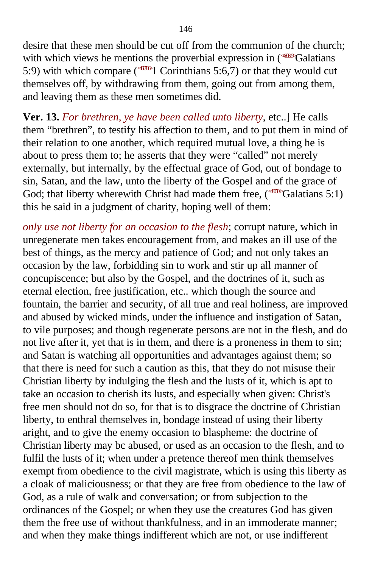desire that these men should be cut off from the communion of the church; with which views he mentions the proverbial expression in  $($ <sup> $\star$ *NFD* $\star$ </sup>Galatians 5:9) with which compare ( $4606$ <sup>4606</sup>1 Corinthians 5:6,7) or that they would cut themselves off, by withdrawing from them, going out from among them, and leaving them as these men sometimes did.

**Ver. 13.** *For brethren, ye have been called unto liberty*, etc..] He calls them "brethren", to testify his affection to them, and to put them in mind of their relation to one another, which required mutual love, a thing he is about to press them to; he asserts that they were "called" not merely externally, but internally, by the effectual grace of God, out of bondage to sin, Satan, and the law, unto the liberty of the Gospel and of the grace of God; that liberty wherewith Christ had made them free,  $(\sqrt{R/B})$ Galatians 5:1) this he said in a judgment of charity, hoping well of them:

*only use not liberty for an occasion to the flesh*; corrupt nature, which in unregenerate men takes encouragement from, and makes an ill use of the best of things, as the mercy and patience of God; and not only takes an occasion by the law, forbidding sin to work and stir up all manner of concupiscence; but also by the Gospel, and the doctrines of it, such as eternal election, free justification, etc.. which though the source and fountain, the barrier and security, of all true and real holiness, are improved and abused by wicked minds, under the influence and instigation of Satan, to vile purposes; and though regenerate persons are not in the flesh, and do not live after it, yet that is in them, and there is a proneness in them to sin; and Satan is watching all opportunities and advantages against them; so that there is need for such a caution as this, that they do not misuse their Christian liberty by indulging the flesh and the lusts of it, which is apt to take an occasion to cherish its lusts, and especially when given: Christ's free men should not do so, for that is to disgrace the doctrine of Christian liberty, to enthral themselves in, bondage instead of using their liberty aright, and to give the enemy occasion to blaspheme: the doctrine of Christian liberty may bc abused, or used as an occasion to the flesh, and to fulfil the lusts of it; when under a pretence thereof men think themselves exempt from obedience to the civil magistrate, which is using this liberty as a cloak of maliciousness; or that they are free from obedience to the law of God, as a rule of walk and conversation; or from subjection to the ordinances of the Gospel; or when they use the creatures God has given them the free use of without thankfulness, and in an immoderate manner; and when they make things indifferent which are not, or use indifferent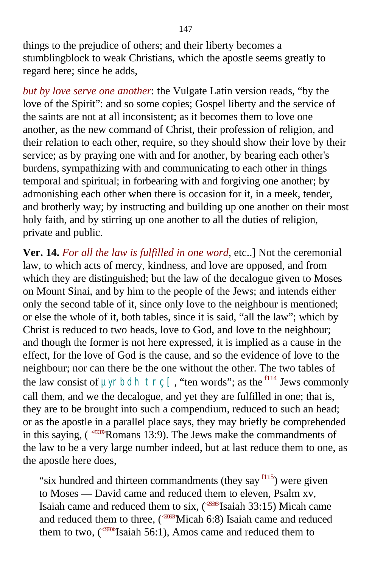things to the prejudice of others; and their liberty becomes a stumblingblock to weak Christians, which the apostle seems greatly to regard here; since he adds,

*but by love serve one another*: the Vulgate Latin version reads, "by the love of the Spirit": and so some copies; Gospel liberty and the service of the saints are not at all inconsistent; as it becomes them to love one another, as the new command of Christ, their profession of religion, and their relation to each other, require, so they should show their love by their service; as by praying one with and for another, by bearing each other's burdens, sympathizing with and communicating to each other in things temporal and spiritual; in forbearing with and forgiving one another; by admonishing each other when there is occasion for it, in a meek, tender, and brotherly way; by instructing and building up one another on their most holy faith, and by stirring up one another to all the duties of religion, private and public.

**Ver. 14.** *For all the law is fulfilled in one word*, etc..] Not the ceremonial law, to which acts of mercy, kindness, and love are opposed, and from which they are distinguished; but the law of the decalogue given to Moses on Mount Sinai, and by him to the people of the Jews; and intends either only the second table of it, since only love to the neighbour is mentioned; or else the whole of it, both tables, since it is said, "all the law"; which by Christ is reduced to two heads, love to God, and love to the neighbour; and though the former is not here expressed, it is implied as a cause in the effect, for the love of God is the cause, and so the evidence of love to the neighbour; nor can there be the one without the other. The two tables of the law consist of  $\mu$ yrbdh trç[, "ten words"; as the <sup>f114</sup> Jews commonly call them, and we the decalogue, and yet they are fulfilled in one; that is, they are to be brought into such a compendium, reduced to such an head; or as the apostle in a parallel place says, they may briefly be comprehended in this saying,  $(\sqrt{4519}$ Romans 13:9). The Jews make the commandments of the law to be a very large number indeed, but at last reduce them to one, as the apostle here does,

"six hundred and thirteen commandments (they say  $f(115)$ ) were given to Moses — David came and reduced them to eleven, Psalm xv, Isaiah came and reduced them to six,  $(2885)$ <sub>Isaiah</sub> 33:15) Micah came and reduced them to three,  $(\sqrt{38008}$ Micah 6:8) Isaiah came and reduced them to two,  $\left( \frac{2560}{15} \right)$  as 56:1), Amos came and reduced them to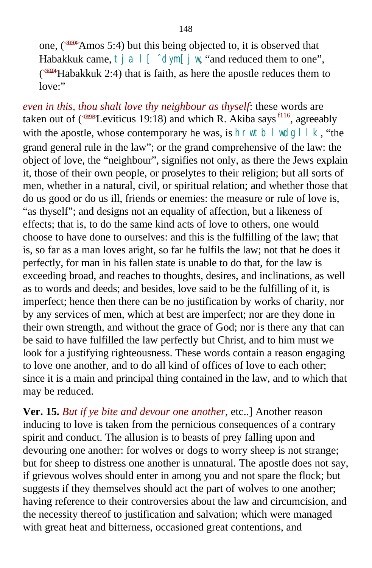one,  $(\sqrt{3000}$ Amos 5:4) but this being objected to, it is observed that Habakkuk came, tja l[ ˆdym[jw, "and reduced them to one",  $(\sqrt{3004}$ Habakkuk 2:4) that is faith, as here the apostle reduces them to love:"

*even in this, thou shalt love thy neighbour as thyself*: these words are taken out of  $(4898)$ Leviticus 19:18) and which R. Akiba says  $116$ , agreeably with the apostle, whose contemporary he was, is  $hrwtb$  l wdg llk, "the grand general rule in the law"; or the grand comprehensive of the law: the object of love, the "neighbour", signifies not only, as there the Jews explain it, those of their own people, or proselytes to their religion; but all sorts of men, whether in a natural, civil, or spiritual relation; and whether those that do us good or do us ill, friends or enemies: the measure or rule of love is, "as thyself"; and designs not an equality of affection, but a likeness of effects; that is, to do the same kind acts of love to others, one would choose to have done to ourselves: and this is the fulfilling of the law; that is, so far as a man loves aright, so far he fulfils the law; not that he does it perfectly, for man in his fallen state is unable to do that, for the law is exceeding broad, and reaches to thoughts, desires, and inclinations, as well as to words and deeds; and besides, love said to be the fulfilling of it, is imperfect; hence then there can be no justification by works of charity, nor by any services of men, which at best are imperfect; nor are they done in their own strength, and without the grace of God; nor is there any that can be said to have fulfilled the law perfectly but Christ, and to him must we look for a justifying righteousness. These words contain a reason engaging to love one another, and to do all kind of offices of love to each other; since it is a main and principal thing contained in the law, and to which that may be reduced.

**Ver. 15.** *But if ye bite and devour one another*, etc..] Another reason inducing to love is taken from the pernicious consequences of a contrary spirit and conduct. The allusion is to beasts of prey falling upon and devouring one another: for wolves or dogs to worry sheep is not strange; but for sheep to distress one another is unnatural. The apostle does not say, if grievous wolves should enter in among you and not spare the flock; but suggests if they themselves should act the part of wolves to one another; having reference to their controversies about the law and circumcision, and the necessity thereof to justification and salvation; which were managed with great heat and bitterness, occasioned great contentions, and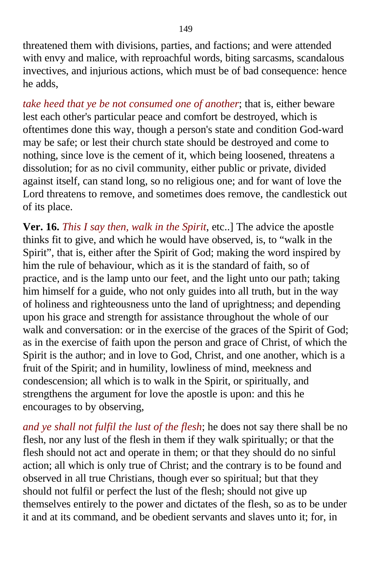threatened them with divisions, parties, and factions; and were attended with envy and malice, with reproachful words, biting sarcasms, scandalous invectives, and injurious actions, which must be of bad consequence: hence he adds,

*take heed that ye be not consumed one of another*; that is, either beware lest each other's particular peace and comfort be destroyed, which is oftentimes done this way, though a person's state and condition God-ward may be safe; or lest their church state should be destroyed and come to nothing, since love is the cement of it, which being loosened, threatens a dissolution; for as no civil community, either public or private, divided against itself, can stand long, so no religious one; and for want of love the Lord threatens to remove, and sometimes does remove, the candlestick out of its place.

**Ver. 16.** *This I say then, walk in the Spirit*, etc..] The advice the apostle thinks fit to give, and which he would have observed, is, to "walk in the Spirit", that is, either after the Spirit of God; making the word inspired by him the rule of behaviour, which as it is the standard of faith, so of practice, and is the lamp unto our feet, and the light unto our path; taking him himself for a guide, who not only guides into all truth, but in the way of holiness and righteousness unto the land of uprightness; and depending upon his grace and strength for assistance throughout the whole of our walk and conversation: or in the exercise of the graces of the Spirit of God; as in the exercise of faith upon the person and grace of Christ, of which the Spirit is the author; and in love to God, Christ, and one another, which is a fruit of the Spirit; and in humility, lowliness of mind, meekness and condescension; all which is to walk in the Spirit, or spiritually, and strengthens the argument for love the apostle is upon: and this he encourages to by observing,

*and ye shall not fulfil the lust of the flesh*; he does not say there shall be no flesh, nor any lust of the flesh in them if they walk spiritually; or that the flesh should not act and operate in them; or that they should do no sinful action; all which is only true of Christ; and the contrary is to be found and observed in all true Christians, though ever so spiritual; but that they should not fulfil or perfect the lust of the flesh; should not give up themselves entirely to the power and dictates of the flesh, so as to be under it and at its command, and be obedient servants and slaves unto it; for, in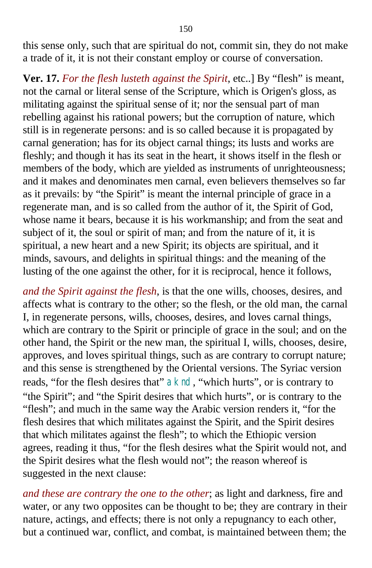this sense only, such that are spiritual do not, commit sin, they do not make a trade of it, it is not their constant employ or course of conversation.

**Ver. 17.** *For the flesh lusteth against the Spirit*, etc..] By "flesh" is meant, not the carnal or literal sense of the Scripture, which is Origen's gloss, as militating against the spiritual sense of it; nor the sensual part of man rebelling against his rational powers; but the corruption of nature, which still is in regenerate persons: and is so called because it is propagated by carnal generation; has for its object carnal things; its lusts and works are fleshly; and though it has its seat in the heart, it shows itself in the flesh or members of the body, which are yielded as instruments of unrighteousness; and it makes and denominates men carnal, even believers themselves so far as it prevails: by "the Spirit" is meant the internal principle of grace in a regenerate man, and is so called from the author of it, the Spirit of God, whose name it bears, because it is his workmanship; and from the seat and subject of it, the soul or spirit of man; and from the nature of it, it is spiritual, a new heart and a new Spirit; its objects are spiritual, and it minds, savours, and delights in spiritual things: and the meaning of the lusting of the one against the other, for it is reciprocal, hence it follows,

*and the Spirit against the flesh*, is that the one wills, chooses, desires, and affects what is contrary to the other; so the flesh, or the old man, the carnal I, in regenerate persons, wills, chooses, desires, and loves carnal things, which are contrary to the Spirit or principle of grace in the soul; and on the other hand, the Spirit or the new man, the spiritual I, wills, chooses, desire, approves, and loves spiritual things, such as are contrary to corrupt nature; and this sense is strengthened by the Oriental versions. The Syriac version reads, "for the flesh desires that" aknd, "which hurts", or is contrary to "the Spirit"; and "the Spirit desires that which hurts", or is contrary to the "flesh"; and much in the same way the Arabic version renders it, "for the flesh desires that which militates against the Spirit, and the Spirit desires that which militates against the flesh"; to which the Ethiopic version agrees, reading it thus, "for the flesh desires what the Spirit would not, and the Spirit desires what the flesh would not"; the reason whereof is suggested in the next clause:

*and these are contrary the one to the other*; as light and darkness, fire and water, or any two opposites can be thought to be; they are contrary in their nature, actings, and effects; there is not only a repugnancy to each other, but a continued war, conflict, and combat, is maintained between them; the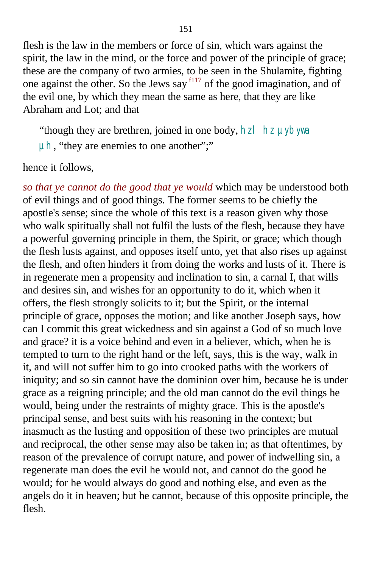flesh is the law in the members or force of sin, which wars against the spirit, the law in the mind, or the force and power of the principle of grace; these are the company of two armies, to be seen in the Shulamite, fighting one against the other. So the Jews say [f117](#page-186-0) of the good imagination, and of the evil one, by which they mean the same as here, that they are like Abraham and Lot; and that

"though they are brethren, joined in one body, hzl hz µybywa µh, "they are enemies to one another";"

hence it follows,

*so that ye cannot do the good that ye would* which may be understood both of evil things and of good things. The former seems to be chiefly the apostle's sense; since the whole of this text is a reason given why those who walk spiritually shall not fulfil the lusts of the flesh, because they have a powerful governing principle in them, the Spirit, or grace; which though the flesh lusts against, and opposes itself unto, yet that also rises up against the flesh, and often hinders it from doing the works and lusts of it. There is in regenerate men a propensity and inclination to sin, a carnal I, that wills and desires sin, and wishes for an opportunity to do it, which when it offers, the flesh strongly solicits to it; but the Spirit, or the internal principle of grace, opposes the motion; and like another Joseph says, how can I commit this great wickedness and sin against a God of so much love and grace? it is a voice behind and even in a believer, which, when he is tempted to turn to the right hand or the left, says, this is the way, walk in it, and will not suffer him to go into crooked paths with the workers of iniquity; and so sin cannot have the dominion over him, because he is under grace as a reigning principle; and the old man cannot do the evil things he would, being under the restraints of mighty grace. This is the apostle's principal sense, and best suits with his reasoning in the context; but inasmuch as the lusting and opposition of these two principles are mutual and reciprocal, the other sense may also be taken in; as that oftentimes, by reason of the prevalence of corrupt nature, and power of indwelling sin, a regenerate man does the evil he would not, and cannot do the good he would; for he would always do good and nothing else, and even as the angels do it in heaven; but he cannot, because of this opposite principle, the flesh.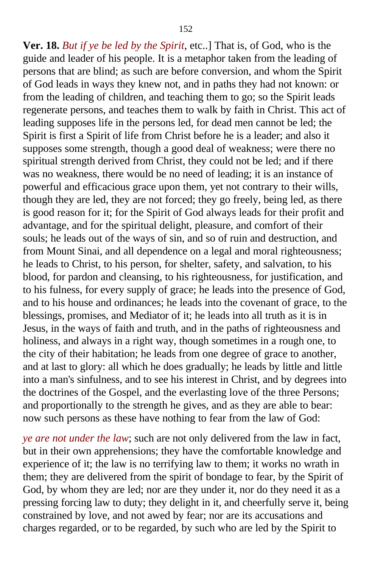**Ver. 18.** *But if ye be led by the Spirit*, etc..] That is, of God, who is the guide and leader of his people. It is a metaphor taken from the leading of persons that are blind; as such are before conversion, and whom the Spirit of God leads in ways they knew not, and in paths they had not known: or from the leading of children, and teaching them to go; so the Spirit leads regenerate persons, and teaches them to walk by faith in Christ. This act of leading supposes life in the persons led, for dead men cannot be led; the Spirit is first a Spirit of life from Christ before he is a leader; and also it supposes some strength, though a good deal of weakness; were there no spiritual strength derived from Christ, they could not be led; and if there was no weakness, there would be no need of leading; it is an instance of powerful and efficacious grace upon them, yet not contrary to their wills, though they are led, they are not forced; they go freely, being led, as there is good reason for it; for the Spirit of God always leads for their profit and advantage, and for the spiritual delight, pleasure, and comfort of their souls; he leads out of the ways of sin, and so of ruin and destruction, and from Mount Sinai, and all dependence on a legal and moral righteousness; he leads to Christ, to his person, for shelter, safety, and salvation, to his blood, for pardon and cleansing, to his righteousness, for justification, and to his fulness, for every supply of grace; he leads into the presence of God, and to his house and ordinances; he leads into the covenant of grace, to the blessings, promises, and Mediator of it; he leads into all truth as it is in Jesus, in the ways of faith and truth, and in the paths of righteousness and holiness, and always in a right way, though sometimes in a rough one, to the city of their habitation; he leads from one degree of grace to another, and at last to glory: all which he does gradually; he leads by little and little into a man's sinfulness, and to see his interest in Christ, and by degrees into the doctrines of the Gospel, and the everlasting love of the three Persons; and proportionally to the strength he gives, and as they are able to bear: now such persons as these have nothing to fear from the law of God:

*ye are not under the law*; such are not only delivered from the law in fact, but in their own apprehensions; they have the comfortable knowledge and experience of it; the law is no terrifying law to them; it works no wrath in them; they are delivered from the spirit of bondage to fear, by the Spirit of God, by whom they are led; nor are they under it, nor do they need it as a pressing forcing law to duty; they delight in it, and cheerfully serve it, being constrained by love, and not awed by fear; nor are its accusations and charges regarded, or to be regarded, by such who are led by the Spirit to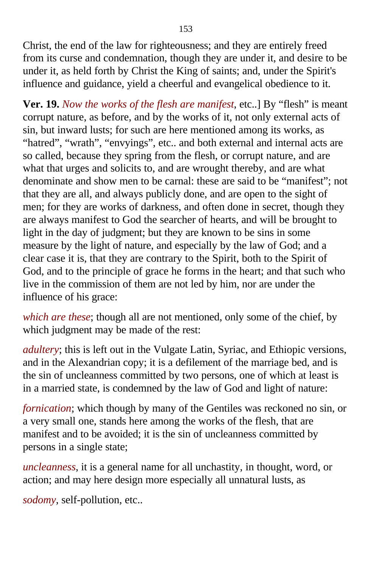Christ, the end of the law for righteousness; and they are entirely freed from its curse and condemnation, though they are under it, and desire to be under it, as held forth by Christ the King of saints; and, under the Spirit's influence and guidance, yield a cheerful and evangelical obedience to it.

**Ver. 19.** *Now the works of the flesh are manifest*, etc..] By "flesh" is meant corrupt nature, as before, and by the works of it, not only external acts of sin, but inward lusts; for such are here mentioned among its works, as "hatred", "wrath", "envyings", etc.. and both external and internal acts are so called, because they spring from the flesh, or corrupt nature, and are what that urges and solicits to, and are wrought thereby, and are what denominate and show men to be carnal: these are said to be "manifest"; not that they are all, and always publicly done, and are open to the sight of men; for they are works of darkness, and often done in secret, though they are always manifest to God the searcher of hearts, and will be brought to light in the day of judgment; but they are known to be sins in some measure by the light of nature, and especially by the law of God; and a clear case it is, that they are contrary to the Spirit, both to the Spirit of God, and to the principle of grace he forms in the heart; and that such who live in the commission of them are not led by him, nor are under the influence of his grace:

*which are these*; though all are not mentioned, only some of the chief, by which judgment may be made of the rest:

*adultery*; this is left out in the Vulgate Latin, Syriac, and Ethiopic versions, and in the Alexandrian copy; it is a defilement of the marriage bed, and is the sin of uncleanness committed by two persons, one of which at least is in a married state, is condemned by the law of God and light of nature:

*fornication*; which though by many of the Gentiles was reckoned no sin, or a very small one, stands here among the works of the flesh, that are manifest and to be avoided; it is the sin of uncleanness committed by persons in a single state;

*uncleanness*, it is a general name for all unchastity, in thought, word, or action; and may here design more especially all unnatural lusts, as

*sodomy*, self-pollution, etc..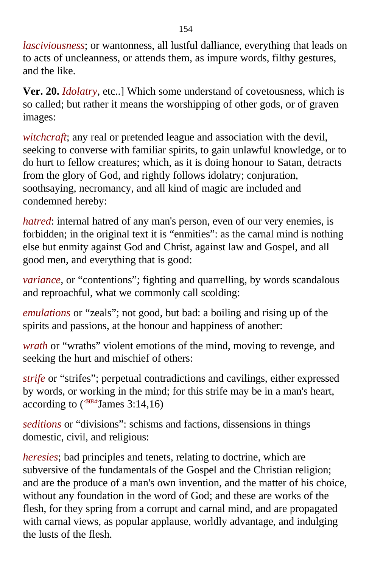*lasciviousness*; or wantonness, all lustful dalliance, everything that leads on to acts of uncleanness, or attends them, as impure words, filthy gestures, and the like.

**Ver. 20.** *Idolatry*, etc..] Which some understand of covetousness, which is so called; but rather it means the worshipping of other gods, or of graven images:

*witchcraft*; any real or pretended league and association with the devil, seeking to converse with familiar spirits, to gain unlawful knowledge, or to do hurt to fellow creatures; which, as it is doing honour to Satan, detracts from the glory of God, and rightly follows idolatry; conjuration, soothsaying, necromancy, and all kind of magic are included and condemned hereby:

*hatred*: internal hatred of any man's person, even of our very enemies, is forbidden; in the original text it is "enmities": as the carnal mind is nothing else but enmity against God and Christ, against law and Gospel, and all good men, and everything that is good:

*variance*, or "contentions"; fighting and quarrelling, by words scandalous and reproachful, what we commonly call scolding:

*emulations* or "zeals"; not good, but bad: a boiling and rising up of the spirits and passions, at the honour and happiness of another:

*wrath* or "wraths" violent emotions of the mind, moving to revenge, and seeking the hurt and mischief of others:

*strife* or "strifes"; perpetual contradictions and cavilings, either expressed by words, or working in the mind; for this strife may be in a man's heart, according to  $(3984)$ James 3:14,16)

*seditions* or "divisions": schisms and factions, dissensions in things domestic, civil, and religious:

*heresies*; bad principles and tenets, relating to doctrine, which are subversive of the fundamentals of the Gospel and the Christian religion; and are the produce of a man's own invention, and the matter of his choice, without any foundation in the word of God; and these are works of the flesh, for they spring from a corrupt and carnal mind, and are propagated with carnal views, as popular applause, worldly advantage, and indulging the lusts of the flesh.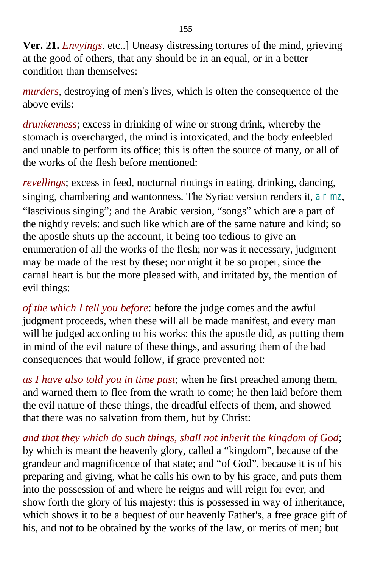**Ver. 21.** *Envyings*. etc..] Uneasy distressing tortures of the mind, grieving at the good of others, that any should be in an equal, or in a better condition than themselves:

*murders*, destroying of men's lives, which is often the consequence of the above evils:

*drunkenness*; excess in drinking of wine or strong drink, whereby the stomach is overcharged, the mind is intoxicated, and the body enfeebled and unable to perform its office; this is often the source of many, or all of the works of the flesh before mentioned:

*revellings*; excess in feed, nocturnal riotings in eating, drinking, dancing, singing, chambering and wantonness. The Syriac version renders it, armz, "lascivious singing"; and the Arabic version, "songs" which are a part of the nightly revels: and such like which are of the same nature and kind; so the apostle shuts up the account, it being too tedious to give an enumeration of all the works of the flesh; nor was it necessary, judgment may be made of the rest by these; nor might it be so proper, since the carnal heart is but the more pleased with, and irritated by, the mention of evil things:

*of the which I tell you before*: before the judge comes and the awful judgment proceeds, when these will all be made manifest, and every man will be judged according to his works: this the apostle did, as putting them in mind of the evil nature of these things, and assuring them of the bad consequences that would follow, if grace prevented not:

*as I have also told you in time past*; when he first preached among them, and warned them to flee from the wrath to come; he then laid before them the evil nature of these things, the dreadful effects of them, and showed that there was no salvation from them, but by Christ:

*and that they which do such things, shall not inherit the kingdom of God*; by which is meant the heavenly glory, called a "kingdom", because of the grandeur and magnificence of that state; and "of God", because it is of his preparing and giving, what he calls his own to by his grace, and puts them into the possession of and where he reigns and will reign for ever, and show forth the glory of his majesty: this is possessed in way of inheritance, which shows it to be a bequest of our heavenly Father's, a free grace gift of his, and not to be obtained by the works of the law, or merits of men; but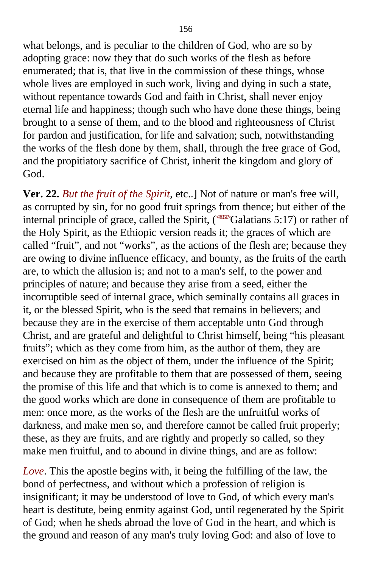what belongs, and is peculiar to the children of God, who are so by adopting grace: now they that do such works of the flesh as before enumerated; that is, that live in the commission of these things, whose whole lives are employed in such work, living and dying in such a state, without repentance towards God and faith in Christ, shall never enjoy eternal life and happiness; though such who have done these things, being brought to a sense of them, and to the blood and righteousness of Christ for pardon and justification, for life and salvation; such, notwithstanding the works of the flesh done by them, shall, through the free grace of God, and the propitiatory sacrifice of Christ, inherit the kingdom and glory of God.

**Ver. 22.** *But the fruit of the Spirit*, etc..] Not of nature or man's free will, as corrupted by sin, for no good fruit springs from thence; but either of the internal principle of grace, called the Spirit,  $(\sqrt{48507})$ Galatians 5:17) or rather of the Holy Spirit, as the Ethiopic version reads it; the graces of which are called "fruit", and not "works", as the actions of the flesh are; because they are owing to divine influence efficacy, and bounty, as the fruits of the earth are, to which the allusion is; and not to a man's self, to the power and principles of nature; and because they arise from a seed, either the incorruptible seed of internal grace, which seminally contains all graces in it, or the blessed Spirit, who is the seed that remains in believers; and because they are in the exercise of them acceptable unto God through Christ, and are grateful and delightful to Christ himself, being "his pleasant fruits"; which as they come from him, as the author of them, they are exercised on him as the object of them, under the influence of the Spirit; and because they are profitable to them that are possessed of them, seeing the promise of this life and that which is to come is annexed to them; and the good works which are done in consequence of them are profitable to men: once more, as the works of the flesh are the unfruitful works of darkness, and make men so, and therefore cannot be called fruit properly; these, as they are fruits, and are rightly and properly so called, so they make men fruitful, and to abound in divine things, and are as follow:

*Love*. This the apostle begins with, it being the fulfilling of the law, the bond of perfectness, and without which a profession of religion is insignificant; it may be understood of love to God, of which every man's heart is destitute, being enmity against God, until regenerated by the Spirit of God; when he sheds abroad the love of God in the heart, and which is the ground and reason of any man's truly loving God: and also of love to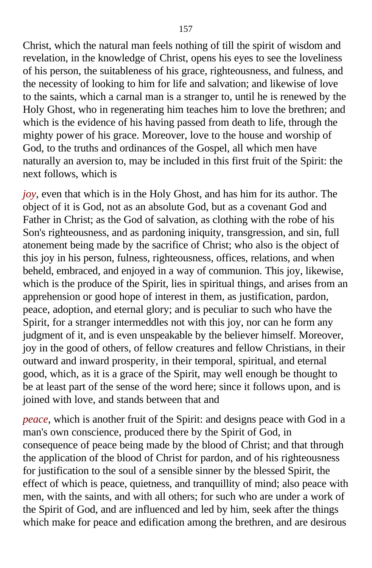157

Christ, which the natural man feels nothing of till the spirit of wisdom and revelation, in the knowledge of Christ, opens his eyes to see the loveliness of his person, the suitableness of his grace, righteousness, and fulness, and the necessity of looking to him for life and salvation; and likewise of love to the saints, which a carnal man is a stranger to, until he is renewed by the Holy Ghost, who in regenerating him teaches him to love the brethren; and which is the evidence of his having passed from death to life, through the mighty power of his grace. Moreover, love to the house and worship of God, to the truths and ordinances of the Gospel, all which men have naturally an aversion to, may be included in this first fruit of the Spirit: the next follows, which is

*joy*, even that which is in the Holy Ghost, and has him for its author. The object of it is God, not as an absolute God, but as a covenant God and Father in Christ; as the God of salvation, as clothing with the robe of his Son's righteousness, and as pardoning iniquity, transgression, and sin, full atonement being made by the sacrifice of Christ; who also is the object of this joy in his person, fulness, righteousness, offices, relations, and when beheld, embraced, and enjoyed in a way of communion. This joy, likewise, which is the produce of the Spirit, lies in spiritual things, and arises from an apprehension or good hope of interest in them, as justification, pardon, peace, adoption, and eternal glory; and is peculiar to such who have the Spirit, for a stranger intermeddles not with this joy, nor can he form any judgment of it, and is even unspeakable by the believer himself. Moreover, joy in the good of others, of fellow creatures and fellow Christians, in their outward and inward prosperity, in their temporal, spiritual, and eternal good, which, as it is a grace of the Spirit, may well enough be thought to be at least part of the sense of the word here; since it follows upon, and is joined with love, and stands between that and

*peace*, which is another fruit of the Spirit: and designs peace with God in a man's own conscience, produced there by the Spirit of God, in consequence of peace being made by the blood of Christ; and that through the application of the blood of Christ for pardon, and of his righteousness for justification to the soul of a sensible sinner by the blessed Spirit, the effect of which is peace, quietness, and tranquillity of mind; also peace with men, with the saints, and with all others; for such who are under a work of the Spirit of God, and are influenced and led by him, seek after the things which make for peace and edification among the brethren, and are desirous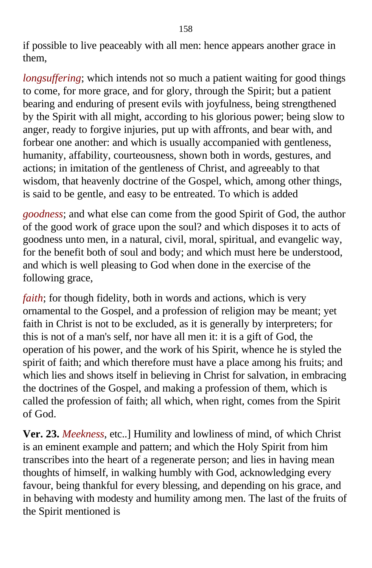if possible to live peaceably with all men: hence appears another grace in them,

*longsuffering*; which intends not so much a patient waiting for good things to come, for more grace, and for glory, through the Spirit; but a patient bearing and enduring of present evils with joyfulness, being strengthened by the Spirit with all might, according to his glorious power; being slow to anger, ready to forgive injuries, put up with affronts, and bear with, and forbear one another: and which is usually accompanied with gentleness, humanity, affability, courteousness, shown both in words, gestures, and actions; in imitation of the gentleness of Christ, and agreeably to that wisdom, that heavenly doctrine of the Gospel, which, among other things, is said to be gentle, and easy to be entreated. To which is added

*goodness*; and what else can come from the good Spirit of God, the author of the good work of grace upon the soul? and which disposes it to acts of goodness unto men, in a natural, civil, moral, spiritual, and evangelic way, for the benefit both of soul and body; and which must here be understood, and which is well pleasing to God when done in the exercise of the following grace,

*faith*; for though fidelity, both in words and actions, which is very ornamental to the Gospel, and a profession of religion may be meant; yet faith in Christ is not to be excluded, as it is generally by interpreters; for this is not of a man's self, nor have all men it: it is a gift of God, the operation of his power, and the work of his Spirit, whence he is styled the spirit of faith; and which therefore must have a place among his fruits; and which lies and shows itself in believing in Christ for salvation, in embracing the doctrines of the Gospel, and making a profession of them, which is called the profession of faith; all which, when right, comes from the Spirit of God.

**Ver. 23.** *Meekness*, etc..] Humility and lowliness of mind, of which Christ is an eminent example and pattern; and which the Holy Spirit from him transcribes into the heart of a regenerate person; and lies in having mean thoughts of himself, in walking humbly with God, acknowledging every favour, being thankful for every blessing, and depending on his grace, and in behaving with modesty and humility among men. The last of the fruits of the Spirit mentioned is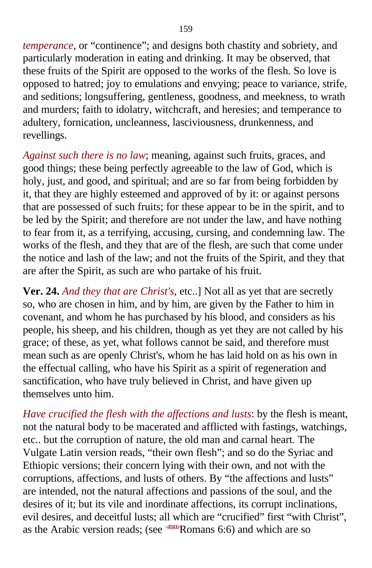*temperance*, or "continence"; and designs both chastity and sobriety, and particularly moderation in eating and drinking. It may be observed, that these fruits of the Spirit are opposed to the works of the flesh. So love is opposed to hatred; joy to emulations and envying; peace to variance, strife, and seditions; longsuffering, gentleness, goodness, and meekness, to wrath and murders; faith to idolatry, witchcraft, and heresies; and temperance to adultery, fornication, uncleanness, lasciviousness, drunkenness, and revellings.

*Against such there is no law*; meaning, against such fruits, graces, and good things; these being perfectly agreeable to the law of God, which is holy, just, and good, and spiritual; and are so far from being forbidden by it, that they are highly esteemed and approved of by it: or against persons that are possessed of such fruits; for these appear to be in the spirit, and to be led by the Spirit; and therefore are not under the law, and have nothing to fear from it, as a terrifying, accusing, cursing, and condemning law. The works of the flesh, and they that are of the flesh, are such that come under the notice and lash of the law; and not the fruits of the Spirit, and they that are after the Spirit, as such are who partake of his fruit.

**Ver. 24.** *And they that are Christ's*, etc..] Not all as yet that are secretly so, who are chosen in him, and by him, are given by the Father to him in covenant, and whom he has purchased by his blood, and considers as his people, his sheep, and his children, though as yet they are not called by his grace; of these, as yet, what follows cannot be said, and therefore must mean such as are openly Christ's, whom he has laid hold on as his own in the effectual calling, who have his Spirit as a spirit of regeneration and sanctification, who have truly believed in Christ, and have given up themselves unto him.

*Have crucified the flesh with the affections and lusts*: by the flesh is meant, not the natural body to be macerated and afflicted with fastings, watchings, etc.. but the corruption of nature, the old man and carnal heart. The Vulgate Latin version reads, "their own flesh"; and so do the Syriac and Ethiopic versions; their concern lying with their own, and not with the corruptions, affections, and lusts of others. By "the affections and lusts" are intended, not the natural affections and passions of the soul, and the desires of it; but its vile and inordinate affections, its corrupt inclinations, evil desires, and deceitful lusts; all which are "crucified" first "with Christ", as the Arabic version reads; (see  $\text{max}$  Romans 6:6) and which are so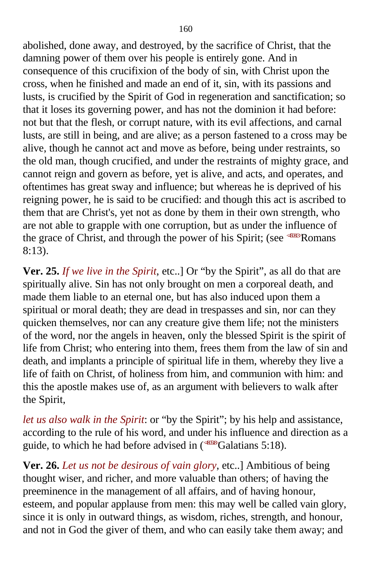abolished, done away, and destroyed, by the sacrifice of Christ, that the damning power of them over his people is entirely gone. And in consequence of this crucifixion of the body of sin, with Christ upon the cross, when he finished and made an end of it, sin, with its passions and lusts, is crucified by the Spirit of God in regeneration and sanctification; so that it loses its governing power, and has not the dominion it had before: not but that the flesh, or corrupt nature, with its evil affections, and carnal lusts, are still in being, and are alive; as a person fastened to a cross may be alive, though he cannot act and move as before, being under restraints, so the old man, though crucified, and under the restraints of mighty grace, and cannot reign and govern as before, yet is alive, and acts, and operates, and oftentimes has great sway and influence; but whereas he is deprived of his reigning power, he is said to be crucified: and though this act is ascribed to them that are Christ's, yet not as done by them in their own strength, who are not able to grapple with one corruption, but as under the influence of the grace of Christ, and through the power of his Spirit; (see  $\triangleleft$ <sub>50883</sub>Romans 8:13).

**Ver. 25.** *If we live in the Spirit*, etc..] Or "by the Spirit", as all do that are spiritually alive. Sin has not only brought on men a corporeal death, and made them liable to an eternal one, but has also induced upon them a spiritual or moral death; they are dead in trespasses and sin, nor can they quicken themselves, nor can any creature give them life; not the ministers of the word, nor the angels in heaven, only the blessed Spirit is the spirit of life from Christ; who entering into them, frees them from the law of sin and death, and implants a principle of spiritual life in them, whereby they live a life of faith on Christ, of holiness from him, and communion with him: and this the apostle makes use of, as an argument with believers to walk after the Spirit,

*let us also walk in the Spirit*: or "by the Spirit"; by his help and assistance, according to the rule of his word, and under his influence and direction as a guide, to which he had before advised in  $\left( \frac{4858}{8} \text{Galatians } 5:18 \right)$ .

**Ver. 26.** *Let us not be desirous of vain glory*, etc..] Ambitious of being thought wiser, and richer, and more valuable than others; of having the preeminence in the management of all affairs, and of having honour, esteem, and popular applause from men: this may well be called vain glory, since it is only in outward things, as wisdom, riches, strength, and honour, and not in God the giver of them, and who can easily take them away; and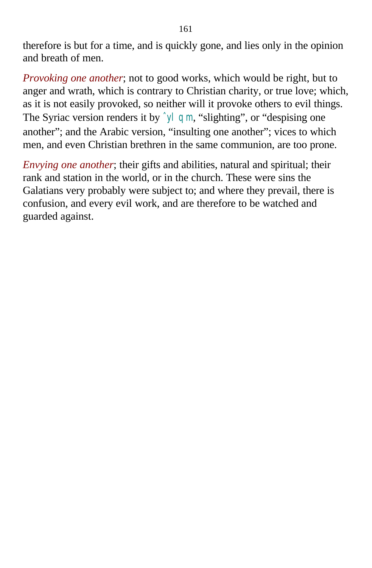therefore is but for a time, and is quickly gone, and lies only in the opinion and breath of men.

*Provoking one another*; not to good works, which would be right, but to anger and wrath, which is contrary to Christian charity, or true love; which, as it is not easily provoked, so neither will it provoke others to evil things. The Syriac version renders it by  $\gamma$  qm, "slighting", or "despising one another"; and the Arabic version, "insulting one another"; vices to which men, and even Christian brethren in the same communion, are too prone.

*Envying one another*; their gifts and abilities, natural and spiritual; their rank and station in the world, or in the church. These were sins the Galatians very probably were subject to; and where they prevail, there is confusion, and every evil work, and are therefore to be watched and guarded against.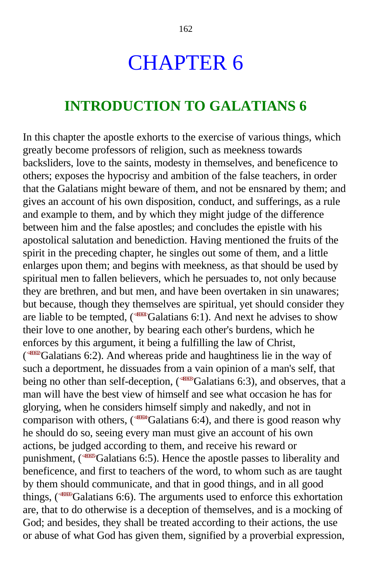162

## **INTRODUCTION TO GALATIANS 6**

In this chapter the apostle exhorts to the exercise of various things, which greatly become professors of religion, such as meekness towards backsliders, love to the saints, modesty in themselves, and beneficence to others; exposes the hypocrisy and ambition of the false teachers, in order that the Galatians might beware of them, and not be ensnared by them; and gives an account of his own disposition, conduct, and sufferings, as a rule and example to them, and by which they might judge of the difference between him and the false apostles; and concludes the epistle with his apostolical salutation and benediction. Having mentioned the fruits of the spirit in the preceding chapter, he singles out some of them, and a little enlarges upon them; and begins with meekness, as that should be used by spiritual men to fallen believers, which he persuades to, not only because they are brethren, and but men, and have been overtaken in sin unawares; but because, though they themselves are spiritual, yet should consider they are liable to be tempted,  $(\sqrt{4800} \text{Galatians } 6:1)$ . And next he advises to show their love to one another, by bearing each other's burdens, which he enforces by this argument, it being a fulfilling the law of Christ,  $(\sqrt[4002]{\text{Galatians}} 6:2)$ . And whereas pride and haughtiness lie in the way of such a deportment, he dissuades from a vain opinion of a man's self, that being no other than self-deception,  $(\sqrt{4000})$ Galatians 6:3), and observes, that a man will have the best view of himself and see what occasion he has for glorying, when he considers himself simply and nakedly, and not in comparison with others,  $(\sqrt{ABB} + BA)$  Galatians 6:4), and there is good reason why he should do so, seeing every man must give an account of his own actions, be judged according to them, and receive his reward or punishment,  $(48666 \text{Galatians } 6:5)$ . Hence the apostle passes to liberality and beneficence, and first to teachers of the word, to whom such as are taught by them should communicate, and that in good things, and in all good things,  $(^{4866}$ Galatians 6:6). The arguments used to enforce this exhortation are, that to do otherwise is a deception of themselves, and is a mocking of God; and besides, they shall be treated according to their actions, the use or abuse of what God has given them, signified by a proverbial expression,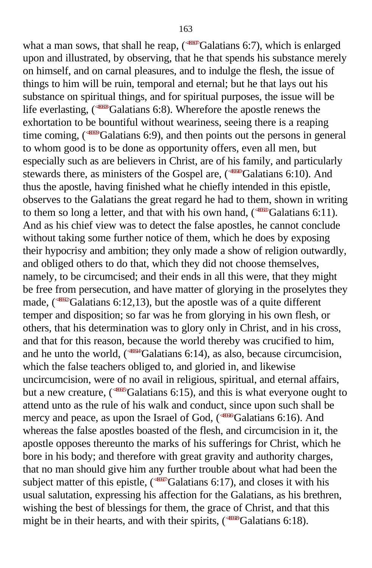what a man sows, that shall he reap, ([<480607>](#page-452-0)Galatians 6:7), which is enlarged upon and illustrated, by observing, that he that spends his substance merely on himself, and on carnal pleasures, and to indulge the flesh, the issue of things to him will be ruin, temporal and eternal; but he that lays out his substance on spiritual things, and for spiritual purposes, the issue will be life everlasting,  $(4808 \text{ Galatians } 6:8)$ . Wherefore the apostle renews the exhortation to be bountiful without weariness, seeing there is a reaping time coming,  $(\sqrt{4800})$  Galatians 6:9), and then points out the persons in general to whom good is to be done as opportunity offers, even all men, but especially such as are believers in Christ, are of his family, and particularly stewards there, as ministers of the Gospel are, ( $4860$ Galatians 6:10). And thus the apostle, having finished what he chiefly intended in this epistle, observes to the Galatians the great regard he had to them, shown in writing to them so long a letter, and that with his own hand,  $(\sqrt{ABb}Gala tians 6:11)$ . And as his chief view was to detect the false apostles, he cannot conclude without taking some further notice of them, which he does by exposing their hypocrisy and ambition; they only made a show of religion outwardly, and obliged others to do that, which they did not choose themselves, namely, to be circumcised; and their ends in all this were, that they might be free from persecution, and have matter of glorying in the proselytes they made,  $(\sqrt{802} \text{Galatians } 6:12,13)$ , but the apostle was of a quite different temper and disposition; so far was he from glorying in his own flesh, or others, that his determination was to glory only in Christ, and in his cross, and that for this reason, because the world thereby was crucified to him, and he unto the world,  $(\sqrt[4804]{\text{Galatians 6:14}})$ , as also, because circumcision, which the false teachers obliged to, and gloried in, and likewise uncircumcision, were of no avail in religious, spiritual, and eternal affairs, but a new creature,  $(4865\text{Galatians } 6:15)$ , and this is what everyone ought to attend unto as the rule of his walk and conduct, since upon such shall be mercy and peace, as upon the Israel of God, (<sup>4866</sup>Galatians 6:16). And whereas the false apostles boasted of the flesh, and circumcision in it, the apostle opposes thereunto the marks of his sufferings for Christ, which he bore in his body; and therefore with great gravity and authority charges, that no man should give him any further trouble about what had been the subject matter of this epistle, ( $\frac{4807}{6}$ Galatians 6:17), and closes it with his usual salutation, expressing his affection for the Galatians, as his brethren, wishing the best of blessings for them, the grace of Christ, and that this might be in their hearts, and with their spirits,  $($ <sup>4068</sup>Galatians 6:18).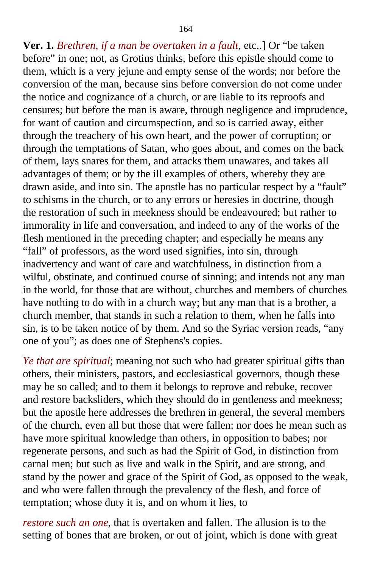**Ver. 1.** *Brethren, if a man be overtaken in a fault*, etc..] Or "be taken before" in one; not, as Grotius thinks, before this epistle should come to them, which is a very jejune and empty sense of the words; nor before the conversion of the man, because sins before conversion do not come under the notice and cognizance of a church, or are liable to its reproofs and censures; but before the man is aware, through negligence and imprudence, for want of caution and circumspection, and so is carried away, either through the treachery of his own heart, and the power of corruption; or through the temptations of Satan, who goes about, and comes on the back of them, lays snares for them, and attacks them unawares, and takes all advantages of them; or by the ill examples of others, whereby they are drawn aside, and into sin. The apostle has no particular respect by a "fault" to schisms in the church, or to any errors or heresies in doctrine, though the restoration of such in meekness should be endeavoured; but rather to immorality in life and conversation, and indeed to any of the works of the flesh mentioned in the preceding chapter; and especially he means any "fall" of professors, as the word used signifies, into sin, through inadvertency and want of care and watchfulness, in distinction from a wilful, obstinate, and continued course of sinning; and intends not any man in the world, for those that are without, churches and members of churches have nothing to do with in a church way; but any man that is a brother, a church member, that stands in such a relation to them, when he falls into sin, is to be taken notice of by them. And so the Syriac version reads, "any one of you"; as does one of Stephens's copies.

*Ye that are spiritual*; meaning not such who had greater spiritual gifts than others, their ministers, pastors, and ecclesiastical governors, though these may be so called; and to them it belongs to reprove and rebuke, recover and restore backsliders, which they should do in gentleness and meekness; but the apostle here addresses the brethren in general, the several members of the church, even all but those that were fallen: nor does he mean such as have more spiritual knowledge than others, in opposition to babes; nor regenerate persons, and such as had the Spirit of God, in distinction from carnal men; but such as live and walk in the Spirit, and are strong, and stand by the power and grace of the Spirit of God, as opposed to the weak, and who were fallen through the prevalency of the flesh, and force of temptation; whose duty it is, and on whom it lies, to

*restore such an one*, that is overtaken and fallen. The allusion is to the setting of bones that are broken, or out of joint, which is done with great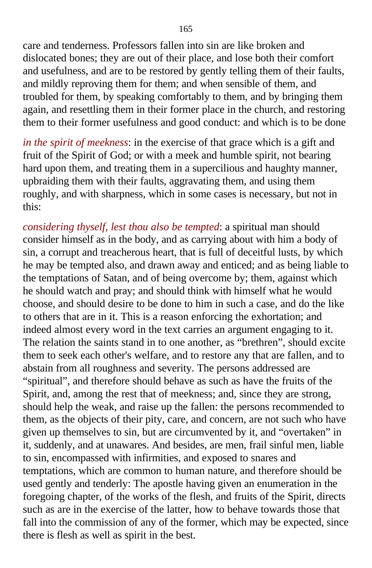care and tenderness. Professors fallen into sin are like broken and dislocated bones; they are out of their place, and lose both their comfort and usefulness, and are to be restored by gently telling them of their faults, and mildly reproving them for them; and when sensible of them, and troubled for them, by speaking comfortably to them, and by bringing them again, and resettling them in their former place in the church, and restoring them to their former usefulness and good conduct: and which is to be done

*in the spirit of meekness*: in the exercise of that grace which is a gift and fruit of the Spirit of God; or with a meek and humble spirit, not bearing hard upon them, and treating them in a supercilious and haughty manner, upbraiding them with their faults, aggravating them, and using them roughly, and with sharpness, which in some cases is necessary, but not in this:

*considering thyself, lest thou also be tempted*: a spiritual man should consider himself as in the body, and as carrying about with him a body of sin, a corrupt and treacherous heart, that is full of deceitful lusts, by which he may be tempted also, and drawn away and enticed; and as being liable to the temptations of Satan, and of being overcome by; them, against which he should watch and pray; and should think with himself what he would choose, and should desire to be done to him in such a case, and do the like to others that are in it. This is a reason enforcing the exhortation; and indeed almost every word in the text carries an argument engaging to it. The relation the saints stand in to one another, as "brethren", should excite them to seek each other's welfare, and to restore any that are fallen, and to abstain from all roughness and severity. The persons addressed are "spiritual", and therefore should behave as such as have the fruits of the Spirit, and, among the rest that of meekness; and, since they are strong, should help the weak, and raise up the fallen: the persons recommended to them, as the objects of their pity, care, and concern, are not such who have given up themselves to sin, but are circumvented by it, and "overtaken" in it, suddenly, and at unawares. And besides, are men, frail sinful men, liable to sin, encompassed with infirmities, and exposed to snares and temptations, which are common to human nature, and therefore should be used gently and tenderly: The apostle having given an enumeration in the foregoing chapter, of the works of the flesh, and fruits of the Spirit, directs such as are in the exercise of the latter, how to behave towards those that fall into the commission of any of the former, which may be expected, since there is flesh as well as spirit in the best.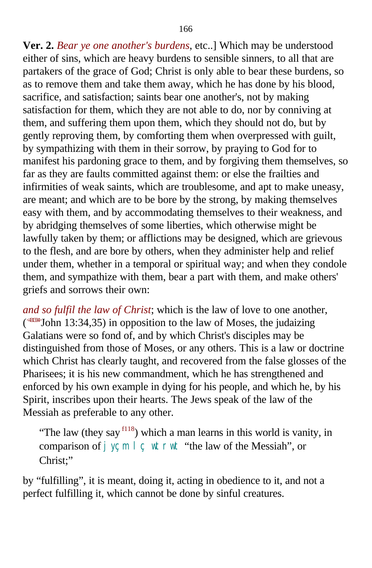**Ver. 2.** *Bear ye one another's burdens*, etc..] Which may be understood either of sins, which are heavy burdens to sensible sinners, to all that are partakers of the grace of God; Christ is only able to bear these burdens, so as to remove them and take them away, which he has done by his blood, sacrifice, and satisfaction; saints bear one another's, not by making satisfaction for them, which they are not able to do, nor by conniving at them, and suffering them upon them, which they should not do, but by gently reproving them, by comforting them when overpressed with guilt, by sympathizing with them in their sorrow, by praying to God for to manifest his pardoning grace to them, and by forgiving them themselves, so far as they are faults committed against them: or else the frailties and infirmities of weak saints, which are troublesome, and apt to make uneasy, are meant; and which are to be bore by the strong, by making themselves easy with them, and by accommodating themselves to their weakness, and by abridging themselves of some liberties, which otherwise might be lawfully taken by them; or afflictions may be designed, which are grievous to the flesh, and are bore by others, when they administer help and relief under them, whether in a temporal or spiritual way; and when they condole them, and sympathize with them, bear a part with them, and make others' griefs and sorrows their own:

*and so fulfil the law of Christ*; which is the law of love to one another,  $(\sqrt[4134]{\text{cosh}}} 13:34,35)$  in opposition to the law of Moses, the judaizing Galatians were so fond of, and by which Christ's disciples may be distinguished from those of Moses, or any others. This is a law or doctrine which Christ has clearly taught, and recovered from the false glosses of the Pharisees; it is his new commandment, which he has strengthened and enforced by his own example in dying for his people, and which he, by his Spirit, inscribes upon their hearts. The Jews speak of the law of the Messiah as preferable to any other.

"The law (they say  $(118)$ ) which a man learns in this world is vanity, in comparison of jyçm lç wtrwt "the law of the Messiah", or Christ:"

by "fulfilling", it is meant, doing it, acting in obedience to it, and not a perfect fulfilling it, which cannot be done by sinful creatures.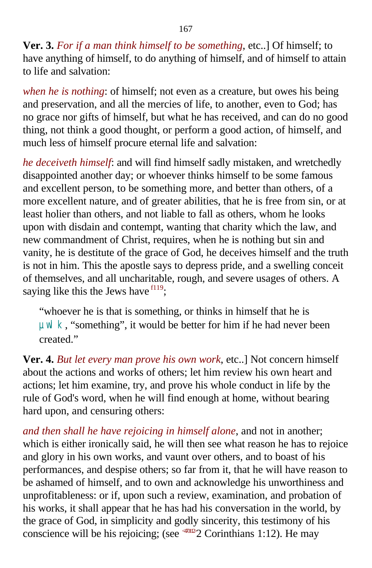**Ver. 3.** *For if a man think himself to be something*, etc..] Of himself; to have anything of himself, to do anything of himself, and of himself to attain to life and salvation:

*when he is nothing*: of himself; not even as a creature, but owes his being and preservation, and all the mercies of life, to another, even to God; has no grace nor gifts of himself, but what he has received, and can do no good thing, not think a good thought, or perform a good action, of himself, and much less of himself procure eternal life and salvation:

*he deceiveth himself*: and will find himself sadly mistaken, and wretchedly disappointed another day; or whoever thinks himself to be some famous and excellent person, to be something more, and better than others, of a more excellent nature, and of greater abilities, that he is free from sin, or at least holier than others, and not liable to fall as others, whom he looks upon with disdain and contempt, wanting that charity which the law, and new commandment of Christ, requires, when he is nothing but sin and vanity, he is destitute of the grace of God, he deceives himself and the truth is not in him. This the apostle says to depress pride, and a swelling conceit of themselves, and all uncharitable, rough, and severe usages of others. A saying like this the Jews have  $f119$ ;

"whoever he is that is something, or thinks in himself that he is  $\mu$ wlk, "something", it would be better for him if he had never been created."

**Ver. 4.** *But let every man prove his own work*, etc..] Not concern himself about the actions and works of others; let him review his own heart and actions; let him examine, try, and prove his whole conduct in life by the rule of God's word, when he will find enough at home, without bearing hard upon, and censuring others:

*and then shall he have rejoicing in himself alone*, and not in another; which is either ironically said, he will then see what reason he has to rejoice and glory in his own works, and vaunt over others, and to boast of his performances, and despise others; so far from it, that he will have reason to be ashamed of himself, and to own and acknowledge his unworthiness and unprofitableness: or if, upon such a review, examination, and probation of his works, it shall appear that he has had his conversation in the world, by the grace of God, in simplicity and godly sincerity, this testimony of his conscience will be his rejoicing; (see  $\triangleleft 2$  Corinthians 1:12). He may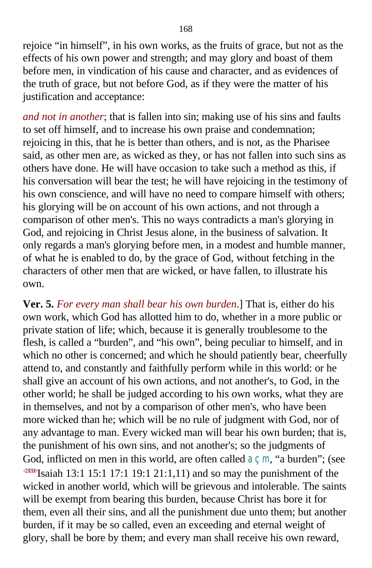rejoice "in himself", in his own works, as the fruits of grace, but not as the effects of his own power and strength; and may glory and boast of them before men, in vindication of his cause and character, and as evidences of the truth of grace, but not before God, as if they were the matter of his justification and acceptance:

*and not in another*; that is fallen into sin; making use of his sins and faults to set off himself, and to increase his own praise and condemnation; rejoicing in this, that he is better than others, and is not, as the Pharisee said, as other men are, as wicked as they, or has not fallen into such sins as others have done. He will have occasion to take such a method as this, if his conversation will bear the test; he will have rejoicing in the testimony of his own conscience, and will have no need to compare himself with others; his glorying will be on account of his own actions, and not through a comparison of other men's. This no ways contradicts a man's glorying in God, and rejoicing in Christ Jesus alone, in the business of salvation. It only regards a man's glorying before men, in a modest and humble manner, of what he is enabled to do, by the grace of God, without fetching in the characters of other men that are wicked, or have fallen, to illustrate his own.

**Ver. 5.** *For every man shall bear his own burden*.] That is, either do his own work, which God has allotted him to do, whether in a more public or private station of life; which, because it is generally troublesome to the flesh, is called a "burden", and "his own", being peculiar to himself, and in which no other is concerned; and which he should patiently bear, cheerfully attend to, and constantly and faithfully perform while in this world: or he shall give an account of his own actions, and not another's, to God, in the other world; he shall be judged according to his own works, what they are in themselves, and not by a comparison of other men's, who have been more wicked than he; which will be no rule of judgment with God, nor of any advantage to man. Every wicked man will bear his own burden; that is, the punishment of his own sins, and not another's; so the judgments of God, inflicted on men in this world, are often called açm, "a burden"; (see  $280\text{N}$ Saiah 13:1 15:1 17:1 19:1 21:1,11) and so may the punishment of the wicked in another world, which will be grievous and intolerable. The saints will be exempt from bearing this burden, because Christ has bore it for them, even all their sins, and all the punishment due unto them; but another burden, if it may be so called, even an exceeding and eternal weight of glory, shall be bore by them; and every man shall receive his own reward,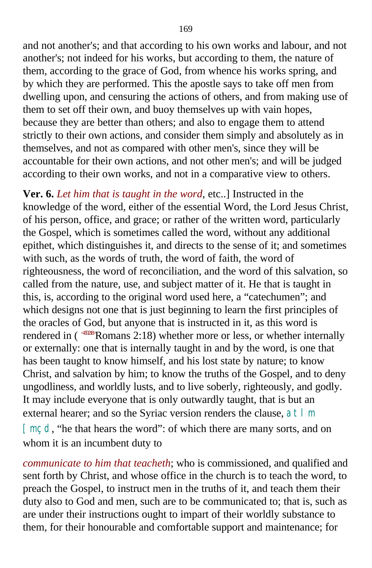and not another's; and that according to his own works and labour, and not another's; not indeed for his works, but according to them, the nature of them, according to the grace of God, from whence his works spring, and by which they are performed. This the apostle says to take off men from dwelling upon, and censuring the actions of others, and from making use of them to set off their own, and buoy themselves up with vain hopes, because they are better than others; and also to engage them to attend strictly to their own actions, and consider them simply and absolutely as in themselves, and not as compared with other men's, since they will be accountable for their own actions, and not other men's; and will be judged according to their own works, and not in a comparative view to others.

**Ver. 6.** *Let him that is taught in the word*, etc..] Instructed in the knowledge of the word, either of the essential Word, the Lord Jesus Christ, of his person, office, and grace; or rather of the written word, particularly the Gospel, which is sometimes called the word, without any additional epithet, which distinguishes it, and directs to the sense of it; and sometimes with such, as the words of truth, the word of faith, the word of righteousness, the word of reconciliation, and the word of this salvation, so called from the nature, use, and subject matter of it. He that is taught in this, is, according to the original word used here, a "catechumen"; and which designs not one that is just beginning to learn the first principles of the oracles of God, but anyone that is instructed in it, as this word is rendered in  $\left(\sqrt[4]{1288}$ Romans 2:18) whether more or less, or whether internally or externally: one that is internally taught in and by the word, is one that has been taught to know himself, and his lost state by nature; to know Christ, and salvation by him; to know the truths of the Gospel, and to deny ungodliness, and worldly lusts, and to live soberly, righteously, and godly. It may include everyone that is only outwardly taught, that is but an external hearer; and so the Syriac version renders the clause,  $a$ tlm [mçd, "he that hears the word": of which there are many sorts, and on whom it is an incumbent duty to

*communicate to him that teacheth*; who is commissioned, and qualified and sent forth by Christ, and whose office in the church is to teach the word, to preach the Gospel, to instruct men in the truths of it, and teach them their duty also to God and men, such are to be communicated to; that is, such as are under their instructions ought to impart of their worldly substance to them, for their honourable and comfortable support and maintenance; for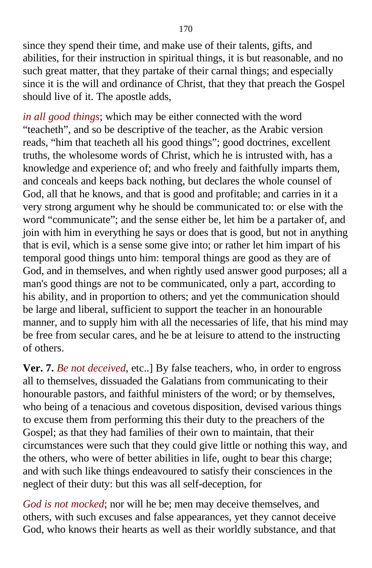since they spend their time, and make use of their talents, gifts, and abilities, for their instruction in spiritual things, it is but reasonable, and no such great matter, that they partake of their carnal things; and especially since it is the will and ordinance of Christ, that they that preach the Gospel should live of it. The apostle adds,

*in all good things*; which may be either connected with the word "teacheth", and so be descriptive of the teacher, as the Arabic version reads, "him that teacheth all his good things"; good doctrines, excellent truths, the wholesome words of Christ, which he is intrusted with, has a knowledge and experience of; and who freely and faithfully imparts them, and conceals and keeps back nothing, but declares the whole counsel of God, all that he knows, and that is good and profitable; and carries in it a very strong argument why he should be communicated to: or else with the word "communicate"; and the sense either be, let him be a partaker of, and join with him in everything he says or does that is good, but not in anything that is evil, which is a sense some give into; or rather let him impart of his temporal good things unto him: temporal things are good as they are of God, and in themselves, and when rightly used answer good purposes; all a man's good things are not to be communicated, only a part, according to his ability, and in proportion to others; and yet the communication should be large and liberal, sufficient to support the teacher in an honourable manner, and to supply him with all the necessaries of life, that his mind may be free from secular cares, and he be at leisure to attend to the instructing of others.

**Ver. 7.** *Be not deceived*, etc..] By false teachers, who, in order to engross all to themselves, dissuaded the Galatians from communicating to their honourable pastors, and faithful ministers of the word; or by themselves, who being of a tenacious and covetous disposition, devised various things to excuse them from performing this their duty to the preachers of the Gospel; as that they had families of their own to maintain, that their circumstances were such that they could give little or nothing this way, and the others, who were of better abilities in life, ought to bear this charge; and with such like things endeavoured to satisfy their consciences in the neglect of their duty: but this was all self-deception, for

*God is not mocked*; nor will he be; men may deceive themselves, and others, with such excuses and false appearances, yet they cannot deceive God, who knows their hearts as well as their worldly substance, and that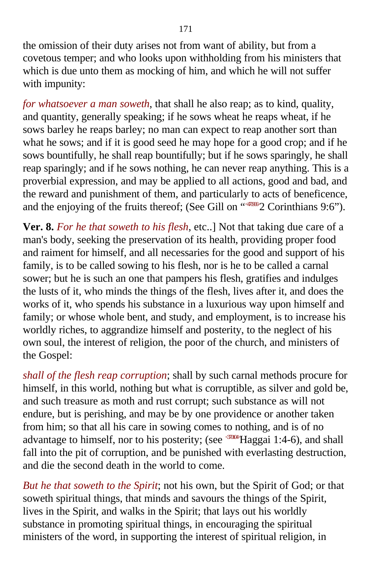the omission of their duty arises not from want of ability, but from a covetous temper; and who looks upon withholding from his ministers that which is due unto them as mocking of him, and which he will not suffer with impunity:

*for whatsoever a man soweth*, that shall he also reap; as to kind, quality, and quantity, generally speaking; if he sows wheat he reaps wheat, if he sows barley he reaps barley; no man can expect to reap another sort than what he sows; and if it is good seed he may hope for a good crop; and if he sows bountifully, he shall reap bountifully; but if he sows sparingly, he shall reap sparingly; and if he sows nothing, he can never reap anything. This is a proverbial expression, and may be applied to all actions, good and bad, and the reward and punishment of them, and particularly to acts of beneficence, and the enjoying of the fruits thereof; (See Gill on  $\sqrt{4706}$  2 Corinthians 9:6").

**Ver. 8.** *For he that soweth to his flesh*, etc..] Not that taking due care of a man's body, seeking the preservation of its health, providing proper food and raiment for himself, and all necessaries for the good and support of his family, is to be called sowing to his flesh, nor is he to be called a carnal sower; but he is such an one that pampers his flesh, gratifies and indulges the lusts of it, who minds the things of the flesh, lives after it, and does the works of it, who spends his substance in a luxurious way upon himself and family; or whose whole bent, and study, and employment, is to increase his worldly riches, to aggrandize himself and posterity, to the neglect of his own soul, the interest of religion, the poor of the church, and ministers of the Gospel:

*shall of the flesh reap corruption*; shall by such carnal methods procure for himself, in this world, nothing but what is corruptible, as silver and gold be, and such treasure as moth and rust corrupt; such substance as will not endure, but is perishing, and may be by one providence or another taken from him; so that all his care in sowing comes to nothing, and is of no advantage to himself, nor to his posterity; (see  $\sqrt{300}$  Haggai 1:4-6), and shall fall into the pit of corruption, and be punished with everlasting destruction, and die the second death in the world to come.

*But he that soweth to the Spirit*; not his own, but the Spirit of God; or that soweth spiritual things, that minds and savours the things of the Spirit, lives in the Spirit, and walks in the Spirit; that lays out his worldly substance in promoting spiritual things, in encouraging the spiritual ministers of the word, in supporting the interest of spiritual religion, in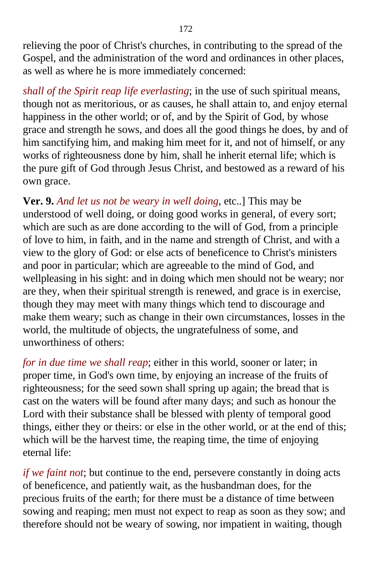relieving the poor of Christ's churches, in contributing to the spread of the Gospel, and the administration of the word and ordinances in other places, as well as where he is more immediately concerned:

*shall of the Spirit reap life everlasting*; in the use of such spiritual means, though not as meritorious, or as causes, he shall attain to, and enjoy eternal happiness in the other world; or of, and by the Spirit of God, by whose grace and strength he sows, and does all the good things he does, by and of him sanctifying him, and making him meet for it, and not of himself, or any works of righteousness done by him, shall he inherit eternal life; which is the pure gift of God through Jesus Christ, and bestowed as a reward of his own grace.

**Ver. 9.** *And let us not be weary in well doing*, etc..] This may be understood of well doing, or doing good works in general, of every sort; which are such as are done according to the will of God, from a principle of love to him, in faith, and in the name and strength of Christ, and with a view to the glory of God: or else acts of beneficence to Christ's ministers and poor in particular; which are agreeable to the mind of God, and wellpleasing in his sight: and in doing which men should not be weary; nor are they, when their spiritual strength is renewed, and grace is in exercise, though they may meet with many things which tend to discourage and make them weary; such as change in their own circumstances, losses in the world, the multitude of objects, the ungratefulness of some, and unworthiness of others:

*for in due time we shall reap*; either in this world, sooner or later; in proper time, in God's own time, by enjoying an increase of the fruits of righteousness; for the seed sown shall spring up again; the bread that is cast on the waters will be found after many days; and such as honour the Lord with their substance shall be blessed with plenty of temporal good things, either they or theirs: or else in the other world, or at the end of this; which will be the harvest time, the reaping time, the time of enjoying eternal life:

*if we faint not*; but continue to the end, persevere constantly in doing acts of beneficence, and patiently wait, as the husbandman does, for the precious fruits of the earth; for there must be a distance of time between sowing and reaping; men must not expect to reap as soon as they sow; and therefore should not be weary of sowing, nor impatient in waiting, though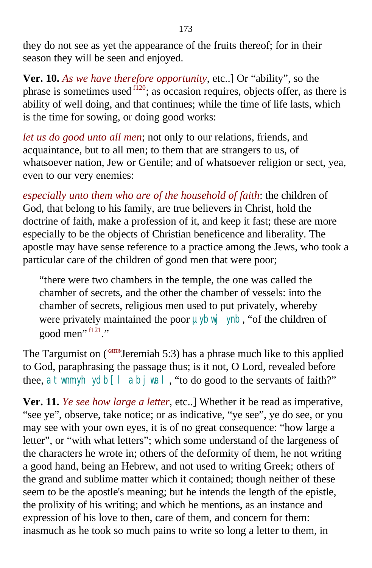they do not see as yet the appearance of the fruits thereof; for in their season they will be seen and enjoyed.

**Ver. 10.** *As we have therefore opportunity*, etc..] Or "ability", so the phrase is sometimes used  $f120$ ; as occasion requires, objects offer, as there is ability of well doing, and that continues; while the time of life lasts, which is the time for sowing, or doing good works:

*let us do good unto all men*; not only to our relations, friends, and acquaintance, but to all men; to them that are strangers to us, of whatsoever nation, Jew or Gentile; and of whatsoever religion or sect, yea, even to our very enemies:

*especially unto them who are of the household of faith*: the children of God, that belong to his family, are true believers in Christ, hold the doctrine of faith, make a profession of it, and keep it fast; these are more especially to be the objects of Christian beneficence and liberality. The apostle may have sense reference to a practice among the Jews, who took a particular care of the children of good men that were poor;

"there were two chambers in the temple, the one was called the chamber of secrets, and the other the chamber of vessels: into the chamber of secrets, religious men used to put privately, whereby were privately maintained the poor  $\mu$  /bwj ynb, "of the children of good men" $f<sup>121</sup>$ ."

The Targumist on  $(2405)$  Jeremiah 5:3) has a phrase much like to this applied to God, paraphrasing the passage thus; is it not, O Lord, revealed before thee, a twnmy h ydb  $\lceil \cdot \rceil$  abj wal, "to do good to the servants of faith?"

**Ver. 11.** *Ye see how large a letter*, etc..] Whether it be read as imperative, "see ye", observe, take notice; or as indicative, "ye see", ye do see, or you may see with your own eyes, it is of no great consequence: "how large a letter", or "with what letters"; which some understand of the largeness of the characters he wrote in; others of the deformity of them, he not writing a good hand, being an Hebrew, and not used to writing Greek; others of the grand and sublime matter which it contained; though neither of these seem to be the apostle's meaning; but he intends the length of the epistle, the prolixity of his writing; and which he mentions, as an instance and expression of his love to then, care of them, and concern for them: inasmuch as he took so much pains to write so long a letter to them, in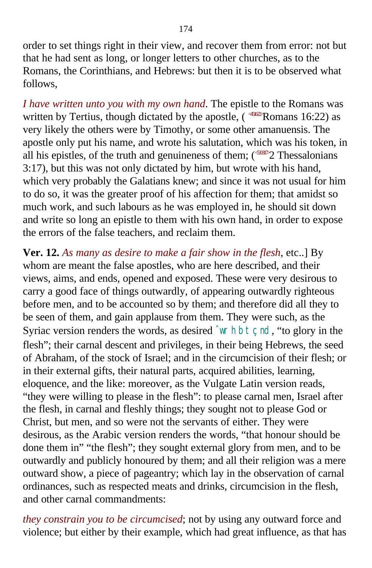order to set things right in their view, and recover them from error: not but that he had sent as long, or longer letters to other churches, as to the Romans, the Corinthians, and Hebrews: but then it is to be observed what follows,

*I have written unto you with my own hand*. The epistle to the Romans was written by Tertius, though dictated by the apostle,  $(\triangle^{662}$ Romans 16:22) as very likely the others were by Timothy, or some other amanuensis. The apostle only put his name, and wrote his salutation, which was his token, in all his epistles, of the truth and genuineness of them;  $(\sqrt{380/2} 2)$  Thessalonians 3:17), but this was not only dictated by him, but wrote with his hand, which very probably the Galatians knew; and since it was not usual for him to do so, it was the greater proof of his affection for them; that amidst so much work, and such labours as he was employed in, he should sit down and write so long an epistle to them with his own hand, in order to expose the errors of the false teachers, and reclaim them.

**Ver. 12.** *As many as desire to make a fair show in the flesh*, etc..] By whom are meant the false apostles, who are here described, and their views, aims, and ends, opened and exposed. These were very desirous to carry a good face of things outwardly, of appearing outwardly righteous before men, and to be accounted so by them; and therefore did all they to be seen of them, and gain applause from them. They were such, as the Syriac version renders the words, as desired ^wrhbt cnd, "to glory in the flesh"; their carnal descent and privileges, in their being Hebrews, the seed of Abraham, of the stock of Israel; and in the circumcision of their flesh; or in their external gifts, their natural parts, acquired abilities, learning, eloquence, and the like: moreover, as the Vulgate Latin version reads, "they were willing to please in the flesh": to please carnal men, Israel after the flesh, in carnal and fleshly things; they sought not to please God or Christ, but men, and so were not the servants of either. They were desirous, as the Arabic version renders the words, "that honour should be done them in" "the flesh"; they sought external glory from men, and to be outwardly and publicly honoured by them; and all their religion was a mere outward show, a piece of pageantry; which lay in the observation of carnal ordinances, such as respected meats and drinks, circumcision in the flesh, and other carnal commandments:

*they constrain you to be circumcised*; not by using any outward force and violence; but either by their example, which had great influence, as that has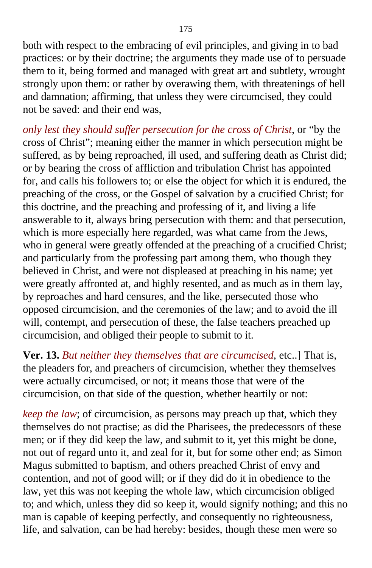both with respect to the embracing of evil principles, and giving in to bad practices: or by their doctrine; the arguments they made use of to persuade them to it, being formed and managed with great art and subtlety, wrought strongly upon them: or rather by overawing them, with threatenings of hell and damnation; affirming, that unless they were circumcised, they could not be saved: and their end was,

*only lest they should suffer persecution for the cross of Christ*, or "by the cross of Christ"; meaning either the manner in which persecution might be suffered, as by being reproached, ill used, and suffering death as Christ did; or by bearing the cross of affliction and tribulation Christ has appointed for, and calls his followers to; or else the object for which it is endured, the preaching of the cross, or the Gospel of salvation by a crucified Christ; for this doctrine, and the preaching and professing of it, and living a life answerable to it, always bring persecution with them: and that persecution, which is more especially here regarded, was what came from the Jews, who in general were greatly offended at the preaching of a crucified Christ; and particularly from the professing part among them, who though they believed in Christ, and were not displeased at preaching in his name; yet were greatly affronted at, and highly resented, and as much as in them lay, by reproaches and hard censures, and the like, persecuted those who opposed circumcision, and the ceremonies of the law; and to avoid the ill will, contempt, and persecution of these, the false teachers preached up circumcision, and obliged their people to submit to it.

**Ver. 13.** *But neither they themselves that are circumcised*, etc..] That is, the pleaders for, and preachers of circumcision, whether they themselves were actually circumcised, or not; it means those that were of the circumcision, on that side of the question, whether heartily or not:

*keep the law*; of circumcision, as persons may preach up that, which they themselves do not practise; as did the Pharisees, the predecessors of these men; or if they did keep the law, and submit to it, yet this might be done, not out of regard unto it, and zeal for it, but for some other end; as Simon Magus submitted to baptism, and others preached Christ of envy and contention, and not of good will; or if they did do it in obedience to the law, yet this was not keeping the whole law, which circumcision obliged to; and which, unless they did so keep it, would signify nothing; and this no man is capable of keeping perfectly, and consequently no righteousness, life, and salvation, can be had hereby: besides, though these men were so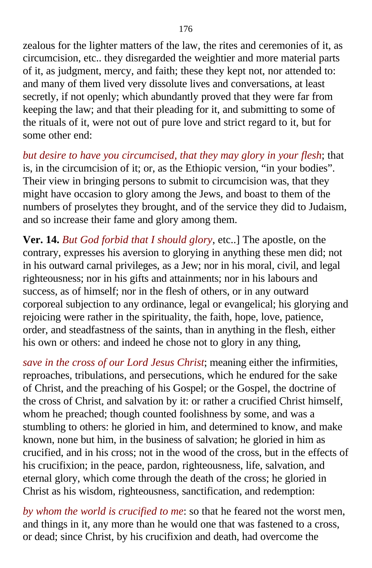zealous for the lighter matters of the law, the rites and ceremonies of it, as circumcision, etc.. they disregarded the weightier and more material parts of it, as judgment, mercy, and faith; these they kept not, nor attended to: and many of them lived very dissolute lives and conversations, at least secretly, if not openly; which abundantly proved that they were far from keeping the law; and that their pleading for it, and submitting to some of the rituals of it, were not out of pure love and strict regard to it, but for some other end:

*but desire to have you circumcised, that they may glory in your flesh*; that is, in the circumcision of it; or, as the Ethiopic version, "in your bodies". Their view in bringing persons to submit to circumcision was, that they might have occasion to glory among the Jews, and boast to them of the numbers of proselytes they brought, and of the service they did to Judaism, and so increase their fame and glory among them.

**Ver. 14.** *But God forbid that I should glory*, etc..] The apostle, on the contrary, expresses his aversion to glorying in anything these men did; not in his outward carnal privileges, as a Jew; nor in his moral, civil, and legal righteousness; nor in his gifts and attainments; nor in his labours and success, as of himself; nor in the flesh of others, or in any outward corporeal subjection to any ordinance, legal or evangelical; his glorying and rejoicing were rather in the spirituality, the faith, hope, love, patience, order, and steadfastness of the saints, than in anything in the flesh, either his own or others: and indeed he chose not to glory in any thing,

*save in the cross of our Lord Jesus Christ*; meaning either the infirmities, reproaches, tribulations, and persecutions, which he endured for the sake of Christ, and the preaching of his Gospel; or the Gospel, the doctrine of the cross of Christ, and salvation by it: or rather a crucified Christ himself, whom he preached; though counted foolishness by some, and was a stumbling to others: he gloried in him, and determined to know, and make known, none but him, in the business of salvation; he gloried in him as crucified, and in his cross; not in the wood of the cross, but in the effects of his crucifixion; in the peace, pardon, righteousness, life, salvation, and eternal glory, which come through the death of the cross; he gloried in Christ as his wisdom, righteousness, sanctification, and redemption:

*by whom the world is crucified to me*: so that he feared not the worst men, and things in it, any more than he would one that was fastened to a cross, or dead; since Christ, by his crucifixion and death, had overcome the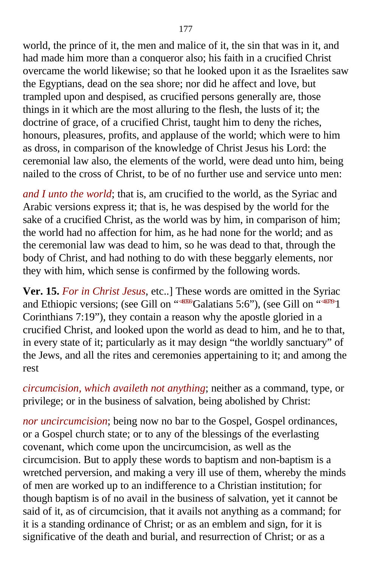world, the prince of it, the men and malice of it, the sin that was in it, and had made him more than a conqueror also; his faith in a crucified Christ overcame the world likewise; so that he looked upon it as the Israelites saw the Egyptians, dead on the sea shore; nor did he affect and love, but trampled upon and despised, as crucified persons generally are, those things in it which are the most alluring to the flesh, the lusts of it; the doctrine of grace, of a crucified Christ, taught him to deny the riches, honours, pleasures, profits, and applause of the world; which were to him as dross, in comparison of the knowledge of Christ Jesus his Lord: the ceremonial law also, the elements of the world, were dead unto him, being nailed to the cross of Christ, to be of no further use and service unto men:

*and I unto the world*; that is, am crucified to the world, as the Syriac and Arabic versions express it; that is, he was despised by the world for the sake of a crucified Christ, as the world was by him, in comparison of him; the world had no affection for him, as he had none for the world; and as the ceremonial law was dead to him, so he was dead to that, through the body of Christ, and had nothing to do with these beggarly elements, nor they with him, which sense is confirmed by the following words.

**Ver. 15.** *For in Christ Jesus*, etc..] These words are omitted in the Syriac and Ethiopic versions; (see Gill on "<sup>4806</sup>Galatians 5:6"), (see Gill on "<sup>4809</sup>1 Corinthians 7:19"), they contain a reason why the apostle gloried in a crucified Christ, and looked upon the world as dead to him, and he to that, in every state of it; particularly as it may design "the worldly sanctuary" of the Jews, and all the rites and ceremonies appertaining to it; and among the rest

*circumcision, which availeth not anything*; neither as a command, type, or privilege; or in the business of salvation, being abolished by Christ:

*nor uncircumcision*; being now no bar to the Gospel, Gospel ordinances, or a Gospel church state; or to any of the blessings of the everlasting covenant, which come upon the uncircumcision, as well as the circumcision. But to apply these words to baptism and non-baptism is a wretched perversion, and making a very ill use of them, whereby the minds of men are worked up to an indifference to a Christian institution; for though baptism is of no avail in the business of salvation, yet it cannot be said of it, as of circumcision, that it avails not anything as a command; for it is a standing ordinance of Christ; or as an emblem and sign, for it is significative of the death and burial, and resurrection of Christ; or as a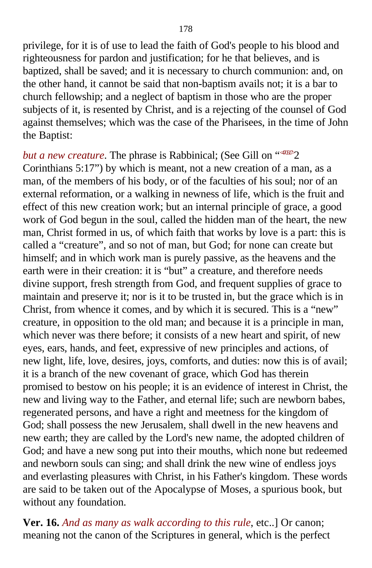privilege, for it is of use to lead the faith of God's people to his blood and righteousness for pardon and justification; for he that believes, and is baptized, shall be saved; and it is necessary to church communion: and, on the other hand, it cannot be said that non-baptism avails not; it is a bar to church fellowship; and a neglect of baptism in those who are the proper subjects of it, is resented by Christ, and is a rejecting of the counsel of God against themselves; which was the case of the Pharisees, in the time of John the Baptist:

*but a new creature*. The phrase is Rabbinical; (See Gill on "47057-2") Corinthians 5:17") by which is meant, not a new creation of a man, as a man, of the members of his body, or of the faculties of his soul; nor of an external reformation, or a walking in newness of life, which is the fruit and effect of this new creation work; but an internal principle of grace, a good work of God begun in the soul, called the hidden man of the heart, the new man, Christ formed in us, of which faith that works by love is a part: this is called a "creature", and so not of man, but God; for none can create but himself; and in which work man is purely passive, as the heavens and the earth were in their creation: it is "but" a creature, and therefore needs divine support, fresh strength from God, and frequent supplies of grace to maintain and preserve it; nor is it to be trusted in, but the grace which is in Christ, from whence it comes, and by which it is secured. This is a "new" creature, in opposition to the old man; and because it is a principle in man, which never was there before; it consists of a new heart and spirit, of new eyes, ears, hands, and feet, expressive of new principles and actions, of new light, life, love, desires, joys, comforts, and duties: now this is of avail; it is a branch of the new covenant of grace, which God has therein promised to bestow on his people; it is an evidence of interest in Christ, the new and living way to the Father, and eternal life; such are newborn babes, regenerated persons, and have a right and meetness for the kingdom of God; shall possess the new Jerusalem, shall dwell in the new heavens and new earth; they are called by the Lord's new name, the adopted children of God; and have a new song put into their mouths, which none but redeemed and newborn souls can sing; and shall drink the new wine of endless joys and everlasting pleasures with Christ, in his Father's kingdom. These words are said to be taken out of the Apocalypse of Moses, a spurious book, but without any foundation.

**Ver. 16.** *And as many as walk according to this rule*, etc..] Or canon; meaning not the canon of the Scriptures in general, which is the perfect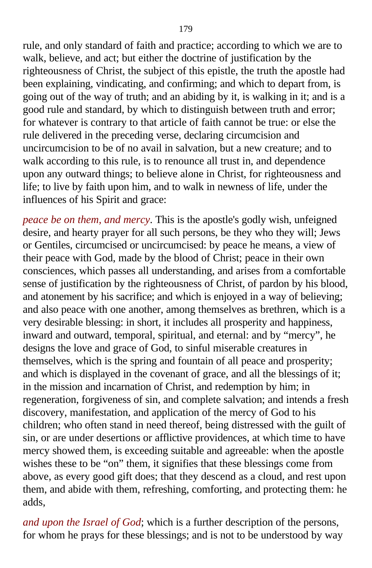rule, and only standard of faith and practice; according to which we are to walk, believe, and act; but either the doctrine of justification by the righteousness of Christ, the subject of this epistle, the truth the apostle had been explaining, vindicating, and confirming; and which to depart from, is going out of the way of truth; and an abiding by it, is walking in it; and is a good rule and standard, by which to distinguish between truth and error; for whatever is contrary to that article of faith cannot be true: or else the rule delivered in the preceding verse, declaring circumcision and uncircumcision to be of no avail in salvation, but a new creature; and to walk according to this rule, is to renounce all trust in, and dependence upon any outward things; to believe alone in Christ, for righteousness and life; to live by faith upon him, and to walk in newness of life, under the influences of his Spirit and grace:

*peace be on them, and mercy*. This is the apostle's godly wish, unfeigned desire, and hearty prayer for all such persons, be they who they will; Jews or Gentiles, circumcised or uncircumcised: by peace he means, a view of their peace with God, made by the blood of Christ; peace in their own consciences, which passes all understanding, and arises from a comfortable sense of justification by the righteousness of Christ, of pardon by his blood, and atonement by his sacrifice; and which is enjoyed in a way of believing; and also peace with one another, among themselves as brethren, which is a very desirable blessing: in short, it includes all prosperity and happiness, inward and outward, temporal, spiritual, and eternal: and by "mercy", he designs the love and grace of God, to sinful miserable creatures in themselves, which is the spring and fountain of all peace and prosperity; and which is displayed in the covenant of grace, and all the blessings of it; in the mission and incarnation of Christ, and redemption by him; in regeneration, forgiveness of sin, and complete salvation; and intends a fresh discovery, manifestation, and application of the mercy of God to his children; who often stand in need thereof, being distressed with the guilt of sin, or are under desertions or afflictive providences, at which time to have mercy showed them, is exceeding suitable and agreeable: when the apostle wishes these to be "on" them, it signifies that these blessings come from above, as every good gift does; that they descend as a cloud, and rest upon them, and abide with them, refreshing, comforting, and protecting them: he adds,

*and upon the Israel of God*; which is a further description of the persons, for whom he prays for these blessings; and is not to be understood by way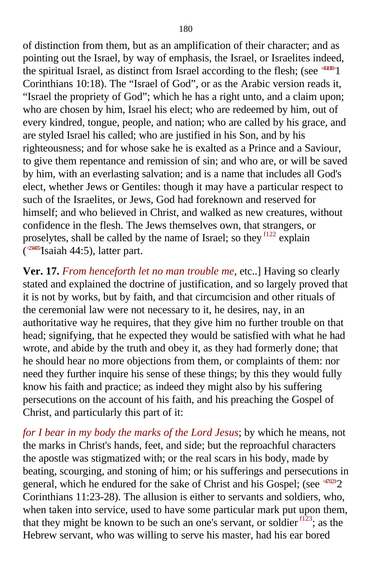of distinction from them, but as an amplification of their character; and as pointing out the Israel, by way of emphasis, the Israel, or Israelites indeed, the spiritual Israel, as distinct from Israel according to the flesh; (see  $400\%$ ) Corinthians 10:18). The "Israel of God", or as the Arabic version reads it, "Israel the propriety of God"; which he has a right unto, and a claim upon; who are chosen by him, Israel his elect; who are redeemed by him, out of every kindred, tongue, people, and nation; who are called by his grace, and are styled Israel his called; who are justified in his Son, and by his righteousness; and for whose sake he is exalted as a Prince and a Saviour, to give them repentance and remission of sin; and who are, or will be saved by him, with an everlasting salvation; and is a name that includes all God's elect, whether Jews or Gentiles: though it may have a particular respect to such of the Israelites, or Jews, God had foreknown and reserved for himself; and who believed in Christ, and walked as new creatures, without confidence in the flesh. The Jews themselves own, that strangers, or proselytes, shall be called by the name of Israel; so they <sup>f122</sup> explain  $\left(\frac{23405}{1}\right)$ Isaiah 44:5), latter part.

**Ver. 17.** *From henceforth let no man trouble me*, etc..] Having so clearly stated and explained the doctrine of justification, and so largely proved that it is not by works, but by faith, and that circumcision and other rituals of the ceremonial law were not necessary to it, he desires, nay, in an authoritative way he requires, that they give him no further trouble on that head; signifying, that he expected they would be satisfied with what he had wrote, and abide by the truth and obey it, as they had formerly done; that he should hear no more objections from them, or complaints of them: nor need they further inquire his sense of these things; by this they would fully know his faith and practice; as indeed they might also by his suffering persecutions on the account of his faith, and his preaching the Gospel of Christ, and particularly this part of it:

*for I bear in my body the marks of the Lord Jesus*; by which he means, not the marks in Christ's hands, feet, and side; but the reproachful characters the apostle was stigmatized with; or the real scars in his body, made by beating, scourging, and stoning of him; or his sufferings and persecutions in general, which he endured for the sake of Christ and his Gospel; (see  $\frac{47125}{2}$ ) Corinthians 11:23-28). The allusion is either to servants and soldiers, who, when taken into service, used to have some particular mark put upon them, that they might be known to be such an one's servant, or soldier  $f^{123}$ ; as the Hebrew servant, who was willing to serve his master, had his ear bored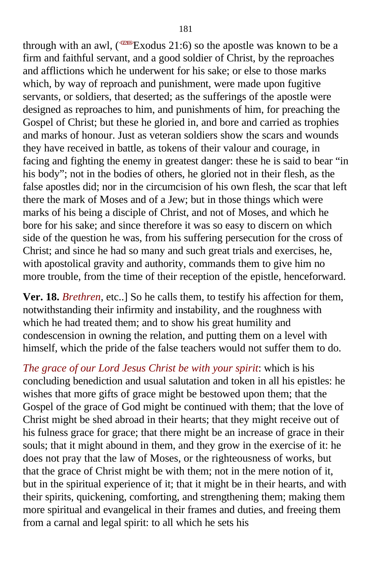through with an awl, ( $^{\text{QZID}}$ Exodus 21:6) so the apostle was known to be a firm and faithful servant, and a good soldier of Christ, by the reproaches and afflictions which he underwent for his sake; or else to those marks which, by way of reproach and punishment, were made upon fugitive servants, or soldiers, that deserted; as the sufferings of the apostle were designed as reproaches to him, and punishments of him, for preaching the Gospel of Christ; but these he gloried in, and bore and carried as trophies and marks of honour. Just as veteran soldiers show the scars and wounds they have received in battle, as tokens of their valour and courage, in facing and fighting the enemy in greatest danger: these he is said to bear "in his body"; not in the bodies of others, he gloried not in their flesh, as the false apostles did; nor in the circumcision of his own flesh, the scar that left there the mark of Moses and of a Jew; but in those things which were marks of his being a disciple of Christ, and not of Moses, and which he bore for his sake; and since therefore it was so easy to discern on which side of the question he was, from his suffering persecution for the cross of Christ; and since he had so many and such great trials and exercises, he, with apostolical gravity and authority, commands them to give him no more trouble, from the time of their reception of the epistle, henceforward.

**Ver. 18.** *Brethren*, etc..] So he calls them, to testify his affection for them, notwithstanding their infirmity and instability, and the roughness with which he had treated them; and to show his great humility and condescension in owning the relation, and putting them on a level with himself, which the pride of the false teachers would not suffer them to do.

*The grace of our Lord Jesus Christ be with your spirit*: which is his concluding benediction and usual salutation and token in all his epistles: he wishes that more gifts of grace might be bestowed upon them; that the Gospel of the grace of God might be continued with them; that the love of Christ might be shed abroad in their hearts; that they might receive out of his fulness grace for grace; that there might be an increase of grace in their souls; that it might abound in them, and they grow in the exercise of it: he does not pray that the law of Moses, or the righteousness of works, but that the grace of Christ might be with them; not in the mere notion of it, but in the spiritual experience of it; that it might be in their hearts, and with their spirits, quickening, comforting, and strengthening them; making them more spiritual and evangelical in their frames and duties, and freeing them from a carnal and legal spirit: to all which he sets his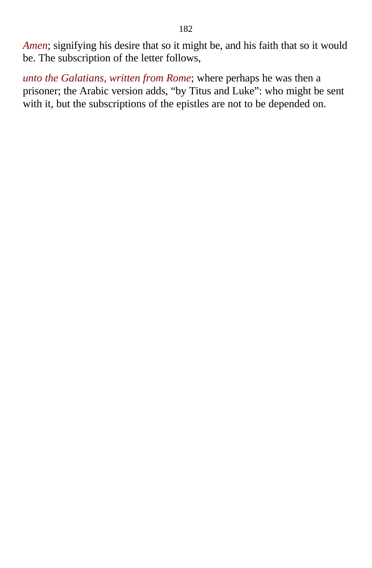*Amen*; signifying his desire that so it might be, and his faith that so it would be. The subscription of the letter follows,

*unto the Galatians, written from Rome*; where perhaps he was then a prisoner; the Arabic version adds, "by Titus and Luke": who might be sent with it, but the subscriptions of the epistles are not to be depended on.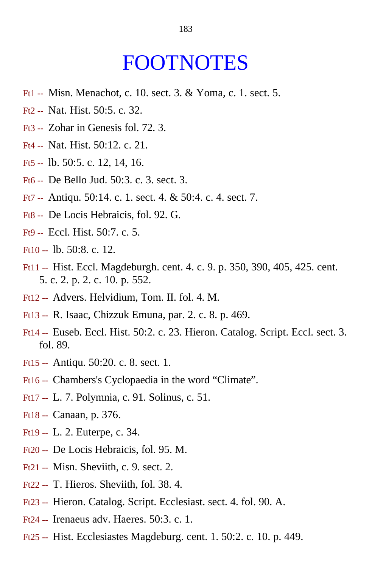## FOOTNOTES

- [Ft1](#page-6-0) -- Misn. Menachot, c. 10. sect. 3. & Yoma, c. 1. sect. 5.
- [Ft2](#page-7-0) -- Nat. Hist. 50:5. c. 32.
- [Ft3](#page-10-0) -- Zohar in Genesis fol. 72. 3.
- [Ft4](#page-23-0) -- Nat. Hist. 50:12. c. 21.
- [Ft5](#page-23-0) -- lb. 50:5. c. 12, 14, 16.
- [Ft6](#page-23-0) -- De Bello Jud. 50:3. c. 3. sect. 3.
- [Ft7](#page-23-0) -- Antiqu. 50:14. c. 1. sect. 4. & 50:4. c. 4. sect. 7.
- [Ft8](#page-23-0) -- De Locis Hebraicis, fol. 92. G.
- [Ft9](#page-23-0) -- Eccl. Hist. 50:7. c. 5.
- [Ft10](#page-23-0) -- lb. 50:8. c. 12.
- [Ft11](#page-23-0) -- Hist. Eccl. Magdeburgh. cent. 4. c. 9. p. 350, 390, 405, 425. cent. 5. c. 2. p. 2. c. 10. p. 552.
- [Ft12](#page-24-0) -- Advers. Helvidium, Tom. II. fol. 4. M.
- [Ft13](#page-25-0) -- R. Isaac, Chizzuk Emuna, par. 2. c. 8. p. 469.
- [Ft14](#page-25-0) -- Euseb. Eccl. Hist. 50:2. c. 23. Hieron. Catalog. Script. Eccl. sect. 3. fol. 89.
- [Ft15](#page-25-0) -- Antiqu. 50:20. c. 8. sect. 1.
- [Ft16](#page-26-0) -- Chambers's Cyclopaedia in the word "Climate".
- [Ft17](#page-26-0) -- L. 7. Polymnia, c. 91. Solinus, c. 51.
- [Ft18](#page-26-0) -- Canaan, p. 376.
- [Ft19](#page-26-0) -- L. 2. Euterpe, c. 34.
- [Ft20](#page-27-0) -- De Locis Hebraicis, fol. 95. M.
- [Ft21](#page-27-0) -- Misn. Sheviith, c. 9. sect. 2.
- [Ft22](#page-27-0) -- T. Hieros. Sheviith, fol. 38. 4.
- [Ft23](#page-27-0) -- Hieron. Catalog. Script. Ecclesiast. sect. 4. fol. 90. A.
- [Ft24](#page-27-0) -- Irenaeus adv. Haeres. 50:3. c. 1.
- [Ft25](#page-28-0) -- Hist. Ecclesiastes Magdeburg. cent. 1. 50:2. c. 10. p. 449.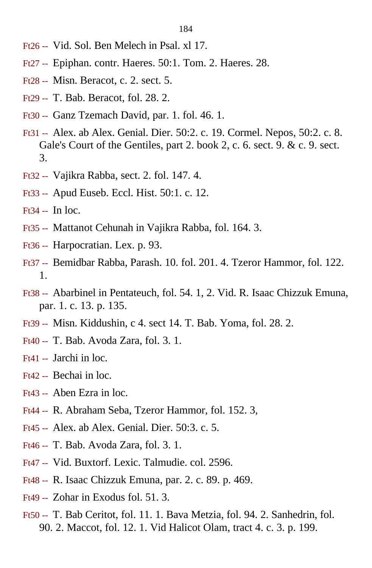- [Ft26](#page-34-0) -- Vid. Sol. Ben Melech in Psal. xl 17.
- [Ft27](#page-36-0) -- Epiphan. contr. Haeres. 50:1. Tom. 2. Haeres. 28.
- [Ft28](#page-37-0) -- Misn. Beracot, c. 2. sect. 5.
- [Ft29](#page-41-0) -- T. Bab. Beracot, fol. 28. 2.
- [Ft30](#page-41-0) -- Ganz Tzemach David, par. 1. fol. 46. 1.
- [Ft31](#page-42-0) -- Alex. ab Alex. Genial. Dier. 50:2. c. 19. Cormel. Nepos, 50:2. c. 8. Gale's Court of the Gentiles, part 2. book 2, c. 6. sect. 9. & c. 9. sect. 3.
- [Ft32](#page-42-0) -- Vajikra Rabba, sect. 2. fol. 147. 4.
- [Ft33](#page-43-0) -- Apud Euseb. Eccl. Hist. 50:1. c. 12.
- [Ft34](#page-43-0) -- In loc.
- [Ft35](#page-48-0) -- Mattanot Cehunah in Vajikra Rabba, fol. 164. 3.
- [Ft36](#page-49-0) -- Harpocratian. Lex. p. 93.
- [Ft37](#page-67-0) -- Bemidbar Rabba, Parash. 10. fol. 201. 4. Tzeror Hammor, fol. 122. 1.
- [Ft38](#page-69-0) -- Abarbinel in Pentateuch, fol. 54. 1, 2. Vid. R. Isaac Chizzuk Emuna, par. 1. c. 13. p. 135.
- [Ft39](#page-70-0) -- Misn. Kiddushin, c 4. sect 14. T. Bab. Yoma, fol. 28. 2.
- [Ft40](#page-70-0) -- T. Bab. Avoda Zara, fol. 3. 1.
- [Ft41](#page-71-0) -- Jarchi in loc.
- [Ft42](#page-71-0) -- Bechai in loc.
- [Ft43](#page-71-0) -- Aben Ezra in loc.
- [Ft44](#page-71-0) -- R. Abraham Seba, Tzeror Hammor, fol. 152. 3,
- [Ft45](#page-71-0) -- Alex. ab Alex. Genial. Dier. 50:3. c. 5.
- [Ft46](#page-73-0) -- T. Bab. Avoda Zara, fol. 3. 1.
- [Ft47](#page-74-0) -- Vid. Buxtorf. Lexic. Talmudie. col. 2596.
- [Ft48](#page-74-0) -- R. Isaac Chizzuk Emuna, par. 2. c. 89. p. 469.
- [Ft49](#page-75-0) -- Zohar in Exodus fol. 51. 3.
- [Ft50](#page-76-0) -- T. Bab Ceritot, fol. 11. 1. Bava Metzia, fol. 94. 2. Sanhedrin, fol. 90. 2. Maccot, fol. 12. 1. Vid Halicot Olam, tract 4. c. 3. p. 199.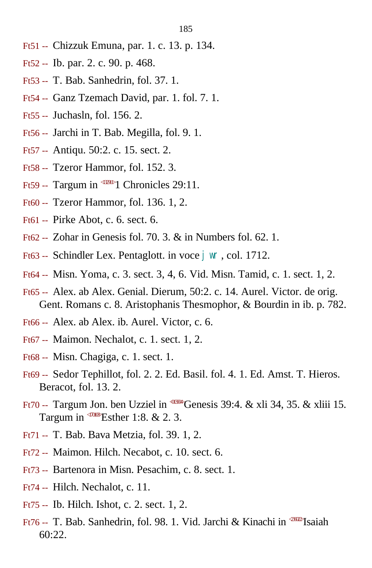- [Ft51](#page-78-0) -- Chizzuk Emuna, par. 1. c. 13. p. 134.
- [Ft52](#page-78-0) -- Ib. par. 2. c. 90. p. 468.
- [Ft53](#page-78-0) -- T. Bab. Sanhedrin, fol. 37. 1.
- [Ft54](#page-80-0) -- Ganz Tzemach David, par. 1. fol. 7. 1.
- [Ft55](#page-80-0) -- Juchasln, fol. 156. 2.
- [Ft56](#page-80-0) -- Jarchi in T. Bab. Megilla, fol. 9. 1.
- [Ft57](#page-80-0) -- Antiqu. 50:2. c. 15. sect. 2.
- [Ft58](#page-81-0) -- Tzeror Hammor, fol. 152. 3.
- [Ft59](#page-83-0) -- Targum in <a>103911</a> Chronicles 29:11.
- [Ft60](#page-84-0) -- Tzeror Hammor, fol. 136. 1, 2.
- [Ft61](#page-85-0) -- Pirke Abot, c. 6. sect. 6.
- [Ft62](#page-85-0) -- Zohar in Genesis fol. 70. 3. & in Numbers fol. 62. 1.
- [Ft63](#page-87-0) -- Schindler Lex. Pentaglott. in voce j wr, col. 1712.
- [Ft64](#page-92-0) -- Misn. Yoma, c. 3. sect. 3, 4, 6. Vid. Misn. Tamid, c. 1. sect. 1, 2.
- [Ft65](#page-93-0) -- Alex. ab Alex. Genial. Dierum, 50:2. c. 14. Aurel. Victor. de orig. Gent. Romans c. 8. Aristophanis Thesmophor, & Bourdin in ib. p. 782.
- [Ft66](#page-93-0) -- Alex. ab Alex. ib. Aurel. Victor, c. 6.
- [Ft67](#page-93-0) -- Maimon. Nechalot, c. 1. sect. 1, 2.
- [Ft68](#page-93-0) -- Misn. Chagiga, c. 1. sect. 1.
- [Ft69](#page-94-0) -- Sedor Tephillot, fol. 2. 2. Ed. Basil. fol. 4. 1. Ed. Amst. T. Hieros. Beracot, fol. 13. 2.
- [Ft70](#page-98-0) -- Targum Jon. ben Uzziel in <sup>41304</sup>Genesis 39:4. & xli 34, 35. & xliii 15. Targum in  $\sqrt{1008}$ Esther 1:8. & 2. 3.
- [Ft71](#page-98-0) -- T. Bab. Bava Metzia, fol. 39. 1, 2.
- [Ft72](#page-99-0) -- Maimon. Hilch. Necabot, c. 10. sect. 6.
- [Ft73](#page-99-0) -- Bartenora in Misn. Pesachim, c. 8. sect. 1.
- [Ft74](#page-99-0) -- Hilch. Nechalot, c. 11.
- [Ft75](#page-99-0) -- Ib. Hilch. Ishot, c. 2. sect. 1, 2.
- [Ft76](#page-101-0) -- T. Bab. Sanhedrin, fol. 98. 1. Vid. Jarchi & Kinachi in  $\frac{2800}{25}$ Isaiah 60:22.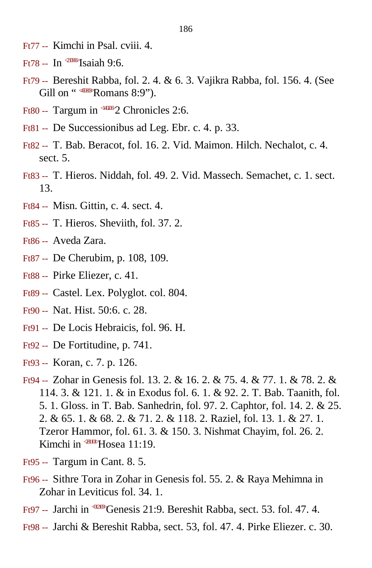- [Ft77](#page-101-0) -- Kimchi in Psal. cviii. 4.
- [Ft78](#page-103-0) -- In  $\frac{23906}{15}$ Isaiah 9:6.
- [Ft79](#page-105-0) -- Bereshit Rabba, fol. 2. 4. & 6. 3. Vajikra Rabba, fol. 156. 4. (See Gill on "  $\sqrt{4509}$  Romans 8:9").
- [Ft80](#page-105-0) -- Targum in  $400^{\circ}$  Chronicles 2:6.
- [Ft81](#page-107-0) -- De Successionibus ad Leg. Ebr. c. 4. p. 33.
- [Ft82](#page-107-0) -- T. Bab. Beracot, fol. 16. 2. Vid. Maimon. Hilch. Nechalot, c. 4. sect. 5.
- [Ft83](#page-107-0) -- T. Hieros. Niddah, fol. 49. 2. Vid. Massech. Semachet, c. 1. sect. 13.
- [Ft84](#page-107-0) -- Misn. Gittin, c. 4. sect. 4.
- [Ft85](#page-107-0) -- T. Hieros. Sheviith, fol. 37. 2.
- [Ft86](#page-108-0) -- Aveda Zara.
- [Ft87](#page-121-0) -- De Cherubim, p. 108, 109.
- [Ft88](#page-122-0) -- Pirke Eliezer, c. 41.
- [Ft89](#page-122-0) -- Castel. Lex. Polyglot. col. 804.
- [Ft90](#page-122-0) -- Nat. Hist. 50:6. c. 28.
- [Ft91](#page-122-0) -- De Locis Hebraicis, fol. 96. H.
- [Ft92](#page-123-0) -- De Fortitudine, p. 741.
- [Ft93](#page-123-0) -- Koran, c. 7. p. 126.
- [Ft94](#page-125-0) -- Zohar in Genesis fol. 13. 2. & 16. 2. & 75. 4. & 77. 1. & 78. 2. & 114. 3. & 121. 1. & in Exodus fol. 6. 1. & 92. 2. T. Bab. Taanith, fol. 5. 1. Gloss. in T. Bab. Sanhedrin, fol. 97. 2. Caphtor, fol. 14. 2. & 25. 2. & 65. 1. & 68. 2. & 71. 2. & 118. 2. Raziel, fol. 13. 1. & 27. 1. Tzeror Hammor, fol. 61. 3. & 150. 3. Nishmat Chayim, fol. 26. 2. Kimchi in  $\frac{\text{2810D}}{\text{2810}}$ Hosea 11:19.
- [Ft95](#page-125-0) -- Targum in Cant. 8. 5.
- [Ft96](#page-125-0) -- Sithre Tora in Zohar in Genesis fol. 55. 2. & Raya Mehimna in Zohar in Leviticus fol. 34. 1.
- [Ft97](#page-128-0) -- Jarchi in <sup>4009</sup>Genesis 21:9. Bereshit Rabba, sect. 53. fol. 47. 4.
- [Ft98](#page-128-0) -- Jarchi & Bereshit Rabba, sect. 53, fol. 47. 4. Pirke Eliezer. c. 30.